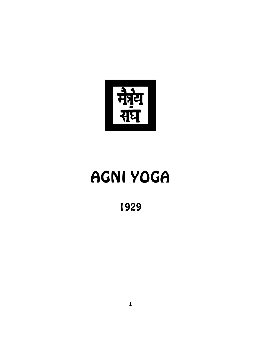

## AGNI YOGA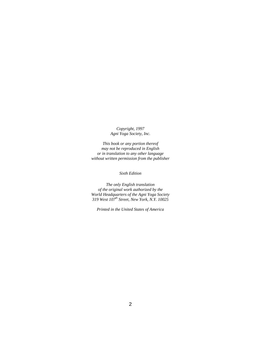*Copyright, 1997 Agni Yoga Society, Inc.* 

*This book or any portion thereof may not be reproduced in English or in translation to any other language without written permission from the publisher* 

*Sixth Edition* 

*The only English translation of the original work authorized by the World Headquarters of the Agni Yoga Society 319 West 107th Street, New York, N.Y. 10025* 

*Printed in the United States of America*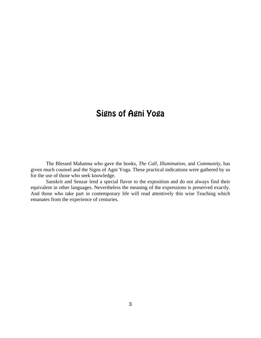## Signs of Agni Yoga

The Blessed Mahatma who gave the books, *The Call, Illumination,* and *Community*, has given much counsel and the Signs of Agni Yoga. These practical indications were gathered by us for the use of those who seek knowledge.

Sanskrit and Senzar lend a special flavor to the exposition and do not always find their equivalent in other languages. Nevertheless the meaning of the expressions is preserved exactly. And those who take part in contemporary life will read attentively this wise Teaching which emanates from the experience of centuries.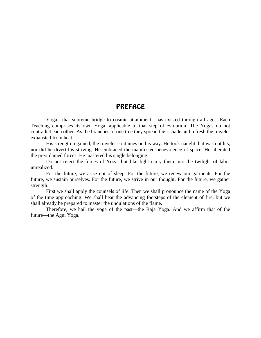## PREFACE

Yoga—that supreme bridge to cosmic attainment—has existed through all ages. Each Teaching comprises its own Yoga, applicable to that step of evolution. The Yogas do not contradict each other. As the branches of one tree they spread their shade and refresh the traveler exhausted from heat.

His strength regained, the traveler continues on his way. He took naught that was not his, nor did he divert his striving. He embraced the manifested benevolence of space. He liberated the preordained forces. He mastered his single belonging.

Do not reject the forces of Yoga, but like light carry them into the twilight of labor unrealized.

For the future, we arise out of sleep. For the future, we renew our garments. For the future, we sustain ourselves. For the future, we strive in our thought. For the future, we gather strength.

First we shall apply the counsels of life. Then we shall pronounce the name of the Yoga of the time approaching. We shall hear the advancing footsteps of the element of fire, but we shall already be prepared to master the undulations of the flame.

Therefore, we hail the yoga of the past—the Raja Yoga. And we affirm that of the future—the Agni Yoga.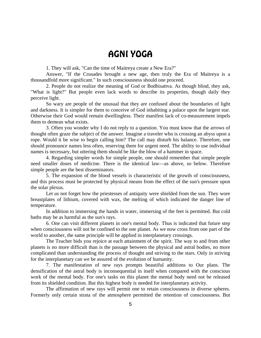## AGNI YOGA

1. They will ask, "Can the time of Maitreya create a New Era?"

Answer, "If the Crusades brought a new age, then truly the Era of Maitreya is a thousandfold more significant." In such consciousness should one proceed.

2. People do not realize the meaning of God or Bodhisattva. As though blind, they ask, "What is light?" But people even lack words to describe its properties, though daily they perceive light.

So wary are people of the unusual that they are confused about the boundaries of light and darkness. It is simpler for them to conceive of God inhabiting a palace upon the largest star. Otherwise their God would remain dwellingless. Their manifest lack of co-measurement impels them to demean what exists.

3. Often you wonder why I do not reply to a question. You must know that the arrows of thought often graze the subject of the answer. Imagine a traveler who is crossing an abyss upon a rope. Would it be wise to begin calling him? The call may disturb his balance. Therefore, one should pronounce names less often, reserving them for urgent need. The ability to use individual names is necessary, but uttering them should be like the blow of a hammer in space.

4. Regarding simpler words for simple people, one should remember that simple people need smaller doses of medicine. There is the identical law—as above, so below. Therefore simple people are the best disseminators.

5. The expansion of the blood vessels is characteristic of the growth of consciousness, and this process must be protected by physical means from the effect of the sun's pressure upon the solar plexus.

Let us not forget how the priestesses of antiquity were shielded from the sun. They wore breastplates of lithium, covered with wax, the melting of which indicated the danger line of temperature.

In addition to immersing the hands in water, immersing of the feet is permitted. But cold baths may be as harmful as the sun's rays.

6. One can visit different planets in one's mental body. Thus is indicated that future step when consciousness will not be confined to the one planet. As we now cross from one part of the world to another, the same principle will be applied in interplanetary crossings.

The Teacher bids you rejoice at each attainment of the spirit. The way to and from other planets is no more difficult than is the passage between the physical and astral bodies, no more complicated than understanding the process of thought and striving to the stars. Only in striving for the interplanetary can we be assured of the evolution of humanity.

7. The manifestation of new rays prompts beautiful additions to Our plans. The densification of the astral body is inconsequential in itself when compared with the conscious work of the mental body. For one's tasks on this planet the mental body need not be released from its shielded condition. But this highest body is needed for interplanetary activity.

The affirmation of new rays will permit one to retain consciousness in diverse spheres. Formerly only certain strata of the atmosphere permitted the retention of consciousness. But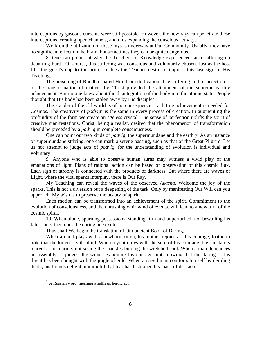interceptions by gaseous currents were still possible. However, the new rays can penetrate these interceptions, creating open channels, and thus expanding the conscious activity.

Work on the utilization of these rays is underway at Our Community. Usually, they have no significant effect on the brain, but sometimes they can be quite dangerous.

8. One can point out why the Teachers of Knowledge experienced such suffering on departing Earth. Of course, this suffering was conscious and voluntarily chosen. Just as the host fills the guest's cup to the brim, so does the Teacher desire to impress this last sign of His Teaching.

The poisoning of Buddha spared Him from deification. The suffering and resurrection or the transformation of matter—by Christ provided the attainment of the supreme earthly achievement. But no one knew about the disintegration of the body into the atomic state. People thought that His body had been stolen away by His disciples.

The slander of the old world is of no consequence. Each true achievement is needed for Cosmos. The creativity of  $podyig<sup>1</sup>$  is the same in every process of creation. In augmenting the profundity of the form we create an ageless crystal. The sense of perfection uplifts the spirit of creative manifestations. Christ, being a realist, desired that the phenomenon of transformation should be preceded by a *podvig* in complete consciousness.

One can point out two kinds of *podvig*, the supermundane and the earthly. As an instance of supermundane striving, one can mark a serene passing, such as that of the Great Pilgrim. Let us not attempt to judge acts of *podvig,* for the understanding of evolution is individual and voluntary.

9. Anyone who is able to observe human auras may witness a vivid play of the emanations of light. Plans of rational action can be based on observation of this cosmic flux. Each sign of atrophy is connected with the products of darkness. But where there are waves of Light, where the vital sparks interplay, there is Our Ray.

My Teaching can reveal the waves of the observed *Akasha*. Welcome the joy of the sparks. This is not a diversion but a deepening of the task. Only by manifesting Our Will can you approach. My wish is to preserve the beauty of spirit.

Each motion can be transformed into an achievement of the spirit. Commitment to the evolution of consciousness, and the onrushing whirlwind of events, will lead to a new turn of the cosmic spiral.

10. When alone, spurning possessions, standing firm and unperturbed, not bewailing his fate—only then does the daring one exult.

Thus shall We begin the translation of Our ancient Book of Daring.

When a child plays with a newborn kitten, his mother rejoices at his courage, loathe to note that the kitten is still blind. When a youth toys with the soul of his comrade, the spectators marvel at his daring, not seeing the shackles binding the wretched soul. When a man denounces an assembly of judges, the witnesses admire his courage, not knowing that the daring of his threat has been bought with the jingle of gold. When an aged man comforts himself by deriding death, his friends delight, unmindful that fear has fashioned his mask of derision.

i<br>Li

<span id="page-5-0"></span> $<sup>1</sup>$  A Russian word, meaning a selfless, heroic act.</sup>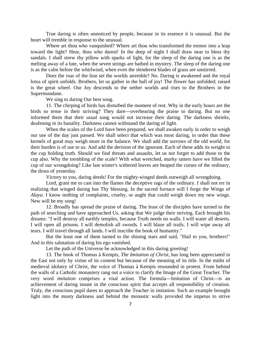True daring is often unnoticed by people, because in its essence it is unusual. But the heart will tremble in response to the unusual.

Where art thou who vanquished? Where art thou who transformed the tremor into a leap toward the light? Hear, thou who darest! In the deep of night I shall draw near to bless thy sandals. I shall strew thy pillow with sparks of light, for the sleep of the daring one is as the melting away of a lute, when the seven strings are bathed in mystery. The sleep of the daring one is as the calm before the whirlwind, when even the slenderest blades of grass are unstirred.

Does the roar of the lion set the worlds atremble? No. Daring is awakened and the royal lotus of spirit unfolds. Brothers, let us gather in the hall of joy! The flower has unfolded; raised is the great wheel. Our Joy descends to the nether worlds and rises to the Brothers in the Supermundane.

We sing to daring Our best song.

11. The chirping of birds has disturbed the moment of rest. Why in the early hours are the birds so tense in their striving? They dare—overhearing the praise to daring. But no one informed them that their usual song would not increase their daring. The darkness shrieks, deafening in its banality. Darkness cannot withstand the daring of light.

When the scales of the Lord have been prepared, we shall awaken early in order to weigh our use of the day just passed. We shall select that which was most daring, in order that these kernels of good may weigh more in the balance. We shall add the sorrows of the old world, for their burden is of use to us. And add the derision of the ignorant. Each of these adds its weight to the cup holding truth. Should we find threats and assaults, let us not forget to add those to the cup also. Why the trembling of the scale? With what wretched, murky tatters have we filled the cup of our wrongdoing? Like last winter's withered leaves are heaped the curses of the ordinary, the dross of yesterday.

Victory to you, daring deeds! For the mighty-winged deeds outweigh all wrongdoing.

Lord, grant me to cast into the flames the deceptive rags of the ordinary. I shall not err in realizing that winged daring has Thy blessing. In the sacred furnace will I forge the Wings of *Alaya*. I know nothing of complaints, cruelty, or aught that could weigh down my new wings. New will be my song!

12. Broadly has spread the praise of daring. The least of the disciples have turned to the path of searching and have approached Us, asking that We judge their striving. Each brought his dreams: "I will destroy all earthly temples, because Truth needs no walls. I will water all deserts. I will open all prisons. I will demolish all swords. I will blaze all trails. I will wipe away all tears. I will travel through all lands. I will inscribe the book of humanity."

But the least one of them turned to the shining stars and said, "Hail to you, brothers!" And in this salutation of daring his ego vanished.

Let the path of the Universe be acknowledged in this daring greeting!

13. The book of Thomas à Kempis, *The Imitation of Christ*, has long been appreciated in the East not only by virtue of its content but because of the meaning of its title. In the midst of medieval idolatry of Christ, the voice of Thomas à Kempis resounded in protest. From behind the walls of a Catholic monastery rang out a voice to clarify the Image of the Great Teacher. The very word *imitation* comprises a vital action. The formula—Imitation of Christ—is an achievement of daring innate in the conscious spirit that accepts all responsibility of creation. Truly, the conscious pupil dares to approach the Teacher in imitation. Such an example brought light into the musty darkness and behind the monastic walls provided the impetus to strive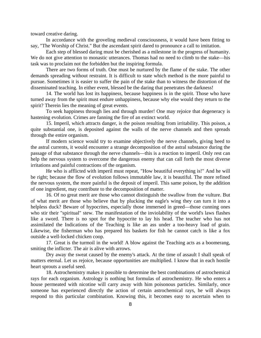toward creative daring.

In accordance with the groveling medieval consciousness, it would have been fitting to say, "The Worship of Christ." But the ascendant spirit dared to pronounce a call to imitation.

Each step of blessed daring must be cherished as a milestone in the progress of humanity. We do not give attention to monastic utterances. Thomas had no need to climb to the stake—his task was to proclaim not the forbidden but the inspiring formula.

There are two forms of truth. One must be nurtured by the flame of the stake. The other demands spreading without restraint. It is difficult to state which method is the more painful to pursue. Sometimes it is easier to suffer the pain of the stake than to witness the distortion of the disseminated teaching. In either event, blessed be the daring that penetrates the darkness!

14. The world has lost its happiness, because happiness is in the spirit. Those who have turned away from the spirit must endure unhappiness, because why else would they return to the spirit? Therein lies the meaning of great events.

To seek happiness through lies and through murder! One may rejoice that degeneracy is hastening evolution. Crimes are fanning the fire of an extinct world.

15. Imperil, which attracts danger, is the poison resulting from irritability. This poison, a quite substantial one, is deposited against the walls of the nerve channels and then spreads through the entire organism.

If modern science would try to examine objectively the nerve channels, giving heed to the astral currents, it would encounter a strange decomposition of the astral substance during the passage of that substance through the nerve channels—this is a reaction to imperil. Only rest can help the nervous system to overcome the dangerous enemy that can call forth the most diverse irritations and painful contractions of the organism.

He who is afflicted with imperil must repeat, "How beautiful everything is!" And he will be right; because the flow of evolution follows immutable law, it is beautiful. The more refined the nervous system, the more painful is the deposit of imperil. This same poison, by the addition of one ingredient, may contribute to the decomposition of matter.

16. Of no great merit are those who cannot distinguish the swallow from the vulture. But of what merit are those who believe that by plucking the eagle's wing they can turn it into a helpless duck? Beware of hypocrites, especially those immersed in greed—those cunning ones who stir their "spiritual" stew. The manifestation of the inviolability of the world's laws flashes like a sword. There is no spot for the hypocrite to lay his head. The teacher who has not assimilated the Indications of the Teaching is like an ass under a too-heavy load of grain. Likewise, the fisherman who has prepared his baskets for fish he cannot catch is like a fox outside a well-locked chicken coop.

17. Great is the turmoil in the world! A blow against the Teaching acts as a boomerang, smiting the inflicter. The air is alive with arrows.

Dry away the sweat caused by the enemy's attack. At the time of assault I shall speak of matters eternal. Let us rejoice, because opportunities are multiplied. I know that in each hostile heart sprouts a useful seed.

18. Astrochemistry makes it possible to determine the best combinations of astrochemical rays for each organism. Astrology is nothing but formulas of astrochemistry. He who enters a house permeated with nicotine will carry away with him poisonous particles. Similarly, once someone has experienced directly the action of certain astrochemical rays, he will always respond to this particular combination. Knowing this, it becomes easy to ascertain when to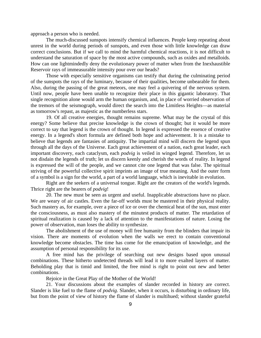approach a person who is needed.

The much-discussed sunspots intensify chemical influences. People keep repeating about unrest in the world during periods of sunspots, and even those with little knowledge can draw correct conclusions. But if we call to mind the harmful chemical reactions, it is not difficult to understand the saturation of space by the most active compounds, such as oxides and metalloids. How can one lightmindedly deny the evolutionary power of matter when from the Inexhaustible Reservoir rays of immeasurable intensity pour over our heads?

Those with especially sensitive organisms can testify that during the culminating period of the sunspots the rays of the luminary, because of their qualities, become unbearable for them. Also, during the passing of the great meteors, one may feel a quivering of the nervous system. Until now, people have been unable to recognize their place in this gigantic laboratory. That single recognition alone would arm the human organism, and, in place of worried observation of the tremors of the seismograph, would direct the search into the Limitless Heights—as material as tomorrow's repast, as majestic as the numberless stars.

19. Of all creative energies, thought remains supreme. What may be the crystal of this energy? Some believe that precise knowledge is the crown of thought; but it would be more correct to say that legend is the crown of thought. In legend is expressed the essence of creative energy. In a legend's short formula are defined both hope and achievement. It is a mistake to believe that legends are fantasies of antiquity. The impartial mind will discern the legend spun through all the days of the Universe. Each great achievement of a nation, each great leader, each important discovery, each cataclysm, each *podvig* is veiled in winged legend. Therefore, let us not disdain the legends of truth; let us discern keenly and cherish the words of reality. In legend is expressed the will of the people, and we cannot cite one legend that was false. The spiritual striving of the powerful collective spirit imprints an image of true meaning. And the outer form of a symbol is a sign for the world, a part of a world language, which is inevitable in evolution.

Right are the seekers of a universal tongue. Right are the creators of the world's legends. Thrice right are the bearers of *podvig*!

20. The new must be seen as urgent and useful. Inapplicable abstractions have no place. We are weary of air castles. Even the far-off worlds must be mastered in their physical reality. Such mastery as, for example, over a piece of ice or over the chemical heat of the sun, must enter the consciousness, as must also mastery of the minutest products of matter. The retardation of spiritual realization is caused by a lack of attention to the manifestations of nature. Losing the power of observation, man loses the ability to synthesize.

The abolishment of the use of money will free humanity from the blinders that impair its vision. There are moments of evolution when the walls we erect to contain conventional knowledge become obstacles. The time has come for the emancipation of knowledge, and the assumption of personal responsibility for its use.

A free mind has the privilege of searching out new designs based upon unusual combinations. These hitherto undetected threads will lead it to more exalted layers of matter. Beholding play that is timid and limited, the free mind is right to point out new and better combinations.

Rejoice in the Great Play of the Mother of the World!

21. Your discussions about the examples of slander recorded in history are correct. Slander is like fuel to the flame of *podvig*. Slander, when it occurs, is disturbing in ordinary life, but from the point of view of history the flame of slander is multihued; without slander grateful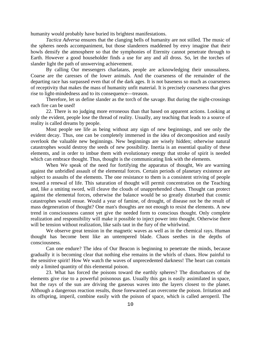humanity would probably have buried its brightest manifestations.

*Tactica Adversa* ensures that the clanging bells of humanity are not stilled. The music of the spheres needs accompaniment, but those slanderers maddened by envy imagine that their howls densify the atmosphere so that the symphonies of Eternity cannot penetrate through to Earth. However a good householder finds a use for any and all dross. So, let the torches of slander light the path of unswerving achievement.

By calling Our messengers charlatans, people are acknowledging their unusualness. Coarse are the caresses of the lower animals. And the coarseness of the remainder of the departing race has surpassed even that of the dark ages. It is not baseness so much as coarseness of receptivity that makes the mass of humanity unfit material. It is precisely coarseness that gives rise to light-mindedness and to its consequence—treason.

Therefore, let us define slander as the torch of the savage. But during the night-crossings each fire can be used!

22. There is no judging more erroneous than that based on apparent actions. Looking at only the evident, people lose the thread of reality. Usually, any teaching that leads to a source of reality is called dreams by people.

Most people see life as being without any sign of new beginnings, and see only the evident decay. Thus, one can be completely immersed in the idea of decomposition and easily overlook the valuable new beginnings. New beginnings are wisely hidden; otherwise natural catastrophes would destroy the seeds of new possibility. Inertia is an essential quality of these elements, and in order to imbue them with evolutionary energy that stroke of spirit is needed which can embrace thought. Thus, thought is the communicating link with the elements.

When We speak of the need for fortifying the apparatus of thought, We are warning against the unbridled assault of the elemental forces. Certain periods of planetary existence are subject to assaults of the elements. The one resistance to them is a consistent striving of people toward a renewal of life. This saturation of thought will permit concentration on the Teaching and, like a smiting sword, will cleave the clouds of unapprehended chaos. Thought can protect against the elemental forces, otherwise the balance would be so greatly disturbed that cosmic catastrophes would ensue. Would a year of famine, of drought, of disease not be the result of mass degeneration of thought? One man's thoughts are not enough to resist the elements. A new trend in consciousness cannot yet give the needed form to conscious thought. Only complete realization and responsibility will make it possible to inject power into thought. Otherwise there will be tension without realization, like sails taut in the fury of the whirlwind.

We observe great tension in the magnetic waves as well as in the chemical rays. Human thought has become bent like an untempered blade. Chaos seethes in the depths of consciousness.

Can one endure? The idea of Our Beacon is beginning to penetrate the minds, because gradually it is becoming clear that nothing else remains in the whirls of chaos. How painful to the sensitive spirit! How We watch the waves of unprecedented darkness! The heart can contain only a limited quantity of this elemental poison.

23. What has forced the poisons toward the earthly spheres? The disturbances of the elements give rise to a powerful poisonous gas. Usually this gas is easily assimilated in space, but the rays of the sun are driving the gaseous waves into the layers closest to the planet. Although a dangerous reaction results, those forewarned can overcome the poison. Irritation and its offspring, imperil, combine easily with the poison of space, which is called aeroperil. The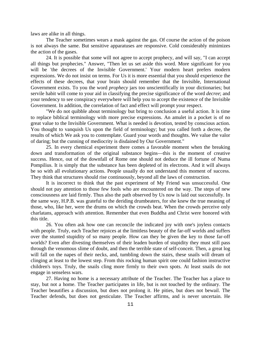laws are alike in all things.

The Teacher sometimes wears a mask against the gas. Of course the action of the poison is not always the same. But sensitive apparatuses are responsive. Cold considerably minimizes the action of the gases.

24. It is possible that some will not agree to accept prophecy, and will say, "I can accept all things but prophecies." Answer, "Then let us set aside this word. More significant for you will be 'the decrees of the Invisible Government.' Your modern heart prefers modern expressions. We do not insist on terms. For Us it is more essential that you should experience the effects of these decrees, that your brain should remember that the Invisible, International Government exists. To you the word *prophecy* jars too unscientifically in your dictionaries; but servile habit will come to your aid in classifying the precise significance of the word *decree*; and your tendency to see conspiracy everywhere will help you to accept the existence of the Invisible Government. In addition, the correlation of fact and effect will prompt your respect.

"We do not quibble about terminology but bring to conclusion a useful action. It is time to replace biblical terminology with more precise expressions. An amulet in a pocket is of no great value to the Invisible Government. What is needed is devotion, tested by conscious action. You thought to vanquish Us upon the field of terminology; but you called forth a decree, the results of which We ask you to contemplate. Guard your words and thoughts. We value the valor of daring; but the cunning of mediocrity is disdained by Our Government."

25. In every chemical experiment there comes a favorable moment when the breaking down and transformation of the original substance begins—this is the moment of creative success. Hence, out of the downfall of Rome one should not deduce the ill fortune of Numa Pompilius. It is simply that the substance has been depleted of its electrons. And it will always be so with all evolutionary actions. People usually do not understand this moment of success. They think that structures should rise continuously, beyond all the laws of construction.

It is incorrect to think that the past experiment of My Friend was unsuccessful. One should not pay attention to those few fools who are encountered on the way. The steps of new consciousness are laid firmly. Thus also the path observed by Us now is laid out successfully. In the same way, H.P.B. was grateful to the deriding drumbeaters, for she knew the true meaning of those, who, like her, were the drums on which the crowds beat. When the crowds perceive only charlatans, approach with attention. Remember that even Buddha and Christ were honored with this title.

26. You often ask how one can reconcile the indicated joy with one's joyless contacts with people. Truly, each Teacher rejoices at the limitless beauty of the far-off worlds and suffers over the stunted stupidity of so many people. How can they be given the key to those far-off worlds? Even after divesting themselves of their leaden burden of stupidity they must still pass through the venomous slime of doubt, and then the terrible state of self-conceit. Then, a great log will fall on the napes of their necks, and, tumbling down the stairs, these snails will dream of clinging at least to the lowest step. From this rocking human spirit one could fashion instructive children's toys. Truly, the snails cling more firmly to their own spots. At least snails do not engage in senseless wars.

27. Having no home is a necessary attribute of the Teacher. The Teacher has a place to stay, but not a home. The Teacher participates in life, but is not touched by the ordinary. The Teacher beautifies a discussion, but does not prolong it. He pities, but does not bewail. The Teacher defends, but does not gesticulate. The Teacher affirms, and is never uncertain. He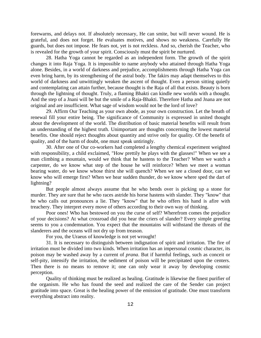forewarns, and delays not. If absolutely necessary, He can smite, but will never wound. He is grateful, and does not forget. He evaluates motives, and shows no weakness. Carefully He guards, but does not impose. He fears not, yet is not reckless. And so, cherish the Teacher, who is revealed for the growth of your spirit. Consciously must the spirit be nurtured.

28. Hatha Yoga cannot be regarded as an independent form. The growth of the spirit changes it into Raja Yoga. It is impossible to name anybody who attained through Hatha Yoga alone. Besides, in a world of darkness and prejudice, accomplishments through Hatha Yoga can even bring harm, by its strengthening of the astral body. The fakirs may adapt themselves to this world of darkness and unwittingly weaken the ascent of thought. Even a person sitting quietly and contemplating can attain further, because thought is the Raja of all that exists. Beauty is born through the lightning of thought. Truly, a flaming Bhakti can kindle new worlds with a thought. And the step of a Jnani will be but the smile of a Raja-Bhakti. Therefore Hatha and Jnana are not original and are insufficient. What sage of wisdom would not be the lord of love?

29. Affirm Our Teaching as your own abode, as your own construction. Let the breath of renewal fill your entire being. The significance of Community is expressed in united thought about the development of the world. The distribution of basic material benefits will result from an understanding of the highest truth. Unimportant are thoughts concerning the lowest material benefits. One should reject thoughts about quantity and strive only for quality. Of the benefit of quality, and of the harm of doubt, one must speak untiringly.

30. After one of Our co-workers had completed a lengthy chemical experiment weighted with responsibility, a child exclaimed, "How prettily he plays with the glasses!" When we see a man climbing a mountain, would we think that he hastens to the Teacher? When we watch a carpenter, do we know what step of the house he will reinforce? When we meet a woman bearing water, do we know whose thirst she will quench? When we see a closed door, can we know who will emerge first? When we hear sudden thunder, do we know where sped the dart of lightning?

But people almost always assume that he who bends over is picking up a stone for murder. They are sure that he who races astride his horse hastens with slander. They "know" that he who calls out pronounces a lie. They "know" that he who offers his hand is afire with treachery. They interpret every move of others according to their own way of thinking.

Poor ones! Who has bestowed on you the curse of self? Wherefrom comes the prejudice of your decisions? At what crossroad did you hear the criers of slander? Every simple greeting seems to you a condemnation. You expect that the mountains will withstand the threats of the slanderers and the oceans will not dry up from treason.

For you, the Uraeus of knowledge is not yet wrought!

31. It is necessary to distinguish between indignation of spirit and irritation. The fire of irritation must be divided into two kinds. When irritation has an impersonal cosmic character, its poison may be washed away by a current of *prana*. But if harmful feelings, such as conceit or self-pity, intensify the irritation, the sediment of poison will be precipitated upon the centers. Then there is no means to remove it; one can only wear it away by developing cosmic perception.

Quality of thinking must be realized as healing. Gratitude is likewise the finest purifier of the organism. He who has found the seed and realized the care of the Sender can project gratitude into space. Great is the healing power of the emission of gratitude. One must transform everything abstract into reality.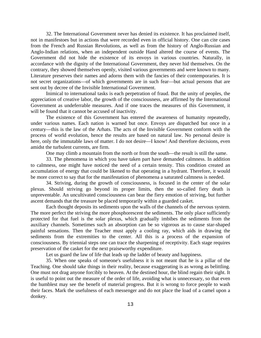32. The International Government never has denied its existence. It has proclaimed itself, not in manifestoes but in actions that were recorded even in official history. One can cite cases from the French and Russian Revolutions, as well as from the history of Anglo-Russian and Anglo-Indian relations, when an independent outside Hand altered the course of events. The Government did not hide the existence of its envoys in various countries. Naturally, in accordance with the dignity of the International Government, they never hid themselves. On the contrary, they showed themselves openly, visited various governments and were known to many. Literature preserves their names and adorns them with the fancies of their contemporaries. It is not secret organizations—of which governments are in such fear—but actual persons that are sent out by decree of the Invisible International Government.

Inimical to international tasks is each perpetration of fraud. But the unity of peoples, the appreciation of creative labor, the growth of the consciousness, are affirmed by the International Government as undeferrable measures. And if one traces the measures of this Government, it will be found that it cannot be accused of inactivity.

The existence of this Government has entered the awareness of humanity repeatedly, under various names. Each nation is warned but once. Envoys are dispatched but once in a century—this is the law of the Arhats. The acts of the Invisible Government conform with the process of world evolution, hence the results are based on natural law. No personal desire is here, only the immutable laws of matter. I do not desire—I know! And therefore decisions, even amidst the turbulent currents, are firm.

One may climb a mountain from the north or from the south—the result is still the same.

33. The phenomena in which you have taken part have demanded calmness. In addition to calmness, one might have noticed the need of a certain tensity. This condition created an accumulation of energy that could be likened to that operating in a hydrant. Therefore, it would be more correct to say that for the manifestation of phenomena a saturated calmness is needed.

34. Striving, during the growth of consciousness, is focused in the center of the solar plexus. Should striving go beyond its proper limits, then the so-called fiery death is unpreventable. An uncultivated consciousness can bear the fiery emotion of striving, but further ascent demands that the treasure be placed temporarily within a guarded casket.

Each thought deposits its sediments upon the walls of the channels of the nervous system. The more perfect the striving the more phosphorescent the sediments. The only place sufficiently protected for that fuel is the solar plexus, which gradually imbibes the sediments from the auxiliary channels. Sometimes such an absorption can be so vigorous as to cause star-shaped painful sensations. Then the Teacher must apply a cooling ray, which aids in drawing the sediments from the extremities to the center. All this is a process of the expansion of consciousness. By triennial steps one can trace the sharpening of receptivity. Each stage requires preservation of the casket for the next praiseworthy expenditure.

Let us guard the law of life that leads up the ladder of beauty and happiness.

35. When one speaks of someone's usefulness it is not meant that he is a pillar of the Teaching. One should take things in their reality, because exaggerating is as wrong as belittling. One must not drag anyone forcibly to heaven. At the destined hour, the blind regain their sight. It is useful to point out the measure of the order of life, avoiding what is unnecessary, so that even the humblest may see the benefit of material progress. But it is wrong to force people to wash their faces. Mark the usefulness of each messenger and do not place the load of a camel upon a donkey.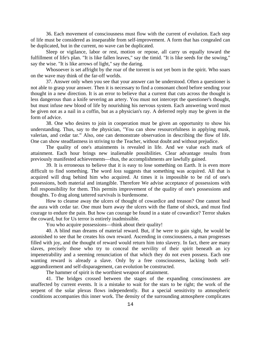36. Each movement of consciousness must flow with the current of evolution. Each step of life must be considered as inseparable from self-improvement. A form that has congealed can be duplicated, but in the current, no wave can be duplicated.

Sleep or vigilance, labor or rest, motion or repose, all carry us equally toward the fulfillment of life's plan. "It is like fallen leaves," say the timid. "It is like seeds for the sowing," say the wise. "It is like arrows of light," say the daring.

Whosoever is set affright by the roar of the torrent is not yet born in the spirit. Who soars on the wave may think of the far-off worlds.

37. Answer only when you see that your answer can be understood. Often a questioner is not able to grasp your answer. Then it is necessary to find a consonant chord before sending your thought in a new direction. It is an error to believe that a current that cuts across the thought is less dangerous than a knife severing an artery. You must not intercept the questioner's thought, but must infuse new blood of life by nourishing his nervous system. Each answering word must be given not as a nail in a coffin, but as a physician's ray. A deferred reply may be given in the form of advice.

38. One who desires to join in cooperation must be given an opportunity to show his understanding. Thus, say to the physician, "You can show resourcefulness in applying musk, valerian, and cedar tar." Also, one can demonstrate observation in describing the flow of life. One can show steadfastness in striving to the Teacher, without doubt and without prejudice.

The quality of one's attainments is revealed in life. And we value each mark of attainment. Each hour brings new inalienable possibilities. Clear advantage results from previously manifested achievements—thus, the accomplishments are lawfully gained.

39. It is erroneous to believe that it is easy to lose something on Earth. It is even more difficult to find something. The word *loss* suggests that something was acquired. All that is acquired will drag behind him who acquired. At times it is impossible to be rid of one's possessions, both material and intangible. Therefore We advise acceptance of possessions with full responsibility for them. This permits improvement of the quality of one's possessions and thoughts. To drag along tattered survivals is burdensome.

How to cleanse away the ulcers of thought of cowardice and treason? One cannot heal the aura with cedar tar. One must burn away the ulcers with the flame of shock, and must find courage to endure the pain. But how can courage be found in a state of cowardice? Terror shakes the coward, but for Us terror is entirely inadmissible.

You who acquire possessions—think about their quality!

40. A blind man dreams of material reward. But, if he were to gain sight, he would be astonished to see that he creates his own reward. Ascending in consciousness, a man progresses filled with joy, and the thought of reward would return him into slavery. In fact, there are many slaves, precisely those who try to conceal the servility of their spirit beneath an icy impenetrability and a seeming renunciation of that which they do not even possess. Each one wanting reward is already a slave. Only by a free consciousness, lacking both selfaggrandizement and self-disparagement, can evolution be constructed.

The hammer of spirit is the worthiest weapon of attainment.

41. The bridges crossed between the stages of the expanding consciousness are unaffected by current events. It is a mistake to wait for the stars to be right; the work of the serpent of the solar plexus flows independently. But a special sensitivity to atmospheric conditions accompanies this inner work. The density of the surrounding atmosphere complicates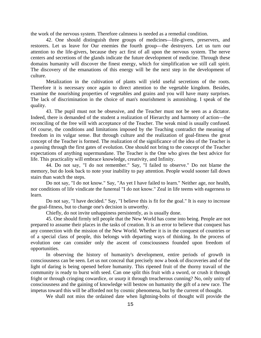the work of the nervous system. Therefore calmness is needed as a remedial condition.

42. One should distinguish three groups of medicines—life-givers, preservers, and restorers. Let us leave for Our enemies the fourth group—the destroyers. Let us turn our attention to the life-givers, because they act first of all upon the nervous system. The nerve centers and secretions of the glands indicate the future development of medicine. Through these domains humanity will discover the finest energy, which for simplification we still call spirit. The discovery of the emanations of this energy will be the next step in the development of culture.

Metalization in the cultivation of plants will yield useful secretions of the roots. Therefore it is necessary once again to direct attention to the vegetable kingdom. Besides, examine the nourishing properties of vegetables and grains and you will have many surprises. The lack of discrimination in the choice of man's nourishment is astonishing. I speak of the quality.

43. The pupil must not be obsessive, and the Teacher must not be seen as a dictator. Indeed, there is demanded of the student a realization of Hierarchy and harmony of action—the reconciling of the free will with acceptance of the Teacher. The weak mind is usually confused. Of course, the conditions and limitations imposed by the Teaching contradict the meaning of freedom in its vulgar sense. But through culture and the realization of goal-fitness the great concept of the Teacher is formed. The realization of the significance of the idea of the Teacher is a passing through the first gates of evolution. One should not bring to the concept of the Teacher expectations of anything supermundane. The Teacher is the One who gives the best advice for life. This practicality will embrace knowledge, creativity, and Infinity.

44. Do not say, "I do not remember." Say, "I failed to observe." Do not blame the memory, but do look back to note your inability to pay attention. People would sooner fall down stairs than watch the steps.

Do not say, "I do not know." Say, "As yet I have failed to learn." Neither age, nor health, nor conditions of life vindicate the funereal "I do not know." Zeal in life teems with eagerness to learn.

Do not say, "I have decided." Say, "I believe this is fit for the goal." It is easy to increase the goal-fitness, but to change one's decision is unworthy.

Chiefly, do not invite unhappiness persistently, as is usually done.

45. One should firmly tell people that the New World has come into being. People are not prepared to assume their places in the tasks of creation. It is an error to believe that conquest has any connection with the mission of the New World. Whether it is in the conquest of countries or of a special class of people, this belongs with departing ways of thinking. In the process of evolution one can consider only the ascent of consciousness founded upon freedom of opportunities.

In observing the history of humanity's development, entire periods of growth in consciousness can be seen. Let us not conceal that precisely now a book of discoveries and of the light of daring is being opened before humanity. This ripened fruit of the thorny travail of the community is ready to burst with seed. Can one split this fruit with a sword, or crush it through fright or through cringing cowardice, or usurp it through treacherous cunning? No, only unity of consciousness and the gaining of knowledge will bestow on humanity the gift of a new race. The impetus toward this will be afforded not by cosmic phenomena, but by the current of thought.

We shall not miss the ordained date when lightning-bolts of thought will provide the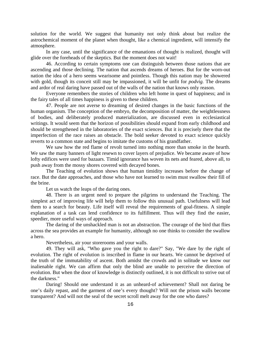solution for the world. We suggest that humanity not only think about but realize the astrochemical moment of the planet when thought, like a chemical ingredient, will intensify the atmosphere.

In any case, until the significance of the emanations of thought is realized, thought will glide over the foreheads of the skeptics. But the moment does not wait!

46. According to certain symptoms one can distinguish between those nations that are ascending and those declining. The nation that ascends dreams of heroes. But for the worn-out nation the idea of a hero seems wearisome and pointless. Though this nation may be showered with gold, though its conceit still may be impassioned, it will be unfit for *podvig.* The dreams and ardor of real daring have passed out of the walls of the nation that knows only reason.

Everyone remembers the stories of children who left home in quest of happiness; and in the fairy tales of all times happiness is given to these children.

47. People are not averse to dreaming of desired changes in the basic functions of the human organism. The conception of the embryo, the decomposition of matter, the weightlessness of bodies, and deliberately produced materialization, are discussed even in ecclesiastical writings. It would seem that the horizon of possibilities should expand from early childhood and should be strengthened in the laboratories of the exact sciences. But it is precisely there that the imperfection of the race raises an obstacle. The bold seeker devoted to exact science quickly reverts to a common state and begins to imitate the customs of his grandfather.

We saw how the red flame of revolt turned into nothing more than smoke in the hearth. We saw the many banners of light resewn to cover layers of prejudice. We became aware of how lofty edifices were used for bazaars. Timid ignorance has woven its nets and feared, above all, to push away from the mossy shores covered with decayed bones.

The Teaching of evolution shows that human timidity increases before the change of race. But the date approaches, and those who have not learned to swim must swallow their fill of the brine.

Let us watch the leaps of the daring ones.

48. There is an urgent need to prepare the pilgrims to understand the Teaching. The simplest act of improving life will help them to follow this unusual path. Usefulness will lead them to a search for beauty. Life itself will reveal the requirements of goal-fitness. A simple explanation of a task can lend confidence to its fulfillment. Thus will they find the easier, speedier, more useful ways of approach.

The daring of the unshackled man is not an abstraction. The courage of the bird that flies across the sea provides an example for humanity, although no one thinks to consider the swallow a hero.

Nevertheless, air your storerooms and your walls.

49. They will ask, "Who gave you the right to dare?" Say, "We dare by the right of evolution. The right of evolution is inscribed in flame in our hearts. We cannot be deprived of the truth of the immutability of ascent. Both amidst the crowds and in solitude we know our inalienable right. We can affirm that only the blind are unable to perceive the direction of evolution. But when the door of knowledge is distinctly outlined, it is not difficult to strive out of the darkness."

Daring! Should one understand it as an unheard-of achievement? Shall not daring be one's daily repast, and the garment of one's every thought? Will not the prison walls become transparent? And will not the seal of the secret scroll melt away for the one who dares?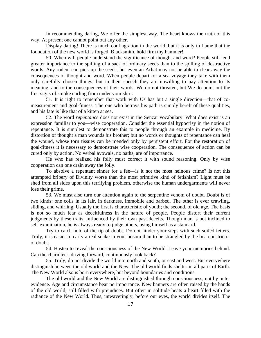In recommending daring, We offer the simplest way. The heart knows the truth of this way. At present one cannot point out any other.

Display daring! There is much conflagration in the world, but it is only in flame that the foundation of the new world is forged. Blacksmith, hold firm thy hammer!

50. When will people understand the significance of thought and word? People still lend greater importance to the spilling of a sack of ordinary seeds than to the spilling of destructive words. Any rodent can pick up the seeds, but even an Arhat may not be able to clear away the consequences of thought and word. When people depart for a sea voyage they take with them only carefully chosen things; but in their speech they are unwilling to pay attention to its meaning, and to the consequences of their words. We do not threaten, but We do point out the first signs of smoke curling from under your shirt.

51. It is right to remember that work with Us has but a single direction—that of comeasurement and goal-fitness. The one who betrays his path is simply bereft of these qualities, and his fate is like that of a kitten at sea.

52. The word *repentance* does not exist in the Senzar vocabulary. What does exist is an expression familiar to you—wise cooperation. Consider the essential hypocrisy in the notion of repentance. It is simplest to demonstrate this to people through an example in medicine. By distortion of thought a man wounds his brother; but no words or thoughts of repentance can heal the wound, whose torn tissues can be mended only by persistent effort. For the restoration of goal-fitness it is necessary to demonstrate wise cooperation. The consequence of action can be cured only by action. No verbal avowals, no oaths, are of importance.

He who has realized his folly must correct it with sound reasoning. Only by wise cooperation can one drain away the folly.

To absolve a repentant sinner for a fee—is it not the most heinous crime? Is not this attempted bribery of Divinity worse than the most primitive kind of fetishism? Light must be shed from all sides upon this terrifying problem, otherwise the human undergarments will never lose their grime.

53. We must also turn our attention again to the serpentine venom of doubt. Doubt is of two kinds: one coils in its lair, in darkness, immobile and barbed. The other is ever crawling, sliding, and whirling. Usually the first is characteristic of youth; the second, of old age. The basis is not so much fear as deceitfulness in the nature of people. People distort their current judgments by these traits, influenced by their own past deceits. Though man is not inclined to self-examination, he is always ready to judge others, using himself as a standard.

Try to catch hold of the tip of doubt. Do not hinder your steps with such soiled fetters. Truly, it is easier to carry a real snake in your bosom than to be strangled by the boa constrictor of doubt.

54. Hasten to reveal the consciousness of the New World. Leave your memories behind. Can the charioteer, driving forward, continuously look back?

55. Truly, do not divide the world into north and south, or east and west. But everywhere distinguish between the old world and the New. The old world finds shelter in all parts of Earth. The New World also is born everywhere, but beyond boundaries and conditions.

The old world and the New World are distinguished through consciousness, not by outer evidence. Age and circumstance bear no importance. New banners are often raised by the hands of the old world, still filled with prejudices. But often in solitude beats a heart filled with the radiance of the New World. Thus, unwaveringly, before our eyes, the world divides itself. The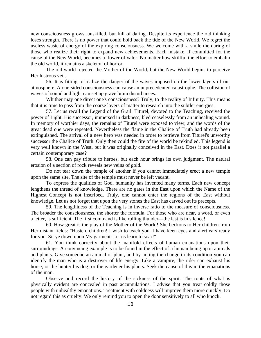new consciousness grows, unskilled, but full of daring. Despite its experience the old thinking loses strength. There is no power that could hold back the tide of the New World. We regret the useless waste of energy of the expiring consciousness. We welcome with a smile the daring of those who realize their right to expand new achievements. Each mistake, if committed for the cause of the New World, becomes a flower of valor. No matter how skillful the effort to embalm the old world, it remains a skeleton of horror.

The old world rejected the Mother of the World, but the New World begins to perceive Her lustrous veil.

56. It is fitting to realize the danger of the waves imposed on the lower layers of our atmosphere. A one-sided consciousness can cause an unprecedented catastrophe. The collision of waves of sound and light can set up grave brain disturbances.

Whither may one direct one's consciousness? Truly, to the reality of Infinity. This means that it is time to pass from the coarse layers of matter to research into the subtler energies.

57. Let us recall the Legend of the Grail. Titurel, devoted to the Teaching, received the power of Light. His successor, immersed in darkness, bled ceaselessly from an unhealing wound. In memory of worthier days, the remains of Titurel were exposed to view, and the words of the great dead one were repeated. Nevertheless the flame in the Chalice of Truth had already been extinguished. The arrival of a new hero was needed in order to retrieve from Titurel's unworthy successor the Chalice of Truth. Only then could the fire of the world be rekindled. This legend is very well known in the West, but it was originally conceived in the East. Does it not parallel a certain contemporary case?

58. One can pay tribute to heroes, but each hour brings its own judgment. The natural erosion of a section of rock reveals new veins of gold.

Do not tear down the temple of another if you cannot immediately erect a new temple upon the same site. The site of the temple must never be left vacant.

To express the qualities of God, humanity has invented many terms. Each new concept lengthens the thread of knowledge. There are no gates in the East upon which the Name of the Highest Concept is not inscribed. Truly, one cannot enter the regions of the East without knowledge. Let us not forget that upon the very stones the East has carved out its precepts.

59. The lengthiness of the Teaching is in inverse ratio to the measure of consciousness. The broader the consciousness, the shorter the formula. For those who are near, a word, or even a letter, is sufficient. The first command is like rolling thunder—the last is in silence!

60. How great is the play of the Mother of the World! She beckons to Her children from Her distant fields: "Hasten, children! I wish to teach you. I have keen eyes and alert ears ready for you. Sit ye down upon My garment. Let us learn to soar!"

61. You think correctly about the manifold effects of human emanations upon their surroundings. A convincing example is to be found in the effect of a human being upon animals and plants. Give someone an animal or plant, and by noting the change in its condition you can identify the man who is a destroyer of life energy. Like a vampire, the rider can exhaust his horse; or the hunter his dog; or the gardener his plants. Seek the cause of this in the emanations of the man.

Observe and record the history of the sickness of the spirit. The roots of what is physically evident are concealed in past accumulations. I advise that you treat coldly those people with unhealthy emanations. Treatment with coldness will improve them more quickly. Do not regard this as cruelty. We only remind you to open the door sensitively to all who knock.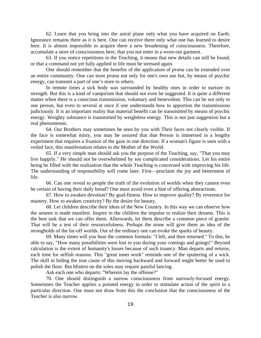62. Learn that you bring into the astral plane only what you have acquired on Earth. Ignorance remains there as it is here. One can receive there only what one has learned to desire here. It is almost impossible to acquire there a new broadening of consciousness. Therefore, accumulate a store of consciousness here, that you not enter in a worn-out garment.

63. If you notice repetitions in the Teaching, it means that new details can still be found, or that a command not yet fully applied in life must be stressed again.

One should remember that the benefits of the application of *prana* can be extended over an entire community. One can store *prana* not only for one's own use but, by means of psychic energy, can transmit a part of one's store to others.

In remote times a sick body was surrounded by healthy ones in order to nurture its strength. But this is a kind of vampirism that should not even be suggested. It is quite a different matter when there is a conscious transmission, voluntary and benevolent. This can be not only to one person, but even to several at once if one understands how to apportion the transmissions judiciously. It is an important reality that material benefit can be transmitted by means of psychic energy. Weighty substance is transmitted by weightless energy. This is not just suggestion but a real phenomenon.

64. Our Brothers may sometimes be seen by you with Their faces not clearly visible. If the face is somewhat misty, you may be assured that that Person is immersed in a lengthy experiment that requires a fixation of the gaze in one direction. If a woman's figure is seen with a veiled face, this manifestation relates to the Mother of the World.

65. If a very simple man should ask you the purpose of the Teaching, say, "That you may live happily." He should not be overwhelmed by too complicated considerations. Let his entire being be filled with the realization that the whole Teaching is concerned with improving his life. The understanding of responsibility will come later. First—proclaim the joy and betterment of life.

66. Can one reveal to people the truth of the evolution of worlds when they cannot even be certain of having their daily bread? One must avoid even a hint of offering abstractions.

67. How to awaken devotion? By goal-fitness. How to improve quality? By reverence for mastery. How to awaken creativity? By the desire for beauty.

68. Let children describe their ideas of the New Country. In this way we can observe how the unseen is made manifest. Inspire in the children the impulse to realize their dreams. This is the best task that we can offer them. Afterwards, let them describe a common piece of granite. That will be a test of their resourcefulness. Perhaps the stone will give them an idea of the strongholds of the far-off worlds. Out of the ordinary one can evoke the sparks of beauty.

69. Many times will you hear the common formula: "I left, and then returned." To this, be able to say, "How many possibilities were lost to you during your comings and goings!" Beyond calculation is the extent of humanity's losses because of such truancy. Man departs and returns, each time for selfish reasons. This "great inner work" reminds one of the sputtering of a wick. The skill in hiding the true cause of this moving backward and forward might better be used to polish the floor. But blisters on the soles may require painful lancing.

Ask each one who departs: "Wherein lay the offense?"

70. One should distinguish a narrow consciousness from narrowly-focused energy. Sometimes the Teacher applies a pointed energy in order to stimulate action of the spirit in a particular direction. One must not draw from this the conclusion that the consciousness of the Teacher is also narrow.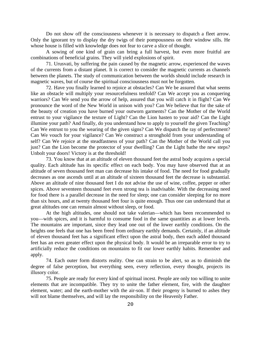Do not show off the consciousness whenever it is necessary to dispatch a fleet arrow. Only the ignorant try to display the dry twigs of their pompousness on their window sills. He whose house is filled with knowledge does not fear to carve a slice of thought.

A sowing of one kind of grain can bring a full harvest, but even more fruitful are combinations of beneficial grains. They will yield explosions of spirit.

71. Urusvati, by suffering the pain caused by the magnetic arrow, experienced the waves of the currents from a distant planet. It is correct to consider the magnetic currents as channels between the planets. The study of communication between the worlds should include research in magnetic waves, but of course the spiritual consciousness must not be forgotten.

72. Have you finally learned to rejoice at obstacles? Can We be assured that what seems like an obstacle will multiply your resourcefulness tenfold? Can We accept you as conquering warriors? Can We send you the arrow of help, assured that you will catch it in flight? Can We pronounce the word of the New World in unison with you? Can We believe that for the sake of the beauty of creation you have burned your outworn garments? Can the Mother of the World entrust to your vigilance the texture of Light? Can the Lion hasten to your aid? Can the Light illumine your path? And finally, do you understand how to apply to yourself the given Teaching? Can We entrust to you the wearing of the given signs? Can We dispatch the ray of perfectment? Can We vouch for your vigilance? Can We construct a stronghold from your understanding of self? Can We rejoice at the steadfastness of your path? Can the Mother of the World call you just? Can the Lion become the protector of your dwelling? Can the Light bathe the new steps? Unbolt your doors! Victory is at the threshold!

73. You know that at an altitude of eleven thousand feet the astral body acquires a special quality. Each altitude has its specific effect on each body. You may have observed that at an altitude of seven thousand feet man can decrease his intake of food. The need for food gradually decreases as one ascends until at an altitude of sixteen thousand feet the decrease is substantial. Above an altitude of nine thousand feet I do not advise the use of wine, coffee, pepper or other spices. Above seventeen thousand feet even strong tea is inadvisable. With the decreasing need for food there is a parallel decrease in the need for sleep; one can consider sleeping for no more than six hours, and at twenty thousand feet four is quite enough. Thus one can understand that at great altitudes one can remain almost without sleep, or food.

At the high altitudes, one should not take valerian—which has been recommended to you—with spices, and it is harmful to consume food in the same quantities as at lower levels. The mountains are important, since they lead one out of the lower earthly conditions. On the heights one feels that one has been freed from ordinary earthly demands. Certainly, if an altitude of eleven thousand feet has a significant effect upon the astral body, then each added thousand feet has an even greater effect upon the physical body. It would be an irreparable error to try to artificially reduce the conditions on mountains to fit our lower earthly habits. Remember and apply.

74. Each outer form distorts reality. One can strain to be alert, so as to diminish the degree of false perception, but everything seen, every reflection, every thought, projects its illusory color.

75. People are ready for every kind of spiritual incest. People are only too willing to unite elements that are incompatible. They try to unite the father element, fire, with the daughter element, water; and the earth-mother with the air-son. If their progeny is burned to ashes they will not blame themselves, and will lay the responsibility on the Heavenly Father.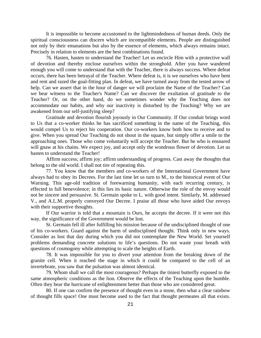It is impossible to become accustomed to the lightmindedness of human deeds. Only the spiritual consciousness can discern which are incompatible elements. People are distinguished not only by their emanations but also by the essence of elements, which always remains intact. Precisely in relation to elements are the best combinations found.

76. Hasten, hasten to understand the Teacher! Let us encircle Him with a protective wall of devotion and thereby enclose ourselves within the stronghold. After you have wandered enough you will come to understand that with the Teacher, there is always success. Where defeat occurs, there has been betrayal of the Teacher. Where defeat is, it is we ourselves who have bent and rent and razed the goal-fitting plan. In defeat, we have turned away from the tested arrow of help. Can we assert that in the hour of danger we will proclaim the Name of the Teacher? Can we bear witness to the Teacher's Name? Can we discover the exultation of gratitude to the Teacher? Or, on the other hand, do we sometimes wonder why the Teaching does not accommodate our habits, and why our inactivity is disturbed by the Teaching? Why we are awakened from our self-justifying sleep?

Gratitude and devotion flourish joyously in Our Community. If Our conduit brings word to Us that a co-worker thinks he has sacrificed something in the name of the Teaching, this would compel Us to reject his cooperation. Our co-workers know both how to receive and to give. When you spread Our Teaching do not shout in the square, but simply offer a smile to the approaching ones. Those who come voluntarily will accept the Teacher. But he who is ensnared will gnaw at his chains. We expect joy, and accept only the wondrous flower of devotion. Let us hasten to understand the Teacher!

Affirm success; affirm joy; affirm understanding of progress. Cast away the thoughts that belong to the old world. I shall not tire of repeating this.

77. You know that the members and co-workers of the International Government have always had to obey its Decrees. For the last time let us turn to M., to the historical event of Our Warning. This age-old tradition of forewarning humanity, with each recurring century, is effected in full benevolence; in this lies its basic nature. Otherwise the role of the envoy would not be sincere and persuasive. St. Germain spoke to L. with good intent. Similarly, M. addressed V., and A.L.M. properly conveyed Our Decree. I praise all those who have aided Our envoys with their supportive thoughts.

If Our warrior is told that a mountain is Ours, he accepts the decree. If it were not this way, the significance of the Government would be lost.

St. Germain fell ill after fulfilling his mission because of the undisciplined thought of one of his co-workers. Guard against the harm of undisciplined thought. Think only in new ways. Consider as lost that day during which you did not contemplate the New World. Set yourself problems demanding concrete solutions to life's questions. Do not waste your breath with questions of cosmogony while attempting to scale the heights of Earth.

78. It was impossible for you to divert your attention from the breaking down of the granite cell. When it reached the stage in which it could be compared to the cell of an invertebrate, you saw that the pulsation was almost identical.

79. Whom shall we call the most courageous? Perhaps the tiniest butterfly exposed to the same atmospheric conditions as the lion. Observe the effects of the Teaching upon the humble. Often they bear the hurricane of enlightenment better than those who are considered great.

80. If one can confirm the presence of thought even in a stone, then what a clear rainbow of thought fills space! One must become used to the fact that thought permeates all that exists.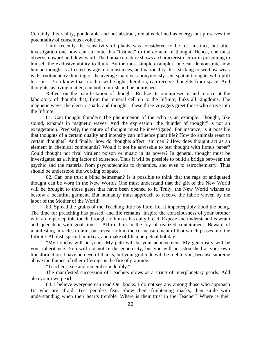Certainly this reality, ponderable and not abstract, remains defined as energy but preserves the potentiality of conscious evolution.

Until recently the sensitivity of plants was considered to be just instinct, but after investigation one now can attribute this "instinct" to the domain of thought. Hence, one must observe upward and downward. The human creature shows a characteristic error in presuming to himself the exclusive ability to think. By the most simple examples, one can demonstrate how human thought is affected by age, circumstances, and nationality. It is striking to see how weak is the rudimentary thinking of the average man; yet anonymously-sent spatial thoughts will uplift his spirit. You know that a radio, with slight alteration, can receive thoughts from space. And thoughts, as living matter, can both nourish and be nourished.

Reflect on the manifestation of thought. Realize its omnipresence and rejoice at the laboratory of thought that, from the mineral cell up to the Infinite, links all kingdoms. The magnetic wave, the electric spark, and thought—these three voyagers greet those who strive into the Infinite.

81. Can thought thunder? The phenomenon of the echo is an example. Thought, like sound, expands in magnetic waves. And the expression "the thunder of thought" is not an exaggeration. Precisely, the nature of thought must be investigated. For instance, is it possible that thoughts of a certain quality and intensity can influence plant life? How do animals react to certain thoughts? And finally, how do thoughts affect "sir man"? How does thought act as an element in chemical compounds? Would it not be advisable to test thought with litmus paper? Could thought not rival virulent poison or music in its power? In general, thought must be investigated as a living factor of existence. Thus it will be possible to build a bridge between the psychic and the material from psychotechnics to dynamics, and even to astrochemistry. Thus should be understood the working of space.

82. Can one trust a blind helmsman? Is it possible to think that the rags of antiquated thought can be worn in the New World? One must understand that the gift of the New World will be brought to those gates that have been opened to it. Truly, the New World wishes to bestow a beautiful garment. But humanity must approach to receive the fabric woven by the labor of the Mother of the World!

83. Spread the grains of the Teaching little by little. Let it imperceptibly flood the being. The time for preaching has passed, and life remains. Inspire the consciousness of your brother with an imperceptible touch, brought to him as his daily bread. Expose and understand his wrath and quench it with goal-fitness. Affirm him in the joy of realized containment. Beware of manifesting miracles to him, but reveal to him the co-measurement of that which passes into the Infinite. Abolish special holidays, and make of life a perpetual holiday.

"My holiday will be yours. My path will be your achievement. My generosity will be your inheritance. You will not notice the generosity, but you will be astonished at your own transformation. I have no need of thanks, but your gratitude will be fuel to you, because supreme above the flames of other offerings is the fire of gratitude."

"Teacher, I see and remember indelibly."

The manifested succession of Teachers glows as a string of interplanetary pearls. Add also your own pearl!

84. I believe everyone can read Our books. I do not see any among those who approach Us who are afraid. Test people's fear. Show them frightening masks, then smile with understanding when their hearts tremble. Where is their trust in the Teacher? Where is their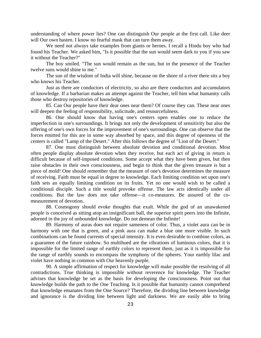understanding of where power lies? One can distinguish Our people at the first call. Like deer will Our own hasten. I know no fearful mask that can turn them away.

We need not always take examples from giants or heroes. I recall a Hindu boy who had found his Teacher. We asked him, "Is it possible that the sun would seem dark to you if you saw it without the Teacher?"

The boy smiled. "The sun would remain as the sun, but in the presence of the Teacher twelve suns would shine to me."

The sun of the wisdom of India will shine, because on the shore of a river there sits a boy who knows his Teacher.

Just as there are conductors of electricity, so also are there conductors and accumulators of knowledge. If a barbarian makes an attempt against the Teacher, tell him what humanity calls those who destroy repositories of knowledge.

85. Can Our people have their dear ones near them? Of course they can. These near ones will deepen the feeling of responsibility, solicitude, and resourcefulness.

86. One should know that having one's centers open enables one to reduce the imperfection in one's surroundings. It brings not only the development of sensitivity but also the offering of one's own forces for the improvement of one's surroundings. One can observe that the forces emitted for this are in some way absorbed by space, and this degree of openness of the centers is called "Lamp of the Desert." After this follows the degree of "Lion of the Desert."

87. One must distinguish between absolute devotion and conditional devotion. Most often people display absolute devotion when they receive, but each act of giving in return is difficult because of self-imposed conditions. Some accept what they have been given, but then raise obstacles in their own consciousness, and begin to think that the given treasure is but a piece of mold! One should remember that the measure of one's devotion determines the measure of receiving. Faith must be equal in degree to knowledge. Each limiting condition set upon one's faith sets an equally limiting condition on its fruits. Yet no one would wish to be called a conditional disciple. Such a title would provoke offense. The law acts identically under all conditions. But the law does not take offense—it co-measures. Be assured of the comeasurement of devotion.

88. Cosmogony should evoke thoughts that exalt. While the god of an unawakened people is conceived as sitting atop an insignificant ball, the superior spirit peers into the Infinite, adorned in the joy of unbounded knowledge. Do not demean the Infinite!

89. Harmony of auras does not require sameness of color. Thus, a violet aura can be in harmony with one that is green, and a pink aura can make a blue one more visible. In such combinations can be found currents of special intensity. It is even desirable to combine colors, as a guarantee of the future rainbow. So multihued are the vibrations of luminous colors, that it is impossible for the limited range of earthly colors to represent them, just as it is impossible for the range of earthly sounds to encompass the symphony of the spheres. Your earthly lilac and violet have nothing in common with Our heavenly purple.

90. A simple affirmation of respect for knowledge will make possible the resolving of all contradictions. True thinking is impossible without reverence for knowledge. The Teacher advises that knowledge be set as the basis for developing the consciousness. Point out that knowledge builds the path to the One Teaching. Is it possible that humanity cannot comprehend that knowledge emanates from the One Source? Therefore, the dividing line between knowledge and ignorance is the dividing line between light and darkness. We are easily able to bring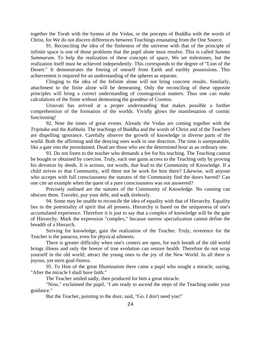together the Torah with the hymns of the Vedas, or the precepts of Buddha with the words of Christ, for We do not discern differences between Teachings emanating from the One Source.

91. Reconciling the idea of the finiteness of the universe with that of the principle of infinite space is one of those problems that the pupil alone must resolve. This is called *Summa Summarum.* To help the realization of these concepts of space, We set milestones, but the realization itself must be achieved independently. This corresponds to the degree of "Lion of the Desert." It demonstrates the freeing of oneself from Earth and earthly possessions. This achievement is required for an understanding of the spheres as separate.

Clinging to the idea of the Infinite alone will not bring concrete results. Similarly, attachment to the finite alone will be demeaning. Only the reconciling of these opposite principles will bring a correct understanding of cosmogonical matters. Thus one can make calculations of the finite without demeaning the grandeur of Cosmos.

Urusvati has arrived at a proper understanding that makes possible a further comprehension of the formation of the worlds. Vividly glows the manifestation of cosmic functioning!

92. Note the times of great events. Already the Vedas are coming together with the *Tripitaka* and the *Kabbala*. The teachings of Buddha and the words of Christ and of the Teachers are dispelling ignorance. Carefully observe the growth of knowledge in diverse parts of the world. Both the affirming and the denying ones walk in one direction. The time is unrepeatable, like a gate into the preordained. Dead are those who see the determined hour as an ordinary one.

93. Do not listen to the teacher who demands a fee for his teaching. The Teaching cannot be bought or obtained by coercion. Truly, each one gains access to the Teaching only by proving his devotion by deeds. It is actions, not words, that lead to the Community of Knowledge. If a child strives to that Community, will there not be work for him there? Likewise, will anyone who accepts with full consciousness the statutes of the Community find the doors barred? Can one cite an example when the quest of a pure consciousness was not answered?

Precisely outlined are the statutes of the Community of Knowledge. No cunning can obscure them. Traveler, pay your debt, and walk tirelessly.

94. Some may be unable to reconcile the idea of equality with that of Hierarchy. Equality lies in the potentiality of spirit that all possess. Hierarchy is based on the uniqueness of one's accumulated experience. Therefore it is just to say that a complex of knowledge will be the gate of Hierarchy. Mark the expression "complex," because narrow specialization cannot define the breadth of a Hierarch.

Striving for knowledge, gain the realization of the Teacher. Truly, reverence for the Teacher is the panacea, even for physical ailments.

There is greater difficulty when one's centers are open, for each breath of the old world brings illness and only the breeze of true evolution can restore health. Therefore do not wrap yourself in the old world; attract the young ones to the joy of the New World. In all there is joyous, yet stern goal-fitness.

95. To Him of the great Illumination there came a pupil who sought a miracle, saying, "After the miracle I shall have faith."

The Teacher smiled sadly, then produced for him a great miracle.

"Now," exclaimed the pupil, "I am ready to ascend the steps of the Teaching under your guidance."

But the Teacher, pointing to the door, said, "Go. I don't need you!"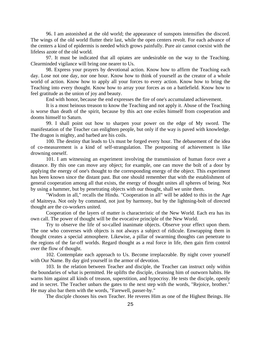96. I am astonished at the old world; the appearance of sunspots intensifies the discord. The wings of the old world flutter their last, while the open centers revolt. For each advance of the centers a kind of epidermis is needed which grows painfully. Pure air cannot coexist with the lifeless azote of the old world.

97. It must be indicated that all opiates are undesirable on the way to the Teaching. Clearminded vigilance will bring one nearer to Us.

98. Express your prayers by devotional action. Know how to affirm the Teaching each day. Lose not one day, nor one hour. Know how to think of yourself as the creator of a whole world of action. Know how to apply all your forces to every action. Know how to bring the Teaching into every thought. Know how to array your forces as on a battlefield. Know how to feel gratitude as the union of joy and beauty.

End with honor, because the end expresses the fire of one's accumulated achievement.

It is a most heinous treason to know the Teaching and not apply it. Abuse of the Teaching is worse than death of the spirit, because by this act one exiles himself from cooperation and dooms himself to Saturn.

99. I shall point out how to sharpen your power on the edge of My sword. The manifestation of the Teacher can enlighten people, but only if the way is paved with knowledge. The dragon is mighty, and barbed are his coils.

100. The destiny that leads to Us must be forged every hour. The debasement of the idea of co-measurement is a kind of self-strangulation. The postponing of achievement is like drowning oneself.

101. I am witnessing an experiment involving the transmission of human force over a distance. By this one can move any object; for example, one can move the bolt of a door by applying the energy of one's thought to the corresponding energy of the object. This experiment has been known since the distant past. But one should remember that with the establishment of general cooperation among all that exists, the energy of thought unites all spheres of being. Not by using a hammer, but by penetrating objects with our thought, shall we unite them.

"Wisdom in all," recalls the Hindu. "Cooperation in all" will be added to this in the Age of Maitreya. Not only by command, not just by harmony, but by the lightning-bolt of directed thought are the co-workers united.

Cooperation of the layers of matter is characteristic of the New World. Each era has its own call. The power of thought will be the evocative principle of the New World.

Try to observe the life of so-called inanimate objects. Observe your effect upon them. The one who converses with objects is not always a subject of ridicule. Enwrapping them in thought creates a special atmosphere. Likewise, a pillar of swarming thoughts can penetrate to the regions of the far-off worlds. Regard thought as a real force in life, then gain firm control over the flow of thought.

102. Contemplate each approach to Us. Become irreplaceable. By night cover yourself with Our Name. By day gird yourself in the armor of devotion.

103. In the relation between Teacher and disciple, the Teacher can instruct only within the boundaries of what is permitted. He uplifts the disciple, cleansing him of outworn habits. He warns him against all kinds of treason, superstition, and hypocrisy. He tests the disciple, openly and in secret. The Teacher unbars the gates to the next step with the words, "Rejoice, brother." He may also bar them with the words, "Farewell, passer-by."

The disciple chooses his own Teacher. He reveres Him as one of the Highest Beings. He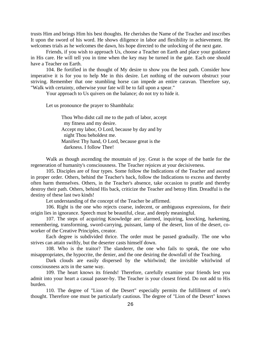trusts Him and brings Him his best thoughts. He cherishes the Name of the Teacher and inscribes It upon the sword of his word. He shows diligence in labor and flexibility in achievement. He welcomes trials as he welcomes the dawn, his hope directed to the unlocking of the next gate.

Friends, if you wish to approach Us, choose a Teacher on Earth and place your guidance in His care. He will tell you in time when the key may be turned in the gate. Each one should have a Teacher on Earth.

104. Be fortified in the thought of My desire to show you the best path. Consider how imperative it is for you to help Me in this desire. Let nothing of the outworn obstruct your striving. Remember that one stumbling horse can impede an entire caravan. Therefore say, "Walk with certainty, otherwise your fate will be to fall upon a spear."

Your approach to Us quivers on the balance; do not try to hide it.

Let us pronounce the prayer to Shambhala:

Thou Who didst call me to the path of labor, accept my fitness and my desire. Accept my labor, O Lord, because by day and by night Thou beholdest me. Manifest Thy hand, O Lord, because great is the darkness. I follow Thee!

Walk as though ascending the mountain of joy. Great is the scope of the battle for the regeneration of humanity's consciousness. The Teacher rejoices at your decisiveness.

105. Disciples are of four types. Some follow the Indications of the Teacher and ascend in proper order. Others, behind the Teacher's back, follow the Indications to excess and thereby often harm themselves. Others, in the Teacher's absence, take occasion to prattle and thereby destroy their path. Others, behind His back, criticize the Teacher and betray Him. Dreadful is the destiny of these last two kinds!

Let understanding of the concept of the Teacher be affirmed.

106. Right is the one who rejects coarse, indecent, or ambiguous expressions, for their origin lies in ignorance. Speech must be beautiful, clear, and deeply meaningful.

107. The steps of acquiring Knowledge are: alarmed, inquiring, knocking, harkening, remembering, transforming, sword-carrying, puissant, lamp of the desert, lion of the desert, coworker of the Creative Principles, creator.

Each degree is subdivided thrice. The order must be passed gradually. The one who strives can attain swiftly, but the deserter casts himself down.

108. Who is the traitor? The slanderer, the one who fails to speak, the one who misappropriates, the hypocrite, the denier, and the one desiring the downfall of the Teaching.

Dark clouds are easily dispersed by the whirlwind; the invisible whirlwind of consciousness acts in the same way.

109. The heart knows its friends! Therefore, carefully examine your friends lest you admit into your heart a casual passer-by. The Teacher is your closest friend. Do not add to His burden.

110. The degree of "Lion of the Desert" especially permits the fulfillment of one's thought. Therefore one must be particularly cautious. The degree of "Lion of the Desert" knows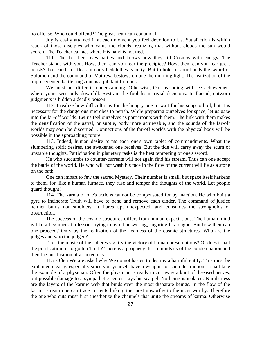no offense. Who could offend? The great heart can contain all.

Joy is easily attained if at each moment you feel devotion to Us. Satisfaction is within reach of those disciples who value the clouds, realizing that without clouds the sun would scorch. The Teacher can act where His hand is not tied.

111. The Teacher loves battles and knows how they fill Cosmos with energy. The Teacher stands with you. How, then, can you fear the precipice? How, then, can you fear great beasts? To search for fleas in one's bedclothes is petty. But to hold in your hands the sword of Solomon and the command of Maitreya bestows on one the morning light. The realization of the unprecedented battle rings out as a jubilant trumpet.

We must not differ in understanding. Otherwise, Our reasoning will see achievement where yours sees only downfall. Restrain the fool from trivial decisions. In flaccid, outworn judgments is hidden a deadly poison.

112. I realize how difficult it is for the hungry one to wait for his soup to boil, but it is necessary for the dangerous microbes to perish. While preparing ourselves for space, let us gaze into the far-off worlds. Let us feel ourselves as participants with them. The link with them makes the densification of the astral, or subtle, body more achievable, and the sounds of the far-off worlds may soon be discerned. Connections of the far-off worlds with the physical body will be possible in the approaching future.

113. Indeed, human desire forms each one's own tablet of commandments. What the slumbering spirit desires, the awakened one receives. But the tide will carry away the scum of unstable thoughts. Participation in planetary tasks is the best tempering of one's sword.

He who succumbs to counter-currents will not again find his stream. Thus can one accept the battle of the world. He who will not wash his face in the flow of the current will lie as a stone on the path.

One can impart to few the sacred Mystery. Their number is small, but space itself harkens to them, for, like a human furnace, they fuse and temper the thoughts of the world. Let people guard thought!

114. The karma of one's actions cannot be compensated for by inaction. He who built a pyre to incinerate Truth will have to bend and remove each cinder. The command of justice neither burns nor smolders. It flares up, unexpected, and consumes the strongholds of obstruction.

The success of the cosmic structures differs from human expectations. The human mind is like a beginner at a lesson, trying to avoid answering, sugaring his tongue. But how then can one proceed? Only by the realization of the nearness of the cosmic structures. Who are the judges and who the judged?

Does the music of the spheres signify the victory of human presumptions? Or does it hail the purification of forgotten Truth? There is a prophecy that reminds us of the condemnation and then the purification of a sacred city.

115. Often We are asked why We do not hasten to destroy a harmful entity. This must be explained clearly, especially since you yourself have a weapon for such destruction. I shall take the example of a physician. Often the physician is ready to cut away a knot of diseased nerves, but possible damage to a sympathetic center stays his scalpel. No being is isolated. Numberless are the layers of the karmic web that binds even the most disparate beings. In the flow of the karmic stream one can trace currents linking the most unworthy to the most worthy. Therefore the one who cuts must first anesthetize the channels that unite the streams of karma. Otherwise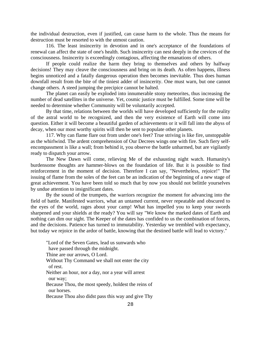the individual destruction, even if justified, can cause harm to the whole. Thus the means for destruction must be resorted to with the utmost caution.

116. The least insincerity in devotion and in one's acceptance of the foundations of renewal can affect the state of one's health. Such insincerity can nest deeply in the crevices of the consciousness. Insincerity is exceedingly contagious, affecting the emanations of others.

If people could realize the harm they bring to themselves and others by halfway decisions! They may cleave the consciousness and bring on its death. As often happens, illness begins unnoticed and a fatally dangerous operation then becomes inevitable. Thus does human downfall result from the bite of the tiniest adder of insincerity. One must warn, but one cannot change others. A steed jumping the precipice cannot be halted.

The planet can easily be exploded into innumerable stony meteorites, thus increasing the number of dead satellites in the universe. Yet, cosmic justice must be fulfilled. Some time will be needed to determine whether Community will be voluntarily accepted.

By that time, relations between the worlds will have developed sufficiently for the reality of the astral world to be recognized, and then the very existence of Earth will come into question. Either it will become a beautiful garden of achievements or it will fall into the abyss of decay, when our most worthy spirits will then be sent to populate other planets.

117. Why can flame flare out from under one's feet? True striving is like fire, unstoppable as the whirlwind. The ardent comprehension of Our Decrees wings one with fire. Such fiery selfencompassment is like a wall; from behind it, you observe the battle unharmed, but are vigilantly ready to dispatch your arrow.

The New Dawn will come, relieving Me of the exhausting night watch. Humanity's burdensome thoughts are hammer-blows on the foundation of life. But it is possible to find reinforcement in the moment of decision. Therefore I can say, "Nevertheless, rejoice!" The issuing of flame from the soles of the feet can be an indication of the beginning of a new stage of great achievement. You have been told so much that by now you should not belittle yourselves by undue attention to insignificant dates.

By the sound of the trumpets, the warriors recognize the moment for advancing into the field of battle. Manifested warriors, what an untamed current, never repeatable and obscured to the eyes of the world, rages about your camp! What has impelled you to keep your swords sharpened and your shields at the ready? You will say "We know the marked dates of Earth and nothing can dim our sight. The Keeper of the dates has confided to us the combination of forces, and the decisions. Patience has turned to immutability. Yesterday we trembled with expectancy, but today we rejoice in the ardor of battle, knowing that the destined battle will lead to victory."

"Lord of the Seven Gates, lead us sunwards who have passed through the midnight. Thine are our arrows, O Lord. Without Thy Command we shall not enter the city of rest. Neither an hour, nor a day, nor a year will arrest our way; Because Thou, the most speedy, holdest the reins of our horses. Because Thou also didst pass this way and give Thy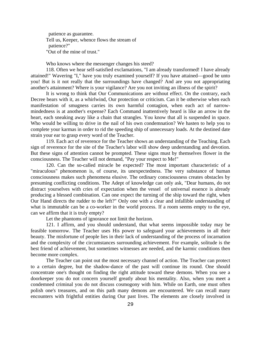patience as guarantee. Tell us, Keeper, whence flows the stream of patience?" "Out of the mine of trust."

Who knows where the messenger changes his steed?

118. Often we hear self-satisfied exclamations, "I am already transformed! I have already attained!" Wavering "I," have you truly examined yourself? If you have attained—good be unto you! But is it not really that the surroundings have changed? And are you not appropriating another's attainment? Where is your vigilance? Are you not inviting an illness of the spirit?

It is wrong to think that Our Communications are without effect. On the contrary, each Decree bears with it, as a whirlwind, Our protection or criticism. Can it be otherwise when each manifestation of smugness carries its own harmful contagion, when each act of narrowmindedness is at another's expense? Each Command inattentively heard is like an arrow in the heart, each sneaking away like a chain that strangles. You know that all is suspended in space. Who would be willing to drive in the nail of his own condemnation? We hasten to help you to complete your karmas in order to rid the speeding ship of unnecessary loads. At the destined date strain your ear to grasp every word of the Teacher.

119. Each act of reverence for the Teacher shows an understanding of the Teaching. Each sign of reverence for the site of the Teacher's labor will show deep understanding and devotion. But these signs of attention cannot be prompted. These signs must by themselves flower in the consciousness. The Teacher will not demand, "Pay your respect to Me!"

120. Can the so-called miracle be expected? The most important characteristic of a "miraculous" phenomenon is, of course, its unexpectedness. The very substance of human consciousness makes such phenomena elusive. The ordinary consciousness creates obstacles by presuming conflicting conditions. The Adept of knowledge can only ask, "Dear humans, do not distract yourselves with cries of expectation when the vessel of universal essence is already producing a blessed combination. Can one expect the turning of the ship toward the right, when Our Hand directs the rudder to the left?" Only one with a clear and infallible understanding of what is immutable can be a co-worker in the world process. If a room seems empty to the eye, can we affirm that it is truly empty?

Let the phantoms of ignorance not limit the horizon.

121. I affirm, and you should understand, that what seems impossible today may be feasible tomorrow. The Teacher uses His power to safeguard your achievements in all their beauty. The misfortune of people lies in their lack of understanding of the process of incarnation and the complexity of the circumstances surrounding achievement. For example, solitude is the best friend of achievement, but sometimes witnesses are needed, and the karmic conditions then become more complex.

The Teacher can point out the most necessary channel of action. The Teacher can protect to a certain degree, but the shadow-dance of the past will continue its round. One should concentrate one's thought on finding the right attitude toward these demons. When you see a doorkeeper you do not concern yourself greatly about his mentality. Also, when you meet a condemned criminal you do not discuss cosmogony with him. While on Earth, one must often polish one's treasures, and on this path many demons are encountered. We can recall many encounters with frightful entities during Our past lives. The elements are closely involved in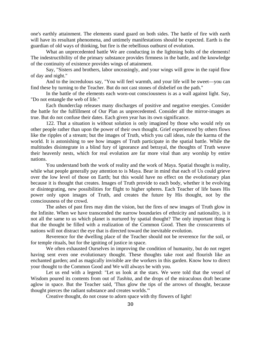one's earthly attainment. The elements stand guard on both sides. The battle of fire with earth will have its resultant phenomena, and untimely manifestations should be expected. Earth is the guardian of old ways of thinking, but fire is the rebellious outburst of evolution.

What an unprecedented battle We are conducting in the lightning bolts of the elements! The indestructibility of the primary substance provides firmness in the battle, and the knowledge of the continuity of existence provides wings of attainment.

Say, "Sisters and brothers, labor unceasingly, and your wings will grow in the rapid flow of day and night."

And to the incredulous say, "You will feel warmth, and your life will be sweet—you can find these by turning to the Teacher. But do not cast stones of disbelief on the path."

In the battle of the elements each worn-out consciousness is as a wall against light. Say, "Do not entangle the web of life."

Each thunderclap releases many discharges of positive and negative energies. Consider the battle for the fulfillment of Our Plan as unprecedented. Consider all the mirror-images as true. But do not confuse their dates. Each given year has its own significance.

122. That a situation is without solution is only imagined by those who would rely on other people rather than upon the power of their own thought. Grief experienced by others flows like the ripples of a stream; but the images of Truth, which you call ideas, rule the karma of the world. It is astonishing to see how images of Truth participate in the spatial battle. While the multitudes disintegrate in a blind fury of ignorance and betrayal, the thoughts of Truth weave their heavenly nests, which for real evolution are far more vital than any worship by entire nations.

You understand both the work of reality and the work of Maya. Spatial thought is reality, while what people generally pay attention to is Maya. Bear in mind that each of Us could grieve over the low level of those on Earth; but this would have no effect on the evolutionary plan because it is thought that creates. Images of Truth provide to each body, whether it be evolving or disintegrating, new possibilities for flight to higher spheres. Each Teacher of life bases His power only upon images of Truth, and creates the future by His thought, not by the consciousness of the crowd.

The ashes of past fires may dim the vision, but the fires of new images of Truth glow in the Infinite. When we have transcended the narrow boundaries of ethnicity and nationality, is it not all the same to us which planet is nurtured by spatial thought? The only important thing is that the thought be filled with a realization of the Common Good. Then the crosscurrents of nations will not distract the eye that is directed toward the inevitable evolution.

Reverence for the dwelling place of the Teacher should not be reverence for the soil, or for temple rituals, but for the igniting of justice in space.

We often exhausted Ourselves in improving the condition of humanity, but do not regret having sent even one evolutionary thought. These thoughts take root and flourish like an enchanted garden; and as magically invisible are the workers in this garden. Know how to direct your thought to the Common Good and We will always be with you.

Let us end with a legend: "Let us look at the stars. We were told that the vessel of Wisdom poured its contents from out of *Tushita*, and the drops of the miraculous draft became aglow in space. But the Teacher said, 'Thus glow the tips of the arrows of thought, because thought pierces the radiant substance and creates worlds.'"

Creative thought, do not cease to adorn space with thy flowers of light!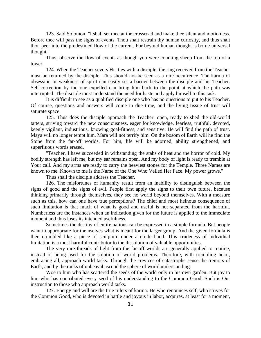123. Said Solomon, "I shall set thee at the crossroad and make thee silent and motionless. Before thee will pass the signs of events. Thou shalt restrain thy human curiosity, and thus shalt thou peer into the predestined flow of the current. For beyond human thought is borne universal thought."

Thus, observe the flow of events as though you were counting sheep from the top of a tower.

124. When the Teacher severs His ties with a disciple, the ring received from the Teacher must be returned by the disciple. This should not be seen as a rare occurrence. The karma of obsession or weakness of spirit can easily set a barrier between the disciple and his Teacher. Self-correction by the one expelled can bring him back to the point at which the path was interrupted. The disciple must understand the need for haste and apply himself to this task.

It is difficult to see as a qualified disciple one who has no questions to put to his Teacher. Of course, questions and answers will come in due time, and the living tissue of trust will saturate space.

125. Thus does the disciple approach the Teacher: open, ready to shed the old-world tatters, striving toward the new consciousness, eager for knowledge, fearless, truthful, devoted, keenly vigilant, industrious, knowing goal-fitness, and sensitive. He will find the path of trust. Maya will no longer tempt him. Mara will not terrify him. On the bosom of Earth will he find the Stone from the far-off worlds. For him, life will be adorned, ability strengthened, and superfluous words erased.

"Teacher, I have succeeded in withstanding the stabs of heat and the horror of cold. My bodily strength has left me, but my ear remains open. And my body of light is ready to tremble at Your call. And my arms are ready to carry the heaviest stones for the Temple. Three Names are known to me. Known to me is the Name of the One Who Veiled Her Face. My power grows."

Thus shall the disciple address the Teacher.

126. The misfortunes of humanity result from an inability to distinguish between the signs of good and the signs of evil. People first apply the signs to their own future, because thinking primarily through themselves, they see no world beyond themselves. With a measure such as this, how can one have true perceptions? The chief and most heinous consequence of such limitation is that much of what is good and useful is not separated from the harmful. Numberless are the instances when an indication given for the future is applied to the immediate moment and thus loses its intended usefulness.

Sometimes the destiny of entire nations can be expressed in a simple formula. But people want to appropriate for themselves what is meant for the larger group. And the given formula is then crumbled like a piece of sculpture under a crude hand. This crudeness of individual limitation is a most harmful contributor to the dissolution of valuable opportunities.

The very rare threads of light from the far-off worlds are generally applied to routine, instead of being used for the solution of world problems. Therefore, with trembling heart, embracing all, approach world tasks. Through the crevices of catastrophe sense the tremors of Earth, and by the rocks of upheaval ascend the sphere of world understanding.

Woe to him who has scattered the seeds of the world only in his own garden. But joy to him who has contributed every seed of his understanding to the Common Good. Such is Our instruction to those who approach world tasks.

127. Energy and will are the true rulers of karma. He who renounces self, who strives for the Common Good, who is devoted in battle and joyous in labor, acquires, at least for a moment,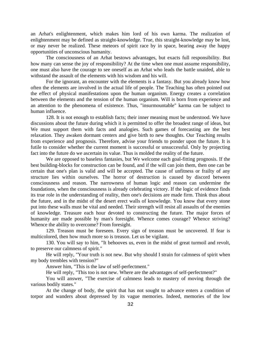an Arhat's enlightenment, which makes him lord of his own karma. The realization of enlightenment may be defined as straight-knowledge. True, this straight-knowledge may be lost, or may never be realized. These meteors of spirit race by in space, bearing away the happy opportunities of unconscious humanity.

The consciousness of an Arhat bestows advantages, but exacts full responsibility. But how many can sense the joy of responsibility? At the time when one must assume responsibility, one must also have the courage to see oneself as an Arhat who leads the battle unaided, able to withstand the assault of the elements with his wisdom and his will.

For the ignorant, an encounter with the elements is a fantasy. But you already know how often the elements are involved in the actual life of people. The Teaching has often pointed out the effect of physical manifestations upon the human organism. Energy creates a correlation between the elements and the tension of the human organism. Will is born from experience and an attention to the phenomena of existence. Thus, "insurmountable" karma can be subject to human influence.

128. It is not enough to establish facts; their inner meaning must be understood. We have discussions about the future during which it is permitted to offer the broadest range of ideas, but We must support them with facts and analogies. Such games of forecasting are the best relaxation. They awaken dormant centers and give birth to new thoughts. Our Teaching results from experience and prognosis. Therefore, advise your friends to ponder upon the future. It is futile to consider whether the current moment is successful or unsuccessful. Only by projecting fact into the future do we ascertain its value. Thus is molded the reality of the future.

We are opposed to baseless fantasies, but We welcome each goal-fitting prognosis. If the best building-blocks for construction can be found, and if the will can join them, then one can be certain that one's plan is valid and will be accepted. The cause of unfitness or frailty of any structure lies within ourselves. The horror of destruction is caused by discord between consciousness and reason. The narrowness of human logic and reason can undermine the foundations, when the consciousness is already celebrating victory. If the logic of evidence finds its true role in the understanding of reality, then one's decisions are made firm. Think thus about the future, and in the midst of the desert erect walls of knowledge. You know that every stone put into these walls must be vital and needed. Their strength will resist all assaults of the enemies of knowledge. Treasure each hour devoted to constructing the future. The major forces of humanity are made possible by man's foresight. Whence comes courage? Whence striving? Whence the ability to overcome? From foresight.

129. Treason must be foreseen. Every sign of treason must be uncovered. If fear is multicolored, then how much more so is treason. Let us be vigilant.

130. You will say to him, "It behooves us, even in the midst of great turmoil and revolt, to preserve our calmness of spirit."

He will reply, "Your truth is not new. But why should I strain for calmness of spirit when my body trembles with tension?"

Answer him, "This is the law of self-perfectment."

He will reply, "This too is not new. Where are the advantages of self-perfectment?"

You will answer, "The exercise of calmness leads to mastery of moving through the various bodily states."

At the change of body, the spirit that has not sought to advance enters a condition of torpor and wanders about depressed by its vague memories. Indeed, memories of the low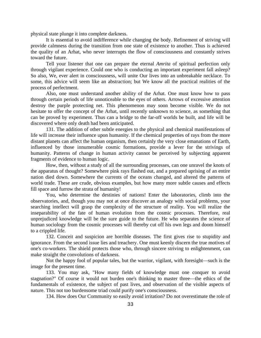physical state plunge it into complete darkness.

It is essential to avoid indifference while changing the body. Refinement of striving will provide calmness during the transition from one state of existence to another. Thus is achieved the quality of an Arhat, who never interrupts the flow of consciousness and constantly strives toward the future.

Tell your listener that one can prepare the eternal *Amrita* of spiritual perfection only through vigilant experience. Could one who is conducting an important experiment fall asleep? So also, We, ever alert in consciousness, will unite Our lives into an unbreakable necklace. To some, this advice will seem like an abstraction; but We know all the practical realities of the process of perfectment.

Also, one must understand another ability of the Arhat. One must know how to pass through certain periods of life unnoticeable to the eyes of others. Arrows of excessive attention destroy the purple protecting net. This phenomenon may soon become visible. We do not hesitate to offer the concept of the Arhat, until recently unknown to science, as something that can be proved by experiment. Thus can a bridge to the far-off worlds be built, and life will be discovered where only death had been anticipated.

131. The addition of other subtle energies to the physical and chemical manifestations of life will increase their influence upon humanity. If the chemical properties of rays from the more distant planets can affect the human organism, then certainly the very close emanations of Earth, influenced by those innumerable cosmic formations, provide a lever for the strivings of humanity. Patterns of change in human activity cannot be perceived by subjecting apparent fragments of evidence to human logic.

How, then, without a study of all the surrounding processes, can one unravel the knots of the apparatus of thought? Somewhere pink rays flashed out, and a prepared uprising of an entire nation died down. Somewhere the currents of the oceans changed, and altered the patterns of world trade. These are crude, obvious examples, but how many more subtle causes and effects fill space and furrow the strata of humanity!

You, who determine the destinies of nations! Enter the laboratories, climb into the observatories, and, though you may not at once discover an analogy with social problems, your searching intellect will grasp the complexity of the structure of reality. You will realize the inseparability of the fate of human evolution from the cosmic processes. Therefore, real unprejudiced knowledge will be the sure guide to the future. He who separates the science of human sociology from the cosmic processes will thereby cut off his own legs and doom himself to a crippled life.

132. Conceit and suspicion are horrible diseases. The first gives rise to stupidity and ignorance. From the second issue lies and treachery. One must keenly discern the true motives of one's co-workers. The shield protects those who, through sincere striving to enlightenment, can make straight the convolutions of darkness.

Not the happy fool of popular tales, but the warrior, vigilant, with foresight—such is the image for the present time.

133. You may ask, "How many fields of knowledge must one conquer to avoid stagnation?" Of course it would not burden one's thinking to master three—the ethics of the fundamentals of existence, the subject of past lives, and observation of the visible aspects of nature. This not too burdensome triad could purify one's consciousness.

134. How does Our Community so easily avoid irritation? Do not overestimate the role of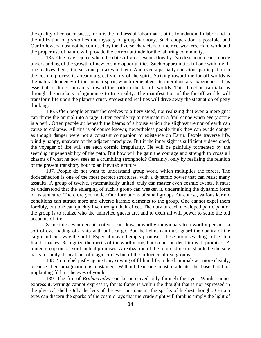the quality of consciousness, for it is the fullness of labor that is at its foundation. In labor and in the utilization of *prana* lies the mystery of group harmony. Such cooperation is possible, and Our followers must not be confused by the diverse characters of their co-workers. Hard work and the proper use of nature will provide the correct attitude for the laboring community.

135. One may rejoice when the dates of great events flow by. No destruction can impede understanding of the growth of new cosmic opportunities. Such opportunities fill one with joy. If one realizes them, it means one partakes in them. And even a partially conscious participation in the cosmic process is already a great victory of the spirit. Striving toward the far-off worlds is the natural tendency of the human spirit, which remembers its interplanetary experiences. It is essential to direct humanity toward the path to the far-off worlds. This direction can take us through the mockery of ignorance to true reality. The manifestation of the far-off worlds will transform life upon the planet's crust. Predestined realities will drive away the stagnation of petty thinking.

136. Often people entrust themselves to a fiery steed, not realizing that even a mere gnat can throw the animal into a rage. Often people try to navigate in a frail canoe when every stone is a peril. Often people sit beneath the beams of a house which the slightest tremor of earth can cause to collapse. All this is of course known; nevertheless people think they can evade danger as though danger were not a constant companion to existence on Earth. People traverse life, blindly happy, unaware of the adjacent precipice. But if the inner sight is sufficiently developed, the voyager of life will see each cosmic irregularity. He will be painfully tormented by the seeming impenetrability of the path. But how will he gain the courage and strength to cross all chasms of what he now sees as a crumbling stronghold? Certainly, only by realizing the relation of the present transitory hour to an inevitable future.

137. People do not want to understand group work, which multiplies the forces. The dodecahedron is one of the most perfect structures, with a dynamic power that can resist many assaults. A group of twelve, systematically united, truly can master even cosmic events. It must be understood that the enlarging of such a group can weaken it, undermining the dynamic force of its structure. Therefore you notice Our formations of small groups. Of course, various karmic conditions can attract more and diverse karmic elements to the group. One cannot expel them forcibly, but one can quickly live through their effect. The duty of each developed participant of the group is to realize who the uninvited guests are, and to exert all will power to settle the old accounts of life.

Sometimes even decent motives can draw unworthy individuals to a worthy person—a sort of overloading of a ship with unfit cargo. But the helmsman must guard the quality of the cargo and cut away the unfit. Especially avoid empty promises; these promises cling to the ship like barnacles. Recognize the merits of the worthy one, but do not burden him with promises. A united group must avoid mutual promises. A realization of the future structure should be the sole basis for unity. I speak not of magic circles but of the influence of real groups.

138. You rebel justly against any sowing of filth in life. Indeed, animals act more cleanly, because their imagination is unstained. Without fear one must eradicate the base habit of implanting filth in the eyes of youth.

139. The fire of *Brahmavidya* can be perceived only through the eyes. Words cannot express it, writings cannot express it, for its flame is within the thought that is not expressed in the physical shell. Only the lens of the eye can transmit the sparks of highest thought. Certain eyes can discern the sparks of the cosmic rays that the crude sight will think is simply the light of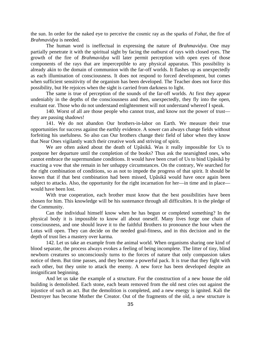the sun. In order for the naked eye to perceive the cosmic ray as the sparks of *Fohat*, the fire of *Brahmavidya* is needed.

The human word is ineffectual in expressing the nature of *Brahmavidya*. One may partially penetrate it with the spiritual sight by facing the outburst of rays with closed eyes. The growth of the fire of *Brahmavidya* will later permit perception with open eyes of those components of the rays that are imperceptible to any physical apparatus. This possibility is already akin to the domain of communion with the far-off worlds. It flashes up as unexpectedly as each illumination of consciousness. It does not respond to forced development, but comes when sufficient sensitivity of the organism has been developed. The Teacher does not force this possibility, but He rejoices when the sight is carried from darkness to light.

The same is true of perception of the sounds of the far-off worlds. At first they appear undeniably in the depths of the consciousness and then, unexpectedly, they fly into the open, exultant ear. Those who do not understand enlightenment will not understand whereof I speak.

140. Worst of all are those people who cannot trust, and know not the power of trust they are passing shadows!

141. We do not abandon Our brothers-in-labor on Earth. We measure their true opportunities for success against the earthly evidence. A sower can always change fields without forfeiting his usefulness. So also can Our brothers change their field of labor when they know that Near Ones vigilantly watch their creative work and striving of spirit.

We are often asked about the death of Upâsikâ. Was it really impossible for Us to postpone her departure until the completion of the books? Thus ask the nearsighted ones, who cannot embrace the supermundane conditions. It would have been cruel of Us to bind Upâsikâ by exacting a vow that she remain in her unhappy circumstances. On the contrary, We searched for the right combination of conditions, so as not to impede the progress of that spirit. It should be known that if that best combination had been missed, Upâsikâ would have once again been subject to attacks. Also, the opportunity for the right incarnation for her—in time and in place would have been lost.

With true cooperation, each brother must know that the best possibilities have been chosen for him. This knowledge will be his sustenance through all difficulties. It is the pledge of the Community.

Can the individual himself know when he has begun or completed something? In the physical body it is impossible to know all about oneself. Many lives forge one chain of consciousness, and one should leave it to the faithful Brothers to pronounce the hour when the Lotus will open. They can decide on the needed goal-fitness, and in this decision and in the depth of trust lies a mastery over karma.

142. Let us take an example from the animal world. When organisms sharing one kind of blood separate, the process always evokes a feeling of being incomplete. The litter of tiny, blind newborn creatures so unconsciously turns to the forces of nature that only compassion takes notice of them. But time passes, and they become a powerful pack. It is true that they fight with each other, but they unite to attack the enemy. A new force has been developed despite an insignificant beginning.

And let us take the example of a structure. For the construction of a new house the old building is demolished. Each stone, each beam removed from the old nest cries out against the injustice of such an act. But the demolition is completed, and a new energy is ignited. Kali the Destroyer has become Mother the Creator. Out of the fragments of the old, a new structure is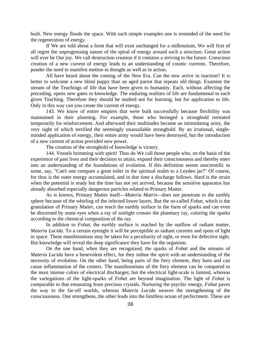built. New energy floods the space. With such simple examples one is reminded of the need for the regeneration of energy.

If We are told about a form that will exist unchanged for a millennium, We will first of all regret the unprogressing nature of the spiral of energy around such a structure. Great action will ever be Our joy. We call destruction creation if it contains a striving to the future. Conscious creation of a new current of energy leads to an understanding of cosmic currents. Therefore, ponder the need to manifest motion in thought as well as in action.

All have heard about the coming of the New Era. Can the new arrive in inaction? It is better to welcome a new blind puppy than an aged parrot that repeats old things. Examine the stream of the Teachings of life that have been given to humanity. Each, without affecting the preceding, opens new gates to knowledge. The enduring realities of life are fundamental to each given Teaching. Therefore they should be studied not for learning, but for application to life. Only in this way can you create the current of energy.

143. We know of entire empires that were built successfully because flexibility was maintained in their planning. For example, those who besieged a stronghold retreated temporarily for reinforcement. And afterward their multitudes became an intimidating army, the very sight of which terrified the seemingly unassailable stronghold. By an irrational, singleminded application of energy, their entire army would have been destroyed, but the introduction of a new current of action provided new power.

The creation of the stronghold of knowledge is victory.

144. Vessels brimming with spirit! Thus do We call those people who, on the basis of the experience of past lives and their decision to attain, expand their consciousness and thereby enter into an understanding of the foundations of evolution. If this definition seems unscientific to some, say, "Can't one compare a great toiler in the spiritual realm to a Leyden jar?" Of course, for thus is the outer energy accumulated, and in due time a discharge follows. Hard is the strain when the potential is ready but the time has not yet arrived, because the sensitive apparatus has already absorbed especially dangerous particles related to Primary Matter.

As is known, Primary Matter itself—*Materia Matrix—*does not penetrate to the earthly sphere because of the whirling of the infected lower layers. But the so-called *Fohat*, which is the granulation of Primary Matter, can reach the earthly surface in the form of sparks and can even be discerned by some eyes when a ray of sunlight crosses the planetary ray, coloring the sparks according to the chemical composition of the ray.

In addition to *Fohat*, the earthly surface is reached by the outflow of radiant matter, *Materia Lucida*. To a certain eyesight it will be perceptible as radiant currents and spots of light in space. These manifestations may be taken for a peculiarity of sight, or even for defective sight. But knowledge will reveal the deep significance they have for the organism.

On the one hand, when they are recognized, the sparks of *Fohat* and the streams of *Materia Lucida* have a benevolent effect, for they imbue the spirit with an understanding of the necessity of evolution. On the other hand, being parts of the fiery element, they burn and can cause inflammation of the centers. The manifestations of the fiery element can be compared to the most intense colors of electrical discharges; but the electrical light-scale is limited, whereas the variegations of the light-sparks of *Fohat* are beyond imagination. The light of *Fohat* is comparable to that emanating from precious crystals. Nurturing the psychic energy, *Fohat* paves the way to the far-off worlds, whereas *Materia Lucida* weaves the strengthening of the consciousness. One strengthens, the other leads into the limitless ocean of perfectment. These are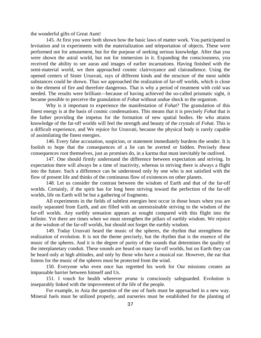the wonderful gifts of Great Aum!

145. At first you were both shown how the basic laws of matter work. You participated in levitation and in experiments with the materialization and teleportation of objects. These were performed not for amusement, but for the purpose of seeking serious knowledge. After that you were shown the astral world, but not for immersion in it. Expanding the consciousness, you received the ability to see auras and images of earlier incarnations. Having finished with the semi-material world, we then approached cosmic clairvoyance and clairaudience. Using the opened centers of Sister Urusvati, rays of different kinds and the structure of the most subtle substances could be shown. Thus we approached the realization of far-off worlds, which is close to the element of fire and therefore dangerous. That is why a period of treatment with cold was needed. The results were brilliant—because of having achieved the so-called prismatic sight, it became possible to perceive the granulation of *Fohat* without undue shock to the organism.

Why is it important to experience the manifestation of *Fohat*? The granulation of this finest energy is at the basis of cosmic condensations. This means that it is precisely *Fohat* that is the father providing the impetus for the formation of new spatial bodies. He who attains knowledge of the far-off worlds will feel the strength and beauty of the crystals of *Fohat*. This is a difficult experience, and We rejoice for Urusvati, because the physical body is rarely capable of assimilating the finest energies.

146. Every false accusation, suspicion, or statement immediately burdens the sender. It is foolish to hope that the consequences of a lie can be averted or hidden. Precisely these consequences root themselves, just as promises do, in a karma that must inevitably be outlived.

147. One should firmly understand the difference between expectation and striving. In expectation there will always be a time of inactivity, whereas in striving there is always a flight into the future. Such a difference can be understood only by one who is not satisfied with the flow of present life and thinks of the continuous flow of existences on other planets.

148. Let us consider the contrast between the wisdom of Earth and that of the far-off worlds. Certainly, if the spirit has for long been striving toward the perfection of the far-off worlds, life on Earth will be but a gathering of fragments.

All experiments in the fields of subtlest energies best occur in those hours when you are easily separated from Earth, and are filled with an unrestrainable striving to the wisdom of the far-off worlds. Any earthly sensation appears as nought compared with this flight into the Infinite. Yet there are times when we must strengthen the pillars of earthly wisdom. We rejoice at the wisdom of the far-off worlds, but should not forget the earthly wisdom.

149. Today Urusvati heard the music of the spheres, the rhythm that strengthens the realization of evolution. It is not the theme precisely, but the rhythm that is the essence of the music of the spheres. And it is the degree of purity of the sounds that determines the quality of the interplanetary conduit. These sounds are heard on many far-off worlds, but on Earth they can be heard only at high altitudes, and only by those who have a musical ear. However, the ear that listens for the music of the spheres must be protected from the wind.

150. Everyone who even once has regretted his work for Our missions creates an impassable barrier between himself and Us.

151. I vouch for health wherever *prana* is consciously safeguarded. Evolution is inseparably linked with the improvement of the life of the people.

For example, in Asia the question of the use of fuels must be approached in a new way. Mineral fuels must be utilized properly, and nurseries must be established for the planting of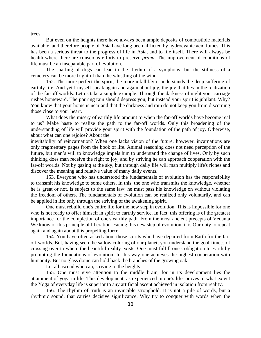trees.

But even on the heights there have always been ample deposits of combustible materials available, and therefore people of Asia have long been afflicted by hydrocyanic acid fumes. This has been a serious threat to the progress of life in Asia, and to life itself. There will always be health where there are conscious efforts to preserve *prana*. The improvement of conditions of life must be an inseparable part of evolution.

The snarling of dogs can lead to the rhythm of a symphony, but the stillness of a cemetery can be more frightful than the whistling of the wind.

152. The more perfect the spirit, the more infallibly it understands the deep suffering of earthly life. And yet I myself speak again and again about joy, the joy that lies in the realization of the far-off worlds. Let us take a simple example. Through the darkness of night your carriage rushes homeward. The pouring rain should depress you, but instead your spirit is jubilant. Why? You know that your home is near and that the darkness and rain do not keep you from discerning those close to your heart.

What does the misery of earthly life amount to when the far-off worlds have become real to us? Make haste to realize the path to the far-off worlds. Only this broadening of the understanding of life will provide your spirit with the foundation of the path of joy. Otherwise, about what can one rejoice? About the

inevitability of reincarnation? When one lacks vision of the future, however, incarnations are only fragmentary pages from the book of life. Animal reasoning does not need perception of the future, but man's will to knowledge impels him to understand the change of lives. Only by such thinking does man receive the right to joy, and by striving he can approach cooperation with the far-off worlds. Not by gazing at the sky, but through daily life will man multiply life's riches and discover the meaning and relative value of many daily events.

153. Everyone who has understood the fundamentals of evolution has the responsibility to transmit his knowledge to some others. In this, the one who transmits the knowledge, whether he is great or not, is subject to the same law: he must pass his knowledge on without violating the freedom of others. The fundamentals of evolution can be realized only voluntarily, and can be applied in life only through the striving of the awakening spirit.

One must rebuild one's entire life for the new step in evolution. This is impossible for one who is not ready to offer himself in spirit to earthly service. In fact, this offering is of the greatest importance for the completion of one's earthly path. From the most ancient precepts of Vedanta We know of this principle of liberation. Facing this new step of evolution, it is Our duty to repeat again and again about this propelling force.

154. You have often asked about those spirits who have departed from Earth for the faroff worlds. But, having seen the sallow coloring of our planet, you understand the goal-fitness of crossing over to where the beautiful reality exists. One must fulfill one's obligation to Earth by promoting the foundations of evolution. In this way one achieves the highest cooperation with humanity. But no glass dome can hold back the branches of the growing oak.

Let all ascend who can, striving to the heights!

155. One must give attention to the middle brain, for in its development lies the attainment of yoga in life. This development, as experienced in one's life, proves to what extent the Yoga of everyday life is superior to any artificial ascent achieved in isolation from reality.

156. The rhythm of truth is an invincible stronghold. It is not a pile of words, but a rhythmic sound, that carries decisive significance. Why try to conquer with words when the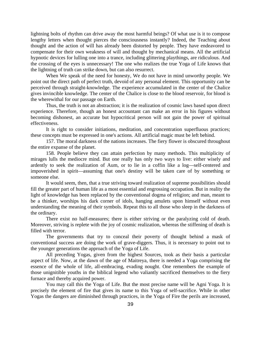lightning bolts of rhythm can drive away the most harmful beings? Of what use is it to compose lengthy letters when thought pierces the consciousness instantly? Indeed, the Teaching about thought and the action of will has already been distorted by people. They have endeavored to compensate for their own weakness of will and thought by mechanical means. All the artificial hypnotic devices for lulling one into a trance, including glittering playthings, are ridiculous. And the crossing of the eyes is unnecessary! The one who realizes the true Yoga of Life knows that the lightning of truth can strike down, but can also resurrect.

When We speak of the need for honesty, We do not have in mind unworthy people. We point out the direct path of perfect truth, devoid of any personal element. This opportunity can be perceived through straight-knowledge. The experience accumulated in the center of the Chalice gives invincible knowledge. The center of the Chalice is close to the blood reservoir, for blood is the wherewithal for our passage on Earth.

Thus, the truth is not an abstraction; it is the realization of cosmic laws based upon direct experience. Therefore, though an honest accountant can make an error in his figures without becoming dishonest, an accurate but hypocritical person will not gain the power of spiritual effectiveness.

It is right to consider initiations, meditation, and concentration superfluous practices; these concepts must be expressed in one's actions. All artificial magic must be left behind.

157. The moral darkness of the nations increases. The fiery flower is obscured throughout the entire expanse of the planet.

158. People believe they can attain perfection by many methods. This multiplicity of mirages lulls the mediocre mind. But one really has only two ways to live: either wisely and ardently to seek the realization of Aum, or to lie in a coffin like a log—self-centered and impoverished in spirit—assuming that one's destiny will be taken care of by something or someone else.

It would seem, then, that a true striving toward realization of supreme possibilities should fill the greater part of human life as a most essential and engrossing occupation. But in reality the light of knowledge has been replaced by the conventional dogma of religion; and man, meant to be a thinker, worships his dark corner of idols, hanging amulets upon himself without even understanding the meaning of their symbols. Repeat this to all those who sleep in the darkness of the ordinary.

There exist no half-measures; there is either striving or the paralyzing cold of death. Moreover, striving is replete with the joy of cosmic realization, whereas the stiffening of death is filled with terror.

The governments that try to conceal their poverty of thought behind a mask of conventional success are doing the work of grave-diggers. Thus, it is necessary to point out to the younger generations the approach of the Yoga of Life.

All preceding Yogas, given from the highest Sources, took as their basis a particular aspect of life. Now, at the dawn of the age of Maitreya, there is needed a Yoga comprising the essence of the whole of life, all-embracing, evading nought. One remembers the example of those unignitible youths in the biblical legend who valiantly sacrificed themselves to the fiery furnace and thereby acquired power.

You may call this the Yoga of Life. But the most precise name will be Agni Yoga. It is precisely the element of fire that gives its name to this Yoga of self-sacrifice. While in other Yogas the dangers are diminished through practices, in the Yoga of Fire the perils are increased,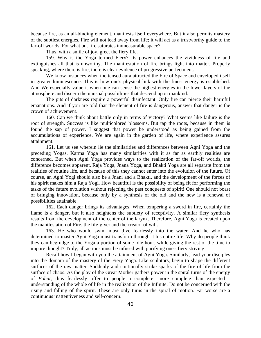because fire, as an all-binding element, manifests itself everywhere. But it also permits mastery of the subtlest energies. Fire will not lead away from life; it will act as a trustworthy guide to the far-off worlds. For what but fire saturates immeasurable space?

Thus, with a smile of joy, greet the fiery life.

159. Why is the Yoga termed Fiery? Its power enhances the vividness of life and extinguishes all that is unworthy. The manifestation of fire brings light into matter. Properly speaking, where there is fire, there is clear evidence of progressive perfectment.

We know instances when the tensed aura attracted the Fire of Space and enveloped itself in greater luminescence. This is how one's physical link with the finest energy is established. And We especially value it when one can sense the highest energies in the lower layers of the atmosphere and discern the unusual possibilities that descend upon mankind.

The pits of darkness require a powerful disinfectant. Only fire can pierce their harmful emanations. And if you are told that the element of fire is dangerous, answer that danger is the crown of achievement.

160. Can we think about battle only in terms of victory? What seems like failure is the root of strength. Success is like multicolored blossoms. But tap the roots, because in them is found the sap of power. I suggest that power be understood as being gained from the accumulations of experience. We are again in the garden of life, where experience assures attainment.

161. Let us see wherein lie the similarities and differences between Agni Yoga and the preceding Yogas. Karma Yoga has many similarities with it as far as earthly realities are concerned. But when Agni Yoga provides ways to the realization of the far-off worlds, the difference becomes apparent. Raja Yoga, Jnana Yoga, and Bhakti Yoga are all separate from the realities of routine life, and because of this they cannot enter into the evolution of the future. Of course, an Agni Yogi should also be a Jnani and a Bhakti, and the development of the forces of his spirit makes him a Raja Yogi. How beautiful is the possibility of being fit for performing the tasks of the future evolution without rejecting the past conquests of spirit! One should not boast of bringing innovation, because only by a synthesis of the old and the new is a renewal of possibilities attainable.

162. Each danger brings its advantages. When tempering a sword in fire, certainly the flame is a danger, but it also heightens the subtlety of receptivity. A similar fiery synthesis results from the development of the center of the larynx. Therefore, Agni Yoga is created upon the manifestation of Fire, the life-giver and the creator of will.

163. He who would swim must dive fearlessly into the water. And he who has determined to master Agni Yoga must transform through it his entire life. Why do people think they can begrudge to the Yoga a portion of some idle hour, while giving the rest of the time to impure thought? Truly, all actions must be infused with purifying one's fiery striving.

Recall how I began with you the attainment of Agni Yoga. Similarly, lead your disciples into the domain of the mastery of the Fiery Yoga. Like sculptors, begin to shape the different surfaces of the raw matter. Suddenly and continually strike sparks of the fire of life from the surface of chaos. As the play of the Great Mother gathers power in the spiral turns of the energy of *Fohat*, thus fearlessly offer to people a complete—more complete than expected understanding of the whole of life in the realization of the Infinite. Do not be concerned with the rising and falling of the spirit. These are only turns in the spiral of motion. Far worse are a continuous inattentiveness and self-concern.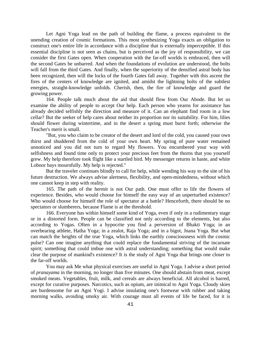Let Agni Yoga lead on the path of building the flame, a process equivalent to the unending creation of cosmic formations. This most synthesizing Yoga exacts an obligation to construct one's entire life in accordance with a discipline that is externally imperceptible. If this essential discipline is not seen as chains, but is perceived as the joy of responsibility, we can consider the first Gates open. When cooperation with the far-off worlds is embraced, then will the second Gates be unbarred. And when the foundations of evolution are understood, the bolts will fall from the third Gates. And finally, when the superiority of the densified astral body has been recognized, then will the locks of the fourth Gates fall away. Together with this ascent the fires of the centers of knowledge are ignited, and amidst the lightning bolts of the subtlest energies, straight-knowledge unfolds. Cherish, then, the fire of knowledge and guard the growing power.

164. People talk much about the aid that should flow from Our Abode. But let us examine the ability of people to accept Our help. Each person who yearns for assistance has already decided selfishly the direction and measure of it. Can an elephant find room in a low cellar? But the seeker of help cares about neither its proportion nor its suitability. For him, lilies should flower during wintertime, and in the desert a spring must burst forth; otherwise the Teacher's merit is small.

"But, you who claim to be creator of the desert and lord of the cold, you caused your own thirst and shuddered from the cold of your own heart. My spring of pure water remained unnoticed and you did not turn to regard My flowers. You encumbered your way with selfishness and found time only to protect your precious feet from the thorns that you yourself grew. My help therefore took flight like a startled bird. My messenger returns in haste, and white Lobnor bays mournfully. My help is rejected."

But the traveler continues blindly to call for help, while wending his way to the site of his future destruction. We always advise alertness, flexibility, and open-mindedness, without which one cannot keep in step with reality.

165. The path of the hermit is not Our path. One must offer to life the flowers of experience. Besides, who would choose for himself the easy way of an unperturbed existence? Who would choose for himself the role of spectator at a battle? Henceforth, there should be no spectators or slumberers, because Flame is at the threshold.

166. Everyone has within himself some kind of Yoga, even if only in a rudimentary stage or in a distorted form. People can be classified not only according to the elements, but also according to Yogas. Often in a hypocrite you find a perversion of Bhakti Yoga; in an overbearing athlete, Hatha Yoga; in a zealot, Raja Yoga; and in a bigot, Jnana Yoga. But what can match the heights of the true Yoga, which links the earthly consciousness with the cosmic pulse? Can one imagine anything that could replace the fundamental striving of the incarnate spirit; something that could imbue one with astral understanding; something that would make clear the purpose of mankind's existence? It is the study of Agni Yoga that brings one closer to the far-off worlds.

You may ask Me what physical exercises are useful in Agni Yoga. I advise a short period of *pranayama* in the morning, no longer than five minutes. One should abstain from meat, except smoked meats. Vegetables, fruit, milk, and cereals are always beneficial. All alcohol is barred, except for curative purposes. Narcotics, such as opium, are inimical to Agni Yoga. Cloudy skies are burdensome for an Agni Yogi. I advise insulating one's footwear with rubber and taking morning walks, avoiding smoky air. With courage must all events of life be faced, for it is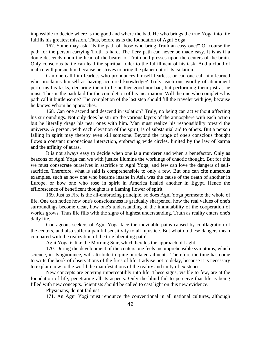impossible to decide where is the good and where the bad. He who brings the true Yoga into life fulfills his greatest mission. Thus, before us is the foundation of Agni Yoga.

167. Some may ask, "Is the path of those who bring Truth an easy one?" Of course the path for the person carrying Truth is hard. The fiery path can never be made easy. It is as if a dome descends upon the head of the bearer of Truth and presses upon the centers of the brain. Only conscious battle can lead the spiritual toiler to the fulfillment of his task. And a cloud of malice will pursue him because he strives to bring the planet out of its isolation.

Can one call him fearless who pronounces himself fearless, or can one call him learned who proclaims himself as having acquired knowledge? Truly, each one worthy of attainment performs his tasks, declaring them to be neither good nor bad, but performing them just as he must. Thus is the path laid for the completion of his incarnation. Will the one who completes his path call it burdensome? The completion of the last step should fill the traveler with joy, because he knows Whom he approaches.

168. Can one ascend and descend in isolation? Truly, no being can act without affecting his surroundings. Not only does he stir up the various layers of the atmosphere with each action but he literally drags his near ones with him. Man must realize his responsibility toward the universe. A person, with each elevation of the spirit, is of substantial aid to others. But a person falling in spirit may thereby even kill someone. Beyond the range of one's conscious thought flows a constant unconscious interaction, embracing wide circles, limited by the law of karma and the affinity of auras.

It is not always easy to decide when one is a murderer and when a benefactor. Only as beacons of Agni Yoga can we with justice illumine the workings of chaotic thought. But for this we must consecrate ourselves in sacrifice to Agni Yoga; and few can love the dangers of selfsacrifice. Therefore, what is said is comprehensible to only a few. But one can cite numerous examples, such as how one who became insane in Asia was the cause of the death of another in Europe, or how one who rose in spirit in America healed another in Egypt. Hence the efflorescence of beneficent thoughts is a flaming flower of spirit.

169. Just as Fire is the all-embracing principle, so does Agni Yoga permeate the whole of life. One can notice how one's consciousness is gradually sharpened, how the real values of one's surroundings become clear, how one's understanding of the immutability of the cooperation of worlds grows. Thus life fills with the signs of highest understanding. Truth as reality enters one's daily life.

Courageous seekers of Agni Yoga face the inevitable pains caused by conflagration of the centers, and also suffer a painful sensitivity to all injustice. But what do these dangers mean compared with the realization of the true liberating path!

Agni Yoga is like the Morning Star, which heralds the approach of Light.

170. During the development of the centers one feels incomprehensible symptoms, which science, in its ignorance, will attribute to quite unrelated ailments. Therefore the time has come to write the book of observations of the fires of life. I advise not to delay, because it is necessary to explain now to the world the manifestations of the reality and unity of existence.

New concepts are entering imperceptibly into life. These signs, visible to few, are at the foundation of life, penetrating all its aspects. Only the blind fail to perceive that life is being filled with new concepts. Scientists should be called to cast light on this new evidence.

Physicians, do not fail us!

171. An Agni Yogi must renounce the conventional in all national cultures, although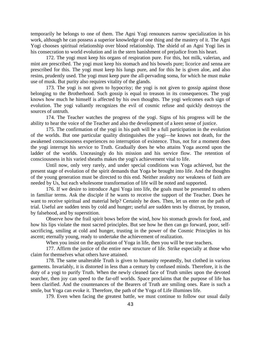temporarily he belongs to one of them. The Agni Yogi renounces narrow specialization in his work, although he can possess a superior knowledge of one thing and the mastery of it. The Agni Yogi chooses spiritual relationship over blood relationship. The shield of an Agni Yogi lies in his consecration to world evolution and in the stern banishment of prejudice from his heart.

172. The yogi must keep his organs of respiration pure. For this, hot milk, valerian, and mint are prescribed. The yogi must keep his stomach and his bowels pure; licorice and senna are prescribed for this. The yogi must keep his lungs pure, and for this he is given aloe, and also resins, prudently used. The yogi must keep pure the all-pervading soma, for which he must make use of musk. But purity also requires vitality of the glands.

173. The yogi is not given to hypocrisy; the yogi is not given to gossip against those belonging to the Brotherhood. Such gossip is equal to treason in its consequences. The yogi knows how much he himself is affected by his own thoughts. The yogi welcomes each sign of evolution. The yogi valiantly recognizes the evil of cosmic refuse and quickly destroys the sources of untruth.

174. The Teacher watches the progress of the yogi. Signs of his progress will be the ability to hear the voice of the Teacher and also the development of a keen sense of justice.

175. The confirmation of the yogi in his path will be a full participation in the evolution of the worlds. But one particular quality distinguishes the yogi—he knows not death, for the awakened consciousness experiences no interruption of existence. Thus, not for a moment does the yogi interrupt his service to Truth. Gradually does he who attains Yoga ascend upon the ladder of the worlds. Unceasingly do his mission and his service flow. The retention of consciousness in his varied sheaths makes the yogi's achievement vital to life.

Until now, only very rarely, and under special conditions was Yoga achieved, but the present stage of evolution of the spirit demands that Yoga be brought into life. And the thoughts of the young generation must be directed to this end. Neither zealotry nor weakness of faith are needed by Us, but each wholesome transformation of life will be noted and supported.

176. If we desire to introduce Agni Yoga into life, the goals must be presented to others in familiar terms. Ask the disciple if he wants to receive the support of the Teacher. Does he want to receive spiritual and material help? Certainly he does. Then, let us enter on the path of trial. Useful are sudden tests by cold and hunger; useful are sudden tests by distrust, by treason, by falsehood, and by superstition.

Observe how the frail spirit bows before the wind, how his stomach growls for food, and how his lips violate the most sacred principles. But see how he then can go forward, poor, selfsacrificing, smiling at cold and hunger, trusting in the power of the Cosmic Principles in his ascent; eternally young, ready to undertake the achievement of realization.

When you insist on the application of Yoga in life, then you will be true teachers.

177. Affirm the justice of the entire new structure of life. Strike especially at those who claim for themselves what others have attained.

178. The same unalterable Truth is given to humanity repeatedly, but clothed in various garments. Invariably, it is distorted in less than a century by confused minds. Therefore, it is the duty of a yogi to purify Truth. When the newly cleaned face of Truth smiles upon the devoted searcher, then joy can speed to the far-off worlds. Space proclaims that the purpose of life has been clarified. And the countenances of the Bearers of Truth are smiling ones. Rare is such a smile, but Yoga can evoke it. Therefore, the path of the Yoga of Life illumines life.

179. Even when facing the greatest battle, we must continue to follow our usual daily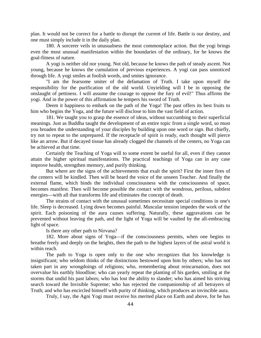plan. It would not be correct for a battle to disrupt the current of life. Battle is our destiny, and one must simply include it in the daily plan.

180. A sorcerer veils in unusualness the most commonplace action. But the yogi brings even the most unusual manifestation within the boundaries of the ordinary, for he knows the goal-fitness of nature.

A yogi is neither old nor young. Not old, because he knows the path of steady ascent. Not young, because he knows the cumulation of previous experiences. A yogi can pass unnoticed through life. A yogi smiles at foolish words, and smites ignorance.

"I am the fearsome smiter of the defamation of Truth. I take upon myself the responsibility for the purification of the old world. Unyielding will I be in opposing the onslaught of pettiness. I will assume the courage to oppose the fury of evil!" Thus affirms the yogi. And in the power of this affirmation he tempers his sword of Truth.

Deem it happiness to embark on the path of the Yoga! The past offers its best fruits to him who begins the Yoga, and the future will disclose to him the vast field of action.

181. We taught you to grasp the essence of ideas, without succumbing to their superficial meanings. Just as Buddha taught the development of an entire topic from a single word, so must you broaden the understanding of your disciples by building upon one word or sign. But chiefly, try not to repeat to the unprepared. If the receptacle of spirit is ready, each thought will pierce like an arrow. But if decayed tissue has already clogged the channels of the centers, no Yoga can be achieved at that time.

Certainly the Teaching of Yoga will to some extent be useful for all, even if they cannot attain the higher spiritual manifestations. The practical teachings of Yoga can in any case improve health, strengthen memory, and purify thinking.

But where are the signs of the achievements that exalt the spirit? First the inner fires of the centers will be kindled. Then will be heard the voice of the unseen Teacher. And finally the external flame, which binds the individual consciousness with the consciousness of space, becomes manifest. Then will become possible the contact with the wondrous, perilous, subtlest energies—with all that transforms life and eliminates the concept of death.

The strains of contact with the unusual sometimes necessitate special conditions in one's life. Sleep is decreased. Lying down becomes painful. Muscular tension impedes the work of the spirit. Each poisoning of the aura causes suffering. Naturally, these aggravations can be prevented without leaving the path, and the light of Yoga will be vaulted by the all-embracing light of space.

Is there any other path to Nirvana?

182. More about signs of Yoga—if the consciousness permits, when one begins to breathe freely and deeply on the heights, then the path to the highest layers of the astral world is within reach.

The path to Yoga is open only to the one who recognizes that his knowledge is insignificant; who seldom thinks of the distinctions bestowed upon him by others; who has not taken part in any wrongdoings of religions; who, remembering about reincarnation, does not overvalue his earthly bloodline; who can yearly repeat the planting of his garden, smiling at the storms that undid his past labors; who has lost the ability to slander; who has aimed his striving search toward the Invisible Supreme; who has rejected the companionship of all betrayers of Truth; and who has encircled himself with purity of thinking, which produces an invincible aura.

Truly, I say, the Agni Yogi must receive his merited place on Earth and above, for he has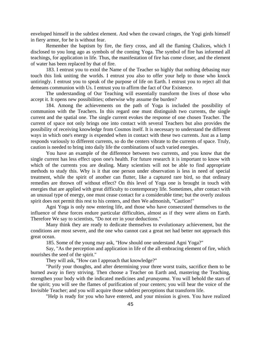enveloped himself in the subtlest element. And when the coward cringes, the Yogi girds himself in fiery armor, for he is without fear.

Remember the baptism by fire, the fiery cross, and all the flaming Chalices, which I disclosed to you long ago as symbols of the coming Yoga. The symbol of fire has informed all teachings, for application in life. Thus, the manifestation of fire has come closer, and the element of water has been replaced by that of fire.

183. I entrust you to extol the Name of the Teacher so highly that nothing debasing may touch this link uniting the worlds. I entrust you also to offer your help to those who knock untiringly. I entrust you to speak of the purpose of life on Earth. I entrust you to reject all that demeans communion with Us. I entrust you to affirm the fact of Our Existence.

The understanding of Our Teaching will essentially transform the lives of those who accept it. It opens new possibilities; otherwise why assume the burden?

184. Among the achievements on the path of Yoga is included the possibility of communion with the Teachers. In this regard one must distinguish two currents, the single current and the spatial one. The single current evokes the response of one chosen Teacher. The current of space not only brings one into contact with several Teachers but also provides the possibility of receiving knowledge from Cosmos itself. It is necessary to understand the different ways in which one's energy is expended when in contact with these two currents. Just as a lamp responds variously to different currents, so do the centers vibrate to the currents of space. Truly, caution is needed to bring into daily life the combinations of such varied energies.

You have an example of the difference between two currents, and you know that the single current has less effect upon one's health. For future research it is important to know with which of the currents you are dealing. Many scientists will not be able to find appropriate methods to study this. Why is it that one person under observation is less in need of special treatment, while the spirit of another can flutter, like a captured rare bird, so that ordinary remedies are thrown off without effect? On this level of Yoga one is brought in touch with energies that are applied with great difficulty to contemporary life. Sometimes, after contact with an unusual type of energy, one must cease contact for a considerable time; but the overly zealous spirit does not permit this rest to his centers, and then We admonish, "Caution!"

Agni Yoga is only now entering life, and those who have consecrated themselves to the influence of these forces endure particular difficulties, almost as if they were aliens on Earth. Therefore We say to scientists, "Do not err in your deductions."

Many think they are ready to dedicate themselves to evolutionary achievement, but the conditions are most severe, and the one who cannot cast a great net had better not approach this great ocean.

185. Some of the young may ask, "How should one understand Agni Yoga?"

Say, "As the perception and application in life of the all-embracing element of fire, which nourishes the seed of the spirit."

They will ask, "How can I approach that knowledge?"

"Purify your thoughts, and after determining your three worst traits, sacrifice them to be burned away in fiery striving. Then choose a Teacher on Earth and, mastering the Teaching, strengthen your body with the indicated medicines and *pranayama*. You will behold the stars of the spirit; you will see the flames of purification of your centers; you will hear the voice of the Invisible Teacher; and you will acquire those subtlest perceptions that transform life.

"Help is ready for you who have entered, and your mission is given. You have realized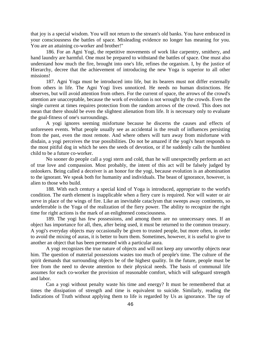that joy is a special wisdom. You will not return to the stream's old banks. You have embraced in your consciousness the battles of space. Misleading evidence no longer has meaning for you. You are an attaining co-worker and brother!"

186. For an Agni Yogi, the repetitive movements of work like carpentry, smithery, and hand laundry are harmful. One must be prepared to withstand the battles of space. One must also understand how much the fire, brought into one's life, refines the organism. I, by the justice of Hierarchy, decree that the achievement of introducing the new Yoga is superior to all other missions!

187. Agni Yoga must be introduced into life, but its bearers must not differ externally from others in life. The Agni Yogi lives unnoticed. He needs no human distinctions. He observes, but will avoid attention from others. For the current of space, the arrows of the crowd's attention are unacceptable, because the work of evolution is not wrought by the crowds. Even the single current at times requires protection from the random arrows of the crowd. This does not mean that there should be even the slightest alienation from life. It is necessary only to evaluate the goal-fitness of one's surroundings.

A yogi ignores seeming misfortune because he discerns the causes and effects of unforeseen events. What people usually see as accidental is the result of influences persisting from the past, even the most remote. And where others will turn away from misfortune with disdain, a yogi perceives the true possibilities. Do not be amazed if the yogi's heart responds to the most pitiful dog in which he sees the seeds of devotion, or if he suddenly calls the humblest child to be a future co-worker.

No sooner do people call a yogi stern and cold, than he will unexpectedly perform an act of true love and compassion. Most probably, the intent of this act will be falsely judged by onlookers. Being called a deceiver is an honor for the yogi, because evolution is an abomination to the ignorant. We speak both for humanity and individuals. The beast of ignorance, however, is alien to those who build.

188. With each century a special kind of Yoga is introduced, appropriate to the world's condition. The earth element is inapplicable when a fiery cure is required. Nor will water or air serve in place of the wings of fire. Like an inevitable cataclysm that sweeps away continents, so undeferrable is the Yoga of the realization of the fiery power. The ability to recognize the right time for right actions is the mark of an enlightened consciousness.

189. The yogi has few possessions, and among them are no unnecessary ones. If an object has importance for all, then, after being used, it must be returned to the common treasury. A yogi's everyday objects may occasionally be given to trusted people, but more often, in order to avoid the mixing of auras, it is better to burn them. Sometimes, however, it is useful to give to another an object that has been permeated with a particular aura.

A yogi recognizes the true nature of objects and will not keep any unworthy objects near him. The question of material possessions wastes too much of people's time. The culture of the spirit demands that surrounding objects be of the highest quality. In the future, people must be free from the need to devote attention to their physical needs. The basis of communal life assumes for each co-worker the provision of reasonable comfort, which will safeguard strength and labor.

Can a yogi without penalty waste his time and energy? It must be remembered that at times the dissipation of strength and time is equivalent to suicide. Similarly, reading the Indications of Truth without applying them to life is regarded by Us as ignorance. The ray of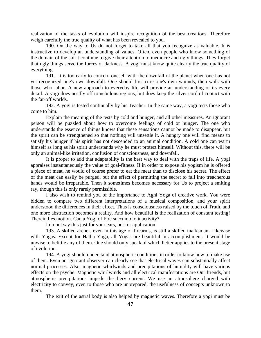realization of the tasks of evolution will inspire recognition of the best creations. Therefore weigh carefully the true quality of what has been revealed to you.

190. On the way to Us do not forget to take all that you recognize as valuable. It is instructive to develop an understanding of values. Often, even people who know something of the domain of the spirit continue to give their attention to mediocre and ugly things. They forget that ugly things serve the forces of darkness. A yogi must know quite clearly the true quality of everything.

191. It is too early to concern oneself with the downfall of the planet when one has not yet recognized one's own downfall. One should first cure one's own wounds, then walk with those who labor. A new approach to everyday life will provide an understanding of its every detail. A yogi does not fly off to nebulous regions, but does keep the silver cord of contact with the far-off worlds.

192. A yogi is tested continually by his Teacher. In the same way, a yogi tests those who come to him.

Explain the meaning of the tests by cold and hunger, and all other measures. An ignorant person will be puzzled about how to overcome feelings of cold or hunger. The one who understands the essence of things knows that these sensations cannot be made to disappear, but the spirit can be strengthened so that nothing will unsettle it. A hungry one will find means to satisfy his hunger if his spirit has not descended to an animal condition. A cold one can warm himself as long as his spirit understands why he must protect himself. Without this, there will be only an animal-like irritation, confusion of consciousness, and downfall.

It is proper to add that adaptability is the best way to deal with the traps of life. A yogi appraises instantaneously the value of goal-fitness. If in order to expose his yogism he is offered a piece of meat, he would of course prefer to eat the meat than to disclose his secret. The effect of the meat can easily be purged, but the effect of permitting the secret to fall into treacherous hands would be irreparable. Then it sometimes becomes necessary for Us to project a smiting ray, though this is only rarely permissible.

I also wish to remind you of the importance to Agni Yoga of creative work. You were bidden to compare two different interpretations of a musical composition, and your spirit understood the differences in their effect. Thus is consciousness raised by the touch of Truth, and one more abstraction becomes a reality. And how beautiful is the realization of constant testing! Therein lies motion. Can a Yogi of Fire succumb to inactivity?

I do not say this just for your ears, but for application.

193. A skilled archer, even in this age of firearms, is still a skilled marksman. Likewise with Yogas. Except for Hatha Yoga, all Yogas are beautiful in accomplishment. It would be unwise to belittle any of them. One should only speak of which better applies to the present stage of evolution.

194. A yogi should understand atmospheric conditions in order to know how to make use of them. Even an ignorant observer can clearly see that electrical waves can substantially affect normal processes. Also, magnetic whirlwinds and precipitations of humidity will have various effects on the psyche. Magnetic whirlwinds and all electrical manifestations are Our friends, but atmospheric precipitations impede the fiery current. We use an atmosphere charged with electricity to convey, even to those who are unprepared, the usefulness of concepts unknown to them.

The exit of the astral body is also helped by magnetic waves. Therefore a yogi must be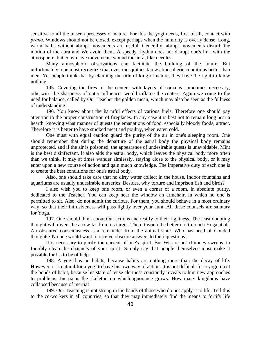sensitive to all the unseen processes of nature. For this the yogi needs, first of all, contact with *prana*. Windows should not be closed, except perhaps when the humidity is overly dense. Long, warm baths without abrupt movements are useful. Generally, abrupt movements disturb the motion of the aura and We avoid them. A speedy rhythm does not disrupt one's link with the atmosphere, but convulsive movements wound the aura, like needles.

Many atmospheric observations can facilitate the building of the future. But unfortunately, one must recognize that even mosquitoes know atmospheric conditions better than men. Yet people think that by claiming the title of king of nature, they have the right to know nothing.

195. Covering the fires of the centers with layers of soma is sometimes necessary, otherwise the sharpness of outer influences would inflame the centers. Again we come to the need for balance, called by Our Teacher the golden mean, which may also be seen as the fullness of understanding.

196. You know about the harmful effects of various fuels. Therefore one should pay attention to the proper construction of fireplaces. In any case it is best not to remain long near a hearth, knowing what manner of guests the emanations of food, especially bloody foods, attract. Therefore it is better to have smoked meat and poultry, when eaten cold.

One must with equal caution guard the purity of the air in one's sleeping room. One should remember that during the departure of the astral body the physical body remains unprotected, and if the air is poisoned, the appearance of undesirable guests is unavoidable. Mint is the best disinfectant. It also aids the astral body, which leaves the physical body more often than we think. It may at times wander aimlessly, staying close to the physical body, or it may enter upon a new course of action and gain much knowledge. The imperative duty of each one is to create the best conditions for one's astral body.

Also, one should take care that no dirty water collect in the house. Indoor fountains and aquariums are usually undesirable nurseries. Besides, why torture and imprison fish and birds?

I also wish you to keep one room, or even a corner of a room, in absolute purity, dedicated to the Teacher. You can keep near the window an armchair, in which no one is permitted to sit. Also, do not admit the curious. For them, you should behave in a most ordinary way, so that their intrusiveness will pass lightly over your aura. All these counsels are salutary for Yoga.

197. One should think about Our actions and testify to their rightness. The least doubting thought will divert the arrow far from its target. Then it would be better not to touch Yoga at all. An obscured consciousness is a remainder from the animal state. Who has need of clouded thoughts? No one would want to receive obscure answers to their questions!

It is necessary to purify the current of one's spirit. But We are not chimney sweeps, to forcibly clean the channels of your spirit! Simply say that people themselves must make it possible for Us to be of help.

198. A yogi has no habits, because habits are nothing more than the decay of life. However, it is natural for a yogi to have his own way of action. It is not difficult for a yogi to cut the bonds of habit, because his state of tense alertness constantly reveals to him new approaches to problems. Inertia is the skeleton on which ignorance grows. How many kingdoms have collapsed because of inertia!

199. Our Teaching is not strong in the hands of those who do not apply it to life. Tell this to the co-workers in all countries, so that they may immediately find the means to fortify life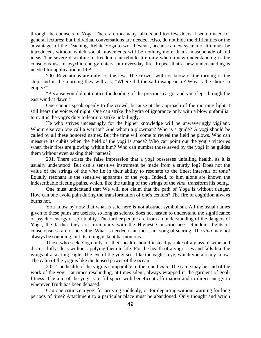through the counsels of Yoga. There are too many talkers and too few doers. I see no need for general lectures; but individual conversations are needed. Also, do not hide the difficulties or the advantages of the Teaching. Relate Yoga to world events, because a new system of life must be introduced, without which social movements will be nothing more than a masquerade of old ideas. The severe discipline of freedom can rebuild life only when a new understanding of the conscious use of psychic energy enters into everyday life. Repeat that a new understanding is needed for application in life!

200. Revelations are only for the few. The crowds will not know of the turning of the ship; and in the morning they will ask, "Where did the sail disappear to? Why is the shore so empty?"

"Because you did not notice the loading of the precious cargo, and you slept through the east wind at dawn."

One cannot speak openly to the crowd, because at the approach of the morning light it still hears the voices of night. One can strike the hydra of ignorance only with a blow unfamiliar to it. It is the yogi's duty to learn to strike unfailingly.

He who strives unceasingly for the higher knowledge will be unwaveringly vigilant. Whom else can one call a warrior? And whom a plowman? Who is a guide? A yogi should be called by all these honored names. But the time will come to reveal the field he plows. Who can measure its cubits when the field of the yogi is space? Who can point out the yogi's victories when their fires are glowing within him? Who can number those saved by the yogi if he guides them without even asking their names?

201. There exists the false impression that a yogi possesses unfailing health, as it is usually understood. But can a sensitive instrument be made from a sturdy log? Does not the value of the strings of the *vina* lie in their ability to resonate to the finest intervals of tone? Equally resonant is the sensitive apparatus of the yogi. Indeed, to him alone are known the indescribable fleeting pains, which, like the tuning of the strings of the *vina*, transform his being.

One must understand that We will not claim that the path of Yoga is without danger. How can one avoid pain during the transformation of one's centers? The fire of cognition always burns hot.

You know by now that what is said here is not abstract symbolism. All the usual names given to these pains are useless, so long as science does not hasten to understand the significance of psychic energy or spirituality. The farther people are from an understanding of the dangers of Yoga, the farther they are from unity with the Highest Consciousness. Random flights of consciousness are of no value. What is needed is an incessant song of soaring. The *vina* may not always be sounding, but its tuning is kept harmonious.

Those who seek Yoga only for their health should instead partake of a glass of wine and discuss lofty ideas without applying them to life. For the health of a yogi rises and falls like the wings of a soaring eagle. The eye of the yogi sees like the eagle's eye, which you already know. The calm of the yogi is like the tensed power of the ocean.

202. The health of the yogi is comparable to the tuned *vina*. The same may be said of the work of the yogi—at times resounding, at times silent, always wrapped in the garment of goalfitness. The aim of the yogi is to fill space with beneficent affirmation and to direct energy to wherever Truth has been debased.

Can one criticize a yogi for arriving suddenly, or for departing without warning for long periods of time? Attachment to a particular place must be abandoned. Only thought and action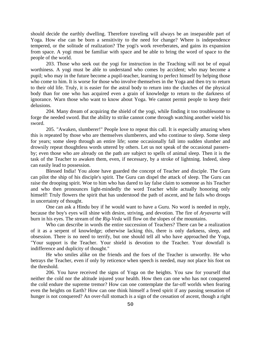should decide the earthly dwelling. Therefore traveling will always be an inseparable part of Yoga. How else can be born a sensitivity to the need for change? Where is independence tempered, or the solitude of realization? The yogi's work reverberates, and gains its expansion from space. A yogi must be familiar with space and be able to bring the word of space to the people of the world.

203. Those who seek out the yogi for instruction in the Teaching will not be of equal worthiness. A yogi must be able to understand who comes by accident; who may become a pupil; who may in the future become a pupil-teacher, learning to perfect himself by helping those who come to him. It is worse for those who involve themselves in the Yoga and then try to return to their old life. Truly, it is easier for the astral body to return into the clutches of the physical body than for one who has acquired even a grain of knowledge to return to the darkness of ignorance. Warn those who want to know about Yoga. We cannot permit people to keep their delusions.

204. Many dream of acquiring the shield of the yogi, while finding it too troublesome to forge the needed sword. But the ability to strike cannot come through watching another wield his sword.

205. "Awaken, slumberer!" People love to repeat this call. It is especially amazing when this is repeated by those who are themselves slumberers, and who continue to sleep. Some sleep for years; some sleep through an entire life; some occasionally fall into sudden slumber and drowsily repeat thoughtless words uttered by others. Let us not speak of the occasional passersby; even those who are already on the path are subject to spells of animal sleep. Then it is the task of the Teacher to awaken them, even, if necessary, by a stroke of lightning. Indeed, sleep can easily lead to possession.

Blessed India! You alone have guarded the concept of Teacher and disciple. The Guru can pilot the ship of his disciple's spirit. The Guru can dispel the attack of sleep. The Guru can raise the drooping spirit. Woe to him who has dared to lay false claim to someone as his Teacher and who then pronounces light-mindedly the word Teacher while actually honoring only himself! Truly flowers the spirit that has understood the path of ascent, and he fails who droops in uncertainty of thought.

One can ask a Hindu boy if he would want to have a Guru. No word is needed in reply, because the boy's eyes will shine with desire, striving, and devotion. The fire of *Aryavarta* will burn in his eyes. The stream of the *Rig-Veda* will flow on the slopes of the mountains.

Who can describe in words the entire succession of Teachers? There can be a realization of it as a serpent of knowledge; otherwise lacking this, there is only darkness, sleep, and obsession. There is no need to terrify, but one should tell all who have approached the Yoga, "Your support is the Teacher. Your shield is devotion to the Teacher. Your downfall is indifference and duplicity of thought."

He who smiles alike on the friends and the foes of the Teacher is unworthy. He who betrays the Teacher, even if only by reticence when speech is needed, may not place his foot on the threshold.

206. You have received the signs of Yoga on the heights. You saw for yourself that neither the cold nor the altitude injured your health. How then can one who has not conquered the cold endure the supreme tremor? How can one contemplate the far-off worlds when fearing even the heights on Earth? How can one think himself a freed spirit if any passing sensation of hunger is not conquered? An over-full stomach is a sign of the cessation of ascent, though a right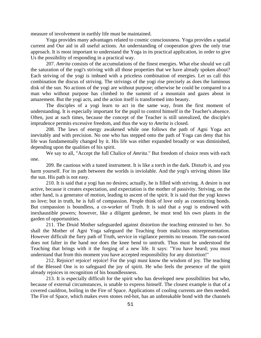measure of involvement in earthly life must be maintained.

Yoga provides many advantages related to cosmic consciousness. Yoga provides a spatial current and Our aid in all useful actions. An understanding of cooperation gives the only true approach. It is most important to understand the Yoga in its practical application, in order to give Us the possibility of responding in a practical way.

207. *Amrita* consists of the accumulations of the finest energies. What else should we call the saturation of the yogi's striving with all those properties that we have already spoken about? Each striving of the yogi is imbued with a priceless combination of energies. Let us call this combination the discus of striving. The strivings of the yogi rise precisely as does the luminous disk of the sun. No actions of the yogi are without purpose; otherwise he could be compared to a man who without purpose has climbed to the summit of a mountain and gazes about in amazement. But the yogi acts, and the action itself is transformed into beauty.

The disciples of a yogi learn to act in the same way, from the first moment of understanding. It is especially important for the pupil to control himself in the Teacher's absence. Often, just at such times, because the concept of the Teacher is still unrealized, the disciple's imprudence permits excessive freedom, and thus the way to *Amrita* is closed.

208. The laws of energy awakened while one follows the path of Agni Yoga act inevitably and with precision. No one who has stepped onto the path of Yoga can deny that his life was fundamentally changed by it. His life was either expanded broadly or was diminished, depending upon the qualities of his spirit.

We say to all, "Accept the full Chalice of *Amrita*." But freedom of choice rests with each one.

209. Be cautious with a tuned instrument. It is like a torch in the dark. Disturb it, and you harm yourself. For its path between the worlds is inviolable. And the yogi's striving shines like the sun. His path is not easy.

210. It is said that a yogi has no desires; actually, he is filled with striving. A desire is not active, because it creates expectation, and expectation is the mother of passivity. Striving, on the other hand, is a generator of motion, leading to ascent of the spirit. It is said that the yogi knows no love; but in truth, he is full of compassion. People think of love only as constricting bonds. But compassion is boundless, a co-worker of Truth. It is said that a yogi is endowed with inexhaustible powers; however, like a diligent gardener, he must tend his own plants in the garden of opportunities.

211. The Druid Mother safeguarded against distortion the teaching entrusted to her. So shall the Mother of Agni Yoga safeguard the Teaching from malicious misrepresentation. However difficult the fiery path of Truth, service in vigilance permits no treason. The sun-sword does not falter in the hand nor does the knee bend to untruth. Thus must be understood the Teaching that brings with it the forging of a new life. It says: "You have heard; you must understand that from this moment you have accepted responsibility for any distortion!"

212. Rejoice! rejoice! rejoice! For the yogi must know the wisdom of joy. The teaching of the Blessed One is to safeguard the joy of spirit. He who feels the presence of the spirit already rejoices in recognition of his boundlessness.

213. It is especially difficult for the spirit who has developed new possibilities but who, because of external circumstances, is unable to express himself. The closest example is that of a covered cauldron, boiling in the Fire of Space. Applications of cooling currents are then needed. The Fire of Space, which makes even stones red-hot, has an unbreakable bond with the channels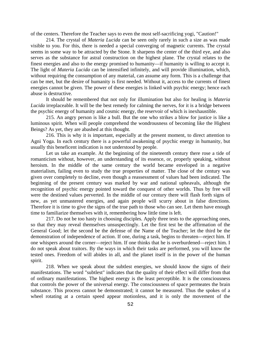of the centers. Therefore the Teacher says to even the most self-sacrificing yogi, "Caution!"

214. The crystal of *Materia Lucida* can be seen only rarely in such a size as was made visible to you. For this, there is needed a special converging of magnetic currents. The crystal seems in some way to be attracted by the Stone. It sharpens the center of the third eye, and also serves as the substance for astral construction on the highest plane. The crystal relates to the finest energies and also to the energy promised to humanity—if humanity is willing to accept it. The light of *Materia Lucida* can be intensified infinitely, and will provide illumination, which, without requiring the consumption of any material, can assume any form. This is a challenge that can be met, but the desire of humanity is first needed. Without it, access to the currents of finest energies cannot be given. The power of these energies is linked with psychic energy; hence each abuse is destructive.

It should be remembered that not only for illumination but also for healing is *Materia Lucida* irreplaceable. It will be the best remedy for calming the nerves, for it is a bridge between the psychic energy of humanity and cosmic energy, the reservoir of which is inexhaustible.

215. An angry person is like a bull. But the one who strikes a blow for justice is like a luminous spirit. When will people comprehend the wondrousness of becoming like the Highest Beings? As yet, they are abashed at this thought.

216. This is why it is important, especially at the present moment, to direct attention to Agni Yoga. In each century there is a powerful awakening of psychic energy in humanity, but usually this beneficent indication is not understood by people.

Let us take an example. At the beginning of the nineteenth century there rose a tide of romanticism without, however, an understanding of its essence, or, properly speaking, without heroism. In the middle of the same century the world became enveloped in a negative materialism, failing even to study the true properties of matter. The close of the century was given over completely to decline, even though a reassessment of values had been indicated. The beginning of the present century was marked by war and national upheavals, although the recognition of psychic energy pointed toward the conquest of other worlds. Thus by free will were the destined values perverted. In the middle of our century there will flash forth signs of new, as yet unmastered energies, and again people will scurry about in false directions. Therefore it is time to give the signs of the true path to those who can see. Let them have enough time to familiarize themselves with it, remembering how little time is left.

217. Do not be too hasty in choosing disciples. Apply three tests to the approaching ones, so that they may reveal themselves unsuspectingly. Let the first test be the affirmation of the General Good; let the second be the defense of the Name of the Teacher; let the third be the demonstration of independence of action. If one, during a task, begins to threaten—reject him. If one whispers around the corner—reject him. If one thinks that he is overburdened—reject him. I do not speak about traitors. By the ways in which their tasks are performed, you will know the tested ones. Freedom of will abides in all, and the planet itself is in the power of the human spirit.

218. When we speak about the subtlest energies, we should know the signs of their manifestations. The word "subtlest" indicates that the quality of their effect will differ from that of ordinary manifestations. The highest energy is the least perceptible. It is the consciousness that controls the power of the universal energy. The consciousness of space permeates the brain substance. This process cannot be demonstrated; it cannot be measured. Thus the spokes of a wheel rotating at a certain speed appear motionless, and it is only the movement of the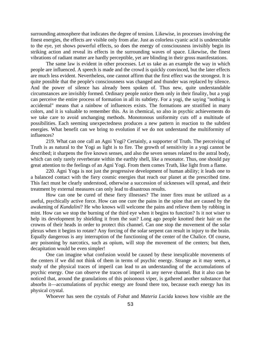surrounding atmosphere that indicates the degree of tension. Likewise, in processes involving the finest energies, the effects are visible only from afar. Just as colorless cyanic acid is undetectable to the eye, yet shows powerful effects, so does the energy of consciousness invisibly begin its striking action and reveal its effects in the surrounding waves of space. Likewise, the finest vibrations of radiant matter are hardly perceptible, yet are blinding in their gross manifestations.

The same law is evident in other processes. Let us take as an example the way in which people are influenced. A speech is made and the crowd is quickly convinced, but the later effects are much less evident. Nevertheless, one cannot affirm that the first effect was the strongest. It is quite possible that the people's consciousness was changed and thunder was replaced by silence. And the power of silence has already been spoken of. Thus new, quite understandable circumstances are invisibly formed. Ordinary people notice them only in their finality, but a yogi can perceive the entire process of formation in all its subtlety. For a yogi, the saying "nothing is accidental" means that a rainbow of influences exists. The formations are stratified in many colors, and it is valuable to remember this. As in chemical, so also in psychic achievements do we take care to avoid unchanging methods. Monotonous uniformity cuts off a multitude of possibilities. Each seeming unexpectedness produces a new pattern in reaction to the subtlest energies. What benefit can we bring to evolution if we do not understand the multiformity of influences?

219. What can one call an Agni Yogi? Certainly, a supporter of Truth. The perceiving of Truth is as natural to the Yogi as light is to fire. The growth of sensitivity in a yogi cannot be described; it sharpens the five known senses, and also the seven senses related to the astral body, which can only rarely reverberate within the earthly shell, like a resonator. Thus, one should pay great attention to the feelings of an Agni Yogi. From them comes Truth, like light from a flame.

220. Agni Yoga is not just the progressive development of human ability; it leads one to a balanced contact with the fiery cosmic energies that reach our planet at the prescribed time. This fact must be clearly understood, otherwise a succession of sicknesses will spread, and their treatment by external measures can only lead to disastrous results.

How can one be cured of these fiery illnesses? The inner fires must be utilized as a useful, psychically active force. How can one cure the pains in the spine that are caused by the awakening of *Kundalini*? He who knows will welcome the pains and relieve them by rubbing in mint. How can we stop the burning of the third eye when it begins to function? Is it not wiser to help its development by shielding it from the sun? Long ago people knotted their hair on the crowns of their heads in order to protect this channel. Can one stop the movement of the solar plexus when it begins to rotate? Any forcing of the solar serpent can result in injury to the brain. Equally dangerous is any interruption of the functioning of the center of the Chalice. Of course, any poisoning by narcotics, such as opium, will stop the movement of the centers; but then, decapitation would be even simpler!

One can imagine what confusion would be caused by these inexplicable movements of the centers if we did not think of them in terms of psychic energy. Strange as it may seem, a study of the physical traces of imperil can lead to an understanding of the accumulations of psychic energy. One can observe the traces of imperil in any nerve channel. But it also can be noticed that, around the granulations of this poisonous viper, is gathered another substance that absorbs it—accumulations of psychic energy are found there too, because each energy has its physical crystal.

Whoever has seen the crystals of *Fohat* and *Materia Lucida* knows how visible are the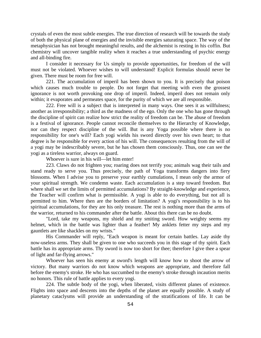crystals of even the most subtle energies. The true direction of research will be towards the study of both the physical plane of energies and the invisible energies saturating space. The way of the metaphysician has not brought meaningful results, and the alchemist is resting in his coffin. But chemistry will uncover tangible reality when it reaches a true understanding of psychic energy and all-binding fire.

I consider it necessary for Us simply to provide opportunities, for freedom of the will must not be violated. Whoever wishes to will understand! Explicit formulas should never be given. There must be room for free will.

221. The accumulation of imperil has been shown to you. It is precisely that poison which causes much trouble to people. Do not forget that meeting with even the grossest ignorance is not worth provoking one drop of imperil. Indeed, imperil does not remain only within; it evaporates and permeates space, for the purity of which we are all responsible.

222. Free will is a subject that is interpreted in many ways. One sees it as willfulness; another as irresponsibility; a third as the madness of the ego. Only the one who has gone through the discipline of spirit can realize how strict the reality of freedom can be. The abuse of freedom is a festival of ignorance. People cannot reconcile themselves to the Hierarchy of Knowledge, nor can they respect discipline of the will. But is any Yoga possible where there is no responsibility for one's will? Each yogi wields his sword directly over his own heart; to that degree is he responsible for every action of his will. The consequences resulting from the will of a yogi may be indescribably severe, but he has chosen them consciously. Thus, one can see the yogi as a tireless warrior, always on guard.

Whoever is sure in his will—let him enter!

223. Claws do not frighten you; roaring does not terrify you; animals wag their tails and stand ready to serve you. Thus precisely, the path of Yoga transforms dangers into fiery blossoms. When I advise you to preserve your earthly cumulations, I mean only the armor of your spiritual strength. We condemn waste. Each accumulation is a step toward freedom. But where shall we set the limits of permitted accumulations? By straight-knowledge and experience, the Teacher will confirm what is permissible. A yogi is able to do everything, but not all is permitted to him. Where then are the borders of limitation? A yogi's responsibility is to his spiritual accumulations, for they are his only treasure. The rest is nothing more than the arms of the warrior, returned to his commander after the battle. About this there can be no doubt.

"Lord, take my weapons, my shield and my smiting sword. How weighty seems my helmet, which in the battle was lighter than a feather! My anklets fetter my steps and my gauntlets are like shackles on my wrists."

His Commander will reply, "Each weapon is meant for certain battles. Lay aside thy now-useless arms. They shall be given to one who succeeds you in this stage of thy spirit. Each battle has its appropriate arms. Thy sword is now too short for thee; therefore I give thee a spear of light and far-flying arrows."

Whoever has seen his enemy at sword's length will know how to shoot the arrow of victory. But many warriors do not know which weapons are appropriate, and therefore fall before the enemy's stroke. He who has succumbed to the enemy's stroke through incaution merits no honors. This rule of battle applies to every yogi.

224. The subtle body of the yogi, when liberated, visits different planes of existence. Flights into space and descents into the depths of the planet are equally possible. A study of planetary cataclysms will provide an understanding of the stratifications of life. It can be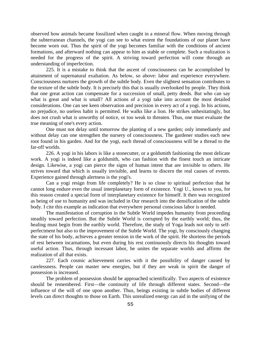observed how animals became fossilized when caught in a mineral flow. When moving through the subterranean channels, the yogi can see to what extent the foundations of our planet have become worn out. Thus the spirit of the yogi becomes familiar with the conditions of ancient formations, and afterward nothing can appear to him as stable or complete. Such a realization is needed for the progress of the spirit. A striving toward perfection will come through an understanding of imperfection.

225. It is a mistake to think that the ascent of consciousness can be accomplished by attainment of supernatural exaltation. As below, so above: labor and experience everywhere. Consciousness nurtures the growth of the subtle body. Even the slightest sensation contributes to the texture of the subtle body. It is precisely this that is usually overlooked by people. They think that one great action can compensate for a succession of small, petty deeds. But who can say what is great and what is small? All actions of a yogi take into account the most detailed considerations. One can see keen observation and precision in every act of a yogi. In his actions, no prejudice, no useless habit is permitted. He walks like a lion. He strikes unhesitatingly, but does not crush what is unworthy of notice, or too weak to threaten. Thus, one must evaluate the true meaning of one's every action.

One must not delay until tomorrow the planting of a new garden; only immediately and without delay can one strengthen the nursery of consciousness. The gardener studies each new root found in his garden. And for the yogi, each thread of consciousness will be a thread to the far-off worlds.

226. A yogi in his labors is like a stonecutter, or a goldsmith fashioning the most delicate work. A yogi is indeed like a goldsmith, who can fashion with the finest touch an intricate design. Likewise, a yogi can pierce the signs of human intent that are invisible to others. He strives toward that which is usually invisible, and learns to discern the real causes of events. Experience gained through alertness is the yogi's.

Can a yogi resign from life completely? He is so close to spiritual perfection that he cannot long endure even the usual interplanetary form of existence. Yogi U., known to you, for this reason created a special form of interplanetary existence for himself. It then was recognized as being of use to humanity and was included in Our research into the densification of the subtle body. I cite this example as indication that everywhere personal conscious labor is needed.

The manifestation of corruption in the Subtle World impedes humanity from proceeding steadily toward perfection. But the Subtle World is corrupted by the earthly world; thus, the healing must begin from the earthly world. Therefore, the study of Yoga leads not only to selfperfectment but also to the improvement of the Subtle World. The yogi, by consciously changing the state of his body, achieves a greater tension in the work of the spirit. He shortens the periods of rest between incarnations, but even during his rest continuously directs his thoughts toward useful action. Thus, through incessant labor, he unites the separate worlds and affirms the realization of all that exists.

227. Each cosmic achievement carries with it the possibility of danger caused by carelessness. People can master new energies, but if they are weak in spirit the danger of possession is increased.

The problem of possession should be approached scientifically. Two aspects of existence should be remembered. First—the continuity of life through different states. Second—the influence of the will of one upon another. Thus, beings existing in subtle bodies of different levels can direct thoughts to those on Earth. This unrealized energy can aid in the unifying of the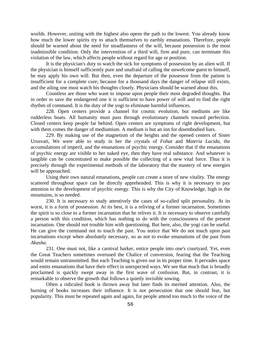worlds. However, uniting with the highest also opens the path to the lowest. You already know how much the lower spirits try to attach themselves to earthly emanations. Therefore, people should be warned about the need for steadfastness of the will, because possession is the most inadmissible condition. Only the intervention of a third will, firm and pure, can terminate this violation of the law, which affects people without regard for age or position.

It is the physician's duty to watch the sick for symptoms of possession by an alien will. If the physician is himself sufficiently pure and unafraid of calling the unwelcome guest to himself, he may apply his own will. But then, even the departure of the possessor from the patient is insufficient for a complete cure; because for a thousand days the danger of relapse still exists, and the ailing one must watch his thoughts closely. Physicians should be warned about this.

Countless are those who want to impose upon people their most degraded thoughts. But in order to save the endangered one it is sufficient to have power of will and to find the right rhythm of command. It is the duty of the yogi to eliminate harmful influences.

228. Open centers provide a channel for cosmic evolution, but mediums are like rudderless boats. All humanity must pass through evolutionary channels toward perfection. Closed centers keep people far behind. Open centers are symptoms of right development, but with them comes the danger of mediumism. A medium is but an inn for disembodied liars.

229. By making use of the magnetism of the heights and the opened centers of Sister Urusvati, We were able to study in her the crystals of *Fohat* and *Materia Lucida*, the accumulations of imperil, and the emanations of psychic energy. Consider that if the emanations of psychic energy are visible to her naked eye, then they have real substance. And whatever is tangible can be concentrated to make possible the collecting of a new vital force. Thus it is precisely through the experimental methods of the laboratory that the mastery of new energies will be approached.

Using their own natural emanations, people can create a store of new vitality. The energy scattered throughout space can be directly apprehended. This is why it is necessary to pay attention to the development of psychic energy. This is why the City of Knowledge, high in the mountains, is so needed.

230. It is necessary to study attentively the cases of so-called split personality. At its worst, it is a form of possession. At its best, it is a reliving of a former incarnation. Sometimes the spirit is so close to a former incarnation that he relives it. It is necessary to observe carefully a person with this condition, which has nothing to do with the consciousness of the present incarnation. One should not trouble him with questioning. But here, also, the yogi can be useful. He can give the command not to touch the past. You notice that We do not touch upon past incarnations except when absolutely necessary, so as not to evoke emanations of the past from *Akasha*.

231. One must not, like a carnival barker, entice people into one's courtyard. Yet, even the Great Teachers sometimes overused the Chalice of conversion, fearing that the Teaching would remain untransmitted. But each Teaching is given out in its proper time. It pervades space and emits emanations that have their effect in unexpected ways. We see that much that is broadly proclaimed is quickly swept away in the first wave of confusion. But, in contrast, it is remarkable to observe the growth that follows a quietly invisible sowing.

Often a ridiculed book is thrown away but later finds its merited attention. Also, the burning of books increases their influence. It is not persecution that one should fear, but popularity. This must be repeated again and again, for people attend too much to the voice of the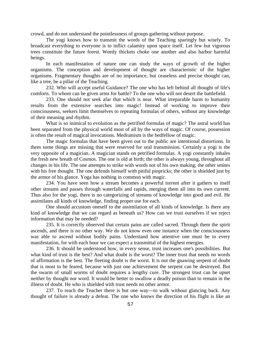crowd, and do not understand the pointlessness of groups gathering without purpose.

The yogi knows how to transmit the words of the Teaching sparingly but wisely. To broadcast everything to everyone is to inflict calamity upon space itself. Let few but vigorous trees constitute the future forest. Weedy thickets choke one another and also harbor harmful beings.

In each manifestation of nature one can study the ways of growth of the higher organisms. The conception and development of thought are characteristic of the higher organisms. Fragmentary thoughts are of no importance, but ceaseless and precise thought can, like a tree, be a pillar of the Teaching.

232. Who will accept useful Guidance? The one who has left behind all thought of life's comforts. To whom can be given arms for battle? To the one who will not desert the battlefield.

233. One should not seek afar that which is near. What irreparable harm to humanity results from the extensive searches into magic! Instead of working to improve their consciousness, seekers limit themselves to repeating formulas of others, without any knowledge of their meaning and rhythm.

What is so inimical to evolution as the petrified formulas of magic? The astral world has been separated from the physical world most of all by the ways of magic. Of course, possession is often the result of magical invocations. Mediumism is the bedfellow of magic.

The magic formulas that have been given out to the public are intentional distortions. In them some things are missing that were reserved for oral transmission. Certainly a yogi is the very opposite of a magician. A magician stands on petrified formulas. A yogi constantly inhales the fresh new breath of Cosmos. The one is old at birth; the other is always young, throughout all changes in his life. The one attempts to strike with words not of his own making; the other smites with his free thought. The one defends himself with pitiful pinpricks; the other is shielded just by the armor of his glance. Yoga has nothing in common with magic.

234. You have seen how a stream becomes a powerful torrent after it gathers to itself other streams and passes through waterfalls and rapids, merging them all into its own current. Thus also for the yogi, there is no categorizing of streams of knowledge into good and evil. He assimilates all kinds of knowledge, finding proper use for each.

One should accustom oneself to the assimilation of all kinds of knowledge. Is there any kind of knowledge that we can regard as beneath us? How can we trust ourselves if we reject information that may be needed?

235. It is correctly observed that certain pains are called sacred. Through them the spirit ascends, and there is no other way. We do not know even one instance when the consciousness was able to ascend without bodily pains. Understand how attentive one must be to every manifestation, for with each hour we can expect a transmittal of the highest energies.

236. It should be understood how, in every sense, trust increases one's possibilities. But what kind of trust is the best? And what doubt is the worst? The inner trust that needs no words of affirmation is the best. The fleeting doubt is the worst. It is not the gnawing serpent of doubt that is most to be feared, because with just one achievement the serpent can be destroyed. But the swarm of small worms of doubt requires a lengthy cure. The strongest trust can be upset neither by thought nor word. It would be better to swallow a deadly poison than to remain in the illness of doubt. He who is shielded with trust needs no other armor.

237. To reach the Teacher there is but one way—to walk without glancing back. Any thought of failure is already a defeat. The one who knows the direction of his flight is like an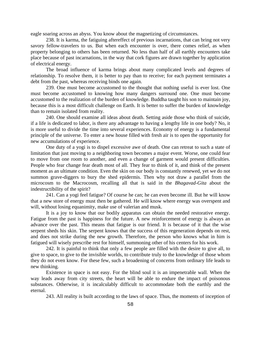eagle soaring across an abyss. You know about the magnetizing of circumstances.

238. It is karma, the fatiguing aftereffect of previous incarnations, that can bring not very savory fellow-travelers to us. But when each encounter is over, there comes relief, as when property belonging to others has been returned. No less than half of all earthly encounters take place because of past incarnations, in the way that cork figures are drawn together by application of electrical energy.

The broad influence of karma brings about many complicated levels and degrees of relationship. To resolve them, it is better to pay than to receive; for each payment terminates a debt from the past, whereas receiving binds one again.

239. One must become accustomed to the thought that nothing useful is ever lost. One must become accustomed to knowing how many dangers surround one. One must become accustomed to the realization of the burden of knowledge. Buddha taught his son to maintain joy, because this is a most difficult challenge on Earth. It is better to suffer the burden of knowledge than to remain isolated from reality.

240. One should examine all ideas about death. Setting aside those who think of suicide, if a life is dedicated to labor, is there any advantage to having a lengthy life in one body? No, it is more useful to divide the time into several experiences. Economy of energy is a fundamental principle of the universe. To enter a new house filled with fresh air is to open the opportunity for new accumulations of experience.

One duty of a yogi is to dispel excessive awe of death. One can retreat to such a state of limitation that just moving to a neighboring town becomes a major event. Worse, one could fear to move from one room to another, and even a change of garment would present difficulties. People who fear change fear death most of all. They fear to think of it, and think of the present moment as an ultimate condition. Even the skin on our body is constantly renewed, yet we do not summon grave-diggers to bury the shed epidermis. Then why not draw a parallel from the microcosm to the Macrocosm, recalling all that is said in the *Bhagavad-Gita* about the indestructibility of the spirit?

241. Can a yogi feel fatigue? Of course he can; he can even become ill. But he will know that a new store of energy must then be gathered. He will know where energy was overspent and will, without losing equanimity, make use of valerian and musk.

It is a joy to know that our bodily apparatus can obtain the needed restorative energy. Fatigue from the past is happiness for the future. A new reinforcement of energy is always an advance over the past. This means that fatigue is our friend. It is because of it that the wise serpent sheds his skin. The serpent knows that the success of this regeneration depends on rest, and does not strike during the new growth. Therefore, the person who knows what in him is fatigued will wisely prescribe rest for himself, summoning other of his centers for his work.

242. It is painful to think that only a few people are filled with the desire to give all, to give to space, to give to the invisible worlds, to contribute truly to the knowledge of those whom they do not even know. For these few, such a broadening of concerns from ordinary life leads to new thinking.

Existence in space is not easy. For the blind soul it is an impenetrable wall. When the way leads away from city streets, the heart will be able to endure the impact of poisonous substances. Otherwise, it is incalculably difficult to accommodate both the earthly and the eternal.

243. All reality is built according to the laws of space. Thus, the moments of inception of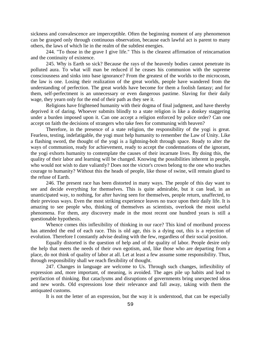sickness and convalescence are imperceptible. Often the beginning moment of any phenomenon can be grasped only through continuous observation, because each lawful act is parent to many others, the laws of which lie in the realm of the subtlest energies.

244. "To those in the grave I give life." This is the clearest affirmation of reincarnation and the continuity of existence.

245. Why is Earth so sick? Because the rays of the heavenly bodies cannot penetrate its polluted aura. To what will man be reduced if he ceases his communion with the supreme consciousness and sinks into base ignorance? From the greatest of the worlds to the microcosm, the law is one. Losing their realization of the great worlds, people have wandered from the understanding of perfection. The great worlds have become for them a foolish fantasy; and for them, self-perfectment is an unnecessary or even dangerous pastime. Slaving for their daily wage, they yearn only for the end of their path as they see it.

Religions have frightened humanity with their dogma of final judgment, and have thereby deprived it of daring. Whoever submits blindly to a state religion is like a donkey staggering under a burden imposed upon it. Can one accept a religion enforced by police order? Can one accept on faith the decisions of strangers who take fees for communing with heaven?

Therefore, in the presence of a state religion, the responsibility of the yogi is great. Fearless, testing, indefatigable, the yogi must help humanity to remember the Law of Unity. Like a flashing sword, the thought of the yogi is a lightning-bolt through space. Ready to alter the ways of communion, ready for achievement, ready to accept the condemnations of the ignorant, the yogi exhorts humanity to contemplate the causes of their incarnate lives. By doing this, the quality of their labor and learning will be changed. Knowing the possibilities inherent in people, who would not wish to dare valiantly? Does not the victor's crown belong to the one who teaches courage to humanity? Without this the heads of people, like those of swine, will remain glued to the refuse of Earth.

246. The present race has been distorted in many ways. The people of this day want to see and decide everything for themselves. This is quite admirable, but it can lead, in an unanticipated way, to nothing, for after having seen for themselves, people return, unaffected, to their previous ways. Even the most striking experience leaves no trace upon their daily life. It is amazing to see people who, thinking of themselves as scientists, overlook the most useful phenomena. For them, any discovery made in the most recent one hundred years is still a questionable hypothesis.

Whence comes this inflexibility of thinking in our race? This kind of moribund process has attended the end of each race. This is old age, this is a dying out, this is a rejection of evolution. Therefore I constantly advise dealing with the few, regardless of their social position.

Equally distorted is the question of help and of the quality of labor. People desire only the help that meets the needs of their own egotism, and, like those who are departing from a place, do not think of quality of labor at all. Let at least a few assume some responsibility. Thus, through responsibility shall we reach flexibility of thought.

247. Changes in language are welcome to Us. Through such changes, inflexibility of expression and, more important, of meaning, is avoided. The ages pile up habits and lead to petrifaction of thinking. But cataclysms and disruptions of governments bring unexpected ideas and new words. Old expressions lose their relevance and fall away, taking with them the antiquated customs.

It is not the letter of an expression, but the way it is understood, that can be especially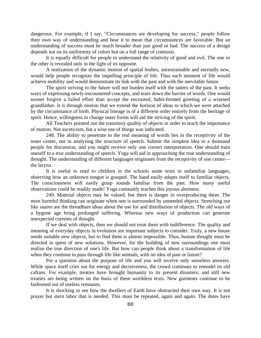dangerous. For example, if I say, "Circumstances are developing for success," people follow their own way of understanding and hear it to mean that circumstances are favorable. But an understanding of success must be much broader than just good or bad. The success of a design depends not on its uniformity of colors but on a full range of contrasts.

It is equally difficult for people to understand the relativity of good and evil. The one or the other is revealed only in the light of its opposite.

A realization of the dynamic motion of spatial bodies, unrestrainable and eternally new, would help people recognize the impelling principle of life. Thus each moment of life would achieve mobility and would demonstrate its link with the past and with the inevitable future.

The spirit striving to the future will not burden itself with the tatters of the past. It seeks ways of expressing newly-encountered concepts, and tears down the barrier of words. One would sooner forgive a failed effort than accept the encrusted, habit-formed greeting of a wizened grandfather. It is through motion that we extend the horizon of ideas to which we were attached by the circumstance of birth. Physical lineage is of a different order entirely from the heritage of spirit. Hence, willingness to change outer forms will aid the striving of the spirit.

All Teachers pointed out the transitory quality of objects in order to teach the importance of motion. Not asceticism, but a wise use of things was indicated.

248. The ability to penetrate to the real meaning of words lies in the receptivity of the inner center, not in analyzing the structure of speech. Submit the simplest idea to a thousand people for discussion, and you might receive only one correct interpretation. One should train oneself to a true understanding of speech. Yoga will aid in approaching the true understanding of thought. The understanding of different languages originates from the receptivity of one center the larynx.

It is useful to read to children in the schools some texts in unfamiliar languages, observing how an unknown tongue is grasped. The hand easily adapts itself to familiar objects. The consciousness will easily grasp sounds familiar from the past. How many useful observations could be readily made! Yoga constantly teaches this joyous alertness.

249. Material objects may be valued, but there is danger in overproducing them. The most harmful thinking can originate when one is surrounded by unneeded objects. Stretching out like snares are the threadbare ideas about the use for and distribution of objects. The old ways of a bygone age bring prolonged suffering. Whereas new ways of production can generate unexpected currents of thought.

If we deal with objects, then we should not treat them with indifference. The quality and meaning of everyday objects in evolution are important subjects to consider. Truly, a new house needs suitable new objects, but to find them is almost impossible. Thus, human thought must be directed in quest of new solutions. However, for the building of new surroundings one must realize the true direction of one's life. But how can people think about a transformation of life when they continue to pass through life like animals, with no idea of past or future?

Put a question about the purpose of life and you will receive only senseless answers. While space itself cries out for energy and decisiveness, the crowd continues to remodel its old caftans. For example, treaties have brought humanity to its present disasters; and still new treaties are being written on the basis of these worthless texts. New garments continue to be fashioned out of useless remnants.

It is shocking to see how the dwellers of Earth have obstructed their own way. It is not prayer but stern labor that is needed. This must be repeated, again and again. The dates have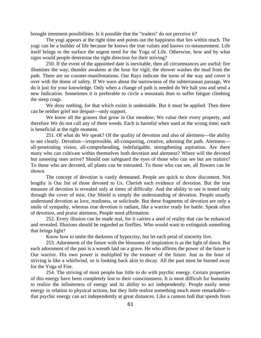brought imminent possibilities. Is it possible that the "traders" do not perceive it?

The yogi appears at the right time and points out the happiness that lies within reach. The yogi can be a builder of life because he knows the true values and knows co-measurement. Life itself brings to the surface the urgent need for the Yoga of Life. Otherwise, how and by what signs would people determine the right direction for their striving?

250. If the event of the appointed date is inevitable, then all circumstances are useful: fire illumines the way; thunder awakens at the hour for vigil; the shower washes the mud from the path. There are no counter-manifestations. Our Rays indicate the turns of the way and cover it over with the dome of safety. If We warn about the narrowness of the subterranean passage, We do it just for your knowledge. Only when a change of path is needed do We halt you and send a new Indication. Sometimes it is preferable to circle a mountain than to suffer fatigue climbing the steep crags.

We deny nothing, for that which exists is undeniable. But it must be applied. Then there can be neither grief nor despair—only support.

We know all the grasses that grow in Our meadow; We value their every property, and therefore We do not call any of them weeds. Each is harmful when used at the wrong time; each is beneficial at the right moment.

251. Of what do We speak? Of the quality of devotion and also of alertness—the ability to see clearly. Devotion—irrepressible, all-conquering, creative, adorning the path. Alertness all-penetrating vision, all-comprehending, indefatigable, strengthening aspiration. Are there many who can cultivate within themselves both devotion and alertness? Where will the devoted but unseeing ones arrive? Should one safeguard the eyes of those who can see but are traitors? To those who are devoted, all plants can be entrusted. To those who can see, all flowers can be shown.

The concept of devotion is vastly demeaned. People are quick to show discontent. Not lengthy is Our list of those devoted to Us. Cherish each evidence of devotion. But the true measure of devotion is revealed only at times of difficulty. And the ability to see is tested only through the cover of mist. Our Shield is simply the understanding of devotion. People usually understand devotion as love, readiness, or solicitude. But these fragments of devotion are only a smile of sympathy, whereas true devotion is radiant, like a warrior ready for battle. Speak often of devotion, and praise alertness. People need affirmation.

252. Every illusion can be made real, for it carries a seed of reality that can be enhanced and revealed. Illusions should be regarded as fireflies. Who would want to extinguish something that brings light?

Know how to smite the darkness of hypocrisy, but let each petal of sincerity live.

253. Adornment of the future with the blossoms of inspiration is as the light of dawn. But each adornment of the past is a wreath laid on a grave. He who affirms the power of the future is Our warrior. His own power is multiplied by the treasure of the future. Just as the hour of striving is like a whirlwind, so is looking back akin to decay. All the past must be burned away for the Yoga of Fire.

254. The striving of most people has little to do with psychic energy. Certain properties of this energy have been completely lost to their consciousness. It is most difficult for humanity to realize the infiniteness of energy and its ability to act independently. People easily sense energy in relation to physical actions, but they little realize something much more remarkable that psychic energy can act independently at great distances. Like a cannon ball that speeds from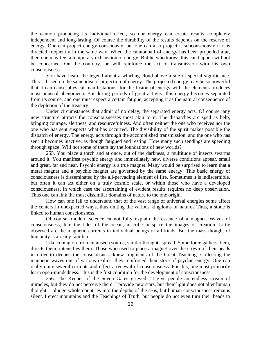the cannon producing its individual effect, so our energy can create results completely independent and long-lasting. Of course the durability of the results depends on the reserve of energy. One can project energy consciously, but one can also project it subconsciously if it is directed frequently in the same way. When the cannonball of energy has been propelled afar, then one may feel a temporary exhaustion of energy. But he who knows this can happen will not be concerned. On the contrary, he will reinforce the act of transmission with his own consciousness.

You have heard the legend about a whirling cloud above a site of special significance. This is based on the same idea of projection of energy. The projected energy may be so powerful that it can cause physical manifestations, for the fusion of energy with the elements produces most unusual phenomena. But during periods of great activity, this energy becomes separated from its source, and one must expect a certain fatigue, accepting it as the natural consequence of the depletion of the treasury.

Under circumstances that admit of no delay, the separated energy acts. Of course, any new structure attracts the consciousnesses most akin to it. The dispatches are sped as help, bringing courage, alertness, and resourcefulness. And often neither the one who receives nor the one who has sent suspects what has occurred. The divisibility of the spirit makes possible the dispatch of energy. The energy acts through the accomplished transmission, and the one who has sent it becomes inactive, as though fatigued and resting. How many such sendings are speeding through space! Will not some of them lay the foundations of new worlds?

255. You place a torch and at once, out of the darkness, a multitude of insects swarms around it. You manifest psychic energy and immediately new, diverse conditions appear, small and great, far and near. Psychic energy is a true magnet. Many would be surprised to learn that a metal magnet and a psychic magnet are governed by the same energy. This basic energy of consciousness is disseminated by the all-pervading element of fire. Sometimes it is indiscernible, but often it can act either on a truly cosmic scale, or within those who have a developed consciousness, in which case the ascertaining of evident results requires no deep observation. Thus one can link the most dissimilar domains of nature to the one origin.

How can one fail to understand that of the vast range of universal energies some affect the centers in unexpected ways, thus uniting the various kingdoms of nature? Thus, a stone is linked to human consciousness.

Of course, modern science cannot fully explain the essence of a magnet. Waves of consciousness, like the tides of the ocean, inscribe in space the images of creation. Little observed are the magnetic currents in individual beings of all kinds. But the mass thought of humanity is already familiar.

Like contagion from an unseen source, similar thoughts spread. Some force gathers them, directs them, intensifies them. Those who used to place a magnet over the crown of their heads in order to deepen the consciousness knew fragments of the Great Teaching. Collecting the magnetic waves out of various realms, they reinforced their store of psychic energy. One can really unite several currents and effect a renewal of consciousness. For this, one must primarily learn open-mindedness. This is the first condition for the development of consciousness.

256. The Keeper of the Seven Gates grieved: "I give people an endless stream of miracles, but they do not perceive them. I provide new stars, but their light does not alter human thought. I plunge whole countries into the depths of the seas, but human consciousness remains silent. I erect mountains and the Teachings of Truth, but people do not even turn their heads to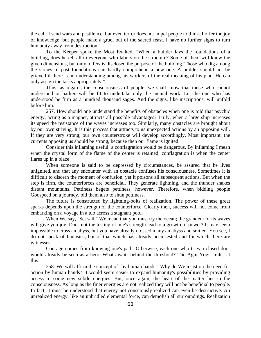the call. I send wars and pestilence, but even terror does not impel people to think. I offer the joy of knowledge, but people make a gruel out of the sacred feast. I have no further signs to turn humanity away from destruction."

To the Keeper spoke the Most Exalted: "When a builder lays the foundations of a building, does he tell all to everyone who labors on the structure? Some of them will know the given dimensions, but only to few is disclosed the purpose of the building. Those who dig among the stones of past foundations can hardly comprehend a new one. A builder should not be grieved if there is no understanding among his workers of the real meaning of his plan. He can only assign the tasks appropriately."

Thus, as regards the consciousness of people, we shall know that those who cannot understand or harken will be fit to undertake only the menial work. Let the one who has understood be firm as a hundred thousand sages. And the signs, like inscriptions, will unfold before him.

257. How should one understand the benefits of obstacles when one is told that psychic energy, acting as a magnet, attracts all possible advantages? Truly, when a large ship increases its speed the resistance of the waves increases too. Similarly, many obstacles are brought about by our own striving. It is this process that attracts to us unexpected actions by an opposing will. If they are very strong, our own counterstroke will develop accordingly. Most important, the currents opposing us should be strong, because then our flame is ignited.

Consider this inflaming useful; a conflagration would be dangerous. By inflaming I mean when the crystal form of the flame of the center is retained; conflagration is when the center flares up in a blaze.

When someone is said to be depressed by circumstances, be assured that he lives unignited, and that any encounter with an obstacle confuses his consciousness. Sometimes it is difficult to discern the moment of confusion, yet it poisons all subsequent actions. But when the step is firm, the counterforces are beneficial. They generate lightning, and the thunder shakes distant mountains. Pettiness begets pettiness, however. Therefore, when bidding people Godspeed on a journey, bid them also to shun pettiness.

The future is constructed by lightning-bolts of realization. The power of these great sparks depends upon the strength of the counterforce. Clearly then, success will not come from embarking on a voyage in a tub across a stagnant pool.

When We say, "Set sail," We mean that you must try the ocean; the grandeur of its waves will give you joy. Does not the testing of one's strength lead to a growth of power? It may seem impossible to cross an abyss, but you have already crossed many an abyss and smiled. You see, I do not speak of fantasies, but of that which has already been tested and for which there are witnesses.

Courage comes from knowing one's path. Otherwise, each one who tries a closed door would already be seen as a hero. What awaits behind the threshold? The Agni Yogi smiles at this.

258. We will affirm the concept of "by human hands." Why do We insist on the need for action by human hands? It would seem easier to expand humanity's possibilities by providing access to some new subtle energies. But, once again, the heart of the matter lies in the consciousness. As long as the finer energies are not realized they will not be beneficial to people. In fact, it must be understood that energy not consciously realized can even be destructive. An unrealized energy, like an unbridled elemental force, can demolish all surroundings. Realization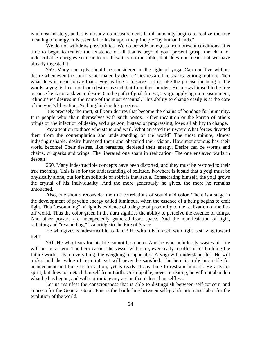is almost mastery, and it is already co-measurement. Until humanity begins to realize the true meaning of energy, it is essential to insist upon the principle "by human hands."

We do not withdraw possibilities. We do provide an egress from present conditions. It is time to begin to realize the existence of all that is beyond your present grasp, the chain of indescribable energies so near to us. If salt is on the table, that does not mean that we have already ingested it.

259. Many concepts should be considered in the light of yoga. Can one live without desire when even the spirit is incarnated by desire? Desires are like sparks igniting motion. Then what does it mean to say that a yogi is free of desire? Let us take the precise meaning of the words: a yogi is free, not from desires as such but from their burden. He knows himself to be free because he is not a slave to desire. On the path of goal-fitness, a yogi, applying co-measurement, relinquishes desires in the name of the most essential. This ability to change easily is at the core of the yogi's liberation. Nothing hinders his progress.

It is precisely the inert, stillborn desires that become the chains of bondage for humanity. It is people who chain themselves with such bonds. Either incaution or the karma of others brings on the infection of desire, and a person, instead of progressing, loses all ability to change.

Pay attention to those who stand and wail. What arrested their way? What forces diverted them from the contemplation and understanding of the world? The most minute, almost indistinguishable, desire burdened them and obscured their vision. How monotonous has their world become! Their desires, like parasites, depleted their energy. Desire can be worms and chains, or sparks and wings. The liberated one soars in realization. The one enslaved wails in despair.

260. Many indestructible concepts have been distorted, and they must be restored to their true meaning. This is so for the understanding of solitude. Nowhere is it said that a yogi must be physically alone, but for him solitude of spirit is inevitable. Consecrating himself, the yogi grows the crystal of his individuality. And the more generously he gives, the more he remains untouched.

Also, one should reconsider the true correlations of sound and color. There is a stage in the development of psychic energy called luminous, when the essence of a being begins to emit light. This "resounding" of light is evidence of a degree of proximity to the realization of the faroff world. Thus the color green in the aura signifies the ability to perceive the essence of things. And other powers are unexpectedly gathered from space. And the manifestation of light, radiating and "resounding," is a bridge to the Fire of Space.

He who gives is indestructible as flame! He who fills himself with light is striving toward light!

261. He who fears for his life cannot be a hero. And he who pointlessly wastes his life will not be a hero. The hero carries the vessel with care, ever ready to offer it for building the future world—as in everything, the weighing of opposites. A yogi will understand this. He will understand the value of restraint, yet will never be satisfied. The hero is truly insatiable for achievement and hungers for action, yet is ready at any time to restrain himself. He acts for spirit, but does not detach himself from Earth. Unstoppable, never retreating, he will not abandon what he has begun, and will not initiate any action that is less than selfless.

Let us manifest the consciousness that is able to distinguish between self-concern and concern for the General Good. Fine is the borderline between self-gratification and labor for the evolution of the world.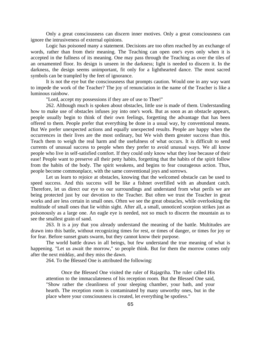Only a great consciousness can discern inner motives. Only a great consciousness can ignore the intrusiveness of external opinions.

Logic has poisoned many a statement. Decisions are too often reached by an exchange of words, rather than from their meaning. The Teaching can open one's eyes only when it is accepted in the fullness of its meaning. One may pass through the Teaching as over the tiles of an ornamented floor. Its design is unseen in the darkness; light is needed to discern it. In the darkness, the design seems unimportant, fit only for a lighthearted dance. The most sacred symbols can be trampled by the feet of ignorance.

It is not the eye but the consciousness that prompts caution. Would one in any way want to impede the work of the Teacher? The joy of renunciation in the name of the Teacher is like a luminous rainbow.

"Lord, accept my possessions if they are of use to Thee!"

262. Although much is spoken about obstacles, little use is made of them. Understanding how to make use of obstacles infuses joy into one's work. But as soon as an obstacle appears, people usually begin to think of their own feelings, forgetting the advantage that has been offered to them. People prefer that everything be done in a usual way, by conventional means. But We prefer unexpected actions and equally unexpected results. People are happy when the occurrences in their lives are the most ordinary, but We wish them greater success than this. Teach them to weigh the real harm and the usefulness of what occurs. It is difficult to send currents of unusual success to people when they prefer to avoid unusual ways. We all know people who live in self-satisfied comfort. If they could only know what they lose because of their ease! People want to preserve all their petty habits, forgetting that the habits of the spirit follow from the habits of the body. The spirit weakens, and begins to fear courageous action. Thus, people become commonplace, with the same conventional joys and sorrows.

Let us learn to rejoice at obstacles, knowing that the welcomed obstacle can be used to speed success. And this success will be like a fishnet overfilled with an abundant catch. Therefore, let us direct our eye to our surroundings and understand from what perils we are being protected just by our devotion to the Teacher. But often we trust the Teacher in great works and are less certain in small ones. Often we see the great obstacles, while overlooking the multitude of small ones that lie within sight. After all, a small, unnoticed scorpion strikes just as poisonously as a large one. An eagle eye is needed, not so much to discern the mountain as to see the smallest grain of sand.

263. It is a joy that you already understand the meaning of the battle. Multitudes are drawn into this battle, without recognizing times for rest, or times of danger, or times for joy or for fear. Before sunset gnats swarm, but they cannot know their purpose.

The world battle draws in all beings, but few understand the true meaning of what is happening. "Let us await the morrow," so people think. But for them the morrow comes only after the next midday, and they miss the dawn.

264. To the Blessed One is attributed the following:

Once the Blessed One visited the ruler of Rajagriha. The ruler called His attention to the immaculateness of his reception room. But the Blessed One said, "Show rather the cleanliness of your sleeping chamber, your bath, and your hearth. The reception room is contaminated by many unworthy ones, but in the place where your consciousness is created, let everything be spotless."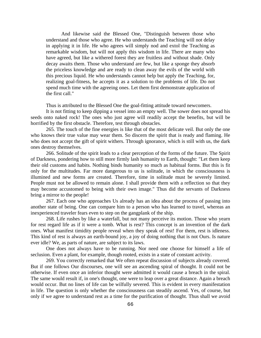And likewise said the Blessed One, "Distinguish between those who understand and those who agree. He who understands the Teaching will not delay in applying it in life. He who agrees will simply nod and extol the Teaching as remarkable wisdom, but will not apply this wisdom in life. There are many who have agreed, but like a withered forest they are fruitless and without shade. Only decay awaits them. Those who understand are few, but like a sponge they absorb the priceless knowledge and are ready to clean away the evils of the world with this precious liquid. He who understands cannot help but apply the Teaching, for, realizing goal-fitness, he accepts it as a solution to the problems of life. Do not spend much time with the agreeing ones. Let them first demonstrate application of the first call."

Thus is attributed to the Blessed One the goal-fitting attitude toward newcomers.

It is not fitting to keep dipping a vessel into an empty well. The sower does not spread his seeds onto naked rock! The ones who just agree will readily accept the benefits, but will be horrified by the first obstacle. Therefore, test through obstacles.

265. The touch of the fine energies is like that of the most delicate veil. But only the one who knows their true value may wear them. So discern the spirit that is ready and flaming. He who does not accept the gift of spirit withers. Through ignorance, which is still with us, the dark ones destroy themselves.

266. Solitude of the spirit leads to a clear perception of the forms of the future. The Spirit of Darkness, pondering how to still more firmly lash humanity to Earth, thought: "Let them keep their old customs and habits. Nothing binds humanity so much as habitual forms. But this is fit only for the multitudes. Far more dangerous to us is solitude, in which the consciousness is illumined and new forms are created. Therefore, time in solitude must be severely limited. People must not be allowed to remain alone. I shall provide them with a reflection so that they may become accustomed to being with their own image." Thus did the servants of Darkness bring a mirror to the people!

267. Each one who approaches Us already has an idea about the process of passing into another state of being. One can compare him to a person who has learned to travel, whereas an inexperienced traveler fears even to step on the gangplank of the ship.

268. Life rushes by like a waterfall, but not many perceive its motion. Those who yearn for rest regard life as if it were a tomb. What is rest? This concept is an invention of the dark ones. What manifest timidity people reveal when they speak of rest! For them, rest is idleness. This kind of rest is always an earth-bound joy, a joy of doing nothing that is not Ours. Is nature ever idle? We, as parts of nature, are subject to its laws.

One does not always have to be running. Nor need one choose for himself a life of seclusion. Even a plant, for example, though rooted, exists in a state of constant activity.

269. You correctly remarked that We often repeat discussion of subjects already covered. But if one follows Our discourses, one will see an ascending spiral of thought. It could not be otherwise. If even once an inferior thought were admitted it would cause a breach in the spiral. The same would result if, in one's thought, one were to leap over a great distance. Again a breach would occur. But no lines of life can be wilfully severed. This is evident in every manifestation in life. The question is only whether the consciousness can steadily ascend. Yes, of course, but only if we agree to understand rest as a time for the purification of thought. Thus shall we avoid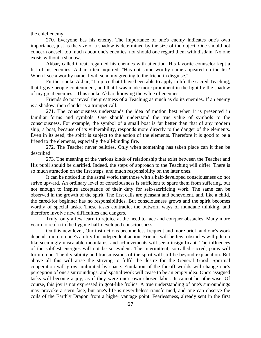the chief enemy.

270. Everyone has his enemy. The importance of one's enemy indicates one's own importance, just as the size of a shadow is determined by the size of the object. One should not concern oneself too much about one's enemies, nor should one regard them with disdain. No one exists without a shadow.

Akbar, called Great, regarded his enemies with attention. His favorite counselor kept a list of his enemies. Akbar often inquired, "Has not some worthy name appeared on the list? When I see a worthy name, I will send my greeting to the friend in disguise."

Further spoke Akbar, "I rejoice that I have been able to apply in life the sacred Teaching, that I gave people contentment, and that I was made more prominent in the light by the shadow of my great enemies." Thus spoke Akbar, knowing the value of enemies.

Friends do not reveal the greatness of a Teaching as much as do its enemies. If an enemy is a shadow, then slander is a trumpet call.

271. The consciousness understands the idea of motion best when it is presented in familiar forms and symbols. One should understand the true value of symbols to the consciousness. For example, the symbol of a small boat is far better than that of any modern ship; a boat, because of its vulnerability, responds more directly to the danger of the elements. Even in its seed, the spirit is subject to the action of the elements. Therefore it is good to be a friend to the elements, especially the all-binding fire.

272. The Teacher never belittles. Only when something has taken place can it then be described.

273. The meaning of the various kinds of relationship that exist between the Teacher and His pupil should be clarified. Indeed, the steps of approach to the Teaching will differ. There is so much attraction on the first steps, and much responsibility on the later ones.

It can be noticed in the astral world that those with a half-developed consciousness do not strive upward. An ordinary level of consciousness is sufficient to spare them from suffering, but not enough to inspire acceptance of their duty for self-sacrificing work. The same can be observed in the growth of the spirit. The first calls are pleasant and benevolent, and, like a child, the cared-for beginner has no responsibilities. But consciousness grows and the spirit becomes worthy of special tasks. These tasks contradict the outworn ways of mundane thinking, and therefore involve new difficulties and dangers.

Truly, only a few learn to rejoice at the need to face and conquer obstacles. Many more yearn to return to the bygone half-developed consciousness.

On this new level, Our instructions become less frequent and more brief, and one's work depends more on one's ability for independent action. Friends will be few, obstacles will pile up like seemingly unscalable mountains, and achievements will seem insignificant. The influences of the subtlest energies will not be so evident. The intermittent, so-called sacred, pains will torture one. The divisibility and transmissions of the spirit will still be beyond explanation. But above all this will arise the striving to fulfil the desire for the General Good. Spiritual cooperation will grow, unlimited by space. Emulation of the far-off worlds will change one's perception of one's surroundings, and spatial work will cease to be an empty idea. One's assigned tasks will become a joy, as if they were one's own chosen labor. It cannot be otherwise. Of course, this joy is not expressed in goat-like frolics. A true understanding of one's surroundings may provoke a stern face, but one's life is nevertheless transformed, and one can observe the coils of the Earthly Dragon from a higher vantage point. Fearlessness, already sent in the first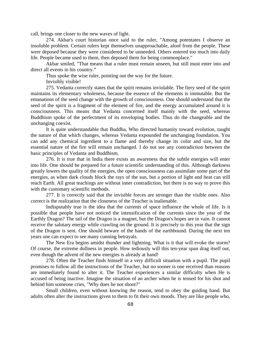call, brings one closer to the new waves of light.

274. Akbar's court historian once said to the ruler, "Among potentates I observe an insoluble problem. Certain rulers kept themselves unapproachable, aloof from the people. These were deposed because they were considered to be unneeded. Others entered too much into daily life. People became used to them, then deposed them for being commonplace."

Akbar smiled, "That means that a ruler must remain unseen, but still must enter into and direct all events in his country."

Thus spoke the wise ruler, pointing out the way for the future.

Invisibly visible!

275. Vedanta correctly states that the spirit remains inviolable. The fiery seed of the spirit maintains its elementary wholeness, because the essence of the elements is immutable. But the emanations of the seed change with the growth of consciousness. One should understand that the seed of the spirit is a fragment of the element of fire, and the energy accumulated around it is consciousness. This means that Vedanta concerned itself mainly with the seed, whereas Buddhism spoke of the perfectment of its enveloping bodies. Thus do the changeable and the unchanging coexist.

It is quite understandable that Buddha, Who directed humanity toward evolution, taught the nature of that which changes, whereas Vedanta expounded the unchanging foundation. You can add any chemical ingredient to a flame and thereby change its color and size, but the essential nature of the fire will remain unchanged. I do not see any contradiction between the basic principles of Vedanta and Buddhism.

276. It is true that in India there exists an awareness that the subtle energies will enter into life. One should be prepared for a future scientific understanding of this. Although darkness greatly lowers the quality of the energies, the open consciousness can assimilate some part of the energies, as when dark clouds block the rays of the sun, but a portion of light and heat can still reach Earth. All great teachings are without inner contradiction, but there is no way to prove this with the customary scientific methods.

277. It is correctly said that the invisible forces are stronger than the visible ones. Also correct is the realization that the closeness of the Teacher is inalienable.

Indisputably true is the idea that the currents of space influence the whole of life. Is it possible that people have not noticed the intensification of the currents since the year of the Earthly Dragon? The tail of the Dragon is a magnet, but the Dragon's hopes are in vain. It cannot receive the salutary energy while crawling on the ground. It is precisely to this year that the sign of the Dragon is sent. One should beware of the hands of the earthbound. During the next ten years one can expect to see many cunning betrayals.

The New Era begins amidst thunder and lightning. What is it that will evoke the storm? Of course, the extreme dullness in people. How tediously will this ten-year span drag itself out, even though the advent of the new energies is already at hand!

278. Often the Teacher finds himself in a very difficult situation with a pupil. The pupil promises to follow all the instructions of the Teacher, but no sooner is one received than reasons are immediately found to alter it. The Teacher experiences a similar difficulty when He is accused of being inactive. Imagine the situation of an archer when he is tensed for his shot and behind him someone cries, "Why does he not shoot?"

Small children, even without knowing the reason, tend to obey the guiding hand. But adults often alter the instructions given to them to fit their own moods. They are like people who,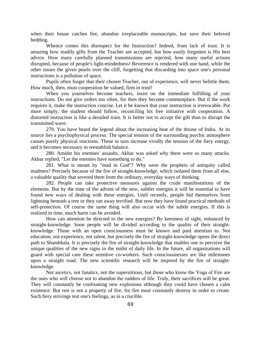when their house catches fire, abandon irreplaceable manuscripts, but save their beloved bedding.

Whence comes this disrespect for the Instruction? Indeed, from lack of trust. It is amazing how readily gifts from the Teacher are accepted, but how easily forgotten is His best advice. How many carefully planned transmissions are rejected, how many useful actions disrupted, because of people's light-mindedness! Reverence is rendered with one hand, while the other tosses the given pearls over the cliff, forgetting that discarding into space one's personal instructions is a pollution of space.

Pupils often forget that their chosen Teacher, out of experience, will never belittle them. How much, then, must cooperation be valued, firm in trust!

When you yourselves become teachers, insist on the immediate fulfilling of your instructions. Do not give orders too often, for then they become commonplace. But if the work requires it, make the instruction concise. Let it be known that your instruction is irrevocable. Put more simply, the student should follow, reconciling his free initiative with cooperation. A distorted instruction is like a derailed train. It is better not to accept the gift than to disrupt the transmitted wave.

279. You have heard the legend about the increasing heat of the throne of Indra. At its source lies a psychophysical process. The special tension of the surrounding psychic atmosphere causes purely physical reactions. These in turn increase vividly the tension of the fiery energy, and it becomes necessary to reestablish balance.

280. Amidst his enemies' assaults, Akbar was asked why there were so many attacks. Akbar replied, "Let the enemies have something to do."

281. What is meant by "mad in God"? Why were the prophets of antiquity called madmen? Precisely because of the fire of straight-knowledge, which isolated them from all else, a valuable quality that severed them from the ordinary, everyday ways of thinking.

282. People can take protective measures against the crude manifestations of the elements. But by the time of the advent of the new, subtler energies it will be essential to have found new ways of dealing with these energies. Until recently, people hid themselves from lightning beneath a tree or they ran away terrified. But now they have found practical methods of self-protection. Of course the same thing will also occur with the subtle energies. If this is realized in time, much harm can be avoided.

How can attention be directed to the new energies? By keenness of sight, enhanced by straight-knowledge. Soon people will be divided according to the quality of their straightknowledge. Those with an open consciousness must be known and paid attention to. Not education, not experience, not talent, but precisely the fire of straight-knowledge opens the direct path to Shambhala. It is precisely the fire of straight-knowledge that enables one to perceive the unique qualities of the new signs in the midst of daily life. In the future, all organizations will guard with special care these sensitive co-workers. Such consciousnesses are like milestones upon a straight road. The new scientific research will be inspired by the fire of straightknowledge.

Not ascetics, not fanatics, not the superstitious, but those who know the Yoga of Fire are the ones who will choose not to abandon the rudders of life. Truly, their sacrifices will be great. They will constantly be confronting new explosions although they could have chosen a calm existence. But rest is not a property of fire, for fire must constantly destroy in order to create. Such fiery strivings test one's feelings, as in a crucible.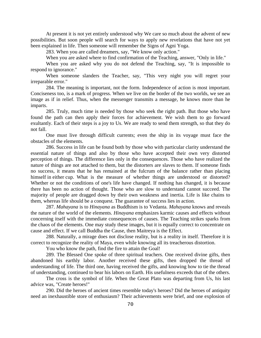At present it is not yet entirely understood why We care so much about the advent of new possibilities. But soon people will search for ways to apply new revelations that have not yet been explained in life. Then someone will remember the Signs of Agni Yoga.

283. When you are called dreamers, say, "We know only action."

When you are asked where to find confirmation of the Teaching, answer, "Only in life."

When you are asked why you do not defend the Teaching, say, "It is impossible to respond to ignorance."

When someone slanders the Teacher, say, "This very night you will regret your irreparable error."

284. The meaning is important, not the form. Independence of action is most important. Conciseness too, is a mark of progress. When we live on the border of the two worlds, we see an image as if in relief. Thus, when the messenger transmits a message, he knows more than he imparts.

285. Truly, much time is needed by those who seek the right path. But those who have found the path can then apply their forces for achievement. We wish them to go forward exultantly. Each of their steps is a joy to Us. We are ready to send them strength, so that they do not fall.

One must live through difficult currents; even the ship in its voyage must face the obstacles of the elements.

286. Success in life can be found both by those who with particular clarity understand the essential nature of things and also by those who have accepted their own very distorted perception of things. The difference lies only in the consequences. Those who have realized the nature of things are not attached to them, but the distorters are slaves to them. If someone finds no success, it means that he has remained at the fulcrum of the balance rather than placing himself in either cup. What is the measure of whether things are understood or distorted? Whether or not the conditions of one's life have changed. If nothing has changed, it is because there has been no action of thought. Those who are slow to understand cannot succeed. The majority of people are dragged down by their own weakness and inertia. Life is like chains to them, whereas life should be a conquest. The guarantee of success lies in action.

287. *Mahayana* is to *Hinayana* as Buddhism is to Vedanta. *Mahayana* knows and reveals the nature of the world of the elements. *Hinayana* emphasizes karmic causes and effects without concerning itself with the immediate consequences of causes. The Teaching strikes sparks from the chaos of the elements. One may study these images, but it is equally correct to concentrate on cause and effect. If we call Buddha the Cause, then Maitreya is the Effect.

288. Naturally, a mirage does not disclose reality, but is a reality in itself. Therefore it is correct to recognize the reality of Maya, even while knowing all its treacherous distortion.

You who know the path, find the fire to attain the Goal!

289. The Blessed One spoke of three spiritual teachers. One received divine gifts, then abandoned his earthly labor. Another received these gifts, then dropped the thread of understanding of life. The third one, having received the gifts, and knowing how to tie the thread of understanding, continued to bear his labors on Earth. His usefulness exceeds that of the others.

The cross is the symbol of life. When the Great Plato was departing from Us, his last advice was, "Create heroes!"

290. Did the heroes of ancient times resemble today's heroes? Did the heroes of antiquity need an inexhaustible store of enthusiasm? Their achievements were brief, and one explosion of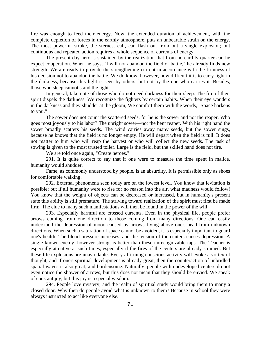fire was enough to feed their energy. Now, the extended duration of achievement, with the complete depletion of forces in the earthly atmosphere, puts an unbearable strain on the energy. The most powerful stroke, the sternest call, can flash out from but a single explosion; but continuous and repeated action requires a whole sequence of currents of energy.

The present-day hero is sustained by the realization that from no earthly quarter can he expect cooperation. When he says, "I will not abandon the field of battle," he already finds new strength. We are ready to provide the strengthening current in accordance with the firmness of his decision not to abandon the battle. We do know, however, how difficult it is to carry light in the darkness, because this light is seen by others, but not by the one who carries it. Besides, those who sleep cannot stand the light.

In general, take note of those who do not need darkness for their sleep. The fire of their spirit dispels the darkness. We recognize the fighters by certain habits. When their eye wanders in the darkness and they shudder at the gloom, We comfort them with the words, "Space harkens to you."

The sower does not count the scattered seeds, for he is the sower and not the reaper. Who goes most joyously to his labor? The upright sower—not the bent reaper. With his right hand the sower broadly scatters his seeds. The wind carries away many seeds, but the sower sings, because he knows that the field is no longer empty. He will depart when the field is full. It does not matter to him who will reap the harvest or who will collect the new seeds. The task of sowing is given to the most trusted toiler. Large is the field, but the skilled hand does not tire.

We are told once again, "Create heroes."

291. It is quite correct to say that if one were to measure the time spent in malice, humanity would shudder.

Fame, as commonly understood by people, is an absurdity. It is permissible only as shoes for comfortable walking.

292. External phenomena seen today are on the lowest level. You know that levitation is possible; but if all humanity were to rise for no reason into the air, what madness would follow! You know that the weight of objects can be decreased or increased, but in humanity's present state this ability is still premature. The striving toward realization of the spirit must first be made firm. The clue to many such manifestations will then be found in the power of the will.

293. Especially harmful are crossed currents. Even in the physical life, people prefer arrows coming from one direction to those coming from many directions. One can easily understand the depression of mood caused by arrows flying above one's head from unknown directions. When such a saturation of space cannot be avoided, it is especially important to guard one's health. The blood pressure increases, and the tension of the centers causes depression. A single known enemy, however strong, is better than these unrecognizable taps. The Teacher is especially attentive at such times, especially if the fires of the centers are already strained. But these life explosions are unavoidable. Every affirming conscious activity will evoke a vortex of thought, and if one's spiritual development is already great, then the counteraction of unbridled spatial waves is also great, and burdensome. Naturally, people with undeveloped centers do not even notice the shower of arrows, but this does not mean that they should be envied. We speak of constant joy, but this joy is a special wisdom.

294. People love mystery, and the realm of spiritual study would bring them to many a closed door. Why then do people avoid what is unknown to them? Because in school they were always instructed to act like everyone else.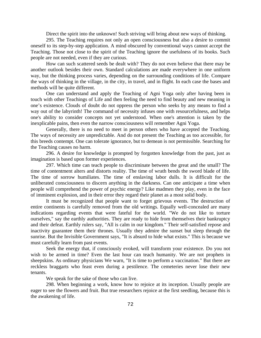Direct the spirit into the unknown! Such striving will bring about new ways of thinking.

295. The Teaching requires not only an open consciousness but also a desire to commit oneself to its step-by-step application. A mind obscured by conventional ways cannot accept the Teaching. Those not close to the spirit of the Teaching ignore the usefulness of its books. Such people are not needed, even if they are curious.

How can such scattered seeds be dealt with? They do not even believe that there may be another outlook besides their own. Standard calculations are made everywhere in one uniform way, but the thinking process varies, depending on the surrounding conditions of life. Compare the ways of thinking in the village, in the city, in travel, and in flight. In each case the bases and methods will be quite different.

One can understand and apply the Teaching of Agni Yoga only after having been in touch with other Teachings of Life and then feeling the need to find beauty and new meaning in one's existence. Clouds of doubt do not oppress the person who seeks by any means to find a way out of the labyrinth! The command of necessity infuses one with resourcefulness, and helps one's ability to consider concepts not yet understood. When one's attention is taken by the inexplicable pains, then even the narrow consciousness will remember Agni Yoga.

Generally, there is no need to meet in person others who have accepted the Teaching. The ways of necessity are unpredictable. And do not present the Teaching as too accessible, for this breeds contempt. One can tolerate ignorance, but to demean is not permissible. Searching for the Teaching causes no harm.

296. A desire for knowledge is prompted by forgotten knowledge from the past, just as imagination is based upon former experiences.

297. Which time can teach people to discriminate between the great and the small? The time of contentment alters and distorts reality. The time of wrath bends the sword blade of life. The time of sorrow humiliates. The time of enslaving labor dulls. It is difficult for the unliberated consciousness to discern anything in the darkness. Can one anticipate a time when people will comprehend the power of psychic energy? Like madmen they play, even in the face of imminent explosion, and in their error they regard their planet as a most solid body.

It must be recognized that people want to forget grievous events. The destruction of entire continents is carefully removed from the old writings. Equally well-concealed are many indications regarding events that were fateful for the world. "We do not like to torture ourselves," say the earthly authorities. They are ready to hide from themselves their bankruptcy and their defeat. Earthly rulers say, "All is calm in our kingdom." Their self-satisfied repose and inactivity guarantee them their thrones. Usually they admire the sunset but sleep through the sunrise. But the Invisible Government says, "It is absurd to hide what exists." This is because we must carefully learn from past events.

Seek the energy that, if consciously evoked, will transform your existence. Do you not wish to be armed in time? Even the last hour can teach humanity. We are not prophets in sheepskins. As ordinary physicians We warn, "It is time to perform a vaccination." But there are reckless braggarts who feast even during a pestilence. The cemeteries never lose their new tenants.

We speak for the sake of those who can live.

298. When beginning a work, know how to rejoice at its inception. Usually people are eager to see the flowers and fruit. But true researchers rejoice at the first seedling, because this is the awakening of life.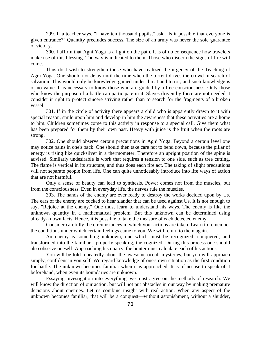299. If a teacher says, "I have ten thousand pupils," ask, "Is it possible that everyone is given entrance?" Quantity precludes success. The size of an army was never the sole guarantee of victory.

300. I affirm that Agni Yoga is a light on the path. It is of no consequence how travelers make use of this blessing. The way is indicated to them. Those who discern the signs of fire will come.

Thus do I wish to strengthen those who have realized the urgency of the Teaching of Agni Yoga. One should not delay until the time when the torrent drives the crowd in search of salvation. This would only be knowledge gained under threat and terror, and such knowledge is of no value. It is necessary to know those who are guided by a free consciousness. Only those who know the purpose of a battle can participate in it. Slaves driven by force are not needed. I consider it right to protect sincere striving rather than to search for the fragments of a broken vessel.

301. If in the circle of activity there appears a child who is apparently drawn to it with special reason, smile upon him and develop in him the awareness that these activities are a home to him. Children sometimes come to this activity in response to a special call. Give them what has been prepared for them by their own past. Heavy with juice is the fruit when the roots are strong.

302. One should observe certain precautions in Agni Yoga. Beyond a certain level one may notice pains in one's back. One should then take care not to bend down, because the pillar of energy is rising like quicksilver in a thermometer. Therefore an upright position of the spine is advised. Similarly undesirable is work that requires a tension to one side, such as tree cutting. The flame is vertical in its structure, and thus does each fire act. The taking of slight precautions will not separate people from life. One can quite unnoticeably introduce into life ways of action that are not harmful.

Only a sense of beauty can lead to synthesis. Power comes not from the muscles, but from the consciousness. Even in everyday life, the nerves rule the muscles.

303. The hands of the enemy are ever ready to destroy the works decided upon by Us. The ears of the enemy are cocked to hear slander that can be used against Us. It is not enough to say, "Rejoice at the enemy." One must learn to understand his ways. The enemy is like the unknown quantity in a mathematical problem. But this unknown can be determined using already-known facts. Hence, it is possible to take the measure of each detected enemy.

Consider carefully the circumstances in which your actions are taken. Learn to remember the conditions under which certain feelings came to you. We will return to them again.

An enemy is something unknown, one which must be recognized, conquered, and transformed into the familiar—properly speaking, the cognized. During this process one should also observe oneself. Approaching his quarry, the hunter must calculate each of his actions.

You will be told repeatedly about the awesome occult mysteries, but you will approach simply, confident in yourself. We regard knowledge of one's own situation as the first condition for battle. The unknown becomes familiar when it is approached. It is of no use to speak of it beforehand, when even its boundaries are unknown.

Essaying investigation into everything, we must agree on the methods of research. We will know the direction of our action, but will not put obstacles in our way by making premature decisions about enemies. Let us combine insight with real action. When any aspect of the unknown becomes familiar, that will be a conquest—without astonishment, without a shudder,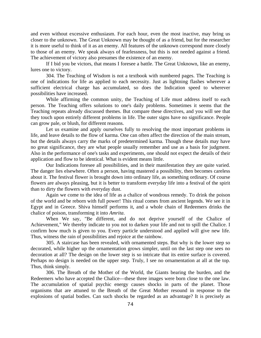and even without excessive enthusiasm. For each hour, even the most inactive, may bring us closer to the unknown. The Great Unknown may be thought of as a friend, but for the researcher it is more useful to think of it as an enemy. All features of the unknown correspond more closely to those of an enemy. We speak always of fearlessness, but this is not needed against a friend. The achievement of victory also presumes the existence of an enemy.

If I bid you be victors, that means I foresee a battle. The Great Unknown, like an enemy, lures one to victory.

304. The Teaching of Wisdom is not a textbook with numbered pages. The Teaching is one of indications for life as applied to each necessity. Just as lightning flashes wherever a sufficient electrical charge has accumulated, so does the Indication speed to wherever possibilities have increased.

While affirming the common unity, the Teaching of Life must address itself to each person. The Teaching offers solutions to one's daily problems. Sometimes it seems that the Teaching repeats already discussed themes. But compare these directives, and you will see that they touch upon entirely different problems in life. The outer signs have no significance. People can grow pale, or blush, for different reasons.

Let us examine and apply ourselves fully to resolving the most important problems in life, and leave details to the flow of karma. One can often affect the direction of the main stream, but the details always carry the marks of predetermined karma. Though these details may have no great significance, they are what people usually remember and use as a basis for judgment. Also in the performance of one's tasks and experiments, one should not expect the details of their application and flow to be identical. What is evident means little.

Our Indications foresee all possibilities, and in their manifestation they are quite varied. The danger lies elsewhere. Often a person, having mastered a possibility, then becomes careless about it. The festival flower is brought down into ordinary life, as something ordinary. Of course flowers are always pleasing, but it is better to transform everyday life into a festival of the spirit than to dirty the flowers with everyday dust.

Again we come to the idea of life as a chalice of wondrous remedy. To drink the poison of the world and be reborn with full power! This ritual comes from ancient legends. We see it in Egypt and in Greece. Shiva himself performs it, and a whole chain of Redeemers drinks the chalice of poison, transforming it into *Amrita*.

When We say, "Be different, and do not deprive yourself of the Chalice of Achievement," We thereby indicate to you not to darken your life and not to spill the Chalice. I confirm how much is given to you. Every particle understood and applied will give new life. Thus, witness the rain of possibilities and rejoice at the rainbow.

305. A staircase has been revealed, with ornamented steps. But why is the lower step so decorated, while higher up the ornamentation grows simpler, until on the last step one sees no decoration at all? The design on the lower step is so intricate that its entire surface is covered. Perhaps no design is needed on the upper step. Truly, I see no ornamentation at all at the top. Thus, think simply.

306. The Breath of the Mother of the World, the Giants bearing the burden, and the Redeemers who have accepted the Chalice—these three images were born close to the one law. The accumulation of spatial psychic energy causes shocks in parts of the planet. Those organisms that are attuned to the Breath of the Great Mother resound in response to the explosions of spatial bodies. Can such shocks be regarded as an advantage? It is precisely as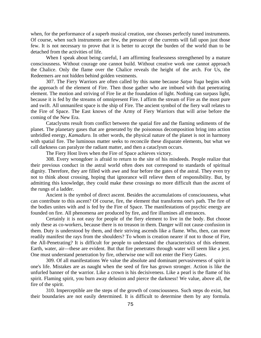when, for the performance of a superb musical creation, one chooses perfectly tuned instruments. Of course, when such instruments are few, the pressure of the currents will fall upon just those few. It is not necessary to prove that it is better to accept the burden of the world than to be detached from the activities of life.

When I speak about being careful, I am affirming fearlessness strengthened by a mature consciousness. Without courage one cannot build. Without creative work one cannot approach the Chalice. Only the flame over the Chalice reveals the height of the arch. For Us, the Redeemers are not hidden behind golden vestments.

307. The Fiery Warriors are often called by this name because *Satya Yuga* begins with the approach of the element of Fire. Then those gather who are imbued with that penetrating element. The motion and striving of Fire lie at the foundation of light. Nothing can surpass light, because it is fed by the streams of omnipresent Fire. I affirm the stream of Fire as the most pure and swift. All unmanifest space is the ship of Fire. The ancient symbol of the fiery wall relates to the Fire of Space. The East knows of the Army of Fiery Warriors that will arise before the coming of the New Era.

Cataclysms result from conflict between the spatial fire and the flaming sediments of the planet. The planetary gases that are generated by the poisonous decomposition bring into action unbridled energy, *Kamaduro.* In other words, the physical nature of the planet is not in harmony with spatial fire. The luminous matter seeks to reconcile these disparate elements, but what we call darkness can paralyze the radiant matter, and then a cataclysm occurs.

The Fiery Host lives when the Fire of Space achieves victory.

308. Every wrongdoer is afraid to return to the site of his misdeeds. People realize that their previous conduct in the astral world often does not correspond to standards of spiritual dignity. Therefore, they are filled with awe and fear before the gates of the astral. They even try not to think about crossing, hoping that ignorance will relieve them of responsibility. But, by admitting this knowledge, they could make these crossings no more difficult than the ascent of the rungs of a ladder.

Ancient is the symbol of direct ascent. Besides the accumulations of consciousness, what can contribute to this ascent? Of course, fire, the element that transforms one's path. The fire of the bodies unites with and is fed by the Fire of Space. The manifestations of psychic energy are founded on fire. All phenomena are produced by fire, and fire illumines all entrances.

Certainly it is not easy for people of the fiery element to live in the body. But choose only these as co-workers, because there is no treason in them. Danger will not cause confusion in them. Duty is understood by them, and their striving ascends like a flame. Who, then, can more readily manifest the rays from the shoulders? To whom is creation nearer if not to those of Fire, the All-Penetrating? It is difficult for people to understand the characteristics of this element. Earth, water, air—these are evident. But that fire penetrates through water will seem like a jest. One must understand penetration by fire, otherwise one will not enter the Fiery Gates.

309. Of all manifestations We value the absolute and dominant pervasiveness of spirit in one's life. Mistakes are as naught when the seed of fire has grown stronger. Action is like the unfurled banner of the warrior. Like a crown is his decisiveness. Like a pearl is the flame of his spirit. Flaming spirit, you burn away delusion and pierce the darkness! We value, above all, the fire of the spirit.

310. Imperceptible are the steps of the growth of consciousness. Such steps do exist, but their boundaries are not easily determined. It is difficult to determine them by any formula.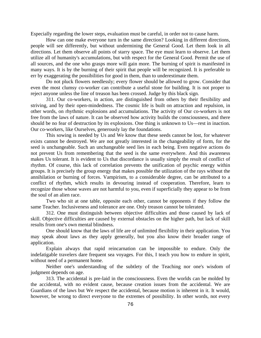Especially regarding the lower steps, evaluation must be careful, in order not to cause harm.

How can one make everyone turn in the same direction? Looking in different directions, people will see differently, but without undermining the General Good. Let them look in all directions. Let them observe all points of starry space. The eye must learn to observe. Let them utilize all of humanity's accumulations, but with respect for the General Good. Permit the use of all sources, and the one who grasps more will gain more. The burning of spirit is manifested in many ways. It is by the burning of their spirit that people will be recognized. It is preferable to err by exaggerating the possibilities for good in them, than to underestimate them.

Do not pluck flowers needlessly; every flower should be allowed to grow. Consider that even the most clumsy co-worker can contribute a useful stone for building. It is not proper to reject anyone unless the line of treason has been crossed. Judge by this black sign.

311. Our co-workers, in action, are distinguished from others by their flexibility and striving, and by their open-mindedness. The cosmic life is built on attraction and repulsion, in other words, on rhythmic explosions and accumulations. The activity of Our co-workers is not free from the laws of nature. It can be observed how activity builds the consciousness, and there should be no fear of destruction by its explosions. One thing is unknown to Us—rest in inaction. Our co-workers, like Ourselves, generously lay the foundations.

This sowing is needed by Us and We know that these seeds cannot be lost, for whatever exists cannot be destroyed. We are not greatly interested in the changeability of form, for the seed is unchangeable. Such an unchangeable seed lies in each being. Even negative actions do not prevent Us from remembering that the seed is the same everywhere. And this awareness makes Us tolerant. It is evident to Us that discordance is usually simply the result of conflict of rhythm. Of course, this lack of correlation prevents the unification of psychic energy within groups. It is precisely the group energy that makes possible the utilization of the rays without the annihilation or burning of forces. Vampirism, to a considerable degree, can be attributed to a conflict of rhythm, which results in devouring instead of cooperation. Therefore, learn to recognize those whose waves are not harmful to you, even if superficially they appear to be from the soul of an alien race.

Two who sit at one table, opposite each other, cannot be opponents if they follow the same Teacher. Inclusiveness and tolerance are one. Only treason cannot be tolerated.

312. One must distinguish between objective difficulties and those caused by lack of skill. Objective difficulties are caused by external obstacles on the higher path, but lack of skill results from one's own mental blindness.

One should know that the laws of life are of unlimited flexibility in their application. You may speak about laws as they apply generally, but you also know their broader range of application.

Explain always that rapid reincarnation can be impossible to endure. Only the indefatigable travelers dare frequent sea voyages. For this, I teach you how to endure in spirit, without need of a permanent home.

Neither one's understanding of the subtlety of the Teaching nor one's wisdom of judgment depends on age.

313. The accidental is pre-laid in the consciousness. Even the worlds can be molded by the accidental, with no evident cause, because creation issues from the accidental. We are Guardians of the laws but We respect the accidental, because motion is inherent in it. It would, however, be wrong to direct everyone to the extremes of possibility. In other words, not every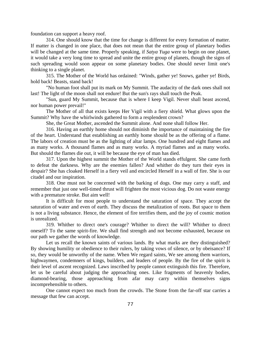foundation can support a heavy roof.

314. One should know that the time for change is different for every formation of matter. If matter is changed in one place, that does not mean that the entire group of planetary bodies will be changed at the same time. Properly speaking, if *Satya Yuga* were to begin on one planet, it would take a very long time to spread and unite the entire group of planets, though the signs of such spreading would soon appear on some planetary bodies. One should never limit one's thinking to a single planet.

315. The Mother of the World has ordained: "Winds, gather ye! Snows, gather ye! Birds, hold back! Beasts, stand back!

"No human foot shall put its mark on My Summit. The audacity of the dark ones shall not last! The light of the moon shall not endure! But the sun's rays shall touch the Peak.

"Sun, guard My Summit, because that is where I keep Vigil. Never shall beast ascend, nor human power prevail!"

The Mother of all that exists keeps Her Vigil with a fiery shield. What glows upon the Summit? Why have the whirlwinds gathered to form a resplendent crown?

She, the Great Mother, ascended the Summit alone. And none shall follow Her.

316. Having an earthly home should not diminish the importance of maintaining the fire of the heart. Understand that establishing an earthly home should be as the offering of a flame. The labors of creation must be as the lighting of altar lamps. One hundred and eight flames and as many works. A thousand flames and as many works. A myriad flames and as many works. But should the flames die out, it will be because the eye of man has died.

317. Upon the highest summit the Mother of the World stands effulgent. She came forth to defeat the darkness. Why are the enemies fallen? And whither do they turn their eyes in despair? She has cloaked Herself in a fiery veil and encircled Herself in a wall of fire. She is our citadel and our inspiration.

318. One must not be concerned with the barking of dogs. One may carry a staff, and remember that just one well-timed thrust will frighten the most vicious dog. Do not waste energy with a premature stroke. But aim well!

It is difficult for most people to understand the saturation of space. They accept the saturation of water and even of earth. They discuss the metalization of roots. But space to them is not a living substance. Hence, the element of fire terrifies them, and the joy of cosmic motion is unrealized.

319. Whither to direct one's courage? Whither to direct the will? Whither to direct oneself? To the same spirit-fire. We shall find strength and not become exhausted, because on our path we gather the words of knowledge.

Let us recall the known saints of various lands. By what marks are they distinguished? By showing humility or obedience to their rulers, by taking vows of silence, or by obeisance? If so, they would be unworthy of the name. When We regard saints, We see among them warriors, highwaymen, condemners of kings, builders, and leaders of people. By the fire of the spirit is their level of ascent recognized. Laws inscribed by people cannot extinguish this fire. Therefore, let us be careful about judging the approaching ones. Like fragments of heavenly bodies, diamond-bearing, those approaching from afar may carry within themselves signs incomprehensible to others.

One cannot expect too much from the crowds. The Stone from the far-off star carries a message that few can accept.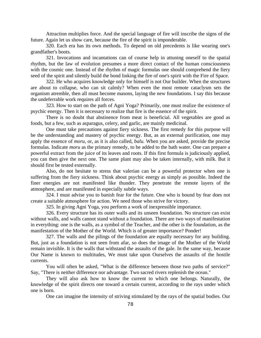Attraction multiplies force. And the special language of fire will inscribe the signs of the future. Again let us show care, because the fire of the spirit is imponderable.

320. Each era has its own methods. To depend on old precedents is like wearing one's grandfather's boots.

321. Invocations and incantations can of course help in attuning oneself to the spatial rhythm, but the law of evolution presumes a more direct contact of the human consciousness with the cosmic one. Instead of the rhythm of magic formulas one should comprehend the fiery seed of the spirit and silently build the bond linking the fire of one's spirit with the Fire of Space.

322. He who acquires knowledge only for himself is not Our builder. When the structures are about to collapse, who can sit calmly? When even the most remote cataclysm sets the organism atremble, then all must become masons, laying the new foundations. I say this because the undeferrable work requires all forces.

323. How to start on the path of Agni Yoga? Primarily, one must realize the existence of psychic energy. Then it is necessary to realize that fire is the essence of the spirit.

There is no doubt that abstinence from meat is beneficial. All vegetables are good as foods, but a few, such as asparagus, celery, and garlic, are mainly medicinal.

One must take precautions against fiery sickness. The first remedy for this purpose will be the understanding and mastery of psychic energy. But, as an external purification, one may apply the essence of *moru,* or, as it is also called, *balu.* When you are asked, provide the precise formulas. Indicate *moru* as the primary remedy, to be added to the bath water. One can prepare a powerful extract from the juice of its leaves and roots. If this first formula is judiciously applied, you can then give the next one. The same plant may also be taken internally, with milk. But it should first be tested externally.

Also, do not hesitate to stress that valerian can be a powerful protector when one is suffering from the fiery sickness. Think about psychic energy as simply as possible. Indeed the finer energies are not manifested like thunder. They penetrate the remote layers of the atmosphere, and are manifested in especially subtle ways.

324. I must advise you to banish fear for the future. One who is bound by fear does not create a suitable atmosphere for action. We need those who strive for victory.

325. In giving Agni Yoga, you perform a work of inexpressible importance.

326. Every structure has its outer walls and its unseen foundation. No structure can exist without walls, and walls cannot stand without a foundation. There are two ways of manifestation in everything: one is the walls, as a symbol of the Teacher, and the other is the foundation, as the manifestation of the Mother of the World. Which is of greater importance? Ponder!

327. The walls and the pilings of the foundation are equally necessary for any building. But, just as a foundation is not seen from afar, so does the image of the Mother of the World remain invisible. It is the walls that withstand the assaults of the gale. In the same way, because Our Name is known to multitudes, We must take upon Ourselves the assaults of the hostile currents.

You will often be asked, "What is the difference between those two paths of service?" Say, "There is neither difference nor advantage. Two sacred rivers replenish the ocean."

They will also ask how to know the current to which one belongs. Naturally, the knowledge of the spirit directs one toward a certain current, according to the rays under which one is born.

One can imagine the intensity of striving stimulated by the rays of the spatial bodies. Our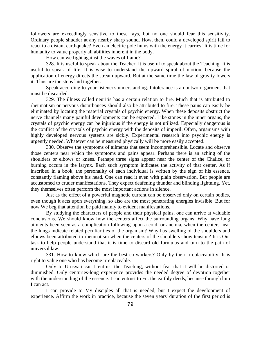followers are exceedingly sensitive to these rays, but no one should fear this sensitivity. Ordinary people shudder at any nearby sharp sound. How, then, could a developed spirit fail to react to a distant earthquake? Even an electric pole hums with the energy it carries! It is time for humanity to value properly all abilities inherent in the body.

How can we fight against the waves of flame?

328. It is useful to speak about the Teacher. It is useful to speak about the Teaching. It is useful to speak of life. It is wise to understand the upward spiral of motion, because the application of energy directs the stream upward. But at the same time the law of gravity lowers it. Thus are the steps laid together.

Speak according to your listener's understanding. Intolerance is an outworn garment that must be discarded.

329. The illness called neuritis has a certain relation to fire. Much that is attributed to rheumatism or nervous disturbances should also be attributed to fire. These pains can easily be eliminated by locating the material crystals of psychic energy. When these deposits obstruct the nerve channels many painful developments can be expected. Like stones in the inner organs, the crystals of psychic energy can be injurious if the energy is not utilized. Especially dangerous is the conflict of the crystals of psychic energy with the deposits of imperil. Often, organisms with highly developed nervous systems are sickly. Experimental research into psychic energy is urgently needed. Whatever can be measured physically will be more easily accepted.

330. Observe the symptoms of ailments that seem incomprehensible. Locate and observe those centers near which the symptoms and pains appear. Perhaps there is an aching of the shoulders or elbows or knees. Perhaps three signs appear near the center of the Chalice, or burning occurs in the larynx. Each such symptom indicates the activity of that center. As if inscribed in a book, the personality of each individual is written by the sign of his essence, constantly flaming above his head. One can read it even with plain observation. But people are accustomed to cruder manifestations. They expect deafening thunder and blinding lightning. Yet, they themselves often perform the most important actions in silence.

Just as the effect of a powerful magnetic current can be observed only on certain bodies, even though it acts upon everything, so also are the most penetrating energies invisible. But for now We beg that attention be paid mainly to evident manifestations.

By studying the characters of people and their physical pains, one can arrive at valuable conclusions. We should know how the centers affect the surrounding organs. Why have lung ailments been seen as a complication following upon a cold, or anemia, when the centers near the lungs indicate related peculiarities of the organism? Why has swelling of the shoulders and elbows been attributed to rheumatism when the centers of the shoulders show tension? It is Our task to help people understand that it is time to discard old formulas and turn to the path of universal law.

331. How to know which are the best co-workers? Only by their irreplaceability. It is right to value one who has become irreplaceable.

Only to Urusvati can I entrust the Teaching, without fear that it will be distorted or diminished. Only centuries-long experience provides the needed degree of devotion together with the understanding of the essence. I can entrust to Fu. the earthly deeds, because through him I can act.

I can provide to My disciples all that is needed, but I expect the development of experience. Affirm the work in practice, because the seven years' duration of the first period is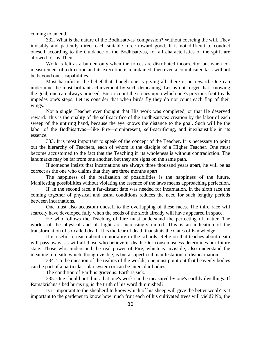coming to an end.

332. What is the nature of the Bodhisattvas' compassion? Without coercing the will, They invisibly and patiently direct each suitable force toward good. It is not difficult to conduct oneself according to the Guidance of the Bodhisattvas, for all characteristics of the spirit are allowed for by Them.

Work is felt as a burden only when the forces are distributed incorrectly; but when comeasurement of a direction and its execution is maintained, then even a complicated task will not be beyond one's capabilities.

Most harmful is the belief that though one is giving all, there is no reward. One can undermine the most brilliant achievement by such demeaning. Let us not forget that, knowing the goal, one can always proceed. But to count the stones upon which one's precious foot treads impedes one's steps. Let us consider that when birds fly they do not count each flap of their wings.

Not a single Teacher ever thought that His work was completed, or that He deserved reward. This is the quality of the self-sacrifice of the Bodhisattvas: creation by the labor of each sweep of the untiring hand, because the eye knows the distance to the goal. Such will be the labor of the Bodhisattvas—like Fire—omnipresent, self-sacrificing, and inexhaustible in its essence.

333. It is most important to speak of the concept of the Teacher. It is necessary to point out the hierarchy of Teachers, each of whom is the disciple of a Higher Teacher. One must become accustomed to the fact that the Teaching in its wholeness is without contradiction. The landmarks may be far from one another, but they are signs on the same path.

If someone insists that incarnations are always three thousand years apart, he will be as correct as the one who claims that they are three months apart.

The happiness of the realization of possibilities is the happiness of the future. Manifesting possibilities without violating the essence of the laws means approaching perfection.

If, in the second race, a far-distant date was needed for incarnation, in the sixth race the coming together of physical and astral conditions reduces the need for such lengthy periods between incarnations.

One must also accustom oneself to the overlapping of these races. The third race will scarcely have developed fully when the seeds of the sixth already will have appeared in space.

He who follows the Teaching of Fire must understand the perfecting of matter. The worlds of the physical and of Light are increasingly united. This is an indication of the transformation of so-called death. It is the fear of death that shuts the Gates of Knowledge.

It is useful to teach about immortality in the schools. Religion that teaches about death will pass away, as will all those who believe in death. Our consciousness determines our future state. Those who understand the real power of Fire, which is invisible, also understand the meaning of death, which, though visible, is but a superficial manifestation of disincarnation.

334. To the question of the realms of the worlds, one must point out that heavenly bodies can be part of a particular solar system or can be intersolar bodies.

The condition of Earth is grievous. Earth is sick.

335. One should not think that one's work can be measured by one's earthly dwellings. If Ramakrishna's bed burns up, is the truth of his word diminished?

Is it important to the shepherd to know which of his sheep will give the better wool? Is it important to the gardener to know how much fruit each of his cultivated trees will yield? No, the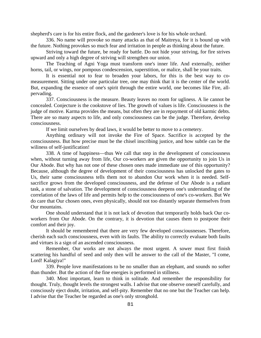shepherd's care is for his entire flock, and the gardener's love is for his whole orchard.

336. No name will provoke so many attacks as that of Maitreya, for it is bound up with the future. Nothing provokes so much fear and irritation in people as thinking about the future.

Striving toward the future, be ready for battle. Do not hide your striving, for fire strives upward and only a high degree of striving will strengthen our union.

The Teaching of Agni Yoga must transform one's inner life. And externally, neither horns, tail, or wings, nor pompous condescension, superstition, or malice, shall be your traits.

It is essential not to fear to broaden your labors, for this is the best way to comeasurement. Sitting under one particular tree, one may think that it is the center of the world. But, expanding the essence of one's spirit through the entire world, one becomes like Fire, allpervading.

337. Consciousness is the measure. Beauty leaves no room for ugliness. A lie cannot be concealed. Conjecture is the cookstove of lies. The growth of values is life. Consciousness is the judge of motive. Karma provides the means, but often they are in repayment of old karmic debts. There are so many aspects to life, and only consciousness can be the judge. Therefore, develop consciousness.

If we limit ourselves by dead laws, it would be better to move to a cemetery.

Anything ordinary will not invoke the Fire of Space. Sacrifice is accepted by the consciousness. But how precise must be the chisel inscribing justice, and how subtle can be the wiliness of self-justification!

338. A time of happiness—thus We call that step in the development of consciousness when, without turning away from life, Our co-workers are given the opportunity to join Us in Our Abode. But why has not one of these chosen ones made immediate use of this opportunity? Because, although the degree of development of their consciousness has unlocked the gates to Us, their same consciousness tells them not to abandon Our work when it is needed. Selfsacrifice grows from the developed consciousness, and the defense of Our Abode is a radiant task, a stone of salvation. The development of consciousness deepens one's understanding of the correlation of the laws of life and permits help to the consciousness of one's co-workers. But We do care that Our chosen ones, even physically, should not too distantly separate themselves from Our mountains.

One should understand that it is not lack of devotion that temporarily holds back Our coworkers from Our Abode. On the contrary, it is devotion that causes them to postpone their comfort and their joy.

It should be remembered that there are very few developed consciousnesses. Therefore, cherish each such consciousness, even with its faults. The ability to correctly evaluate both faults and virtues is a sign of an ascended consciousness.

Remember, Our works are not always the most urgent. A sower must first finish scattering his handful of seed and only then will he answer to the call of the Master, "I come, Lord! Kalagiya!"

339. People love manifestations to be no smaller than an elephant, and sounds no softer than thunder. But the action of the fine energies is performed in stillness.

340. Most important, learn to think in solitude. And remember the responsibility for thought. Truly, thought levels the strongest walls. I advise that one observe oneself carefully, and consciously eject doubt, irritation, and self-pity. Remember that no one but the Teacher can help. I advise that the Teacher be regarded as one's only stronghold.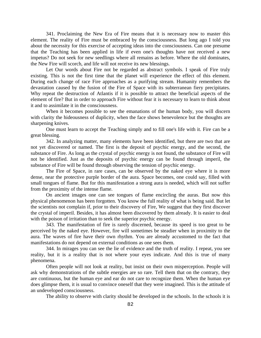341. Proclaiming the New Era of Fire means that it is necessary now to master this element. The reality of Fire must be embraced by the consciousness. But long ago I told you about the necessity for this exercise of accepting ideas into the consciousness. Can one presume that the Teaching has been applied in life if even one's thoughts have not received a new impetus? Do not seek for new seedlings where all remains as before. Where the old dominates, the New Fire will scorch, and life will not receive its new blessings.

Let Our words about Fire not be regarded as abstract symbols. I speak of Fire truly existing. This is not the first time that the planet will experience the effect of this element. During each change of race Fire approaches as a purifying stream. Humanity remembers the devastation caused by the fusion of the Fire of Space with its subterranean fiery precipitates. Why repeat the destruction of Atlantis if it is possible to attract the beneficial aspects of the element of fire? But in order to approach Fire without fear it is necessary to learn to think about it and to assimilate it in the consciousness.

When it becomes possible to see the emanations of the human body, you will discern with clarity the hideousness of duplicity, when the face shows benevolence but the thoughts are sharpening knives.

One must learn to accept the Teaching simply and to fill one's life with it. Fire can be a great blessing.

342. In analyzing matter, many elements have been identified, but there are two that are not yet discovered or named. The first is the deposit of psychic energy, and the second, the substance of Fire. As long as the crystal of psychic energy is not found, the substance of Fire will not be identified. Just as the deposits of psychic energy can be found through imperil, the substance of Fire will be found through observing the tension of psychic energy.

The Fire of Space, in rare cases, can be observed by the naked eye where it is more dense, near the protective purple border of the aura. Space becomes, one could say, filled with small tongues of flame. But for this manifestation a strong aura is needed, which will not suffer from the proximity of the intense flame.

On ancient images one can see tongues of flame encircling the auras. But now this physical phenomenon has been forgotten. You know the full reality of what is being said. But let the scientists not complain if, prior to their discovery of Fire, We suggest that they first discover the crystal of imperil. Besides, it has almost been discovered by them already. It is easier to deal with the poison of irritation than to seek the superior psychic energy.

343. The manifestation of fire is rarely discerned, because its speed is too great to be perceived by the naked eye. However, fire will sometimes be steadier when in proximity to the aura. The waves of fire have their own rhythm. You are already accustomed to the fact that manifestations do not depend on external conditions as one sees them.

344. In mirages you can see the lie of evidence and the truth of reality. I repeat, you see reality, but it is a reality that is not where your eyes indicate. And this is true of many phenomena.

Often people will not look at reality, but insist on their own misperception. People will ask why demonstrations of the subtle energies are so rare. Tell them that on the contrary, they are continuous, but the human eye and ear do not care to recognize them. When the human eye does glimpse them, it is usual to convince oneself that they were imagined. This is the attitude of an undeveloped consciousness.

The ability to observe with clarity should be developed in the schools. In the schools it is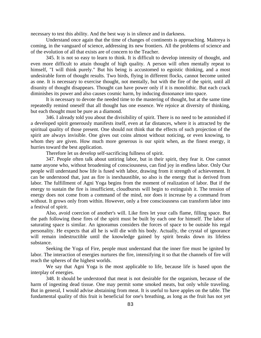necessary to test this ability. And the best way is in silence and in darkness.

Understand once again that the time of changes of continents is approaching. Maitreya is coming, in the vanguard of science, addressing its new frontiers. All the problems of science and of the evolution of all that exists are of concern to the Teacher.

345. It is not so easy to learn to think. It is difficult to develop intensity of thought, and even more difficult to attain thought of high quality. A person will often mentally repeat to himself, "I will think purely." But his being is accustomed to egoistic thinking, and a most undesirable form of thought results. Two birds, flying in different flocks, cannot become united as one. It is necessary to exercise thought, not mentally, but with the fire of the spirit, until all disunity of thought disappears. Thought can have power only if it is monolithic. But each crack diminishes its power and also causes cosmic harm, by inducing dissonance into space.

It is necessary to devote the needed time to the mastering of thought, but at the same time repeatedly remind oneself that all thought has one essence. We rejoice at diversity of thinking, but each thought must be pure as a diamond.

346. I already told you about the divisibility of spirit. There is no need to be astonished if a developed spirit generously manifests itself, even at far distances, where it is attracted by the spiritual quality of those present. One should not think that the effects of such projection of the spirit are always invisible. One gives out coins almost without noticing, or even knowing, to whom they are given. How much more generous is our spirit when, as the finest energy, it hurries toward the best application.

Therefore let us develop self-sacrificing fullness of spirit.

347. People often talk about untiring labor, but in their spirit, they fear it. One cannot name anyone who, without broadening of consciousness, can find joy in endless labor. Only Our people will understand how life is fused with labor, drawing from it strength of achievement. It can be understood that, just as fire is inexhaustible, so also is the energy that is derived from labor. The fulfillment of Agni Yoga begins from the moment of realization of labor. But if the energy to sustain the fire is insufficient, cloudbursts will begin to extinguish it. The tension of energy does not come from a command of the mind, nor does it increase by a command from without. It grows only from within. However, only a free consciousness can transform labor into a festival of spirit.

Also, avoid coercion of another's will. Like fires let your calls flame, filling space. But the path following these fires of the spirit must be built by each one for himself. The labor of saturating space is similar. An ignoramus considers the forces of space to be outside his regal personality. He expects that all he is will die with his body. Actually, the crystal of ignorance will remain indestructible until the knowledge gained by spirit breaks down its lifeless substance.

Seeking the Yoga of Fire, people must understand that the inner fire must be ignited by labor. The interaction of energies nurtures the fire, intensifying it so that the channels of fire will reach the spheres of the highest worlds.

We say that Agni Yoga is the most applicable to life, because life is based upon the interplay of energies.

348. It should be understood that meat is not desirable for the organism, because of the harm of ingesting dead tissue. One may permit some smoked meats, but only while traveling. But in general, I would advise abstaining from meat. It is useful to have apples on the table. The fundamental quality of this fruit is beneficial for one's breathing, as long as the fruit has not yet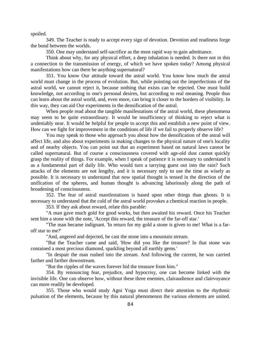spoiled.

349. The Teacher is ready to accept every sign of devotion. Devotion and readiness forge the bond between the worlds.

350. One may understand self-sacrifice as the most rapid way to gain admittance.

Think about why, for any physical effort, a deep inhalation is needed. Is there not in this a connection to the transmission of energy, of which we have spoken today? Among physical manifestations how can there be anything supernatural?

351. You know Our attitude toward the astral world. You know how much the astral world must change in the process of evolution. But, while pointing out the imperfections of the astral world, we cannot reject it, because nothing that exists can be rejected. One must build knowledge, not according to one's personal desires, but according to real meaning. People thus can learn about the astral world, and, even more, can bring it closer to the borders of visibility. In this way, they can aid Our experiments in the densification of the astral.

When people read about the tangible manifestations of the astral world, these phenomena may seem to be quite extraordinary. It would be insufficiency of thinking to reject what is undeniably near. It would be helpful for people to accept this and establish a new point of view. How can we fight for improvement in the conditions of life if we fail to properly observe life?

You may speak to those who approach you about how the densification of the astral will affect life, and also about experiments in making changes to the physical nature of one's locality and of nearby objects. You can point out that an experiment based on natural laws cannot be called supernatural. But of course a consciousness covered with age-old dust cannot quickly grasp the reality of things. For example, when I speak of patience it is necessary to understand it as a fundamental part of daily life. Who would turn a tarrying guest out into the rain? Such attacks of the elements are not lengthy, and it is necessary only to use the time as wisely as possible. It is necessary to understand that now spatial thought is tensed in the direction of the unification of the spheres, and human thought is advancing laboriously along the path of broadening of consciousness.

352. The fear of astral manifestations is based upon other things than ghosts. It is necessary to understand that the cold of the astral world provokes a chemical reaction in people.

353. If they ask about reward, relate this parable:

"A man gave much gold for good works, but then awaited his reward. Once his Teacher sent him a stone with the note, 'Accept this reward, the treasure of the far-off star.'

"The man became indignant. 'In return for my gold a stone is given to me! What is a faroff star to me?'

"And, angered and dejected, he cast the stone into a mountain stream.

"But the Teacher came and said, 'How did you like the treasure? In that stone was contained a most precious diamond, sparkling beyond all earthly gems.'

"In despair the man rushed into the stream. And following the current, he was carried farther and farther downstream.

"But the ripples of the waves forever hid the treasure from him."

354. By renouncing fear, prejudice, and hypocrisy, one can become linked with the invisible life. One can observe how, without these three enemies, clairaudience and clairvoyance can more readily be developed.

355. Those who would study Agni Yoga must direct their attention to the rhythmic pulsation of the elements, because by this natural phenomenon the various elements are united.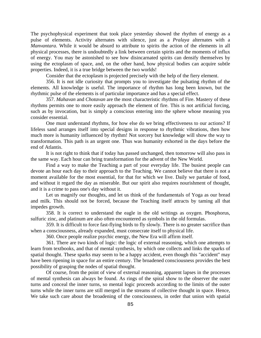The psychophysical experiment that took place yesterday showed the rhythm of energy as a pulse of elements. Activity alternates with silence, just as a *Pralaya* alternates with a *Manvantara*. While it would be absurd to attribute to spirits the action of the elements in all physical processes, there is undoubtedly a link between certain spirits and the moments of influx of energy. You may be astonished to see how disincarnated spirits can densify themselves by using the ectoplasm of space, and, on the other hand, how physical bodies can acquire subtle properties. Indeed, it is a true bridge between the two worlds!

Consider that the ectoplasm is projected precisely with the help of the fiery element.

356. It is not idle curiosity that prompts you to investigate the pulsating rhythm of the elements. All knowledge is useful. The importance of rhythm has long been known, but the rhythmic pulse of the elements is of particular importance and has a special effect.

357. *Mahavan* and *Chotavan* are the most characteristic rhythms of Fire. Mastery of these rhythms permits one to more easily approach the element of fire. This is not artificial forcing, such as by invocation, but is simply a conscious entering into the sphere whose meaning you consider essential.

One must understand rhythms, for how else do we bring effectiveness to our actions? If lifeless sand arranges itself into special designs in response to rhythmic vibrations, then how much more is humanity influenced by rhythm! Not sorcery but knowledge will show the way to transformation. This path is an urgent one. Thus was humanity exhorted in the days before the end of Atlantis.

It is not right to think that if today has passed unchanged, then tomorrow will also pass in the same way. Each hour can bring transformation for the advent of the New World.

Find a way to make the Teaching a part of your everyday life. The busiest people can devote an hour each day to their approach to the Teaching. We cannot believe that there is not a moment available for the most essential, for that for which we live. Daily we partake of food, and without it regard the day as miserable. But our spirit also requires nourishment of thought, and it is a crime to pass one's day without it.

Let us magnify our thoughts, and let us think of the fundamentals of Yoga as our bread and milk. This should not be forced, because the Teaching itself attracts by taming all that impedes growth.

358. It is correct to understand the eagle in the old writings as oxygen. Phosphorus, sulfuric zinc, and platinum are also often encountered as symbols in the old formulas.

359. It is difficult to force fast-flying birds to fly slowly. There is no greater sacrifice than when a consciousness, already expanded, must consecrate itself to physical life.

360. Once people realize psychic energy, the New Era will affirm itself.

361. There are two kinds of logic: the logic of external reasoning, which one attempts to learn from textbooks, and that of mental synthesis, by which one collects and links the sparks of spatial thought. These sparks may seem to be a happy accident, even though this "accident" may have been ripening in space for an entire century. The broadened consciousness provides the best possibility of grasping the nodes of spatial thought.

Of course, from the point of view of external reasoning, apparent lapses in the processes of mental synthesis can always be found. As rings of the spiral show to the observer the outer turns and conceal the inner turns, so mental logic proceeds according to the limits of the outer turns while the inner turns are still merged in the streams of collective thought in space. Hence, We take such care about the broadening of the consciousness, in order that union with spatial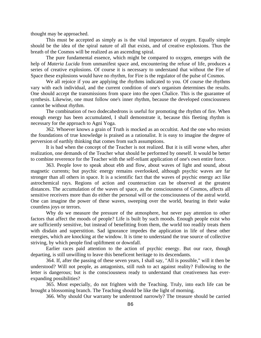thought may be approached.

This must be accepted as simply as is the vital importance of oxygen. Equally simple should be the idea of the spiral nature of all that exists, and of creative explosions. Thus the breath of the Cosmos will be realized as an ascending spiral.

The pure fundamental essence, which might be compared to oxygen, emerges with the help of *Materia Lucida* from unmanifest space and, encountering the refuse of life, produces a series of creative explosions. Of course it is necessary to understand that without the Fire of Space these explosions would have no rhythm, for Fire is the regulator of the pulse of Cosmos.

We all rejoice if you are applying the rhythms indicated to you. Of course the rhythms vary with each individual, and the current condition of one's organism determines the results. One should accept the transmissions from space into the open Chalice. This is the guarantee of synthesis. Likewise, one must follow one's inner rhythm, because the developed consciousness cannot be without rhythm.

The combination of two dodecahedrons is useful for promoting the rhythm of fire. When enough energy has been accumulated, I shall demonstrate it, because this fleeting rhythm is necessary for the approach to Agni Yoga.

362. Whoever knows a grain of Truth is mocked as an occultist. And the one who resists the foundations of true knowledge is praised as a rationalist. It is easy to imagine the degree of perversion of earthly thinking that comes from such assumptions.

It is bad when the concept of the Teacher is not realized. But it is still worse when, after realization, one demands of the Teacher what should be performed by oneself. It would be better to combine reverence for the Teacher with the self-reliant application of one's own entire force.

363. People love to speak about ebb and flow, about waves of light and sound, about magnetic currents; but psychic energy remains overlooked, although psychic waves are far stronger than all others in space. It is a scientific fact that the waves of psychic energy act like astrochemical rays. Regions of action and counteraction can be observed at the greatest distances. The accumulation of the waves of space, as the consciousness of Cosmos, affects all sensitive receivers more than do either the personal will or the consciousness of the astral world. One can imagine the power of these waves, sweeping over the world, bearing in their wake countless joys or terrors.

Why do we measure the pressure of the atmosphere, but never pay attention to other factors that affect the moods of people? Life is built by such moods. Enough people exist who are sufficiently sensitive, but instead of benefitting from them, the world too readily treats them with disdain and superstition. Sad ignorance impedes the application in life of these other energies, which are knocking at the window. It is time to understand the true source of collective striving, by which people find upliftment or downfall.

Earlier races paid attention to the action of psychic energy. But our race, though departing, is still unwilling to leave this beneficent heritage to its descendants.

364. If, after the passing of these seven years, I shall say, "All is possible," will it then be understood? Will not people, as antagonists, still rush to act against reality? Following to the letter is dangerous; but is the consciousness ready to understand that creativeness has everexpanding possibilities?

365. Most especially, do not frighten with the Teaching. Truly, into each life can be brought a blossoming branch. The Teaching should be like the light of morning.

366. Why should Our warranty be understood narrowly? The treasure should be carried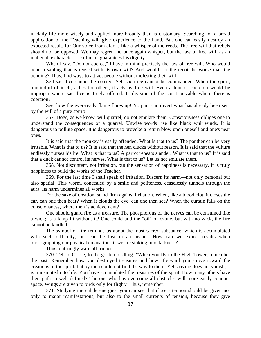in daily life more wisely and applied more broadly than is customary. Searching for a broad application of the Teaching will give experience to the hand. But one can easily destroy an expected result, for Our voice from afar is like a whisper of the reeds. The free will that rebels should not be opposed. We may regret and once again whisper, but the law of free will, as an inalienable characteristic of man, guarantees his dignity.

When I say, "Do not coerce," I have in mind precisely the law of free will. Who would bend a sapling that is tensed with its own will? And would not the recoil be worse than the bending? Thus, find ways to attract people without molesting their will.

Self-sacrifice cannot be coaxed. Self-sacrifice cannot be commanded. When the spirit, unmindful of itself, aches for others, it acts by free will. Even a hint of coercion would be improper where sacrifice is freely offered. Is division of the spirit possible where there is coercion?

See, how the ever-ready flame flares up! No pain can divert what has already been sent by the will of a pure spirit!

367. Dogs, as we know, will quarrel; do not emulate them. Consciousness obliges one to understand the consequences of a quarrel. Unwise words rise like black whirlwinds. It is dangerous to pollute space. It is dangerous to provoke a return blow upon oneself and one's near ones.

It is said that the monkey is easily offended. What is that to us? The panther can be very irritable. What is that to us? It is said that the hen clucks without reason. It is said that the vulture endlessly nurses his ire. What is that to us? A parrot repeats slander. What is that to us? It is said that a duck cannot control its nerves. What is that to us? Let us not emulate them.

368. Not discontent, not irritation, but the sensation of happiness is necessary. It is truly happiness to build the works of the Teacher.

369. For the last time I shall speak of irritation. Discern its harm—not only personal but also spatial. This worm, concealed by a smile and politeness, ceaselessly tunnels through the aura. Its harm undermines all works.

For the sake of creation, stand firm against irritation. When, like a blood clot, it closes the ear, can one then hear? When it clouds the eye, can one then see? When the curtain falls on the consciousness, where then is achievement?

One should guard fire as a treasure. The phosphorous of the nerves can be consumed like a wick; is a lamp fit without it? One could add the "oil" of ozone, but with no wick, the fire cannot be kindled.

The symbol of fire reminds us about the most sacred substance, which is accumulated with such difficulty, but can be lost in an instant. How can we expect results when photographing our physical emanations if we are sinking into darkness?

Thus, untiringly warn all friends.

370. Tell to Oriole, to the golden birdling: "When you fly to the High Tower, remember the past. Remember how you destroyed treasures and how afterward you strove toward the creations of the spirit, but by then could not find the way to them. Yet striving does not vanish; it is transmuted into life. You have accumulated the treasures of the spirit. How many others have their path so well defined? The one who has overcome all obstacles will more easily conquer space. Wings are given to birds only for flight." Thus, remember!

371. Studying the subtle energies, you can see that close attention should be given not only to major manifestations, but also to the small currents of tension, because they give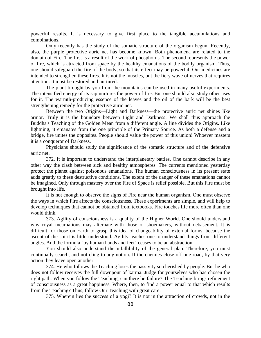powerful results. It is necessary to give first place to the tangible accumulations and combinations.

Only recently has the study of the somatic structure of the organism begun. Recently, also, the purple protective auric net has become known. Both phenomena are related to the domain of Fire. The first is a result of the work of phosphorus. The second represents the power of fire, which is attracted from space by the healthy emanations of the bodily organism. Thus, one should safeguard the fire of the body, so that its effect may be powerful. Our medicines are intended to strengthen these fires. It is not the muscles, but the fiery wave of nerves that requires attention. It must be restored and nurtured.

The plant brought by you from the mountains can be used in many useful experiments. The intensified energy of its sap nurtures the power of fire. But one should also study other uses for it. The warmth-producing essence of the leaves and the oil of the bark will be the best strengthening remedy for the protective auric net.

Between the two Origins—Light and Darkness—the protective auric net shines like armor. Truly it is the boundary between Light and Darkness! We shall thus approach the Buddha's Teaching of the Golden Mean from a different angle. A line divides the Origins. Like lightning, it emanates from the one principle of the Primary Source. As both a defense and a bridge, fire unites the opposites. People should value the power of this union! Whoever masters it is a conqueror of Darkness.

Physicians should study the significance of the somatic structure and of the defensive auric net.

372. It is important to understand the interplanetary battles. One cannot describe in any other way the clash between sick and healthy atmospheres. The currents mentioned yesterday protect the planet against poisonous emanations. The human consciousness in its present state adds greatly to these destructive conditions. The extent of the danger of these emanations cannot be imagined. Only through mastery over the Fire of Space is relief possible. But this Fire must be brought into life.

It is not enough to observe the signs of Fire near the human organism. One must observe the ways in which Fire affects the consciousness. These experiments are simple, and will help to develop techniques that cannot be obtained from textbooks. Fire touches life more often than one would think.

373. Agility of consciousness is a quality of the Higher World. One should understand why royal incarnations may alternate with those of shoemakers, without debasement. It is difficult for those on Earth to grasp this idea of changeability of external forms, because the ascent of the spirit is little understood. Agility teaches one to understand things from different angles. And the formula "by human hands and feet" ceases to be an abstraction.

You should also understand the infallibility of the general plan. Therefore, you must continually search, and not cling to any notion. If the enemies close off one road, by that very action they leave open another.

374. He who follows the Teaching loses the passivity so cherished by people. But he who does not follow receives the full downpour of karma. Judge for yourselves who has chosen the right path. When you follow the Teaching, can there be failure? The Teaching brings refinement of consciousness as a great happiness. Where, then, to find a power equal to that which results from the Teaching? Thus, follow Our Teaching with great care.

375. Wherein lies the success of a yogi? It is not in the attraction of crowds, not in the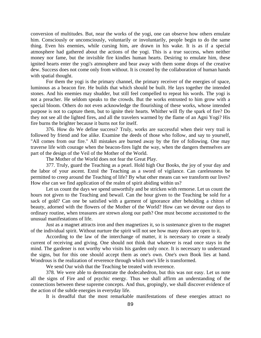conversion of multitudes. But, near the works of the yogi, one can observe how others emulate him. Consciously or unconsciously, voluntarily or involuntarily, people begin to do the same thing. Even his enemies, while cursing him, are drawn in his wake. It is as if a special atmosphere had gathered about the actions of the yogi. This is a true success, when neither money nor fame, but the invisible fire kindles human hearts. Desiring to emulate him, these ignited hearts enter the yogi's atmosphere and bear away with them some drops of the creative dew. Success does not come only from without. It is created by the collaboration of human hands with spatial thought.

For them the yogi is the primary channel, the primary receiver of the energies of space, luminous as a beacon fire. He builds that which should be built. He lays together the intended stones. And his enemies may shudder, but still feel compelled to repeat his words. The yogi is not a preacher. He seldom speaks to the crowds. But the works entrusted to him grow with a special bloom. Others do not even acknowledge the flourishing of these works, whose intended purpose is not to capture them, but to ignite their hearts. Whither will fly the spark of fire? Do they not see all the lighted fires, and all the travelers warmed by the flame of an Agni Yogi? His fire burns the brighter because it burns not for itself.

376. How do We define success? Truly, works are successful when their very trail is followed by friend and foe alike. Examine the deeds of those who follow, and say to yourself, "All comes from our fire." All mistakes are burned away by the fire of following. One may traverse life with courage when the beacon-fires light the way, when the dangers themselves are part of the design of the Veil of the Mother of the World.

The Mother of the World does not fear the Great Play.

377. Truly, guard the Teaching as a pearl. Hold high Our Books, the joy of your day and the labor of your ascent. Extol the Teaching as a sword of vigilance. Can carelessness be permitted to creep around the Teaching of life? By what other means can we transform our lives? How else can we find application of the realm of spirit abiding within us?

Let us count the days we spend unworthily and be stricken with remorse. Let us count the hours not given to the Teaching and bewail. Can the hour given to the Teaching be sold for a sack of gold? Can one be satisfied with a garment of ignorance after beholding a chiton of beauty, adorned with the flowers of the Mother of the World? How can we devote our days to ordinary routine, when treasures are strewn along our path? One must become accustomed to the unusual manifestations of life.

Just as a magnet attracts iron and then magnetizes it, so is sustenance given to the magnet of the individual spirit. Without nurture the spirit will not see how many doors are open to it.

According to the law of the interchange of matter, it is necessary to create a steady current of receiving and giving. One should not think that whatever is read once stays in the mind. The gardener is not worthy who visits his garden only once. It is necessary to understand the signs, but for this one should accept them as one's own. One's own Book lies at hand. Wondrous is the realization of reverence through which one's life is transformed.

We send Our wish that the Teaching be treated with reverence.

378. We were able to demonstrate the dodecahedron, but this was not easy. Let us note all the signs of Fire and of psychic energy. Thus we shall affirm an understanding of the connections between these supreme concepts. And thus, gropingly, we shall discover evidence of the action of the subtle energies in everyday life.

It is dreadful that the most remarkable manifestations of these energies attract no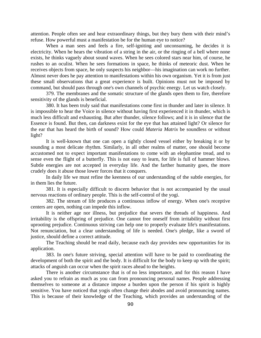attention. People often see and hear extraordinary things, but they bury them with their mind's refuse. How powerful must a manifestation be for the human eye to notice?

When a man sees and feels a fire, self-igniting and unconsuming, he decides it is electricity. When he hears the vibration of a string in the air, or the ringing of a bell where none exists, he thinks vaguely about sound waves. When he sees colored stars near him, of course, he rushes to an oculist. When he sees formations in space, he thinks of meteoric dust. When he receives objects from space, he only suspects his neighbor—his imagination can work no further. Almost never does he pay attention to manifestations within his own organism. Yet it is from just these small observations that a great experience is built. Opinions must not be imposed by command, but should pass through one's own channels of psychic energy. Let us watch closely.

379. The membranes and the somatic structure of the glands open them to fire, therefore sensitivity of the glands is beneficial.

380. It has been truly said that manifestations come first in thunder and later in silence. It is impossible to hear the Voice in silence without having first experienced it in thunder, which is much less difficult and exhausting. But after thunder, silence follows; and it is in silence that the Essence is found. But then, can darkness exist for the eye that has attained light? Or silence for the ear that has heard the birth of sound? How could *Materia Matrix* be soundless or without light?

It is well-known that one can open a tightly closed vessel either by breaking it or by sounding a most delicate rhythm. Similarly, in all other realms of matter, one should become accustomed not to expect important manifestations to come with an elephantine tread, and to sense even the flight of a butterfly. This is not easy to learn, for life is full of hammer blows. Subtle energies are not accepted in everyday life. And the farther humanity goes, the more crudely does it abuse those lower forces that it conquers.

In daily life we must refine the keenness of our understanding of the subtle energies, for in them lies the future.

381. It is especially difficult to discern behavior that is not accompanied by the usual nervous reactions of ordinary people. This is the self-control of the yogi.

382. The stream of life produces a continuous inflow of energy. When one's receptive centers are open, nothing can impede this inflow.

It is neither age nor illness, but prejudice that severs the threads of happiness. And irritability is the offspring of prejudice. One cannot free oneself from irritability without first uprooting prejudice. Continuous striving can help one to properly evaluate life's manifestations. Not renunciation, but a clear understanding of life is needed. One's pledge, like a sword of justice, should define a correct attitude.

The Teaching should be read daily, because each day provides new opportunities for its application.

383. In one's future striving, special attention will have to be paid to coordinating the development of both the spirit and the body. It is difficult for the body to keep up with the spirit; attacks of anguish can occur when the spirit races ahead to the heights.

There is another circumstance that is of no less importance, and for this reason I have asked you to refrain as much as you can from pronouncing personal names. People addressing themselves to someone at a distance impose a burden upon the person if his spirit is highly sensitive. You have noticed that yogis often change their abodes and avoid pronouncing names. This is because of their knowledge of the Teaching, which provides an understanding of the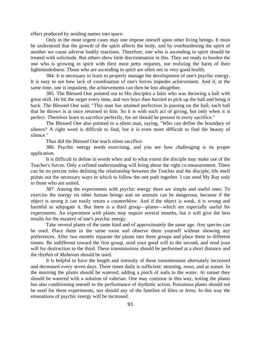effect produced by sending names into space.

Only in the most urgent cases may one impose oneself upon other living beings. It must be understood that the growth of the spirit affects the body, and by overburdening the spirit of another we cause adverse bodily reactions. Therefore, one who is ascending in spirit should be treated with solicitude. But others show little discrimination in this. They are ready to burden the one who is growing in spirit with their most petty requests, not realizing the harm of their lightmindedness. Those who are ascending in spirit are often not in very good health.

384. It is necessary to learn to properly manage the development of one's psychic energy. It is easy to see how lack of coordination of one's forces impedes achievement. And if, at the same time, one is impatient, the achievements can then be lost altogether.

385. The Blessed One pointed out to His disciples a fakir who was throwing a ball with great skill. He hit the target every time, and two boys then hurried to pick up the ball and bring it back. The Blessed One said, "This man has attained perfection in passing on the ball; each ball that he throws is at once returned to him. So it is with each act of giving, but only when it is perfect. Therefore learn to sacrifice perfectly, for art should be present in every sacrifice."

The Blessed One also pointed to a silent man, saying, "Who can define the boundary of silence? A right word is difficult to find, but it is even more difficult to find the beauty of silence."

Thus did the Blessed One teach silent sacrifice.

386. Psychic energy needs exercising, and you see how challenging is its proper application.

It is difficult to define in words when and to what extent the disciple may make use of the Teacher's forces. Only a refined understanding will bring about the right co-measurement. There can be no precise rules defining the relationship between the Teacher and the disciple; life itself points out the necessary ways in which to follow the one path together. I can send My Ray only to those who are united.

387. Among the experiments with psychic energy there are simple and useful ones. To exercise the energy on other human beings and on animals can be dangerous, because if the object is strong it can easily return a counterblow. And if the object is weak, it is wrong and harmful to subjugate it. But there is a third group—plants—which are especially useful for experiments. An experiment with plants may require several months, but it will give the best results for the mastery of one's psychic energy.

Take several plants of the same kind and of approximately the same age. Any species can be used. Place them in the same room and observe them yourself without showing any preferences. After two months separate the plants into three groups and place them in different rooms. Be indifferent toward the first group, send your good will to the second, and send your will for destruction to the third. These transmissions should be performed at a short distance and the rhythm of *Mahavan* should be used.

It is helpful to have the length and intensity of these transmissions alternately increased and decreased every seven days. Three times daily is sufficient: morning, noon, and at sunset. In the morning the plants should be watered, adding a pinch of soda to the water. At sunset they should be watered with a solution of valerian. One may continue in this way, testing the plants but also conditioning oneself to the performance of rhythmic action. Poisonous plants should not be used for these experiments, nor should any of the families of lilies or ferns. In this way the emanations of psychic energy will be increased.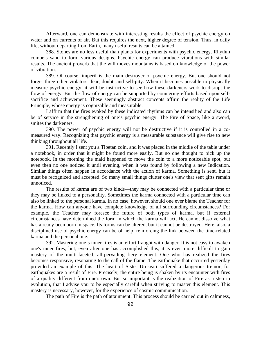Afterward, one can demonstrate with interesting results the effect of psychic energy on water and on currents of air. But this requires the next, higher degree of tension. Thus, in daily life, without departing from Earth, many useful results can be attained.

388. Stones are no less useful than plants for experiments with psychic energy. Rhythm compels sand to form various designs. Psychic energy can produce vibrations with similar results. The ancient proverb that the will moves mountains is based on knowledge of the power of vibration.

389. Of course, imperil is the main destroyer of psychic energy. But one should not forget three other violators: fear, doubt, and self-pity. When it becomes possible to physically measure psychic energy, it will be instructive to see how these darkeners work to disrupt the flow of energy. But the flow of energy can be supported by countering efforts based upon selfsacrifice and achievement. These seemingly abstract concepts affirm the reality of the Life Principle, whose energy is cognizable and measurable.

I affirm that the fires evoked by these indicated rhythms can be intensified and also can be of service in the strengthening of one's psychic energy. The Fire of Space, like a sword, smites the darkeners.

390. The power of psychic energy will not be destructive if it is controlled in a comeasured way. Recognizing that psychic energy is a measurable substance will give rise to new thinking throughout all life.

391. Recently I sent you a Tibetan coin, and it was placed in the middle of the table under a notebook, in order that it might be found more easily. But no one thought to pick up the notebook. In the morning the maid happened to move the coin to a more noticeable spot, but even then no one noticed it until evening, when it was found by following a new Indication. Similar things often happen in accordance with the action of karma. Something is sent, but it must be recognized and accepted. So many small things clutter one's view that sent gifts remain unnoticed.

The results of karma are of two kinds—they may be connected with a particular time or they may be linked to a personality. Sometimes the karma connected with a particular time can also be linked to the personal karma. In no case, however, should one ever blame the Teacher for the karma. How can anyone have complete knowledge of all surrounding circumstances? For example, the Teacher may foresee the future of both types of karma, but if external circumstances have determined the form in which the karma will act, He cannot dissolve what has already been born in space. Its forms can be altered, but it cannot be destroyed. Here, also, a disciplined use of psychic energy can be of help, reinforcing the link between the time-related karma and the personal one.

392. Mastering one's inner fires is an effort fraught with danger. It is not easy to awaken one's inner fires; but, even after one has accomplished this, it is even more difficult to gain mastery of the multi-faceted, all-pervading fiery element. One who has realized the fires becomes responsive, resonating to the call of the flame. The earthquake that occurred yesterday provided an example of this. The heart of Sister Urusvati suffered a dangerous tremor, for earthquakes are a result of Fire. Precisely, the entire being is shaken by its encounter with fires of a quality different from one's own. But so important is the realization of Fire as a step in evolution, that I advise you to be especially careful when striving to master this element. This mastery is necessary, however, for the experience of cosmic communication.

The path of Fire is the path of attainment. This process should be carried out in calmness,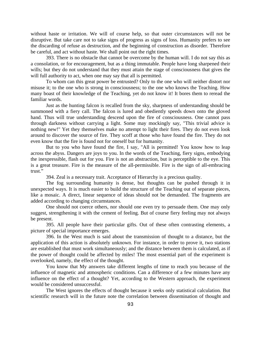without haste or irritation. We will of course help, so that outer circumstances will not be disruptive. But take care not to take signs of progress as signs of loss. Humanity prefers to see the discarding of refuse as destruction, and the beginning of construction as disorder. Therefore be careful, and act without haste. We shall point out the right times.

393. There is no obstacle that cannot be overcome by the human will. I do not say this as a consolation, or for encouragement, but as a thing immutable. People have long sharpened their wills; but they do not understand that they must attain the stage of consciousness that gives the will full authority to act, when one may say that all is permitted.

To whom can this great power be entrusted? Only to the one who will neither distort nor misuse it; to the one who is strong in consciousness; to the one who knows the Teaching. How many boast of their knowledge of the Teaching, yet do not know it! It bores them to reread the familiar words.

Just as the hunting falcon is recalled from the sky, sharpness of understanding should be summoned with a fiery call. The falcon is lured and obediently speeds down onto the gloved hand. Thus will true understanding descend upon the fire of consciousness. One cannot pass through darkness without carrying a light. Some may mockingly say, "This trivial advice is nothing new!" Yet they themselves make no attempt to light their fires. They do not even look around to discover the source of fire. They scoff at those who have found the fire. They do not even know that the fire is found not for oneself but for humanity.

But to you who have found the fire, I say, "All is permitted! You know how to leap across the abyss. Dangers are joys to you. In the words of the Teaching, fiery signs, embodying the inexpressible, flash out for you. Fire is not an abstraction, but is perceptible to the eye. This is a great treasure. Fire is the measure of the all-permissible. Fire is the sign of all-embracing trust."

394. Zeal is a necessary trait. Acceptance of Hierarchy is a precious quality.

The fog surrounding humanity is dense, but thoughts can be pushed through it in unexpected ways. It is much easier to build the structure of the Teaching out of separate pieces, like a mosaic. A direct, linear sequence of ideas should not be demanded. The fragments are added according to changing circumstances.

One should not coerce others, nor should one even try to persuade them. One may only suggest, strengthening it with the cement of feeling. But of course fiery feeling may not always be present.

395. All people have their particular gifts. Out of these often contrasting elements, a picture of special importance emerges.

396. In the West much is said about the transmission of thought to a distance, but the application of this action is absolutely unknown. For instance, in order to prove it, two stations are established that must work simultaneously; and the distance between them is calculated, as if the power of thought could be affected by miles! The most essential part of the experiment is overlooked, namely, the effect of the thought.

You know that My answers take different lengths of time to reach you because of the influence of magnetic and atmospheric conditions. Can a difference of a few minutes have any influence on the effect of a thought? Yet, according to the Western approach, the experiment would be considered unsuccessful.

The West ignores the effects of thought because it seeks only statistical calculation. But scientific research will in the future note the correlation between dissemination of thought and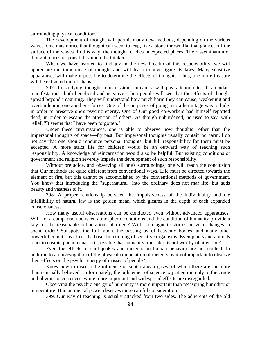surrounding physical conditions.

The development of thought will permit many new methods, depending on the various waves. One may notice that thought can seem to leap, like a stone thrown flat that glances off the surface of the waves. In this way, the thought reaches unexpected places. The dissemination of thought places responsibility upon the thinker.

When we have learned to find joy in the new breadth of this responsibility, we will appreciate the importance of thought and will learn to investigate its laws. Many sensitive apparatuses will make it possible to determine the effects of thoughts. Thus, one more treasure will be extracted out of chaos.

397. In studying thought transmission, humanity will pay attention to all attendant manifestations, both beneficial and negative. Then people will see that the effects of thought spread beyond imagining. They will understand how much harm they can cause, weakening and overburdening one another's forces. One of the purposes of going into a hermitage was to hide, in order to preserve one's psychic energy. One of Our good co-workers had himself reported dead, in order to escape the attention of others. As though unburdened, he used to say, with relief, "It seems that I have been forgotten."

Under these circumstances, one is able to observe how thoughts—other than the impersonal thoughts of space—fly past. But impersonal thoughts usually contain no harm. I do not say that one should renounce personal thoughts, but full responsibility for them must be accepted. A more strict life for children would be an outward way of teaching such responsibility. A knowledge of reincarnation would also be helpful. But existing conditions of government and religion severely impede the development of such responsibility.

Without prejudice, and observing all one's surroundings, one will reach the conclusion that Our methods are quite different from conventional ways. Life must be directed towards the element of fire, but this cannot be accomplished by the conventional methods of government. You know that introducing the "supernatural" into the ordinary does not mar life, but adds beauty and vastness to it.

398. A proper relationship between the impulsiveness of the individuality and the infallibility of natural law is the golden mean, which gleams in the depth of each expanded consciousness.

How many useful observations can be conducted even without advanced apparatuses! Will not a comparison between atmospheric conditions and the condition of humanity provide a key for the reasonable deliberations of rulers? Will not magnetic storms provoke changes in social order? Sunspots, the full moon, the passing by of heavenly bodies, and many other powerful conditions affect the basic functioning of sensitive organisms. Even plants and animals react to cosmic phenomena. Is it possible that humanity, the ruler, is not worthy of attention?

Even the effects of earthquakes and meteors on human behavior are not studied. In addition to an investigation of the physical composition of meteors, is it not important to observe their effects on the psychic energy of masses of people?

Know how to discern the influence of subterranean gases, of which there are far more than is usually believed. Unfortunately, the policemen of science pay attention only to the crude and obvious occurrences, while more important and widespread effects are disregarded.

Observing the psychic energy of humanity is more important than measuring humidity or temperature. Human mental power deserves more careful consideration.

399. Our way of teaching is usually attacked from two sides. The adherents of the old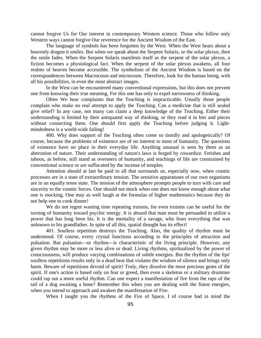cannot forgive Us for Our interest in contemporary Western science. Those who follow only Western ways cannot forgive Our reverence for the Ancient Wisdom of the East.

The language of symbols has been forgotten by the West. When the West hears about a heavenly dragon it smiles. But when we speak about the Serpent Solaris, or the solar plexus, then the smile fades. When the Serpent Solaris manifests itself as the serpent of the solar plexus, a fiction becomes a physiological fact. When the serpent of the solar plexus awakens, all four realms of heaven become accessible. The symbolism of the Ancient Wisdom is based on the correspondences between Macrocosm and microcosm. Therefore, look for the human being, with all his possibilities, in even the most abstract images.

In the West can be encountered many conventional expressions, but this does not prevent one from knowing their true meaning. For this one has only to expel narrowness of thinking.

Often We hear complaints that the Teaching is impracticable. Usually those people complain who make no real attempt to apply the Teaching. Can a medicine that is still sealed give relief? In any case, not many can claim a deep knowledge of the Teaching. Either their understanding is limited by their antiquated way of thinking, or they read it in bits and pieces without connecting them. One should first apply the Teaching before judging it. Lightmindedness is a world-wide failing!

400. Why does support of the Teaching often come so timidly and apologetically? Of course, because the problems of existence are of no interest to most of humanity. The questions of existence have no place in their everyday life. Anything unusual is seen by them as an aberration of nature. Their understanding of nature's laws is forged by cowardice. Fetishes and taboos, as before, still stand as overseers of humanity, and teachings of life are constrained by conventional science or are suffocated by the incense of temples.

Attention should at last be paid to all that surrounds us, especially now, when cosmic processes are in a state of extraordinary tension. The sensitive apparatuses of our own organisms are in an equally tense state. The tension of the atmosphere prompts people to turn with care and sincerity to the cosmic forces. One should not mock when one does not know enough about what one is mocking. One may as well laugh at the formulas of higher mathematics because they do not help one to cook dinner!

We do not regret wasting time repeating truisms, for even truisms can be useful for the turning of humanity toward psychic energy. It is absurd that man must be persuaded to utilize a power that has long been his. It is the mentality of a savage, who fears everything that was unknown to his grandfather. In spite of all this, spatial thought has its effect!

401. Soulless repetition destroys the Teaching. Also, the quality of rhythm must be understood. Of course, every crystal functions according to the principles of attraction and pulsation. But pulsation—or rhythm—is characteristic of the living principle. However, any given rhythm may be more or less alive or dead. Living rhythms, spiritualized by the power of consciousness, will produce varying combinations of subtle energies. But the rhythm of the lips' soulless repetitions results only in a dead beat that violates the wisdom of silence and brings only harm. Beware of repetitions devoid of spirit! Truly, they dissolve the most precious gems of the spirit. If one's action is based only on fear or greed, then even a skeleton or a military drummer could rap out a more useful rhythm. Can one expect a manifestation of fire from the raps of the tail of a dog awaiting a bone? Remember this when you are dealing with the finest energies, when you intend to approach and awaken the manifestation of Fire.

When I taught you the rhythms of the Fire of Space, I of course had in mind the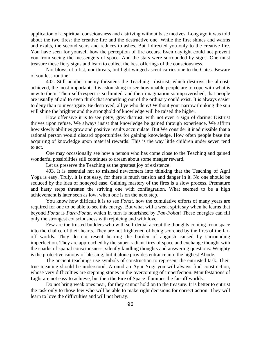application of a spiritual consciousness and a striving without base motives. Long ago it was told about the two fires: the creative fire and the destructive one. While the first shines and warms and exalts, the second sears and reduces to ashes. But I directed you only to the creative fire. You have seen for yourself how the perception of fire occurs. Even daylight could not prevent you from seeing the messengers of space. And the stars were surrounded by signs. One must treasure these fiery signs and learn to collect the best offerings of the consciousness.

Not blows of a fist, nor threats, but light-winged ascent carries one to the Gates. Beware of soulless routine!

402. Still another enemy threatens the Teaching—distrust, which destroys the almostachieved, the most important. It is astonishing to see how unable people are to cope with what is new to them! Their self-respect is so limited, and their imagination so impoverished, that people are usually afraid to even think that something out of the ordinary could exist. It is always easier to deny than to investigate. Be destroyed, all ye who deny! Without your narrow thinking the sun will shine the brighter and the stronghold of knowledge will be raised the higher.

How offensive it is to see petty, grey distrust, with not even a sign of daring! Distrust thrives upon refuse. We always insist that knowledge be gained through experience. We affirm how slowly abilities grow and positive results accumulate. But We consider it inadmissible that a rational person would discard opportunities for gaining knowledge. How often people base the acquiring of knowledge upon material rewards! This is the way little children under seven tend to act.

One may occasionally see how a person who has come close to the Teaching and gained wonderful possibilities still continues to dream about some meager reward.

Let us preserve the Teaching as the greatest joy of existence!

403. It is essential not to mislead newcomers into thinking that the Teaching of Agni Yoga is easy. Truly, it is not easy, for there is much tension and danger in it. No one should be seduced by the idea of honeyed ease. Gaining mastery of the fires is a slow process. Premature and hasty steps threaten the striving one with conflagration. What seemed to be a high achievement is later seen as low, when one is on the next step.

You know how difficult it is to see *Fohat*, how the cumulative efforts of many years are required for one to be able to see this energy. But what will a weak spirit say when he learns that beyond *Fohat* is *Para-Fohat*, which in turn is nourished by *Pan-Fohat*! These energies can fill only the strongest consciousness with rejoicing and with love.

Few are the trusted builders who with self-denial accept the thoughts coming from space into the chalice of their hearts. They are not frightened of being scorched by the fires of the faroff worlds. They do not resent bearing the burden of anguish caused by surrounding imperfection. They are approached by the super-radiant fires of space and exchange thought with the sparks of spatial consciousness, silently kindling thoughts and answering questions. Weighty is the protective canopy of blessing, but it alone provides entrance into the highest Abode.

The ancient teachings use symbols of construction to represent the entrusted task. Their true meaning should be understood. Around an Agni Yogi you will always find construction, whose very difficulties are stepping stones in the overcoming of imperfection. Manifestations of Light are not easy to achieve, but then the Fire of Space illumines the far-off worlds.

Do not bring weak ones near, for they cannot hold on to the treasure. It is better to entrust the task only to those few who will be able to make right decisions for correct action. They will learn to love the difficulties and will not betray.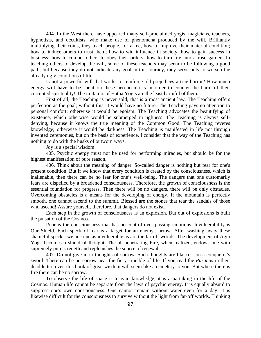404. In the West there have appeared many self-proclaimed yogis, magicians, teachers, hypnotists, and occultists, who make use of phenomena produced by the will. Brilliantly multiplying their coins, they teach people, for a fee, how to improve their material condition; how to induce others to trust them; how to win influence in society; how to gain success in business; how to compel others to obey their orders; how to turn life into a rose garden. In teaching others to develop the will, some of these teachers may seem to be following a good path, but because they do not indicate any goal in this journey, they serve only to worsen the already ugly conditions of life.

Is not a powerful will that works to reinforce old prejudices a true horror? How much energy will have to be spent on these neo-occultists in order to counter the harm of their corrupted spirituality! The imitators of Hatha Yogis are the least harmful of them.

First of all, the Teaching is never sold; that is a most ancient law. The Teaching offers perfection as the goal; without this, it would have no future. The Teaching pays no attention to personal comfort; otherwise it would be egoism. The Teaching advocates the beautifying of existence, which otherwise would be submerged in ugliness. The Teaching is always selfdenying, because it knows the true meaning of the Common Good. The Teaching reveres knowledge; otherwise it would be darkness. The Teaching is manifested in life not through invented ceremonies, but on the basis of experience. I consider that the way of the Teaching has nothing to do with the husks of outworn ways.

Joy is a special wisdom.

405. Psychic energy must not be used for performing miracles, but should be for the highest manifestation of pure reason.

406. Think about the meaning of danger. So-called danger is nothing but fear for one's present condition. But if we know that every condition is created by the consciousness, which is inalienable, then there can be no fear for one's well-being. The dangers that one customarily fears are dispelled by a broadened consciousness. Therefore, the growth of consciousness is the essential foundation for progress. Then there will be no dangers, there will be only obstacles. Overcoming obstacles is a means for the developing of energy. If the mountain is perfectly smooth, one cannot ascend to the summit. Blessed are the stones that tear the sandals of those who ascend! Assure yourself, therefore, that dangers do not exist.

Each step in the growth of consciousness is an explosion. But out of explosions is built the pulsation of the Cosmos.

Poor is the consciousness that has no control over passing emotions. Invulnerability is Our Shield. Each speck of fear is a target for an enemy's arrow. After washing away these shameful specks, we become as invulnerable as are the far-off worlds. The development of Agni Yoga becomes a shield of thought. The all-penetrating Fire, when realized, endows one with supremely pure strength and replenishes the source of renewal.

407. Do not give in to thoughts of sorrow. Such thoughts are like rust on a conqueror's sword. There can be no sorrow near the fiery crucible of life. If you read the *Puranas* in their dead letter, even this book of great wisdom will seem like a cemetery to you. But where there is fire there can be no sorrow.

To observe the life of space is to gain knowledge; it is a partaking in the life of the Cosmos. Human life cannot be separate from the laws of psychic energy. It is equally absurd to suppress one's own consciousness. One cannot remain without water even for a day. It is likewise difficult for the consciousness to survive without the light from far-off worlds. Thinking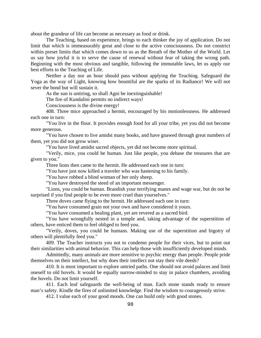about the grandeur of life can become as necessary as food or drink.

The Teaching, based on experience, brings to each thinker the joy of application. Do not limit that which is immeasurably great and close to the active consciousness. Do not constrict within preset limits that which comes down to us as the Breath of the Mother of the World. Let us say how joyful it is to serve the cause of renewal without fear of taking the wrong path. Beginning with the most obvious and tangible, following the immutable laws, let us apply our best efforts to the Teaching of Life.

Neither a day nor an hour should pass without applying the Teaching. Safeguard the Yoga as the way of Light, knowing how bountiful are the sparks of its Radiance! We will not sever the bond but will sustain it.

As the sun is untiring, so shall Agni be inextinguishable!

The fire of Kundalini permits no indirect ways!

Consciousness is the divine energy!

408. Three mice approached a hermit, encouraged by his motionlessness. He addressed each one in turn:

"You live in the flour. It provides enough food for all your tribe, yet you did not become more generous.

"You have chosen to live amidst many books, and have gnawed through great numbers of them, yet you did not grow wiser.

"You have lived amidst sacred objects, yet did not become more spiritual.

"Verily, mice, you could be human. Just like people, you debase the treasures that are given to you."

Three lions then came to the hermit. He addressed each one in turn:

"You have just now killed a traveler who was hastening to his family.

"You have robbed a blind woman of her only sheep.

"You have destroyed the steed of an important messenger.

"Lions, you could be human. Brandish your terrifying manes and wage war, but do not be surprised if you find people to be even more cruel than yourselves."

Three doves came flying to the hermit. He addressed each one in turn:

"You have consumed grain not your own and have considered it yours.

"You have consumed a healing plant, yet are revered as a sacred bird.

"You have wrongfully nested in a temple and, taking advantage of the superstition of others, have enticed them to feel obliged to feed you.

"Verily, doves, you could be humans. Making use of the superstition and bigotry of others will plentifully feed you."

409. The Teacher instructs you not to condemn people for their vices, but to point out their similarities with animal behavior. This can help those with insufficiently developed minds.

Admittedly, many animals are more sensitive to psychic energy than people. People pride themselves on their intellect, but why does their intellect not stay their vile deeds?

410. It is most important to explore untried paths. One should not avoid palaces and limit oneself to old hovels. It would be equally narrow-minded to stay in palace chambers, avoiding the hovels. Do not limit yourself.

411. Each leaf safeguards the well-being of man. Each stone stands ready to ensure man's safety. Kindle the fires of unlimited knowledge. Find the wisdom to courageously strive.

412. I value each of your good moods. One can build only with good stones.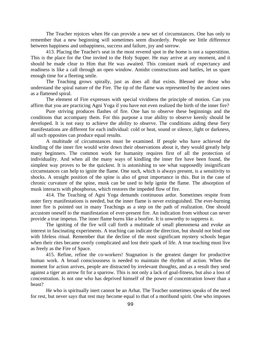The Teacher rejoices when He can provide a new set of circumstances. One has only to remember that a new beginning will sometimes seem disorderly. People see little difference between happiness and unhappiness, success and failure, joy and sorrow.

413. Placing the Teacher's seat in the most revered spot in the home is not a superstition. This is the place for the One invited to the Holy Supper. He may arrive at any moment, and it should be made clear to Him that He was awaited. This constant mark of expectancy and readiness is like a call through an open window. Amidst constructions and battles, let us spare enough time for a fleeting smile.

The Teaching grows spirally, just as does all that exists. Blessed are those who understand the spiral nature of the Fire. The tip of the flame was represented by the ancient ones as a flattened spiral.

The element of Fire expresses with special vividness the principle of motion. Can you affirm that you are practicing Agni Yoga if you have not even realized the birth of the inner fire?

Pure striving produces flashes of fire. One has to observe these beginnings and the conditions that accompany them. For this purpose a true ability to observe keenly should be developed. It is not easy to achieve the ability to observe. The conditions aiding these fiery manifestations are different for each individual: cold or heat, sound or silence, light or darkness, all such opposites can produce equal results.

A multitude of circumstances must be examined. If people who have achieved the kindling of the inner fire would write down their observations about it, they would greatly help many beginners. The common work for humanity requires first of all the protection of individuality. And when all the many ways of kindling the inner fire have been found, the simplest way proves to be the quickest. It is astonishing to see what supposedly insignificant circumstances can help to ignite the flame. One such, which is always present, is a sensitivity to shocks. A straight position of the spine is also of great importance in this. But in the case of chronic curvature of the spine, musk can be used to help ignite the flame. The absorption of musk interacts with phosphorus, which restores the impeded flow of fire.

414. The Teaching of Agni Yoga demands continuous ardor. Sometimes respite from outer fiery manifestations is needed, but the inner flame is never extinguished. The ever-burning inner fire is pointed out in many Teachings as a step on the path of realization. One should accustom oneself to the manifestation of ever-present fire. An indication from without can never provide a true impetus. The inner flame burns like a bonfire. It is unworthy to suppress it.

The igniting of the fire will call forth a multitude of small phenomena and evoke an interest in fascinating experiments. A teaching can indicate the direction, but should not bind one with lifeless ritual. Remember that the decline of the most significant mystery schools began when their rites became overly complicated and lost their spark of life. A true teaching must live as freely as the Fire of Space.

415. Refine, refine the co-workers! Stagnation is the greatest danger for productive human work. A broad consciousness is needed to maintain the rhythm of action. When the moment for action arrives, people are distracted by irrelevant thoughts, and as a result they send against a tiger an arrow fit for a sparrow. This is not only a lack of goal-fitness, but also a loss of concentration. Is not one who has deprived himself of the power of concentration lower than a beast?

He who is spiritually inert cannot be an Arhat. The Teacher sometimes speaks of the need for rest, but never says that rest may become equal to that of a moribund spirit. One who imposes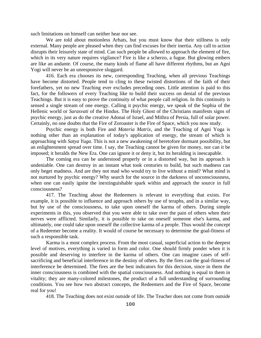such limitations on himself can neither hear nor see.

We are told about motionless Arhats, but you must know that their stillness is only external. Many people are pleased when they can find excuses for their inertia. Any call to action disrupts their leisurely state of mind. Can such people be allowed to approach the element of fire, which in its very nature requires vigilance? Fire is like a scherzo, a fugue. But glowing embers are like an andante. Of course, the many kinds of flame all have different rhythms, but an Agni Yogi will never be an unresponsive sluggard.

416. Each era chooses its new, corresponding Teaching, when all previous Teachings have become distorted. People tend to cling to these twisted distortions of the faith of their forefathers, yet no new Teaching ever excludes preceding ones. Little attention is paid to this fact, for the followers of every Teaching like to build their success on denial of the previous Teachings. But it is easy to prove the continuity of what people call religion. In this continuity is sensed a single stream of one energy. Calling it psychic energy, we speak of the Sophia of the Hellenic world or *Sarasvati* of the Hindus. The Holy Ghost of the Christians manifests signs of psychic energy, just as do the creative Adonai of Israel, and Mithra of Persia, full of solar power. Certainly, no one doubts that the Fire of Zoroaster is the Fire of Space, which you now study.

Psychic energy is both Fire and *Materia Matrix*, and the Teaching of Agni Yoga is nothing other than an explanation of today's application of energy, the stream of which is approaching with *Satya Yuga*. This is not a new awakening of heretofore dormant possibility, but an enlightenment spread over time. I say, the Teaching cannot be given for money, nor can it be imposed; it heralds the New Era. One can ignore it or deny it, but its heralding is inescapable.

The coming era can be understood properly or in a distorted way, but its approach is undeniable. One can destroy in an instant what took centuries to build, but such madness can only beget madness. And are they not mad who would try to live without a mind? What mind is not nurtured by psychic energy? Why search for the source in the darkness of unconsciousness, when one can easily ignite the inextinguishable spark within and approach the source in full consciousness?

417. The Teaching about the Redeemers is relevant to everything that exists. For example, it is possible to influence and approach others by use of teraphs, and in a similar way, but by use of the consciousness, to take upon oneself the karma of others. During simple experiments in this, you observed that you were able to take over the pain of others when their nerves were afflicted. Similarly, it is possible to take on oneself someone else's karma, and ultimately, one could take upon oneself the collective karma of a people. Thus would the concept of a Redeemer become a reality. It would of course be necessary to determine the goal-fitness of such a responsible task.

Karma is a most complex process. From the most casual, superficial action to the deepest level of motives, everything is varied in form and color. One should firmly ponder when it is possible and deserving to interfere in the karma of others. One can imagine cases of selfsacrificing and beneficial interference in the destiny of others. By the fires can the goal-fitness of interference be determined. The fires are the best indicators for this decision, since in them the inner consciousness is combined with the spatial consciousness. And nothing is equal to them in vitality; they are many-colored milestones, the product of a full understanding of surrounding conditions. You see how two abstract concepts, the Redeemers and the Fire of Space, become real for you!

418. The Teaching does not exist outside of life. The Teacher does not come from outside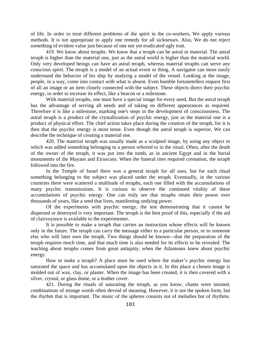of life. In order to treat different problems of the spirit in the co-workers, We apply various methods. It is not appropriate to apply one remedy for all sicknesses. Also, We do not reject something of evident value just because of one not yet eradicated ugly trait.

419. We know about teraphs. We know that a teraph can be astral or material. The astral teraph is higher than the material one, just as the astral world is higher than the material world. Only very developed beings can have an astral teraph, whereas material teraphs can serve any conscious spirit. The teraph is a model of an actual event or thing. A navigator can more easily understand the behavior of his ship by studying a model of the vessel. Looking at the image, people, in a way, come into contact with what is absent. Even humble fortunetellers request first of all an image or an item closely connected with the subject. These objects direct their psychic energy, in order to increase its effect, like a beacon or a milestone.

With material teraphs, one must have a special image for every need. But the astral teraph has the advantage of serving all needs and of taking on different appearances as required. Therefore it is like a milestone, marking one's steps in the development of consciousness. The astral teraph is a product of the crystallization of psychic energy, just as the material one is a product of physical effort. The chief action takes place during the creation of the teraph, for it is then that the psychic energy is most tense. Even though the astral teraph is superior, We can describe the technique of creating a material one.

420. The material teraph was usually made as a sculpted image, by using any object to which was added something belonging to a person referred to in the ritual. Often, after the death of the owner of the teraph, it was put into the tomb, as in ancient Egypt and in the burial monuments of the Mayans and Etruscans. When the funeral rites required cremation, the teraph followed into the fire.

In the Temple of Israel there was a general teraph for all uses, but for each ritual something belonging to the subject was placed under the teraph. Eventually, in the various countries there were scattered a multitude of teraphs, each one filled with the accumulations of many psychic transmissions. It is curious to observe the continued vitality of these accumulations of psychic energy. One can truly see that teraphs retain their power over thousands of years, like a seed that lives, manifesting undying power.

Of the experiments with psychic energy, the test demonstrating that it cannot be dispersed or destroyed is very important. The teraph is the best proof of this, especially if the aid of clairvoyance is available to the experimenter.

It is possible to make a teraph that carries an instruction whose effects will be known only in the future. The teraph can carry the message either to a particular person, or to someone else who will later own the teraph. Two things should be known—that the preparation of the teraph requires much time, and that much time is also needed for its effects to be revealed. The teaching about teraphs comes from great antiquity, when the Atlanteans knew about psychic energy.

How to make a teraph? A place must be used where the maker's psychic energy has saturated the space and has accumulated upon the objects in it. In this place a chosen image is molded out of wax, clay, or plaster. When the image has been created, it is then covered with a silver, crystal, or glass dome, or a leather cover.

421. During the rituals of saturating the teraph, as you know, chants were intoned, combinations of strange words often devoid of meaning. However, it is not the spoken form, but the rhythm that is important. The music of the spheres consists not of melodies but of rhythms.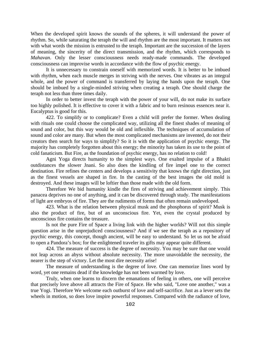When the developed spirit knows the sounds of the spheres, it will understand the power of rhythm. So, while saturating the teraph the will and rhythm are the most important. It matters not with what words the mission is entrusted to the teraph. Important are the succession of the layers of meaning, the sincerity of the direct transmission, and the rhythm, which corresponds to *Mahavan*. Only the lesser consciousness needs ready-made commands. The developed consciousness can improvise words in accordance with the flow of psychic energy.

It is unnecessary to constrain oneself with memorized words. It is better to be imbued with rhythm, when each muscle merges in striving with the nerves. One vibrates as an integral whole, and the power of command is transferred by laying the hands upon the teraph. One should be imbued by a single-minded striving when creating a teraph. One should charge the teraph not less than three times daily.

In order to better invest the teraph with the power of your will, do not make its surface too highly polished. It is effective to cover it with a fabric and to burn resinous essences near it. Eucalyptus is good for this.

422. To simplify or to complicate? Even a child will prefer the former. When dealing with rituals one could choose the complicated way, utilizing all the finest shades of meaning of sound and color, but this way would be old and inflexible. The techniques of accumulation of sound and color are many. But when the most complicated mechanisms are invented, do not their creators then search for ways to simplify? So it is with the application of psychic energy. The majority has completely forgotten about this energy; the minority has taken its use to the point of cold fanaticism. But Fire, as the foundation of psychic energy, has no relation to cold!

Agni Yoga directs humanity to the simplest ways. One exalted impulse of a Bhakti outdistances the slower Jnani. So also does the kindling of fire impel one to the correct destination. Fire refines the centers and develops a sensitivity that knows the right direction, just as the finest vessels are shaped in fire. In the casting of the best images the old mold is destroyed. And these images will be loftier than those made with the old form.

Therefore We bid humanity kindle the fires of striving and achievement simply. This panacea deprives no one of anything, and it can be discovered through study. The manifestations of light are embryos of fire. They are the rudiments of forms that often remain undeveloped.

423. What is the relation between physical musk and the phosphorus of spirit? Musk is also the product of fire, but of an unconscious fire. Yet, even the crystal produced by unconscious fire contains the treasure.

Is not the pure Fire of Space a living link with the higher worlds? Will not this simple question arise in the unprejudiced consciousness? And if we see the teraph as a repository of psychic energy, this concept, though ancient, will be easy to understand. So let us not be afraid to open a Pandora's box; for the enlightened traveler its gifts may appear quite different.

424. The measure of success is the degree of necessity. You may be sure that one would not leap across an abyss without absolute necessity. The more unavoidable the necessity, the nearer is the step of victory. Let the most dire necessity arise!

The measure of understanding is the degree of love. One can memorize lines word by word, yet one remains dead if the knowledge has not been warmed by love.

Truly, when one learns to discern the emanations of feeling in others, one will perceive that precisely love above all attracts the Fire of Space. He who said, "Love one another," was a true Yogi. Therefore We welcome each outburst of love and self-sacrifice. Just as a lever sets the wheels in motion, so does love inspire powerful responses. Compared with the radiance of love,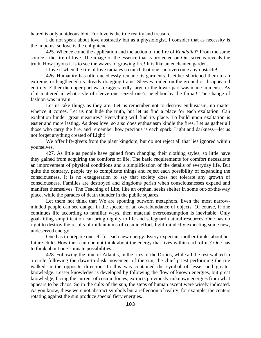hatred is only a hideous blot. For love is the true reality and treasure.

I do not speak about love abstractly but as a physiologist. I consider that as necessity is the impetus, so love is the enlightener.

425. Whence come the application and the action of the fire of *Kundalini*? From the same source—the fire of love. The image of the essence that is projected on Our screens reveals the truth. How joyous it is to see the waves of growing fire! It is like an enchanted garden.

I love it when the fire of love radiates so much that one can overcome any obstacle!

426. Humanity has often needlessly remade its garments. It either shortened them to an extreme, or lengthened its already dragging trains. Sleeves trailed on the ground or disappeared entirely. Either the upper part was exaggeratedly large or the lower part was made immense. As if it mattered in what style of sleeve one seized one's neighbor by the throat! The change of fashion was in vain.

Let us take things as they are. Let us remember not to destroy enthusiasm, no matter whence it comes. Let us not hide the truth, but let us find a place for each exaltation. Can exaltation hinder great measures? Everything will find its place. To build upon exaltation is easier and more lasting. As does love, so also does enthusiasm kindle the fires. Let us gather all those who carry the fire, and remember how precious is each spark. Light and darkness—let us not forget anything created of Light!

We offer life-givers from the plant kingdom, but do not reject all that lies ignored within yourselves.

427. As little as people have gained from changing their clothing styles, so little have they gained from acquiring the comforts of life. The basic requirements for comfort necessitate an improvement of physical conditions and a simplification of the details of everyday life. But quite the contrary, people try to complicate things and reject each possibility of expanding the consciousness. It is no exaggeration to say that society does not tolerate any growth of consciousness. Families are destroyed and kingdoms perish when consciousnesses expand and manifest themselves. The Teaching of Life, like an orphan, seeks shelter in some out-of-the-way place, while the parades of death thunder in the public squares.

Let them not think that We are spouting outworn metaphors. Even the most narrowminded people can see danger in the specter of an overabundance of objects. Of course, if one continues life according to familiar ways, then material overconsumption is inevitable. Only goal-fitting simplification can bring dignity to life and safeguard natural resources. One has no right to destroy the results of millenniums of cosmic effort, light-mindedly expecting some new, undeserved energy!

One has to prepare oneself for each new energy. Every expectant mother thinks about her future child. How then can one not think about the energy that lives within each of us? One has to think about one's innate possibilities.

428. Following the time of Atlantis, in the rites of the Druids, while all the rest walked in a circle following the dawn-to-dusk movement of the sun, the chief priest performing the rite walked in the opposite direction. In this was contained the symbol of lesser and greater knowledge. Lesser knowledge is developed by following the flow of known energies, but great knowledge, facing the current of cosmic forces, extracts previously-unknown energies from what appears to be chaos. So in the cults of the sun, the steps of human ascent were wisely indicated. As you know, these were not abstract symbols but a reflection of reality; for example, the centers rotating against the sun produce special fiery energies.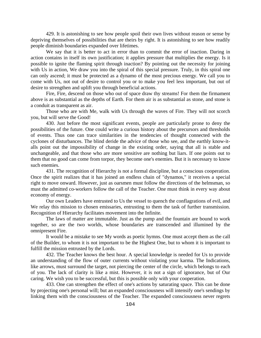429. It is astonishing to see how people spoil their own lives without reason or sense by depriving themselves of possibilities that are theirs by right. It is astonishing to see how readily people diminish boundaries expanded over lifetimes.

We say that it is better to act in error than to commit the error of inaction. Daring in action contains in itself its own justification; it applies pressure that multiplies the energy. Is it possible to ignite the flaming spirit through inaction? By pointing out the necessity for joining with Us in action, We draw you into the spiral of this special pressure. Truly, in this spiral one can only ascend; it must be protected as a dynamo of the most precious energy. We call you to come with Us, not out of desire to control you or to make you feel less important, but out of desire to strengthen and uplift you through beneficial actions.

Fire, Fire, descend on those who out of space draw thy streams! For them the firmament above is as substantial as the depths of Earth. For them air is as substantial as stone, and stone is a conduit as transparent as air.

Those who are with Me, walk with Us through the waves of Fire. They will not scorch you, but will serve the Good!

430. Just before the most significant events, people are particularly prone to deny the possibilities of the future. One could write a curious history about the precursors and thresholds of events. Thus one can trace similarities in the tendencies of thought connected with the cyclones of disturbances. The blind deride the advice of those who see, and the earthly know-italls point out the impossibility of change in the existing order, saying that all is stable and unchangeable, and that those who are more sensitive are nothing but liars. If one points out to them that no good can come from torpor, they become one's enemies. But it is necessary to know such enemies.

431. The recognition of Hierarchy is not a formal discipline, but a conscious cooperation. Once the spirit realizes that it has joined an endless chain of "dynamos," it receives a special right to move onward. However, just as oarsmen must follow the directions of the helmsman, so must the admitted co-workers follow the call of the Teacher. One must think in every way about economy of energy.

Our own Leaders have entrusted to Us the vessel to quench the conflagrations of evil, and We relay this mission to chosen emissaries, entrusting to them the task of further transmission. Recognition of Hierarchy facilitates movement into the Infinite.

The laws of matter are immutable. Just as the pump and the fountain are bound to work together, so are the two worlds, whose boundaries are transcended and illumined by the omnipresent Fire.

It would be a mistake to see My words as poetic hymns. One must accept them as the call of the Builder, to whom it is not important to be the Highest One, but to whom it is important to fulfill the mission entrusted by the Lords.

432. The Teacher knows the best hour. A special knowledge is needed for Us to provide an understanding of the flow of outer currents without violating your karma. The Indications, like arrows, must surround the target, not piercing the center of the circle, which belongs to each of you. The lack of clarity is like a mist. However, it is not a sign of ignorance, but of Our caring. We wish you to be successful, but this is possible only with your cooperation.

433. One can strengthen the effect of one's actions by saturating space. This can be done by projecting one's personal will; but an expanded consciousness will intensify one's sendings by linking them with the consciousness of the Teacher. The expanded consciousness never regrets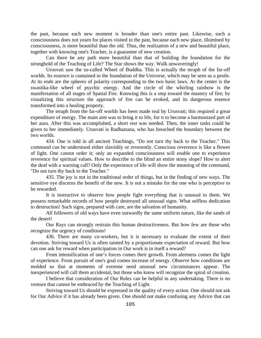the past, because each new moment is broader than one's entire past. Likewise, such a consciousness does not yearn for places visited in the past, because each new place, illumined by consciousness, is more beautiful than the old. Thus, the realization of a new and beautiful place, together with knowing one's Teacher, is a guarantee of new creation.

Can there be any path more beautiful than that of building the foundation for the stronghold of the Teaching of Life? The Star shows the way. Walk unwaveringly!

Urusvati saw the so-called Wheel of Buddha. This is actually the teraph of the far-off worlds. Its essence is contained in the foundation of the Universe, which may be seen as a pestle. At its ends are the spheres of polarity corresponding to the two basic laws. At the center is the swastika-like wheel of psychic energy. And the circle of the whirling rainbow is the manifestation of all stages of Spatial Fire. Knowing this is a step toward the mastery of fire; by visualizing this structure the approach of fire can be evoked, and its dangerous essence transformed into a healing property.

The teraph from the far-off worlds has been made real by Urusvati; this required a great expenditure of energy. The main aim was to bring it to life, for it to become a harmonized part of her aura. After this was accomplished, a short rest was needed. Then, the inner tasks could be given to her immediately. Urusvati is Radhastana, who has breached the boundary between the two worlds.

434. One is told in all ancient Teachings, "Do not turn thy back to the Teacher." This command can be understood either slavishly or reverently. Conscious reverence is like a flower of light. One cannot order it; only an expanded consciousness will enable one to experience reverence for spiritual values. How to describe to the blind an entire stony slope? How to alert the deaf with a warning call? Only the experience of life will show the meaning of the command, "Do not turn thy back to the Teacher."

435. The joy is not in the traditional order of things, but in the finding of new ways. The sensitive eye discerns the benefit of the new. It is not a mistake for the one who is perceptive to be rewarded.

It is instructive to observe how people fight everything that is unusual to them. We possess remarkable records of how people destroyed all unusual signs. What selfless dedication to destruction! Such signs, prepared with care, are the salvation of humanity.

All followers of old ways have even outwardly the same uniform nature, like the sands of the desert!

Our Rays can strongly restrain this human destructiveness. But how few are those who recognize the urgency of conditions!

436. There are many co-workers, but it is necessary to evaluate the extent of their devotion. Striving toward Us is often tainted by a proportionate expectation of reward. But how can one ask for reward when participation in Our work is in itself a reward?

From intensification of one's forces comes their growth. From alertness comes the light of experience. From pursuit of one's goal comes increase of energy. Observe how conditions are molded so that at moments of extreme need unusual new circumstances appear. The inexperienced will call them accidental, but those who know will recognize the spiral of creation.

I believe that consideration of Our Rules can be helpful in any undertaking. There is no venture that cannot be embraced by the Teaching of Light.

Striving toward Us should be expressed in the quality of every action. One should not ask for Our Advice if it has already been given. One should not make confusing any Advice that can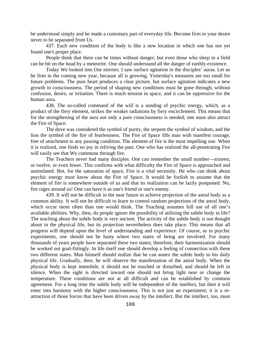be understood simply and be made a customary part of everyday life. Become firm in your desire never to be separated from Us.

437. Each new condition of the body is like a new location in which one has not yet found one's proper place.

People think that there can be times without danger; but even those who sleep in a field can be hit on the head by a meteorite. One should understand all the danger of earthly existence.

Today We looked into Our mirrors. I saw surface agitation in the disciples' auras. Let us be firm in the coming new year, because all is growing. Yesterday's measures are too small for future problems. The pure heart produces a clear picture, but surface agitation indicates a new growth in consciousness. The period of shaping new conditions must be gone through, without confusion, desire, or irritation. There is much tension in space, and it can be oppressive for the human aura.

438. The so-called command of the will is a sending of psychic energy, which, as a product of the fiery element, strikes the weaker radiations by fiery encirclement. This means that for the strengthening of the aura not only a pure consciousness is needed; one must also attract the Fire of Space.

The dove was considered the symbol of purity, the serpent the symbol of wisdom, and the lion the symbol of the fire of fearlessness. The Fire of Space fills man with manifest courage, free of attachment to any passing condition. The element of fire is the most impelling one. When it is realized, one finds no joy in reliving the past. One who has realized the all-penetrating Fire will easily see that We commune through fire.

The Teachers never had many disciples. One can remember the small number—sixteen, or twelve, or even fewer. This confirms with what difficulty the Fire of Space is approached and assimilated. But, for the saturation of space, Fire is a vital necessity. He who can think about psychic energy must know about the Fire of Space. It would be foolish to assume that the element of fire is somewhere outside of us and that its realization can be lazily postponed. No, fire rages around us! One can have it as one's friend or one's enemy.

439. It will not be difficult in the near future to achieve projection of the astral body as a common ability. It will not be difficult to learn to control random projections of the astral body, which occur more often than one would think. The Teaching assumes full use of all one's available abilities. Why, then, do people ignore the possibility of utilizing the subtle body in life? The teaching about the subtle body is very ancient. The activity of the subtle body is not thought about in the physical life, but its projection nevertheless does take place. This means that all progress will depend upon the level of understanding and experience. Of course, as in psychic experiments, one should not be hasty where two states of being are involved. For many thousands of years people have separated these two states; therefore, their harmonization should be worked out goal-fittingly. In life itself one should develop a feeling of connection with these two different states. Man himself should realize that he can annex the subtle body to his daily physical life. Gradually, then, he will observe the manifestation of the astral body. When the physical body is kept immobile, it should not be touched or disturbed, and should be left in silence. When the sight is directed inward one should not bring light near or change the temperature. These conditions are not at all difficult and can be established by common agreement. For a long time the subtle body will be independent of the intellect, but then it will enter into harmony with the higher consciousness. This is not just an experiment; it is a reattraction of those forces that have been driven away by the intellect. But the intellect, too, must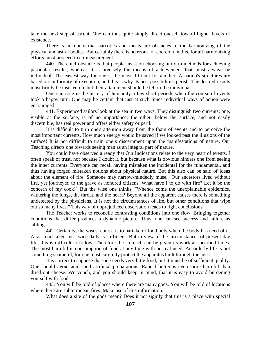take the next step of ascent. One can thus quite simply direct oneself toward higher levels of existence.

There is no doubt that narcotics and meats are obstacles to the harmonizing of the physical and astral bodies. But certainly there is no room for coercion in this, for all harmonizing efforts must proceed in co-measurement.

440. The chief obstacle is that people insist on choosing uniform methods for achieving particular results, whereas it is precisely the means of achievement that must always be individual. The easiest way for one is the most difficult for another. A nation's structures are based on uniformity of execution, and this is why its best possibilities perish. The desired results must firmly be insisted on, but their attainment should be left to the individual.

One can note in the history of humanity a few short periods when the course of events took a happy turn. One may be certain that just at such times individual ways of action were encouraged.

441. Experienced sailors look at the sea in two ways. They distinguish two currents: one, visible at the surface, is of no importance; the other, below the surface, and not easily discernible, has real power and offers either safety or peril.

It is difficult to turn one's attention away from the foam of events and to perceive the most important currents. How much energy would be saved if we looked past the illusions of the surface! It is not difficult to train one's discernment upon the manifestations of nature. Our Teaching directs one towards seeing man as an integral part of nature.

You could have observed already that Our Indications relate to the very heart of events. I often speak of trust, not because I doubt it, but because what is obvious hinders one from seeing the inner currents. Everyone can recall having mistaken the incidental for the fundamental, and thus having forged mistaken notions about physical nature. But this also can be said of ideas about the element of fire. Someone may narrow-mindedly muse, "Our ancestors lived without fire, yet journeyed to the grave as honored citizens. What have I to do with fire? Let it be the concern of my cook!" But the wise one thinks, "Whence come the unexplainable epidemics, withering the lungs, the throat, and the heart? Beyond all the apparent causes there is something undetected by the physicians. It is not the circumstances of life, but other conditions that wipe out so many lives." This way of unprejudiced observation leads to right conclusions.

The Teacher works to reconcile contrasting conditions into one flow. Bringing together conditions that differ produces a dynamic picture. Thus, one can see success and failure as siblings.

442. Certainly, the wisest course is to partake of food only when the body has need of it. Also, food taken just twice daily is sufficient. But in view of the circumstances of present-day life, this is difficult to follow. Therefore the stomach can be given its work at specified times. The most harmful is consumption of food at any time with no real need. An orderly life is not something shameful, for one must carefully protect the apparatus built through the ages.

It is correct to suppose that one needs very little food, but it must be of sufficient quality. One should avoid acids and artificial preparations. Rancid butter is even more harmful than dried-out cheese. We vouch, and you should keep in mind, that it is easy to avoid burdening yourself with food.

443. You will be told of places where there are many gods. You will be told of locations where there are subterranean fires. Make use of this information.

What does a site of the gods mean? Does it not signify that this is a place with special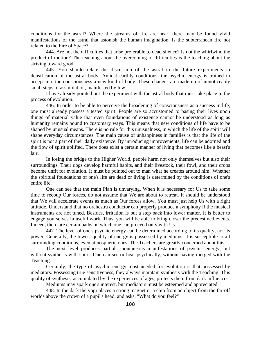conditions for the astral? Where the streams of fire are near, there may be found vivid manifestations of the astral that astonish the human imagination. Is the subterranean fire not related to the Fire of Space?

444. Are not the difficulties that arise preferable to dead silence? Is not the whirlwind the product of motion? The teaching about the overcoming of difficulties is the teaching about the striving toward good.

445. You should relate the discussion of the astral to the future experiments in densification of the astral body. Amidst earthly conditions, the psychic energy is trained to accept into the consciousness a new kind of body. These changes are made up of unnoticeably small steps of assimilation, manifested by few.

I have already pointed out the experiment with the astral body that must take place in the process of evolution.

446. In order to be able to perceive the broadening of consciousness as a success in life, one must already possess a tested spirit. People are so accustomed to basing their lives upon things of material value that even foundations of existence cannot be understood as long as humanity remains bound to customary ways. This means that new conditions of life have to be shaped by unusual means. There is no rule for this unusualness, in which the life of the spirit will shape everyday circumstances. The main cause of unhappiness in families is that the life of the spirit is not a part of their daily existence. By introducing improvements, life can be adorned and the flow of spirit uplifted. There does exist a certain manner of living that becomes like a beast's lair.

In losing the bridge to the Higher World, people harm not only themselves but also their surroundings. Their dogs develop harmful habits, and their livestock, their fowl, and their crops become unfit for evolution. It must be pointed out to man what he creates around him! Whether the spiritual foundations of one's life are dead or living is determined by the conditions of one's entire life.

One can see that the main Plan is unvarying. When it is necessary for Us to take some time to recoup Our forces, do not assume that We are about to retreat. It should be understood that We will accelerate events as much as Our forces allow. You must just help Us with a right attitude. Understand that no orchestra conductor can properly produce a symphony if the musical instruments are not tuned. Besides, irritation is but a step back into lower matter. It is better to engage yourselves in useful work. Thus, you will be able to bring closer the predestined events. Indeed, there are certain paths on which one can proceed only with Us.

447. The level of one's psychic energy can be determined according to its quality, not its power. Generally, the lowest quality of energy is possessed by mediums; it is susceptible to all surrounding conditions, even atmospheric ones. The Teachers are greatly concerned about this.

The next level produces partial, spontaneous manifestations of psychic energy, but without synthesis with spirit. One can see or hear psychically, without having merged with the Teaching.

Certainly, the type of psychic energy most needed for evolution is that possessed by mediators. Possessing true sensitiveness, they always maintain synthesis with the Teaching. This quality of synthesis, accumulated by the experiences of ages, protects them from dark influences.

Mediums may spark one's interest, but mediators must be esteemed and appreciated.

448. In the dark the yogi places a strong magnet or a chip from an object from the far-off worlds above the crown of a pupil's head, and asks, "What do you feel?"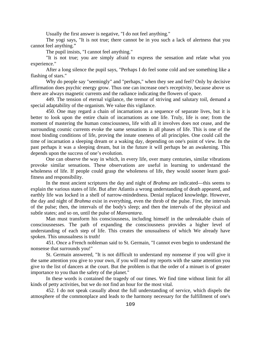Usually the first answer is negative, "I do not feel anything."

The yogi says, "It is not true; there cannot be in you such a lack of alertness that you cannot feel anything."

The pupil insists, "I cannot feel anything."

"It is not true; you are simply afraid to express the sensation and relate what you experience."

After a long silence the pupil says, "Perhaps I do feel some cold and see something like a flashing of stars."

Why do people say "seemingly" and "perhaps," when they see and feel? Only by decisive affirmation does psychic energy grow. Thus one can increase one's receptivity, because above us there are always magnetic currents and the radiance indicating the flowers of space.

449. The tension of eternal vigilance, the tremor of striving and salutary toil, demand a special adaptability of the organism. We value this vigilance.

450. One may regard a chain of incarnations as a sequence of separate lives, but it is better to look upon the entire chain of incarnations as one life. Truly, life is one; from the moment of mastering the human consciousness, life with all it involves does not cease, and the surrounding cosmic currents evoke the same sensations in all phases of life. This is one of the most binding conditions of life, proving the innate oneness of all principles. One could call the time of incarnation a sleeping dream or a waking day, depending on one's point of view. In the past perhaps it was a sleeping dream, but in the future it will perhaps be an awakening. This depends upon the success of one's evolution.

One can observe the way in which, in every life, over many centuries, similar vibrations provoke similar sensations. These observations are useful in learning to understand the wholeness of life. If people could grasp the wholeness of life, they would sooner learn goalfitness and responsibility.

In the most ancient scriptures the day and night of *Brahma* are indicated—this seems to explain the various states of life. But after Atlantis a wrong understanding of death appeared, and earthly life was locked in a shell of narrow-mindedness. Denial replaced knowledge. However, the day and night of *Brahma* exist in everything, even the throb of the pulse. First, the intervals of the pulse; then, the intervals of the body's sleep; and then the intervals of the physical and subtle states; and so on, until the pulse of *Manvantara*.

Man must transform his consciousness, including himself in the unbreakable chain of consciousnesses. The path of expanding the consciousness provides a higher level of understanding of each step of life. This creates the unusualness of which We already have spoken. This unusualness is truth!

451. Once a French nobleman said to St. Germain, "I cannot even begin to understand the nonsense that surrounds you!"

St. Germain answered, "It is not difficult to understand my nonsense if you will give it the same attention you give to your own, if you will read my reports with the same attention you give to the list of dancers at the court. But the problem is that the order of a minuet is of greater importance to you than the safety of the planet."

In these words is contained the tragedy of our times. We find time without limit for all kinds of petty activities, but we do not find an hour for the most vital.

452. I do not speak casually about the full understanding of service, which dispels the atmosphere of the commonplace and leads to the harmony necessary for the fulfillment of one's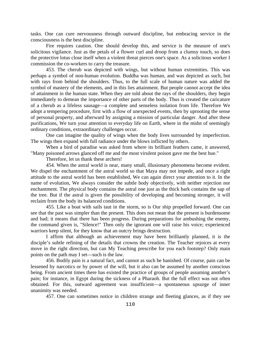tasks. One can cure nervousness through outward discipline, but embracing service in the consciousness is the best discipline.

Fire requires caution. One should develop this, and service is the measure of one's solicitous vigilance. Just as the petals of a flower curl and droop from a clumsy touch, so does the protective lotus close itself when a violent threat pierces one's space. As a solicitous worker I commission the co-workers to carry the treasure.

453. The cherub was depicted with wings, but without human extremities. This was perhaps a symbol of non-human evolution. Buddha was human, and was depicted as such, but with rays from behind the shoulders. Thus, to the full scale of human nature was added the symbol of mastery of the elements, and in this lies attainment. But people cannot accept the idea of attainment in the human state. When they are told about the rays of the shoulders, they begin immediately to demean the importance of other parts of the body. Thus is created the caricature of a cherub as a lifeless sausage—a complete and senseless isolation from life. Therefore We adopt a tempering procedure, first with a flow of unexpected events, then by uprooting the sense of personal property, and afterward by assigning a mission of particular danger. And after these purifications, We turn your attention to everyday life on Earth, where in the midst of seemingly ordinary conditions, extraordinary challenges occur.

One can imagine the quality of wings when the body lives surrounded by imperfection. The wings then expand with full radiance under the blows inflicted by others.

When a bird of paradise was asked from where its brilliant feathers came, it answered, "Many poisoned arrows glanced off me and the most virulent poison gave me the best hue."

Therefore, let us thank these archers!

454. When the astral world is near, many small, illusionary phenomena become evident. We dispel the enchantment of the astral world so that Maya may not impede, and once a right attitude to the astral world has been established, We can again direct your attention to it. In the name of evolution, We always consider the subtle body objectively, with neither rejection nor enchantment. The physical body contains the astral one just as the thick bark contains the sap of the tree. But if the astral is given the possibility of developing and becoming stronger, it will reclaim from the body its balanced conditions.

455. Like a boat with sails taut in the storm, so is Our ship propelled forward. One can see that the past was simpler than the present. This does not mean that the present is burdensome and bad; it means that there has been progress. During preparations for ambushing the enemy, the command given is, "Silence!" Then only the ignorant one will raise his voice; experienced warriors keep silent, for they know that an outcry brings destruction.

I affirm that although an achievement may have been brilliantly planned, it is the disciple's subtle refining of the details that crowns the creation. The Teacher rejoices at every move in the right direction, but can My Teaching prescribe for you each footstep? Only main points on the path may I set—such is the law.

456. Bodily pain is a natural fact, and cannot as such be banished. Of course, pain can be lessened by narcotics or by power of the will, but it also can be assumed by another conscious being. From ancient times there has existed the practice of groups of people assuming another's pain; for instance, in Egypt during the sickness of a Pharaoh. But the full effect was not often obtained. For this, outward agreement was insufficient—a spontaneous upsurge of inner unanimity was needed.

457. One can sometimes notice in children strange and fleeting glances, as if they see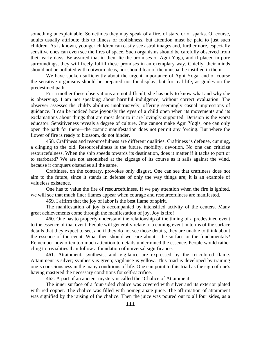something unexplainable. Sometimes they may speak of a fire, of stars, or of sparks. Of course, adults usually attribute this to illness or foolishness, but attention must be paid to just such children. As is known, younger children can easily see astral images and, furthermore, especially sensitive ones can even see the fires of space. Such organisms should be carefully observed from their early days. Be assured that in them lie the promises of Agni Yoga, and if placed in pure surroundings, they will freely fulfill these promises in an exemplary way. Chiefly, their minds should not be polluted with outworn ideas, nor should fear of the unusual be instilled in them.

We have spoken sufficiently about the urgent importance of Agni Yoga, and of course the sensitive organisms should be prepared not for display, but for real life, as guides on the predestined path.

For a mother these observations are not difficult; she has only to know what and why she is observing. I am not speaking about harmful indulgence, without correct evaluation. The observer assesses the child's abilities unobtrusively, offering seemingly casual impressions of guidance. It can be noticed how joyously the eyes of a child open when its movements and its exclamations about things that are most dear to it are lovingly supported. Derision is the worst educator. Sensitiveness reveals a degree of culture. One cannot make Agni Yogis, one can only open the path for them—the cosmic manifestation does not permit any forcing. But where the flower of fire is ready to blossom, do not hinder.

458. Craftiness and resourcefulness are different qualities. Craftiness is defense, cunning, a clinging to the old. Resourcefulness is the future, mobility, devotion. No one can criticize resourcefulness. When the ship speeds towards its destination, does it matter if it tacks to port or to starboard? We are not astonished at the zigzags of its course as it sails against the wind, because it conquers obstacles all the same.

Craftiness, on the contrary, provokes only disgust. One can see that craftiness does not aim to the future, since it stands in defense of only the way things are; it is an example of valueless existence.

One has to value the fire of resourcefulness. If we pay attention when the fire is ignited, we will see that much finer flames appear when courage and resourcefulness are manifested.

459. I affirm that the joy of labor is the best flame of spirit.

The manifestation of joy is accompanied by intensified activity of the centers. Many great achievements come through the manifestation of joy. Joy is fire!

460. One has to properly understand the relationship of the timing of a predestined event to the essence of that event. People will generally relate to a coming event in terms of the surface details that they expect to see, and if they do not see those details, they are unable to think about the essence of the event. What then should we care about—the surface or the fundamentals? Remember how often too much attention to details undermined the essence. People would rather cling to trivialities than follow a foundation of universal significance.

461. Attainment, synthesis, and vigilance are expressed by the tri-colored flame. Attainment is silver; synthesis is green; vigilance is yellow. This triad is developed by training one's consciousness in the many conditions of life. One can point to this triad as the sign of one's having mastered the necessary conditions for self-sacrifice.

462. A part of an ancient mystery is called the "Chalice of Attainment."

The inner surface of a four-sided chalice was covered with silver and its exterior plated with red copper. The chalice was filled with pomegranate juice. The affirmation of attainment was signified by the raising of the chalice. Then the juice was poured out to all four sides, as a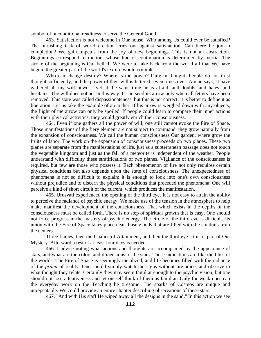symbol of unconditional readiness to serve the General Good.

463. Satisfaction is not welcome in Our house. Who among Us could ever be satisfied? The onrushing task of world creation cries out against satisfaction. Can there be joy in completion? We gain impetus from the joy of new beginnings. This is not an abstraction. Beginnings correspond to motion, whose line of continuation is determined by inertia. The stroke of the beginning is Our bell. If We were to take back from the world all that We have begun, the greater part of the world's texture would crumble.

Who can change destiny? Where is the power? Only in thought. People do not trust thought sufficiently, and the power of their will is fettered seven times over. A man says, "I have gathered all my will power," yet at the same time he is afraid, and doubts, and hates, and hesitates. The will does not act in this way. It can send its arrow only when all fetters have been removed. This state was called dispassionateness, but this is not correct; it is better to define it as liberation. Let us take the example of an archer. If his arrow is weighed down with any objects, the flight of the arrow can only be spoiled. If people could learn to compare their inner actions with their physical activities, they would greatly enrich their consciousness.

464. Even if one gathers all the power of will, one still cannot evoke the Fire of Space. Those manifestations of the fiery element are not subject to command, they grow naturally from the expansion of consciousness. We call the human consciousness Our garden, where grow the fruits of labor. The work on the expansion of consciousness proceeds on two planes. These two planes are separate from the manifestations of life, just as a subterranean passage does not touch the vegetable kingdom and just as the fall of a meteorite is independent of the weather. People understand with difficulty these stratifications of two planes. Vigilance of the consciousness is required, but few are those who possess it. Each phenomenon of fire not only requires certain physical conditions but also depends upon the state of consciousness. The unexpectedness of phenomena is not so difficult to explain: it is enough to look into one's own consciousness without prejudice and to discern the physical conditions that preceded the phenomena. One will perceive a kind of short circuit of the current, which produces the manifestation.

465. Urusvati experienced the opening of the third eye. It is not easy to attain the ability to perceive the radiance of psychic energy. We make use of the tension in the atmosphere to help make manifest the development of the consciousness. That which exists in the depths of the consciousness must be called forth. There is no step of spiritual growth that is easy. One should not force progress in the mastery of psychic energy. The circle of the third eye is difficult. Its union with the Fire of Space takes place near those glands that are filled with the conduits from the centers.

Three flames, then the Chalice of Attainment, and then the third eye—this is part of Our Mystery. Afterward a rest of at least four days is needed.

466. I advise noting what actions and thoughts are accompanied by the appearance of stars, and what are the colors and dimensions of the stars. These indications are like the bliss of the worlds. The Fire of Space is seemingly metalized, and life becomes filled with the radiance of the *prana* of reality. One should simply watch the signs without prejudice, and observe to what thought they relate. Certainly they may seem familiar enough to the psychic vision, but one should not lose attentiveness and let oneself think of them as familiar. Only for weak ones can the everyday work on the Teaching be tiresome. The sparks of Cosmos are unique and unrepeatable. We could provide an entire chapter describing observations of these stars.

467. "And with His staff He wiped away all the designs in the sand." In this action we see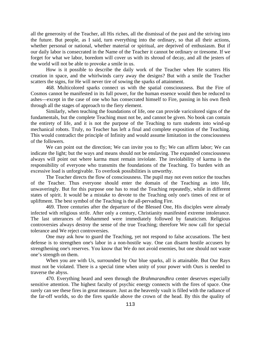all the generosity of the Teacher, all His riches, all the dismissal of the past and the striving into the future. But people, as I said, turn everything into the ordinary, so that all their actions, whether personal or national, whether material or spiritual, are deprived of enthusiasm. But if our daily labor is consecrated in the Name of the Teacher it cannot be ordinary or tiresome. If we forget for what we labor, boredom will cover us with its shroud of decay, and all the jesters of the world will not be able to provoke a smile in us.

How is it possible to describe the daily work of the Teacher when He scatters His creation in space, and the whirlwinds carry away the designs? But with a smile the Teacher scatters the signs, for He will never tire of sowing the sparks of attainment.

468. Multicolored sparks connect us with the spatial consciousness. But the Fire of Cosmos cannot be manifested in its full power, for the human essence would then be reduced to ashes—except in the case of one who has consecrated himself to Fire, passing in his own flesh through all the stages of approach to the fiery element.

Similarly, when teaching the foundations of life, one can provide varicolored signs of the fundamentals, but the complete Teaching must not be, and cannot be given. No book can contain the entirety of life, and it is not the purpose of the Teaching to turn students into wind-up mechanical robots. Truly, no Teacher has left a final and complete exposition of the Teaching. This would contradict the principle of Infinity and would assume limitation in the consciousness of the followers.

We can point out the direction; We can invite you to fly; We can affirm labor; We can indicate the light; but the ways and means should not be enslaving. The expanded consciousness always will point out where karma must remain inviolate. The inviolability of karma is the responsibility of everyone who transmits the foundations of the Teaching. To burden with an excessive load is unforgivable. To overlook possibilities is unworthy.

The Teacher directs the flow of consciousness. The pupil may not even notice the touches of the Teacher. Thus everyone should enter the domain of the Teaching as into life, unwaveringly. But for this purpose one has to read the Teaching repeatedly, while in different states of spirit. It would be a mistake to devote to the Teaching only one's times of rest or of upliftment. The best symbol of the Teaching is the all-pervading Fire.

469. Three centuries after the departure of the Blessed One, His disciples were already infected with religious strife. After only a century, Christianity manifested extreme intolerance. The last utterances of Mohammed were immediately followed by fanaticism. Religious controversies always destroy the sense of the true Teaching; therefore We now call for special tolerance and We reject controversies.

One may ask how to guard the Teaching, yet not respond to false accusations. The best defense is to strengthen one's labor in a non-hostile way. One can disarm hostile accusers by strengthening one's reserves. You know that We do not avoid enemies, but one should not waste one's strength on them.

When you are with Us, surrounded by Our blue sparks, all is attainable. But Our Rays must not be violated. There is a special time when unity of your power with Ours is needed to traverse the abyss.

470. Everything heard and seen through the *Brahmarandhra* center deserves especially sensitive attention. The highest faculty of psychic energy connects with the fires of space. One rarely can see these fires in great measure. Just as the heavenly vault is filled with the radiance of the far-off worlds, so do the fires sparkle above the crown of the head. By this the quality of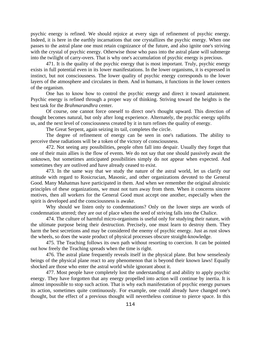psychic energy is refined. We should rejoice at every sign of refinement of psychic energy. Indeed, it is here in the earthly incarnations that one crystallizes the psychic energy. When one passes to the astral plane one must retain cognizance of the future, and also ignite one's striving with the crystal of psychic energy. Otherwise those who pass into the astral plane will submerge into the twilight of carry-overs. That is why one's accumulation of psychic energy is precious.

471. It is the quality of the psychic energy that is most important. Truly, psychic energy exists in full potential even in its lower manifestations. In the lower organisms, it is expressed in instinct, but not consciousness. The lower quality of psychic energy corresponds to the lower layers of the atmosphere and circulates in them. And in humans, it functions in the lower centers of the organism.

One has to know how to control the psychic energy and direct it toward attainment. Psychic energy is refined through a proper way of thinking. Striving toward the heights is the best task for the *Brahmarandhra* center.

Of course, one cannot force oneself to direct one's thought upward. This direction of thought becomes natural, but only after long experience. Alternately, the psychic energy uplifts us, and the next level of consciousness created by it in turn refines the quality of energy.

The Great Serpent, again seizing its tail, completes the circle.

The degree of refinement of energy can be seen in one's radiations. The ability to perceive these radiations will be a token of the victory of consciousness.

472. Not seeing any possibilities, people often fall into despair. Usually they forget that one of their main allies is the flow of events. We do not say that one should passively await the unknown, but sometimes anticipated possibilities simply do not appear when expected. And sometimes they are outlived and have already ceased to exist.

473. In the same way that we study the nature of the astral world, let us clarify our attitude with regard to Rosicrucian, Masonic, and other organizations devoted to the General Good. Many Mahatmas have participated in them. And when we remember the original altruistic principles of these organizations, we must not turn away from them. When it concerns sincere motives, then all workers for the General Good must accept one another, especially when the spirit is developed and the consciousness is awake.

Why should we listen only to condemnations? Only on the lower steps are words of condemnation uttered; they are out of place when the seed of striving falls into the Chalice.

474. The culture of harmful micro-organisms is useful only for studying their nature, with the ultimate purpose being their destruction. Precisely, one must learn to destroy them. They harm the best secretions and may be considered the enemy of psychic energy. Just as rust slows the wheels, so does the waste product of physical processes obscure straight-knowledge.

475. The Teaching follows its own path without resorting to coercion. It can be pointed out how freely the Teaching spreads when the time is right.

476. The astral plane frequently reveals itself in the physical plane. But how senselessly beings of the physical plane react to any phenomenon that is beyond their known laws! Equally shocked are those who enter the astral world while ignorant about it.

477. Most people have completely lost the understanding of and ability to apply psychic energy. They have forgotten that any energy propelled into action will continue by inertia. It is almost impossible to stop such action. That is why each manifestation of psychic energy pursues its action, sometimes quite continuously. For example, one could already have changed one's thought, but the effect of a previous thought will nevertheless continue to pierce space. In this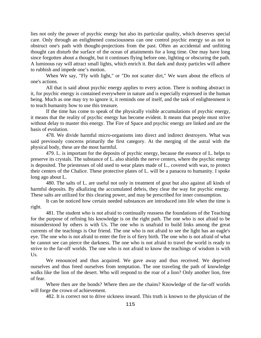lies not only the power of psychic energy but also its particular quality, which deserves special care. Only through an enlightened consciousness can one control psychic energy so as not to obstruct one's path with thought-projections from the past. Often an accidental and unfitting thought can disturb the surface of the ocean of attainments for a long time. One may have long since forgotten about a thought, but it continues flying before one, lighting or obscuring the path. A luminous ray will attract small lights, which enrich it. But dark and dusty particles will adhere to rubbish and impede one's motion.

When We say, "Fly with light," or "Do not scatter dirt," We warn about the effects of one's actions.

All that is said about psychic energy applies to every action. There is nothing abstract in it, for psychic energy is contained everywhere in nature and is especially expressed in the human being. Much as one may try to ignore it, it reminds one of itself, and the task of enlightenment is to teach humanity how to use this treasure.

If the time has come to speak of the physically visible accumulations of psychic energy, it means that the reality of psychic energy has become evident. It means that people must strive without delay to master this energy. The Fire of Space and psychic energy are linked and are the basis of evolution.

478. We divide harmful micro-organisms into direct and indirect destroyers. What was said previously concerns primarily the first category. At the merging of the astral with the physical body, these are the most harmful.

479. L. is important for the deposits of psychic energy, because the essence of L. helps to preserve its crystals. The substance of L. also shields the nerve centers, where the psychic energy is deposited. The priestesses of old used to wear plates made of L., covered with wax, to protect their centers of the Chalice. These protective plates of L. will be a panacea to humanity. I spoke long ago about L.

480. The salts of L. are useful not only in treatment of gout but also against all kinds of harmful deposits. By alkalizing the accumulated debris, they clear the way for psychic energy. These salts are utilized for this clearing power, and may be prescribed for inner consumption.

It can be noticed how certain needed substances are introduced into life when the time is right.

481. The student who is not afraid to continually reassess the foundations of the Teaching for the purpose of refining his knowledge is on the right path. The one who is not afraid to be misunderstood by others is with Us. The one who is unafraid to build links among the great currents of the teachings is Our friend. The one who is not afraid to see the light has an eagle's eye. The one who is not afraid to enter the fire is of fiery birth. The one who is not afraid of what he cannot see can pierce the darkness. The one who is not afraid to travel the world is ready to strive to the far-off worlds. The one who is not afraid to know the teachings of wisdom is with Us.

We renounced and thus acquired. We gave away and thus received. We deprived ourselves and thus freed ourselves from temptation. The one traveling the path of knowledge walks like the lion of the desert. Who will respond to the roar of a lion? Only another lion, free of fear.

Where then are the bonds? Where then are the chains? Knowledge of the far-off worlds will forge the crown of achievement.

482. It is correct not to drive sickness inward. This truth is known to the physician of the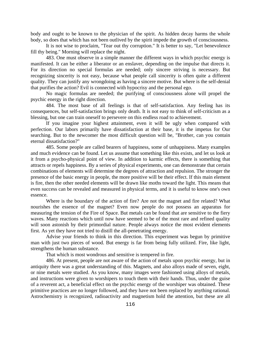body and ought to be known to the physician of the spirit. As hidden decay harms the whole body, so does that which has not been outlived by the spirit impede the growth of consciousness.

It is not wise to proclaim, "Tear out thy corruption." It is better to say, "Let benevolence fill thy being." Morning will replace the night.

483. One must observe in a simple manner the different ways in which psychic energy is manifested. It can be either a liberator or an enslaver, depending on the impulse that directs it. For its direction no special formulas are needed; only sincere striving is necessary. But recognizing sincerity is not easy, because what people call sincerity is often quite a different quality. They can justify any wrongdoing as having a sincere motive. But where is the self-denial that purifies the action? Evil is connected with hypocrisy and the personal ego.

No magic formulas are needed; the purifying of consciousness alone will propel the psychic energy in the right direction.

484. The most base of all feelings is that of self-satisfaction. Any feeling has its consequences, but self-satisfaction brings only death. It is not easy to think of self-criticism as a blessing, but one can train oneself to persevere on this endless road to achievement.

If you imagine your highest attainment, even it will be ugly when compared with perfection. Our labors primarily have dissatisfaction at their base, it is the impetus for Our searching. But to the newcomer the most difficult question will be, "Brother, can you contain eternal dissatisfaction?"

485. Some people are called bearers of happiness, some of unhappiness. Many examples and much evidence can be found. Let us assume that something like this exists, and let us look at it from a psycho-physical point of view. In addition to karmic effects, there is something that attracts or repels happiness. By a series of physical experiments, one can demonstrate that certain combinations of elements will determine the degrees of attraction and repulsion. The stronger the presence of the basic energy in people, the more positive will be their effect. If this main element is fire, then the other needed elements will be drawn like moths toward the light. This means that even success can be revealed and measured in physical terms, and it is useful to know one's own essence.

Where is the boundary of the action of fire? Are not the magnet and fire related? What nourishes the essence of the magnet? Even now people do not possess an apparatus for measuring the tension of the Fire of Space. But metals can be found that are sensitive to the fiery waves. Many reactions which until now have seemed to be of the most rare and refined quality will soon astonish by their primordial nature. People always notice the most evident elements first. As yet they have not tried to distill the all-penetrating energy.

Advise your friends to think in this direction. This experiment was begun by primitive man with just two pieces of wood. But energy is far from being fully utilized. Fire, like light, strengthens the human substance.

That which is most wondrous and sensitive is tempered in fire.

486. At present, people are not aware of the action of metals upon psychic energy, but in antiquity there was a great understanding of this. Magnets, and also alloys made of seven, eight, or nine metals were studied. As you know, many images were fashioned using alloys of metals, and instructions were given to worshipers to touch them with their hands. Thus, under the guise of a reverent act, a beneficial effect on the psychic energy of the worshiper was obtained. These primitive practices are no longer followed, and they have not been replaced by anything rational. Astrochemistry is recognized, radioactivity and magnetism hold the attention, but these are all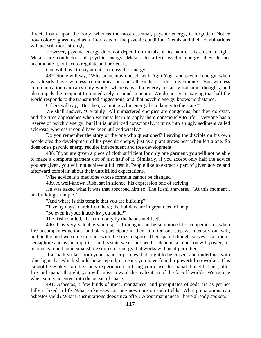directed only upon the body, whereas the most essential, psychic energy, is forgotten. Notice how colored glass, used as a filter, acts on the psychic condition. Metals and their combinations will act still more strongly.

However, psychic energy does not depend on metals; in its nature it is closer to light. Metals are conductors of psychic energy. Metals do affect psychic energy; they do not accumulate it, but act to regulate and protect it.

One will have to pay attention to psychic energy.

487. Some will say, "Why preoccupy oneself with Agni Yoga and psychic energy, when we already have wireless communication and all kinds of other inventions?" But wireless communication can carry only words, whereas psychic energy instantly transmits thoughts, and also impels the recipient to immediately respond in action. We do not err in saying that half the world responds to the transmitted suggestions, and that psychic energy knows no distance.

Others will say, "But then, cannot psychic energy be a danger to the state?"

We shall answer, "Certainly! All unmastered energies are dangerous; but they do exist, and the time approaches when we must learn to apply them consciously to life. Everyone has a reserve of psychic energy; but if it is unutilized consciously, it turns into an ugly sediment called sclerosis, whereas it could have been utilized wisely."

Do you remember the story of the one who questioned? Leaving the disciple on his own accelerates the development of his psychic energy, just as a plant grows best when left alone. So does one's psychic energy require independent and free development.

488. If you are given a piece of cloth sufficient for only one garment, you will not be able to make a complete garment out of just half of it. Similarly, if you accept only half the advice you are given, you will not achieve a full result. People like to extract a part of given advice and afterward complain about their unfulfilled expectations.

Wise advice is a medicine whose formula cannot be changed.

489. A well-known Rishi sat in silence, his expression one of striving.

He was asked what it was that absorbed him so. The Rishi answered, "At this moment I am building a temple."

"And where is this temple that you are building?"

"Twenty days' march from here; the builders are in great need of help."

"So even in your inactivity you build?"

The Rishi smiled, "Is action only by the hands and feet?"

490. It is very valuable when spatial thought can be summoned for cooperation—when fire accompanies actions, and stars participate in them too. On one step we intensify our will, and on the next we come in touch with the fires of space. Then spatial thought serves as a kind of semaphore and as an amplifier. In this state we do not need to depend so much on will power, for near us is found an inexhaustible source of energy that works with us if permitted.

If a spark strikes from your manuscript lines that ought to be erased, and underlines with blue light that which should be accepted, it means you have found a powerful co-worker. This cannot be evoked forcibly; only experience can bring you closer to spatial thought. Then, after fire and spatial thought, you will move toward the realization of the far-off worlds. We rejoice when someone enters into the ocean of space.

491. Asbestos, a few kinds of mica, manganese, and precipitates of soda are as yet not fully utilized in life. What sicknesses can one now cure on soda fields? What preparations can asbestos yield? What transmutations does mica offer? About manganese I have already spoken.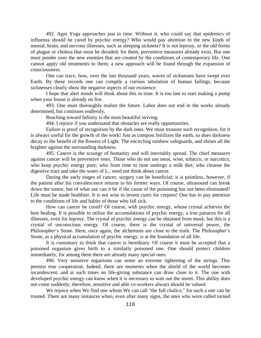492. Agni Yoga approaches just in time. Without it, who could say that epidemics of influenza should be cured by psychic energy? Who would pay attention to the new kinds of mental, brain, and nervous illnesses, such as sleeping sickness? It is not leprosy, or the old forms of plague or cholera that must be dreaded; for them, preventive measures already exist. But one must ponder over the new enemies that are created by the conditions of contemporary life. One cannot apply old treatments to them; a new approach will be found through the expansion of consciousness.

One can trace, how, over the last thousand years, waves of sicknesses have swept over Earth. By these records one can compile a curious tabulation of human failings, because sicknesses clearly show the negative aspects of our existence.

I hope that alert minds will think about this in time. It is too late to start making a pump when your house is already on fire.

493. One must thoroughly realize the future. Labor does not end in the works already determined, but continues endlessly.

Reaching toward Infinity is the most beautiful striving.

494. I rejoice if you understand that obstacles are really opportunities.

Failure is proof of recognition by the dark ones. We must treasure such recognition, for it is always useful for the growth of the work! Just as compost fertilizes the earth, so does darkness decay to the benefit of the flowers of Light. The encircling rainbow safeguards, and shines all the brighter against the surrounding darkness.

495. Cancer is the scourge of humanity and will inevitably spread. The chief measures against cancer will be preventive ones. Those who do not use meat, wine, tobacco, or narcotics; who keep psychic energy pure; who from time to time undergo a milk diet; who cleanse the digestive tract and take the water of L., need not think about cancer.

During the early stages of cancer, surgery can be beneficial; it is pointless, however, if the patient after his convalescence returns to his former ways. Of course, ultrasound can break down the tumor, but of what use can it be if the cause of the poisoning has not been eliminated? Life must be made healthier. It is not wise to invent cures for corpses! One has to pay attention to the conditions of life and habits of those who fall sick.

How can cancer be cured? Of course, with psychic energy, whose crystal achieves the best healing. It is possible to utilize the accumulations of psychic energy, a true panacea for all illnesses, even for leprosy. The crystal of psychic energy can be obtained from musk, but this is a crystal of unconscious energy. Of course, there is the crystal of universal power, the Philosopher's Stone. Here, once again, the alchemists are close to the truth. The Philosopher's Stone, as a physical accumulation of psychic energy, is at the foundation of all life.

It is customary to think that cancer is hereditary. Of course it must be accepted that a poisoned organism gives birth to a similarly poisoned one. One should protect children immediately, for among them there are already many special ones.

496. Very sensitive organisms can sense an extreme tightening of the strings. This permits true cooperation. Indeed, there are moments when the shield of the world becomes incandescent, and at such times no life-giving substance can draw close to it. The one with developed psychic energy can know when it is necessary to wait out the storm. This ability does not come suddenly; therefore, sensitive and able co-workers always should be valued.

We rejoice when We find one whom We can call "the full chalice," for such a one can be trusted. There are many instances when, even after many signs, the ones who were called turned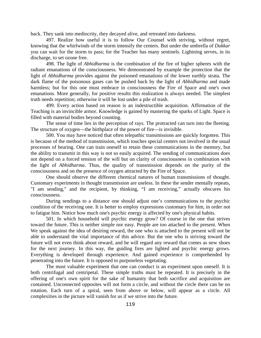back. They sank into mediocrity, they decayed alive, and retreated into darkness.

497. Realize how useful it is to follow Our Counsel with striving, without regret, knowing that the whirlwinds of the storm intensify the centers. But under the umbrella of *Dukkar* you can wait for the storm to pass; for the Teacher has many sentinels. Lightning serves, in its discharge, to set ozone free.

498. The light of *Abhidharma* is the combination of the fire of higher spheres with the radiant emanations of the consciousness. We demonstrated by example the protection that the light of *Abhidharma* provides against the poisoned emanations of the lower earthly strata. The dark flame of the poisonous gases can be pushed back by the light of *Abhidharma* and made harmless; but for this one must embrace in consciousness the Fire of Space and one's own emanations. More generally, for positive results this realization is always needed. The simplest truth needs repetition; otherwise it will be lost under a pile of trash.

499. Every action based on reason is an indestructible acquisition. Affirmation of the Teaching is an invincible armor. Knowledge is gained by mastering the sparks of Light. Space is filled with material bodies beyond counting.

The sense of time lies in the perception of rays. The protracted can turn into the fleeting. The structure of oxygen—the birthplace of the power of fire—is invisible.

500. You may have noticed that often telepathic transmissions are quickly forgotten. This is because of the method of transmission, which touches special centers not involved in the usual processes of hearing. One can train oneself to retain these communications in the memory, but the ability to transmit in this way is not so easily acquired. The sending of communications does not depend on a forced tension of the will but on clarity of consciousness in combination with the light of *Abhidharma*. Thus, the quality of transmission depends on the purity of the consciousness and on the presence of oxygen attracted by the Fire of Space.

One should observe the different chemical natures of human transmissions of thought. Customary experiments in thought transmission are useless. In these the sender mentally repeats, "I am sending," and the recipient, by thinking, "I am receiving," actually obscures his consciousness.

During sendings to a distance one should adjust one's communications to the psychic condition of the receiving one. It is better to employ expressions customary for him, in order not to fatigue him. Notice how much one's psychic energy is affected by one's physical habits.

501. In which household will psychic energy grow? Of course in the one that strives toward the future. This is neither simple nor easy. People are too attached to the present. When We speak against the idea of desiring reward, the one who is attached to the present will not be able to understand the vital importance of this advice. But the one who is striving toward the future will not even think about reward, and he will regard any reward that comes as new shoes for the next journey. In this way, the guiding fires are lighted and psychic energy grows. Everything is developed through experience. And gained experience is comprehended by penetrating into the future. It is opposed to purposeless vegetating.

The most valuable experiment that one can conduct is an experiment upon oneself. It is both centrifugal and centripetal. These simple truths must be repeated. It is precisely in the offering of one's own spirit for the sake of humanity that both sacrifice and acquisition are contained. Unconnected opposites will not form a circle, and without the circle there can be no rotation. Each turn of a spiral, seen from above or below, will appear as a circle. All complexities in the picture will vanish for us if we strive into the future.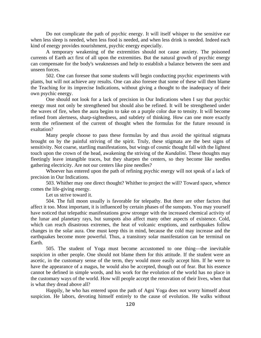Do not complicate the path of psychic energy. It will itself whisper to the sensitive ear when less sleep is needed, when less food is needed, and when less drink is needed. Indeed each kind of energy provides nourishment, psychic energy especially.

A temporary weakening of the extremities should not cause anxiety. The poisoned currents of Earth act first of all upon the extremities. But the natural growth of psychic energy can compensate for the body's weaknesses and help to establish a balance between the seen and unseen forces.

502. One can foresee that some students will begin conducting psychic experiments with plants, but will not achieve any results. One can also foresee that some of these will then blame the Teaching for its imprecise Indications, without giving a thought to the inadequacy of their own psychic energy.

One should not look for a lack of precision in Our Indications when I say that psychic energy must not only be strengthened but should also be refined. It will be strengthened under the waves of fire, when the aura begins to take on a purple color due to tensity. It will become refined from alertness, sharp-sightedness, and subtlety of thinking. How can one more exactly term the refinement of the current of thought when the formulas for the future resound in exaltation?

Many people choose to pass these formulas by and thus avoid the spiritual stigmata brought on by the painful striving of the spirit. Truly, these stigmata are the best signs of sensitivity. Not coarse, startling manifestations, but wings of cosmic thought fall with the lightest touch upon the crown of the head, awakening the striving of the *Kundalini*. These thoughts may fleetingly leave intangible traces, but they sharpen the centers, so they become like needles gathering electricity. Are not our centers like pine needles?

Whoever has entered upon the path of refining psychic energy will not speak of a lack of precision in Our Indications.

503. Whither may one direct thought? Whither to project the will? Toward space, whence comes the life-giving energy.

Let us strive toward it.

504. The full moon usually is favorable for telepathy. But there are other factors that affect it too. Most important, it is influenced by certain phases of the sunspots. You may yourself have noticed that telepathic manifestations grow stronger with the increased chemical activity of the lunar and planetary rays, but sunspots also affect many other aspects of existence. Cold, which can reach disastrous extremes, the heat of volcanic eruptions, and earthquakes follow changes in the solar aura. One must keep this in mind, because the cold may increase and the earthquakes become more powerful. Thus, a transitory solar manifestation can be terminal on Earth.

505. The student of Yoga must become accustomed to one thing—the inevitable suspicion in other people. One should not blame them for this attitude. If the student were an ascetic, in the customary sense of the term, they would more easily accept him. If he were to have the appearance of a magus, he would also be accepted, though out of fear. But his essence cannot be defined in simple words, and his work for the evolution of the world has no place in the customary ways of the world. How will people accept the renovation of their lives, when that is what they dread above all?

Happily, he who has entered upon the path of Agni Yoga does not worry himself about suspicion. He labors, devoting himself entirely to the cause of evolution. He walks without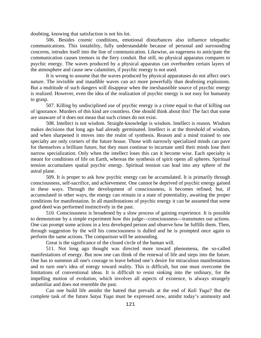doubting, knowing that satisfaction is not his lot.

506. Besides cosmic conditions, emotional disturbances also influence telepathic communications. This instability, fully understandable because of personal and surrounding concerns, intrudes itself into the line of communication. Likewise, an eagerness to anticipate the communication causes tremors in the fiery conduit. But still, no physical apparatus compares to psychic energy. The waves produced by a physical apparatus can overburden certain layers of the atmosphere and cause new calamities, if psychic energy is not used.

It is wrong to assume that the waves produced by physical apparatuses do not affect one's nature. The invisible and inaudible waves can act more powerfully than deafening explosions. But a multitude of such dangers will disappear when the inexhaustible source of psychic energy is realized. However, even the idea of the realization of psychic energy is not easy for humanity to grasp.

507. Killing by undisciplined use of psychic energy is a crime equal to that of killing out of ignorance. Murders of this kind are countless. One should think about this! The fact that some are unaware of it does not mean that such crimes do not exist.

508. Intellect is not wisdom. Straight-knowledge is wisdom. Intellect is reason. Wisdom makes decisions that long ago had already germinated. Intellect is at the threshold of wisdom, and when sharpened it moves into the realm of synthesis. Reason and a mind trained to one specialty are only corners of the future house. Those with narrowly specialized minds can pave for themselves a brilliant future, but they must continue to incarnate until their minds lose their narrow specialization. Only when the intellect loses this can it become wise. Each specialty is meant for conditions of life on Earth, whereas the synthesis of spirit opens all spheres. Spiritual tension accumulates spatial psychic energy. Spiritual tension can lead into any sphere of the astral plane.

509. It is proper to ask how psychic energy can be accumulated. It is primarily through consciousness, self-sacrifice, and achievement. One cannot be deprived of psychic energy gained in these ways. Through the development of consciousness, it becomes refined; but, if accumulated in other ways, the energy can remain in a state of potentiality, awaiting the proper conditions for manifestation. In all manifestations of psychic energy it can be assumed that some good deed was performed instinctively in the past.

510. Consciousness is broadened by a slow process of gaining experience. It is possible to demonstrate by a simple experiment how this judge—consciousness—transmutes our actions. One can prompt some actions in a less developed person and observe how he fulfills them. Then, through suggestion by the will his consciousness is dulled and he is prompted once again to perform the same actions. The comparison will be astounding.

Great is the significance of the closed circle of the human will.

511. Not long ago thought was directed more toward phenomena, the so-called manifestations of energy. But now one can think of the renewal of life and steps into the future. One has to summon all one's courage to leave behind one's desire for miraculous manifestations and to turn one's idea of energy toward reality. This is difficult, but one must overcome the limitations of conventional ideas. It is difficult to resist sinking into the ordinary, for the impelling motion of evolution, which involves all aspects of existence, is always strangely unfamiliar and does not resemble the past.

Can one build life amidst the hatred that prevails at the end of *Kali Yuga*? But the complete task of the future *Satya Yuga* must be expressed now, amidst today's animosity and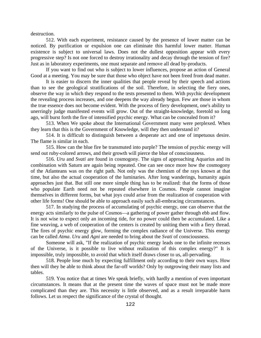destruction.

512. With each experiment, resistance caused by the presence of lower matter can be noticed. By purification or expulsion one can eliminate this harmful lower matter. Human existence is subject to universal laws. Does not the dullest opposition appear with every progressive step? Is not one forced to destroy irrationality and decay through the tension of fire? Just as in laboratory experiments, one must separate and remove all dead by-products.

If you want to find out who is subject to lower influences, propose an action of General Good at a meeting. You may be sure that those who object have not been freed from dead matter.

It is easier to discern the inner qualities that people reveal by their speech and actions than to see the geological stratifications of the soil. Therefore, in selecting the fiery ones, observe the way in which they respond to the tests presented to them. With psychic development the revealing process increases, and one deepens the way already begun. Few are those in whom the true essence does not become evident. With the process of fiery development, one's ability to unerringly judge manifested events will grow. Out of the straight-knowledge, foretold so long ago, will burst forth the fire of intensified psychic energy. What can be concealed from it?

513. When We spoke about the International Government many were perplexed. When they learn that this is the Government of Knowledge, will they then understand it?

514. It is difficult to distinguish between a desperate act and one of impetuous desire. The flame is similar in each.

515. How can the blue fire be transmuted into purple? The tension of psychic energy will send out ruby-colored arrows, and their growth will pierce the blue of consciousness.

516. *Uru* and *Svati* are found in cosmogony. The signs of approaching Aquarius and its combination with Saturn are again being repeated. One can see once more how the cosmogony of the Atlanteans was on the right path. Not only was the chemism of the rays known at that time, but also the actual cooperation of the luminaries. After long wanderings, humanity again approaches just that. But still one more simple thing has to be realized: that the forms of those who populate Earth need not be repeated elsewhere in Cosmos. People cannot imagine themselves in different forms, but what joys could arise from the realization of cooperation with other life forms! One should be able to approach easily such all-embracing circumstances.

517. In studying the process of accumulating of psychic energy, one can observe that the energy acts similarly to the pulse of Cosmos—a gathering of power gather through ebb and flow. It is not wise to expect only an incoming tide, for no power could then be accumulated. Like a fine weaving, a web of cooperation of the centers is created by uniting them with a fiery thread. The fires of psychic energy glow, forming the complex radiance of the Universe. This energy can be called *Atma*. *Uru* and *Agni* are needed to bring about the *Svati* of consciousness.

Someone will ask, "If the realization of psychic energy leads one to the infinite recesses of the Universe, is it possible to live without realization of this complex energy?" It is impossible, truly impossible, to avoid that which itself draws closer to us, all-pervading.

518. People lose much by expecting fulfillment only according to their own ways. How then will they be able to think about the far-off worlds? Only by outgrowing their many lists and tables.

519. You notice that at times We speak briefly, with hardly a mention of even important circumstances. It means that at the present time the waves of space must not be made more complicated than they are. This necessity is little observed, and as a result irreparable harm follows. Let us respect the significance of the crystal of thought.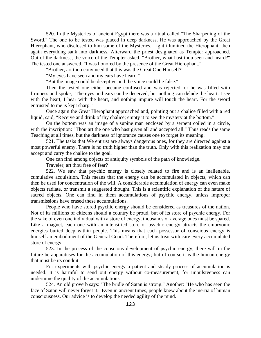520. In the Mysteries of ancient Egypt there was a ritual called "The Sharpening of the Sword." The one to be tested was placed in deep darkness. He was approached by the Great Hierophant, who disclosed to him some of the Mysteries. Light illumined the Hierophant, then again everything sank into darkness. Afterward the priest designated as Tempter approached. Out of the darkness, the voice of the Tempter asked, "Brother, what hast thou seen and heard?" The tested one answered, "I was honored by the presence of the Great Hierophant."

"Brother, art thou convinced that this was the Great One Himself?"

"My eyes have seen and my ears have heard."

"But the image could be deceptive and the voice could be false."

Then the tested one either became confused and was rejected, or he was filled with firmness and spoke, "The eyes and ears can be deceived, but nothing can delude the heart. I see with the heart, I hear with the heart, and nothing impure will touch the heart. For the sword entrusted to me is kept sharp."

Once again the Great Hierophant approached and, pointing out a chalice filled with a red liquid, said, "Receive and drink of thy chalice; empty it to see the mystery at the bottom."

On the bottom was an image of a supine man enclosed by a serpent coiled in a circle, with the inscription: "Thou art the one who hast given all and accepted all." Thus reads the same Teaching at all times, but the darkness of ignorance causes one to forget its meaning.

521. The tasks that We entrust are always dangerous ones, for they are directed against a most powerful enemy. There is no truth higher than the truth. Only with this realization may one accept and carry the chalice to the goal.

One can find among objects of antiquity symbols of the path of knowledge.

Traveler, art thou free of fear?

522. We saw that psychic energy is closely related to fire and is an inalienable, cumulative acquisition. This means that the energy can be accumulated in objects, which can then be used for concentration of the will. A considerable accumulation of energy can even make objects radiate, or transmit a suggested thought. This is a scientific explanation of the nature of sacred objects. One can find in them accumulations of psychic energy, unless improper transmissions have erased these accumulations.

People who have stored psychic energy should be considered as treasures of the nation. Not of its millions of citizens should a country be proud, but of its store of psychic energy. For the sake of even one individual with a store of energy, thousands of average ones must be spared. Like a magnet, each one with an intensified store of psychic energy attracts the embryonic energies buried deep within people. This means that each possessor of conscious energy is himself an embodiment of the General Good. Therefore, let us treat with care every accumulated store of energy.

523. In the process of the conscious development of psychic energy, there will in the future be apparatuses for the accumulation of this energy; but of course it is the human energy that must be its conduit.

For experiments with psychic energy a patient and steady process of accumulation is needed. It is harmful to send out energy without co-measurement, for impulsiveness can undermine the quality of the accumulations.

524. An old proverb says: "The bridle of Satan is strong." Another: "He who has seen the face of Satan will never forget it." Even in ancient times, people knew about the inertia of human consciousness. Our advice is to develop the needed agility of the mind.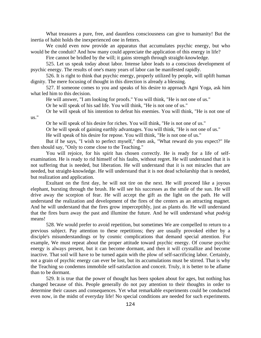What treasures a pure, free, and dauntless consciousness can give to humanity! But the inertia of habit holds the inexperienced one in fetters.

We could even now provide an apparatus that accumulates psychic energy, but who would be the conduit? And how many could appreciate the application of this energy in life?

Fire cannot be bridled by the will; it gains strength through straight-knowledge.

525. Let us speak today about labor. Intense labor leads to a conscious development of psychic energy. The results of one's many years of labor can be manifested rapidly.

526. It is right to think that psychic energy, properly utilized by people, will uplift human dignity. The mere focusing of thought in this direction is already a blessing.

527. If someone comes to you and speaks of his desire to approach Agni Yoga, ask him what led him to this decision.

He will answer, "I am looking for proofs." You will think, "He is not one of us."

Or he will speak of his sad life. You will think, "He is not one of us."

Or he will speak of his intention to defeat his enemies. You will think, "He is not one of us."

Or he will speak of his desire for riches. You will think, "He is not one of us."

Or he will speak of gaining earthly advantages. You will think, "He is not one of us."

He will speak of his desire for repose. You will think, "He is not one of us."

But if he says, "I wish to perfect myself," then ask, "What reward do you expect?" He then should say, "Only to come close to the Teaching."

You will rejoice, for his spirit has chosen correctly. He is ready for a life of selfexamination. He is ready to rid himself of his faults, without regret. He will understand that it is not suffering that is needed, but liberation. He will understand that it is not miracles that are needed, but straight-knowledge. He will understand that it is not dead scholarship that is needed, but realization and application.

Exultant on the first day, he will not tire on the next. He will proceed like a joyous elephant, bursting through the brush. He will see his successes as the smile of the sun. He will drive away the scorpion of fear. He will accept the gift as the light on the path. He will understand the realization and development of the fires of the centers as an attracting magnet. And he will understand that the fires grow imperceptibly, just as plants do. He will understand that the fires burn away the past and illumine the future. And he will understand what *podvig* means!

528. We would prefer to avoid repetition, but sometimes We are compelled to return to a previous subject. Pay attention to these repetitions; they are usually provoked either by a disciple's misunderstandings or by cosmic complications that demand special attention. For example, We must repeat about the proper attitude toward psychic energy. Of course psychic energy is always present, but it can become dormant, and then it will crystallize and become inactive. That soil will have to be turned again with the plow of self-sacrificing labor. Certainly, not a grain of psychic energy can ever be lost, but its accumulations must be stirred. That is why the Teaching so condemns immobile self-satisfaction and conceit. Truly, it is better to be aflame than to be dormant.

529. It is true that the power of thought has been spoken about for ages, but nothing has changed because of this. People generally do not pay attention to their thoughts in order to determine their causes and consequences. Yet what remarkable experiments could be conducted even now, in the midst of everyday life! No special conditions are needed for such experiments.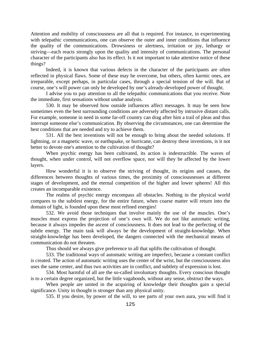Attention and mobility of consciousness are all that is required. For instance, in experimenting with telepathic communications, one can observe the outer and inner conditions that influence the quality of the communications. Drowsiness or alertness, irritation or joy, lethargy or striving—each reacts strongly upon the quality and intensity of communications. The personal character of the participants also has its effect. Is it not important to take attentive notice of these things?

Indeed, it is known that various defects in the character of the participants are often reflected in physical flaws. Some of these may be overcome, but others, often karmic ones, are irreparable, except perhaps, in particular cases, through a special tension of the will. But of course, one's will power can only be developed by one's already-developed power of thought.

I advise you to pay attention to all the telepathic communications that you receive. Note the immediate, first sensations without undue analysis.

530. It may be observed how outside influences affect messages. It may be seen how sometimes even the best surrounding conditions are adversely affected by intrusive distant calls. For example, someone in need in some far-off country can drag after him a trail of pleas and thus interrupt someone else's communication. By observing the circumstances, one can determine the best conditions that are needed and try to achieve them.

531. All the best inventions will not be enough to bring about the needed solutions. If lightning, or a magnetic wave, or earthquake, or hurricane, can destroy these inventions, is it not better to devote one's attention to the cultivation of thought?

When psychic energy has been cultivated, its action is indestructible. The waves of thought, when under control, will not overflow space, nor will they be affected by the lower layers.

How wonderful it is to observe the striving of thought, its origins and causes, the differences between thoughts of various times, the proximity of consciousnesses at different stages of development, and the eternal competition of the higher and lower spheres! All this creates an incomparable existence.

The realms of psychic energy encompass all obstacles. Nothing in the physical world compares to the subtlest energy, for the entire future, when coarse matter will return into the domain of light, is founded upon these most refined energies!

532. We avoid those techniques that involve mainly the use of the muscles. One's muscles must express the projection of one's own will. We do not like automatic writing, because it always impedes the ascent of consciousness. It does not lead to the perfecting of the subtle energy. The main task will always be the development of straight-knowledge. When straight-knowledge has been developed, the dangers connected with the mechanical means of communication do not threaten.

Thus should we always give preference to all that uplifts the cultivation of thought.

533. The traditional ways of automatic writing are imperfect, because a constant conflict is created. The action of automatic writing uses the center of the wrist, but the consciousness also uses the same center, and thus two activities are in conflict, and subtlety of expression is lost.

534. Most harmful of all are the so-called involuntary thoughts. Every conscious thought is to a certain degree organized, but the little vagabonds, without any sense, obstruct the ways.

When people are united in the acquiring of knowledge their thoughts gain a special significance. Unity in thought is stronger than any physical unity.

535. If you desire, by power of the will, to see parts of your own aura, you will find it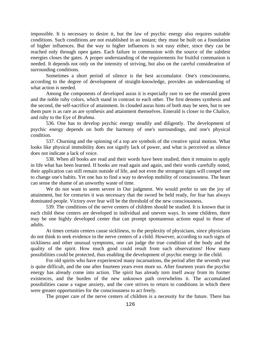impossible. It is necessary to desire it, but the law of psychic energy also requires suitable conditions. Such conditions are not established in an instant; they must be built on a foundation of higher influences. But the way to higher influences is not easy either, since they can be reached only through open gates. Each failure in communion with the source of the subtlest energies closes the gates. A proper understanding of the requirements for fruitful communion is needed. It depends not only on the intensity of striving, but also on the careful consideration of surrounding conditions.

Sometimes a short period of silence is the best accumulator. One's consciousness, according to the degree of development of straight-knowledge, provides an understanding of what action is needed.

Among the components of developed auras it is especially rare to see the emerald green and the noble ruby colors, which stand in contrast to each other. The first denotes synthesis and the second, the self-sacrifice of attainment. In clouded auras hints of both may be seen, but to see them pure is as rare as are synthesis and attainment themselves. Emerald is closer to the Chalice, and ruby to the Eye of *Brahma*.

536. One has to develop psychic energy steadily and diligently. The development of psychic energy depends on both the harmony of one's surroundings, and one's physical condition.

537. Churning and the spinning of a top are symbols of the creative spiral motion. What looks like physical immobility does not signify lack of power, and what is perceived as silence does not indicate a lack of voice.

538. When all books are read and their words have been studied, then it remains to apply in life what has been learned. If books are read again and again, and their words carefully noted, their application can still remain outside of life, and not even the strongest signs will compel one to change one's habits. Yet one has to find a way to develop mobility of consciousness. The heart can sense the shame of an unworthy waste of time.

We do not want to seem severe in Our judgment. We would prefer to see the joy of attainment, but for centuries it was necessary that the sword be held ready, for fear has always dominated people. Victory over fear will be the threshold of the new consciousness.

539. The conditions of the nerve centers of children should be studied. It is known that in each child these centers are developed in individual and uneven ways. In some children, there may be one highly developed center that can prompt spontaneous actions equal to those of adults.

At times certain centers cause sickliness, to the perplexity of physicians, since physicians do not think to seek evidence in the nerve centers of a child. However, according to such signs of sickliness and other unusual symptoms, one can judge the true condition of the body and the quality of the spirit. How much good could result from such observations! How many possibilities could be protected, thus enabling the development of psychic energy in the child.

For old spirits who have experienced many incarnations, the period after the seventh year is quite difficult, and the one after fourteen years even more so. After fourteen years the psychic energy has already come into action. The spirit has already torn itself away from its former existences, and the burden of the new unknown path overwhelms it. The accumulated possibilities cause a vague anxiety, and the core strives to return to conditions in which there were greater opportunities for the consciousness to act freely.

The proper care of the nerve centers of children is a necessity for the future. There has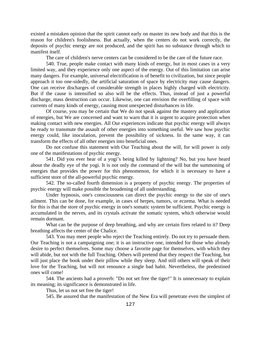existed a mistaken opinion that the spirit cannot early on master its new body and that this is the reason for children's foolishness. But actually, when the centers do not work correctly, the deposits of psychic energy are not produced, and the spirit has no substance through which to manifest itself.

The care of children's nerve centers can be considered to be the care of the future race.

540. True, people make contact with many kinds of energy, but in most cases in a very limited way, and they experience only one aspect of the energy. Out of this limitation can arise many dangers. For example, universal electrification is of benefit to civilization, but since people approach it too one-sidedly, the artificial saturation of space by electricity may cause dangers. One can receive discharges of considerable strength in places highly charged with electricity. But if the cause is intensified so also will be the effects. Thus, instead of just a powerful discharge, mass destruction can occur. Likewise, one can envision the overfilling of space with currents of many kinds of energy, causing most unexpected disturbances in life.

Of course, you may be certain that We do not speak against the mastery and application of energies, but We are concerned and want to warn that it is urgent to acquire protection when making contact with new energies. All Our experiences indicate that psychic energy will always be ready to transmute the assault of other energies into something useful. We saw how psychic energy could, like inoculation, prevent the possibility of sickness. In the same way, it can transform the effects of all other energies into beneficial ones.

Do not confuse this statement with Our Teaching about the will, for will power is only one of the manifestations of psychic energy.

541. Did you ever hear of a yogi's being killed by lightning? No, but you have heard about the deadly eye of the yogi. It is not only the command of the will but the summoning of energies that provides the power for this phenomenon, for which it is necessary to have a sufficient store of the all-powerful psychic energy.

542. The so-called fourth dimension is a property of psychic energy. The properties of psychic energy will make possible the broadening of all understanding.

Under hypnosis, one's consciousness can direct the psychic energy to the site of one's ailment. This can be done, for example, in cases of herpes, tumors, or eczema. What is needed for this is that the store of psychic energy in one's somatic system be sufficient. Psychic energy is accumulated in the nerves, and its crystals activate the somatic system, which otherwise would remain dormant.

What can be the purpose of deep breathing, and why are certain fires related to it? Deep breathing affects the center of the Chalice.

543. You may meet people who reject the Teaching entirely. Do not try to persuade them. Our Teaching is not a campaigning one; it is an instructive one, intended for those who already desire to perfect themselves. Some may choose a favorite page for themselves, with which they will abide, but not with the full Teaching. Others will pretend that they respect the Teaching, but will just place the book under their pillow while they sleep. And still others will speak of their love for the Teaching, but will not renounce a single bad habit. Nevertheless, the predestined ones will come!

544. The ancients had a proverb: "Do not set free the tiger!" It is unnecessary to explain its meaning; its significance is demonstrated in life.

Thus, let us not set free the tiger!

545. Be assured that the manifestation of the New Era will penetrate even the simplest of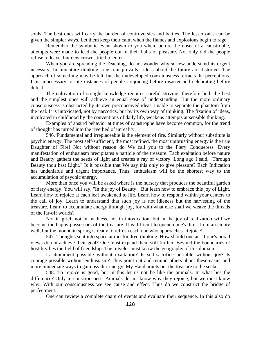souls. The best ones will carry the burden of controversies and battles. The lesser ones can be given the simpler ways. Let them keep their calm when the flames and explosions begin to rage.

Remember the symbolic event shown to you when, before the onset of a catastrophe, attempts were made to lead the people out of their halls of pleasure. Not only did the people refuse to leave, but new crowds tried to enter.

When you are spreading the Teaching, do not wonder why so few understand its urgent necessity. In immature thinking, one trait prevails—ideas about the future are distorted. The approach of something may be felt, but the undeveloped consciousness refracts the perceptions. It is unnecessary to cite instances of people's rejoicing before disaster and celebrating before defeat.

The cultivation of straight-knowledge requires careful striving; therefore both the best and the simplest ones will achieve an equal ease of understanding. But the more ordinary consciousness is obstructed by its own preconceived ideas, unable to separate the phantom from the real. It is intoxicated, not by narcotics, but by its own way of thinking. The fixation of ideas, inculcated in childhood by the conventions of daily life, weakens attempts at sensible thinking.

Examples of absurd behavior at times of catastrophe have become common, for the trend of thought has turned into the riverbed of unreality.

546. Fundamental and irreplaceable is the element of fire. Similarly without substitute is psychic energy. The most self-sufficient, the most refined, the most upthrusting energy is the true Daughter of Fire! Not without reason do We call you to the Fiery Conqueress. Every manifestation of enthusiasm precipitates a particle of the treasure. Each exaltation before nature and Beauty gathers the seeds of light and creates a ray of victory. Long ago I said, "Through Beauty thou hast Light." Is it possible that We say this only to give pleasure? Each Indication has undeniable and urgent importance. Thus, enthusiasm will be the shortest way to the accumulation of psychic energy.

More than once you will be asked where is the nursery that produces the beautiful garden of fiery energy. You will say, "In the joy of Beauty." But learn how to embrace this joy of Light. Learn how to rejoice at each leaf awakened to life. Learn how to respond within your centers to the call of joy. Learn to understand that such joy is not idleness but the harvesting of the treasure. Learn to accumulate energy through joy, for with what else shall we weave the threads of the far-off worlds?

Not in grief, not in madness, not in intoxication, but in the joy of realization will we become the happy possessors of the treasure. It is difficult to quench one's thirst from an empty well, but the mountain spring is ready to refresh each one who approaches. Rejoice!

547. Thoughts sent into space attract kindred thinking. How should one act if one's broad views do not achieve their goal? One must expand them still further. Beyond the boundaries of hostility lies the field of friendship. The traveler must know the geography of this domain.

Is attainment possible without exaltation? Is self-sacrifice possible without joy? Is courage possible without enthusiasm? Thus point out and remind others about these easier and more immediate ways to gain psychic energy. My Hand points out the treasure to the seeker.

548. To rejoice is good, but in this let us not be like the animals. In what lies the difference? Only in consciousness. Animals do not know why they rejoice; but we must know why. With our consciousness we see cause and effect. Thus do we construct the bridge of perfectment.

One can review a complete chain of events and evaluate their sequence. In this also do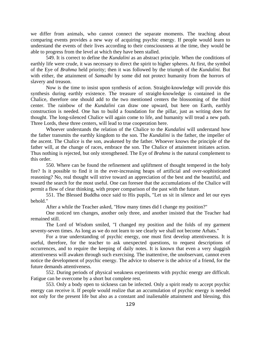we differ from animals, who cannot connect the separate moments. The teaching about comparing events provides a new way of acquiring psychic energy. If people would learn to understand the events of their lives according to their consciousness at the time, they would be able to progress from the level at which they have been stalled.

549. It is correct to define the *Kundalini* as an abstract principle. When the conditions of earthly life were crude, it was necessary to direct the spirit to higher spheres. At first, the symbol of the Eye of *Brahma* held priority; then it was followed by the triumph of the *Kundalini.* But with either, the attainment of *Samadhi* by some did not protect humanity from the horrors of slavery and treason.

Now is the time to insist upon synthesis of action. Straight-knowledge will provide this synthesis during earthly existence. The treasure of straight-knowledge is contained in the Chalice, therefore one should add to the two mentioned centers the blossoming of the third center. The rainbow of the *Kundalini* can draw one upward, but here on Earth, earthly construction is needed. One has to build a foundation for the pillar, just as writing does for thought. The long-silenced Chalice will again come to life, and humanity will tread a new path. Three Lords, these three centers, will lead to true cooperation here.

Whoever understands the relation of the Chalice to the *Kundalini* will understand how the father transmits the earthly kingdom to the son. The *Kundalini* is the father, the impeller of the ascent. The Chalice is the son, awakened by the father. Whoever knows the principle of the father will, at the change of races, embrace the son. The Chalice of attainment initiates action. Thus nothing is rejected, but only strengthened. The Eye of *Brahma* is the natural complement to this order.

550. Where can be found the refinement and upliftment of thought tempered in the holy fire? Is it possible to find it in the ever-increasing heaps of artificial and over-sophisticated reasoning? No, real thought will strive toward an appreciation of the best and the beautiful, and toward the search for the most useful. One can foresee that the accumulations of the Chalice will permit a flow of clear thinking, with proper comparison of the past with the future.

551. The Blessed Buddha once said to His pupils, "Let us sit in silence and let our eyes behold."

After a while the Teacher asked, "How many times did I change my position?"

One noticed ten changes, another only three, and another insisted that the Teacher had remained still.

The Lord of Wisdom smiled, "I changed my position and the folds of my garment seventy-seven times. As long as we do not learn to see clearly we shall not become Arhats."

For a true understanding of psychic energy, one must first develop attentiveness. It is useful, therefore, for the teacher to ask unexpected questions, to request descriptions of occurrences, and to require the keeping of daily notes. It is known that even a very sluggish attentiveness will awaken through such exercising. The inattentive, the unobservant, cannot even notice the development of psychic energy. The advice to observe is the advice of a friend, for the future demands attentiveness.

552. During periods of physical weakness experiments with psychic energy are difficult. Fatigue can be overcome by a short but complete rest.

553. Only a body open to sickness can be infected. Only a spirit ready to accept psychic energy can receive it. If people would realize that an accumulation of psychic energy is needed not only for the present life but also as a constant and inalienable attainment and blessing, this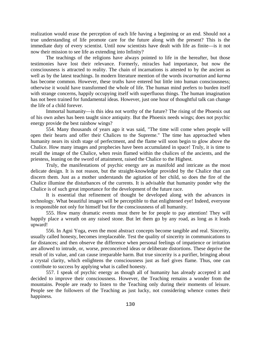realization would erase the perception of each life having a beginning or an end. Should not a true understanding of life promote care for the future along with the present? This is the immediate duty of every scientist. Until now scientists have dealt with life as finite—is it not now their mission to see life as extending into Infinity?

The teachings of the religions have always pointed to life in the hereafter, but those testimonies have lost their relevance. Formerly, miracles had importance, but now the consciousness is attracted to reality. The chain of incarnations is attested to by the ancient as well as by the latest teachings. In modern literature mention of the words *incarnation* and *karma* has become common. However, these truths have entered but little into human consciousness; otherwise it would have transformed the whole of life. The human mind prefers to burden itself with strange concerns, happily occupying itself with superfluous things. The human imagination has not been trained for fundamental ideas. However, just one hour of thoughtful talk can change the life of a child forever.

Immortal humanity—is this idea not worthy of the future? The rising of the Phoenix out of his own ashes has been taught since antiquity. But the Phoenix needs wings; does not psychic energy provide the best rainbow wings?

554. Many thousands of years ago it was said, "The time will come when people will open their hearts and offer their Chalices to the Supreme." The time has approached when humanity nears its sixth stage of perfectment, and the flame will soon begin to glow above the Chalice. How many images and prophecies have been accumulated in space! Truly, it is time to recall the image of the Chalice, when resin flamed within the chalices of the ancients, and the priestess, leaning on the sword of attainment, raised the Chalice to the Highest.

Truly, the manifestations of psychic energy are as manifold and intricate as the most delicate design. It is not reason, but the straight-knowledge provided by the Chalice that can discern them. Just as a mother understands the agitation of her child, so does the fire of the Chalice illumine the disturbances of the currents. It is advisable that humanity ponder why the Chalice is of such great importance for the development of the future race.

It is essential that refinement of thought be developed along with the advances in technology. What beautiful images will be perceptible to that enlightened eye! Indeed, everyone is responsible not only for himself but for the consciousness of all humanity.

555. How many dramatic events must there be for people to pay attention! They will happily place a wreath on any raised stone. But let them go by any road, as long as it leads upward!

556. In Agni Yoga, even the most abstract concepts become tangible and real. Sincerity, usually called honesty, becomes irreplaceable. Test the quality of sincerity in communications to far distances; and then observe the difference when personal feelings of impatience or irritation are allowed to intrude, or, worse, preconceived ideas or deliberate distortions. These deprive the result of its value, and can cause irreparable harm. But true sincerity is a purifier, bringing about a crystal clarity, which enlightens the consciousness just as fuel gives flame. Thus, one can contribute to success by applying what is called honesty.

557. I speak of psychic energy as though all of humanity has already accepted it and decided to improve their consciousness. However, the Teaching remains a wonder from the mountains. People are ready to listen to the Teaching only during their moments of leisure. People see the followers of the Teaching as just lucky, not considering whence comes their happiness.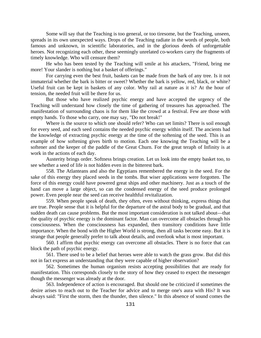Some will say that the Teaching is too general, or too tiresome, but the Teaching, unseen, spreads in its own unexpected ways. Drops of the Teaching radiate in the words of people, both famous and unknown, in scientific laboratories, and in the glorious deeds of unforgettable heroes. Not recognizing each other, these seemingly unrelated co-workers carry the fragments of timely knowledge. Who will censure them?

He who has been tested by the Teaching will smile at his attackers, "Friend, bring me more! Your slander is nothing but a basket of offerings."

For carrying even the best fruit, baskets can be made from the bark of any tree. Is it not immaterial whether the bark is bitter or sweet? Whether the bark is yellow, red, black, or white? Useful fruit can be kept in baskets of any color. Why rail at nature as it is? At the hour of tension, the needed fruit will be there for us.

But those who have realized psychic energy and have accepted the urgency of the Teaching will understand how closely the time of gathering of treasures has approached. The manifestation of surrounding chaos is for them like the crowd at a festival. Few are those with empty hands. To those who carry, one may say, "Do not break!"

Where is the source to which one should refer? Who can set limits? There is soil enough for every seed, and each seed contains the needed psychic energy within itself. The ancients had the knowledge of extracting psychic energy at the time of the softening of the seed. This is an example of how softening gives birth to motion. Each one knowing the Teaching will be a softener and the keeper of the paddle of the Great Churn. For the great teraph of Infinity is at work in the actions of each day.

Austerity brings order. Softness brings creation. Let us look into the empty basket too, to see whether a seed of life is not hidden even in the bitterest bark.

558. The Atlanteans and also the Egyptians remembered the energy in the seed. For the sake of this energy they placed seeds in the tombs. But wiser applications were forgotten. The force of this energy could have powered great ships and other machinery. Just as a touch of the hand can move a large object, so can the condensed energy of the seed produce prolonged power. Even people near the seed can receive healthful revitalization.

559. When people speak of death, they often, even without thinking, express things that are true. People sense that it is helpful for the departure of the astral body to be gradual, and that sudden death can cause problems. But the most important consideration is not talked about—that the quality of psychic energy is the dominant factor. Man can overcome all obstacles through his consciousness. When the consciousness has expanded, then transitory conditions have little importance. When the bond with the Higher World is strong, then all tasks become easy. But it is strange that people generally prefer to talk about details, and overlook what is most important.

560. I affirm that psychic energy can overcome all obstacles. There is no force that can block the path of psychic energy.

561. There used to be a belief that heroes were able to watch the grass grow. But did this not in fact express an understanding that they were capable of higher observation?

562. Sometimes the human organism resists accepting possibilities that are ready for manifestation. This corresponds closely to the story of how they ceased to expect the messenger though the messenger was already at the door.

563. Independence of action is encouraged. But should one be criticized if sometimes the desire arises to reach out to the Teacher for advice and to merge one's aura with His? It was always said: "First the storm, then the thunder, then silence." In this absence of sound comes the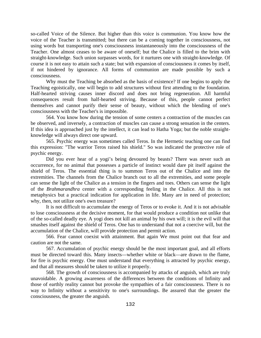so-called Voice of the Silence. But higher than this voice is communion. You know how the voice of the Teacher is transmitted; but there can be a coming together in consciousness, not using words but transporting one's consciousness instantaneously into the consciousness of the Teacher. One almost ceases to be aware of oneself; but the Chalice is filled to the brim with straight-knowledge. Such union surpasses words, for it nurtures one with straight-knowledge. Of course it is not easy to attain such a state; but with expansion of consciousness it comes by itself, if not hindered by ignorance. All forms of communion are made possible by such a consciousness.

Why must the Teaching be absorbed as the basis of existence? If one begins to apply the Teaching egoistically, one will begin to add structures without first attending to the foundation. Half-hearted striving causes inner discord and does not bring regeneration. All harmful consequences result from half-hearted striving. Because of this, people cannot perfect themselves and cannot purify their sense of beauty, without which the blending of one's consciousness with the Teacher's is impossible.

564. You know how during the tension of some centers a contraction of the muscles can be observed, and inversely, a contraction of muscles can cause a strong sensation in the centers. If this idea is approached just by the intellect, it can lead to Hatha Yoga; but the noble straightknowledge will always direct one upward.

565. Psychic energy was sometimes called Teros. In the Hermetic teaching one can find this expression: "The warrior Teros raised his shield." So was indicated the protective role of psychic energy.

Did you ever hear of a yogi's being devoured by beasts? There was never such an occurrence, for no animal that possesses a particle of instinct would dare pit itself against the shield of Teros. The essential thing is to summon Teros out of the Chalice and into the extremities. The channels from the Chalice branch out to all the extremities, and some people can sense the light of the Chalice as a tension in the fingers and toes. Others can sense the light of the *Brahmarandhra* center with a corresponding feeling in the Chalice. All this is not metaphysics but a practical indication for application in life. Many are in need of protection; why, then, not utilize one's own treasure?

It is not difficult to accumulate the energy of Teros or to evoke it. And it is not advisable to lose consciousness at the decisive moment, for that would produce a condition not unlike that of the so-called deadly eye. A yogi does not kill an animal by his own will; it is the evil will that smashes itself against the shield of Teros. One has to understand that not a coercive will, but the accumulation of the Chalice, will provide protection and permit action.

566. Fear cannot coexist with attainment. But again We must point out that fear and caution are not the same.

567. Accumulation of psychic energy should be the most important goal, and all efforts must be directed toward this. Many insects—whether white or black—are drawn to the flame, for fire is psychic energy. One must understand that everything is attracted by psychic energy, and that all measures should be taken to utilize it properly.

568. The growth of consciousness is accompanied by attacks of anguish, which are truly unavoidable. A growing awareness of the differences between the conditions of Infinity and those of earthly reality cannot but provoke the sympathies of a fair consciousness. There is no way to Infinity without a sensitivity to one's surroundings. Be assured that the greater the consciousness, the greater the anguish.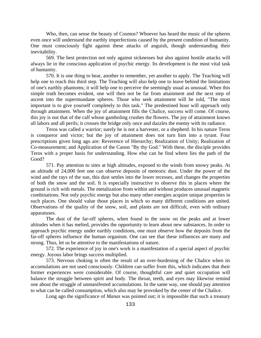Who, then, can sense the beauty of Cosmos? Whoever has heard the music of the spheres even once will understand the earthly imperfections caused by the present condition of humanity. One must consciously fight against these attacks of anguish, though understanding their inevitability.

569. The best protection not only against sicknesses but also against hostile attacks will always lie in the conscious application of psychic energy. Its development is the most vital task of humanity.

570. It is one thing to hear, another to remember, yet another to apply. The Teaching will help one to reach this third step. The Teaching will also help one to leave behind the limitations of one's earthly phantoms; it will help one to perceive the seemingly usual as unusual. When this simple truth becomes evident, one will then not be far from attainment and the next step of ascent into the supermundane spheres. Those who seek attainment will be told, "The most important is to give yourself completely to this task." The predestined hour will approach only through attainment. When the joy of attainment fills the Chalice, success will come. Of course, this joy is not that of the calf whose gamboling crushes the flowers. The joy of attainment knows all labors and all perils; it crosses the bridge only once and dazzles the enemy with its radiance.

Teros was called a warrior; surely he is not a harvester, or a shepherd. In his nature Teros is conqueror and victor; but the joy of attainment does not turn him into a tyrant. Four prescriptions given long ago are: Reverence of Hierarchy; Realization of Unity; Realization of Co-measurement; and Application of the Canon "By thy God." With these, the disciple provides Teros with a proper basis for understanding. How else can he find where lies the path of the Good?

571. Pay attention to sites at high altitudes, exposed to the winds from snowy peaks. At an altitude of 24,000 feet one can observe deposits of meteoric dust. Under the power of the wind and the rays of the sun, this dust settles into the lower recesses, and changes the properties of both the snow and the soil. It is especially instructive to observe this in places where the ground is rich with metals. The metalization from within and without produces unusual magnetic combinations. Not only psychic energy but also many other energies acquire unique properties in such places. One should value those places in which so many different conditions are united. Observations of the quality of the snow, soil, and plants are not difficult, even with ordinary apparatuses.

The dust of the far-off spheres, when found in the snow on the peaks and at lower altitudes when it has melted, provides the opportunity to learn about new substances. In order to approach psychic energy under earthly conditions, one must observe how the deposits from the far-off spheres influence the human organism. One can see that these influences are many and strong. Thus, let us be attentive to the manifestations of nature.

572. The experience of joy in one's work is a manifestation of a special aspect of psychic energy. Joyous labor brings success multiplied.

573. Nervous choking is often the result of an over-burdening of the Chalice when its accumulations are not used consciously. Children can suffer from this, which indicates that their former experiences were considerable. Of course, thoughtful care and quiet occupation will balance the struggle between spirit and body. The throat, teeth, and eyes may likewise remind one about the struggle of unmanifested accumulations. In the same way, one should pay attention to what can be called consumption, which also may be provoked by the center of the Chalice.

Long ago the significance of *Manas* was pointed out; it is impossible that such a treasury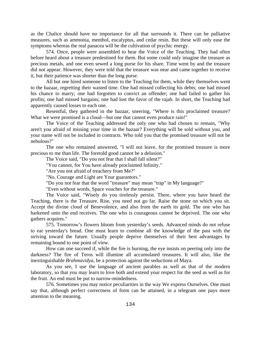as the Chalice should have no importance for all that surrounds it. There can be palliative measures, such as ammonia, menthol, eucalyptus, and cedar resin. But these will only ease the symptoms whereas the real panacea will be the cultivation of psychic energy.

574. Once, people were assembled to hear the Voice of the Teaching. They had often before heard about a treasure predestined for them. But some could only imagine the treasure as precious metals, and one even sewed a long purse for his share. Time went by and the treasure did not appear. However, they were told that the treasure was near and came together to receive it, but their patience was shorter than the long purse.

All but one hired someone to listen to the Teaching for them, while they themselves went to the bazaar, regretting their wasted time. One had missed collecting his debts; one had missed his chance to marry; one had forgotten to convict an offender; one had failed to gather his profits; one had missed bargains; one had lost the favor of the rajah. In short, the Teaching had apparently caused losses to each one.

Resentful, they gathered in the bazaar, sneering, "Where is this proclaimed treasure? What we were promised is a cloud—but one that cannot even produce rain!"

The Voice of the Teaching addressed the only one who had chosen to remain, "Why aren't you afraid of missing your time in the bazaar? Everything will be sold without you, and your name will not be included in contracts. Who told you that the promised treasure will not be nebulous?"

The one who remained answered, "I will not leave, for the promised treasure is more precious to me than life. The foretold good cannot be a delusion."

The Voice said, "Do you not fear that I shall fall silent?"

"You cannot, for You have already proclaimed Infinity."

"Are you not afraid of treachery from Me?"

"No. Courage and Light are Your guarantors."

"Do you not fear that the word "treasure" may mean "trap" in My language?"

"Even without words, Space vouches for the treasure."

The Voice said, "Wisely do you tirelessly persist. There, where you have heard the Teaching, there is the Treasure. Rise, you need not go far. Raise the stone on which you sit. Accept the divine cloud of Benevolence, and also from the earth its gold. The one who has harkened unto the end receives. The one who is courageous cannot be deprived. The one who gathers acquires."

575. Tomorrow's flowers bloom from yesterday's seeds. Advanced minds do not refuse to eat yesterday's bread. One must learn to combine all the knowledge of the past with the striving toward the future. Usually people deprive themselves of their best advantages by remaining bound to one point of view.

How can one succeed if, while the fire is burning, the eye insists on peering only into the darkness? The fire of Teros will illumine all accumulated treasures. It will also, like the inextinguishable *Brahmavidya*, be a protection against the seductions of Maya.

As you see, I use the language of ancient parables as well as that of the modern laboratory, so that you may learn to love both and extend your respect for the seed as well as for the fruit. An end must be put to narrow-mindedness.

576. Sometimes you may notice peculiarities in the way We express Ourselves. One must say that, although perfect correctness of form can be attained, in a telegram one pays more attention to the meaning.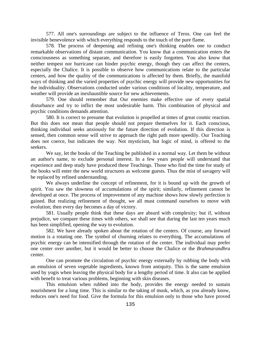577. All one's surroundings are subject to the influence of Teros. One can feel the invisible benevolence with which everything responds to the touch of the pure flame.

578. The process of deepening and refining one's thinking enables one to conduct remarkable observations of distant communication. You know that a communication enters the consciousness as something separate, and therefore is easily forgotten. You also know that neither tempest nor hurricane can hinder psychic energy, though they can affect the centers, especially the Chalice. It is possible to observe how communications relate to the particular centers, and how the quality of the communications is affected by them. Briefly, the manifold ways of thinking and the varied properties of psychic energy will provide new opportunities for the individuality. Observations conducted under various conditions of locality, temperature, and weather will provide an inexhaustible source for new achievements.

579. One should remember that Our enemies make effective use of every spatial disturbance and try to inflict the most undesirable harm. This combination of physical and psychic conditions demands attention.

580. It is correct to presume that evolution is propelled at times of great cosmic reaction. But this does not mean that people should not prepare themselves for it. Each conscious, thinking individual seeks anxiously for the future direction of evolution. If this direction is sensed, then common sense will strive to approach the right path more speedily. Our Teaching does not coerce, but indicates the way. Not mysticism, but logic of mind, is offered to the seekers.

We say, let the books of the Teaching be published in a normal way. Let them be without an author's name, to exclude personal interest. In a few years people will understand that experience and deep study have produced these Teachings. Those who find the time for study of the books will enter the new world structures as welcome guests. Thus the mist of savagery will be replaced by refined understanding.

We always underline the concept of refinement, for it is bound up with the growth of spirit. You saw the slowness of accumulations of the spirit; similarly, refinement cannot be developed at once. The process of improvement of any machine shows how slowly perfection is gained. But realizing refinement of thought, we all must command ourselves to move with evolution; then every day becomes a day of victory.

581. Usually people think that these days are absurd with complexity; but if, without prejudice, we compare these times with others, we shall see that during the last ten years much has been simplified, opening the way to evolution.

582. We have already spoken about the rotation of the centers. Of course, any forward motion is a rotating one. The symbol of churning relates to everything. The accumulations of psychic energy can be intensified through the rotation of the center. The individual may prefer one center over another, but it would be better to choose the Chalice or the *Brahmarandhra* center.

One can promote the circulation of psychic energy externally by rubbing the body with an emulsion of seven vegetable ingredients, known from antiquity. This is the same emulsion used by yogis when leaving the physical body for a lengthy period of time. It also can be applied with benefit to treat various problems, beginning with skin diseases.

This emulsion when rubbed into the body, provides the energy needed to sustain nourishment for a long time. This is similar to the taking of musk, which, as you already know, reduces one's need for food. Give the formula for this emulsion only to those who have proved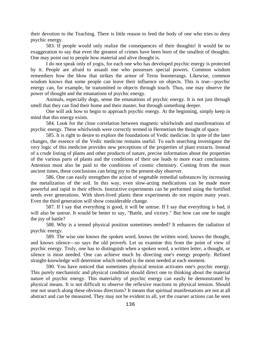their devotion to the Teaching. There is little reason to feed the body of one who tries to deny psychic energy.

583. If people would only realize the consequences of their thoughts! It would be no exaggeration to say that even the greatest of crimes have been born of the smallest of thoughts. One may point out to people how material and alive thought is.

I do not speak only of yogis, for each one who has developed psychic energy is protected by it. People are afraid to assault one who possesses special powers. Common wisdom remembers how the blow that strikes the armor of Teros boomerangs. Likewise, common wisdom knows that some people can leave their influence on objects. This is true—psychic energy can, for example, be transmitted to objects through touch. Thus, one may observe the power of thought and the emanations of psychic energy.

Animals, especially dogs, sense the emanations of psychic energy. It is not just through smell that they can find their home and their master, but through something deeper.

One will ask how to begin to approach psychic energy. At the beginning, simply keep in mind that this energy exists.

584. Look for the close correlation between magnetic whirlwinds and manifestations of psychic energy. These whirlwinds were correctly termed in Hermetism the thought of space.

585. It is right to desire to explore the foundations of Vedic medicine. In spite of the later changes, the essence of the Vedic medicine remains useful. To each searching investigator the very logic of this medicine provides new perceptions of the properties of plant extracts. Instead of a crude listing of plants and other products of nature, precise information about the properties of the various parts of plants and the conditions of their use leads to more exact conclusions. Attention must also be paid to the conditions of cosmic chemistry. Coming from the most ancient times, these conclusions can bring joy to the present-day observer.

586. One can easily strengthen the action of vegetable remedial substances by increasing the metalization of the soil. In this way, even slow-acting medications can be made more powerful and rapid in their effects. Instructive experiments can be performed using the fortified seeds over generations. With short-lived plants these experiments do not require many years. Even the third generation will show considerable change.

587. If I say that everything is good, it will be untrue. If I say that everything is bad, it will also be untrue. It would be better to say, "Battle, and victory." But how can one be taught the joy of battle?

588. Why is a tensed physical position sometimes needed? It enhances the radiation of psychic energy.

589. The wise one knows the spoken word, knows the written word, knows the thought, and knows silence—so says the old proverb. Let us examine this from the point of view of psychic energy. Truly, one has to distinguish when a spoken word, a written letter, a thought, or silence is most needed. One can achieve much by directing one's energy properly. Refined straight-knowledge will determine which method is the most needed at each moment.

590. You have noticed that sometimes physical tension activates one's psychic energy. This purely mechanistic and physical condition should direct one to thinking about the material nature of psychic energy. This materiality of psychic energy can easily be demonstrated by physical means. It is not difficult to observe the reflexive reactions to physical tension. Should one not search along these obvious directions? It means that spiritual manifestations are not at all abstract and can be measured. They may not be evident to all, yet the coarser actions can be seen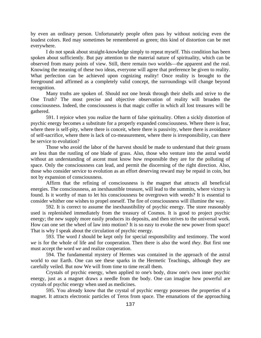by even an ordinary person. Unfortunately people often pass by without noticing even the loudest colors. Red may sometimes be remembered as green; this kind of distortion can be met everywhere.

I do not speak about straight-knowledge simply to repeat myself. This condition has been spoken about sufficiently. But pay attention to the material nature of spirituality, which can be observed from many points of view. Still, there remain two worlds—the apparent and the real. Knowing the meaning of these two ideas, everyone will agree that preference be given to reality. What perfection can be achieved upon cognizing reality! Once reality is brought to the foreground and affirmed as a completely valid concept, the surroundings will change beyond recognition.

Many truths are spoken of. Should not one break through their shells and strive to the One Truth? The most precise and objective observation of reality will broaden the consciousness. Indeed, the consciousness is that magic coffer in which all lost treasures will be gathered.

591. I rejoice when you realize the harm of false spirituality. Often a sickly distortion of psychic energy becomes a substitute for a properly expanded consciousness. Where there is fear, where there is self-pity, where there is conceit, where there is passivity, where there is avoidance of self-sacrifice, where there is lack of co-measurement, where there is irresponsibility, can there be service to evolution?

Those who avoid the labor of the harvest should be made to understand that their groans are less than the rustling of one blade of grass. Also, those who venture into the astral world without an understanding of ascent must know how responsible they are for the polluting of space. Only the consciousness can lead, and permit the discerning of the right direction. Also, those who consider service to evolution as an effort deserving reward may be repaid in coin, but not by expansion of consciousness.

Affirm that the refining of consciousness is the magnet that attracts all beneficial energies. The consciousness, an inexhaustible treasure, will lead to the summits, where victory is found. Is it worthy of man to let his consciousness be overgrown with weeds? It is essential to consider whither one wishes to propel oneself. The fire of consciousness will illumine the way.

592. It is correct to assume the inexhaustibility of psychic energy. The store reasonably used is replenished immediately from the treasury of Cosmos. It is good to project psychic energy; the new supply more easily produces its deposits, and then strives to the universal work. How can one set the wheel of law into motion? It is so easy to evoke the new power from space! That is why I speak about the circulation of psychic energy.

593. The word *I* should be kept only for special responsibility and testimony. The word *we* is for the whole of life and for cooperation. Then there is also the word *they*. But first one must accept the word *we* and realize cooperation.

594. The fundamental mystery of Hermes was contained in the approach of the astral world to our Earth. One can see these sparks in the Hermetic Teachings, although they are carefully veiled. But now We will from time to time recall them.

Crystals of psychic energy, when applied to one's body, draw one's own inner psychic energy, just as a magnet draws a needle from the body. One can imagine how powerful are crystals of psychic energy when used as medicines.

595. You already know that the crystal of psychic energy possesses the properties of a magnet. It attracts electronic particles of Teros from space. The emanations of the approaching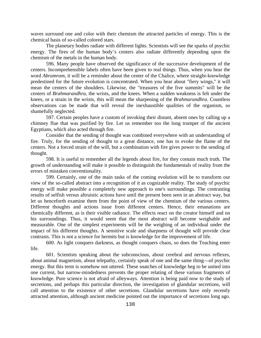waves surround one and color with their chemism the attracted particles of energy. This is the chemical basis of so-called colored stars.

The planetary bodies radiate with different lights. Scientists will see the sparks of psychic energy. The fires of the human body's centers also radiate differently depending upon the chemism of the metals in the human body.

596. Many people have observed the significance of the successive development of the centers. Incomprehensible labels often have been given to real things. Thus, when you hear the word *Abramram*, it will be a reminder about the center of the Chalice, where straight-knowledge predestined for the future evolution is concentrated. When you hear about "fiery wings," it will mean the centers of the shoulders. Likewise, the "treasures of the five summits" will be the centers of *Brahmarandhra*, the wrists, and the knees. When a sudden weakness is felt under the knees, or a strain in the wrists, this will mean the sharpening of the *Brahmarandhra*. Countless observations can be made that will reveal the inexhaustible qualities of the organism, so shamefully neglected.

597. Certain peoples have a custom of invoking their distant, absent ones by calling up a chimney flue that was purified by fire. Let us remember too the long trumpet of the ancient Egyptians, which also acted through fire.

Consider that the sending of thought was combined everywhere with an understanding of fire. Truly, for the sending of thought to a great distance, one has to evoke the flame of the centers. Not a forced strain of the will, but a combination with fire gives power to the sending of thought.

598. It is useful to remember all the legends about fire, for they contain much truth. The growth of understanding will make it possible to distinguish the fundamentals of reality from the errors of mistaken conventionality.

599. Certainly, one of the main tasks of the coming evolution will be to transform our view of the so-called abstract into a recognition of it as cognizable reality. The study of psychic energy will make possible a completely new approach to one's surroundings. The contrasting results of selfish versus altruistic actions have until the present been seen in an abstract way, but let us henceforth examine them from the point of view of the chemism of the various centers. Different thoughts and actions issue from different centers. Hence, their emanations are chemically different, as is their visible radiance. The effects react on the creator himself and on his surroundings. Thus, it would seem that the most abstract will become weighable and measurable. One of the simplest experiments will be the weighing of an individual under the impact of his different thoughts. A sensitive scale and sharpness of thought will provide clear contrasts. This is not a science for hermits but is knowledge for the improvement of life.

600. As light conquers darkness, as thought conquers chaos, so does the Teaching enter life.

601. Scientists speaking about the subconscious, about cerebral and nervous reflexes, about animal magnetism, about telepathy, certainly speak of one and the same thing—of psychic energy. But this term is somehow not uttered. These snatches of knowledge beg to be united into one current, but narrow-mindedness prevents the proper relating of these various fragments of knowledge. Pure science is not afraid of alleyways. Attention is being paid now to the study of secretions, and perhaps this particular direction, the investigation of glandular secretions, will call attention to the existence of other secretions. Glandular secretions have only recently attracted attention, although ancient medicine pointed out the importance of secretions long ago.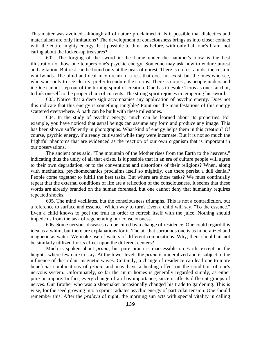This matter was avoided, although all of nature proclaimed it. Is it possible that dialectics and materialism are only limitations? The development of consciousness brings us into closer contact with the entire mighty energy. Is it possible to think as before, with only half one's brain, not caring about the locked-up treasures?

602. The forging of the sword in the flame under the hammer's blow is the best illustration of how one tempers one's psychic energy. Someone may ask how to endure unrest and agitation. But rest can be found only at the peak of unrest. There is no rest amidst the cosmic whirlwinds. The blind and deaf may dream of a rest that does not exist, but the ones who see, who want only to see clearly, prefer to endure the storms. There is no rest, as people understand it. One cannot step out of the turning spiral of creation. One has to evoke Teros as one's anchor, to link oneself to the proper chain of currents. The strong spirit rejoices in tempering his sword.

603. Notice that a deep sigh accompanies any application of psychic energy. Does not this indicate that this energy is something tangible? Point out the manifestations of this energy scattered everywhere. A path can be built with these milestones.

604. In the study of psychic energy, much can be learned about its properties. For example, you have noticed that astral beings can assume any form and produce any image. This has been shown sufficiently in photographs. What kind of energy helps them in this creation? Of course, psychic energy, if already cultivated while they were incarnate. But it is not so much the frightful phantoms that are evidenced as the reaction of our own organism that is important in our observations.

The ancient ones said, "The mountain of the Mother rises from the Earth to the heavens," indicating thus the unity of all that exists. Is it possible that in an era of culture people will agree to their own degradation, or to the conventions and distortions of their religions? When, along with mechanics, psychomechanics proclaims itself so mightily, can there persist a dull denial? People come together to fulfill the best tasks. But where are those tasks? We must continually repeat that the external conditions of life are a reflection of the consciousness. It seems that these words are already branded on the human forehead, but one cannot deny that humanity requires repeated shocks.

605. The mind vacillates, but the consciousness triumphs. This is not a contradiction, but a reference to surface and essence. Which way to turn? Even a child will say, "To the essence." Even a child knows to peel the fruit in order to refresh itself with the juice. Nothing should impede us from the task of regenerating our consciousness.

606. Some nervous diseases can be cured by a change of residence. One could regard this idea as a whim, but there are explanations for it. The air that surrounds one is as mineralized and magnetic as water. We make use of waters of different compositions. Why, then, should air not be similarly utilized for its effect upon the different centers?

Much is spoken about *prana*; but pure prana is inaccessible on Earth, except on the heights, where few dare to stay. At the lower levels the *prana* is mineralized and is subject to the influence of discordant magnetic waves. Certainly, a change of residence can lead one to more beneficial combinations of *prana*, and may have a healing effect on the condition of one's nervous system. Unfortunately, so far the air in homes is generally regarded simply, as either pure or impure. In fact, every change of air has importance, since it affects different groups of nerves. Our Brother who was a shoemaker occasionally changed his trade to gardening. This is wise, for the seed growing into a sprout radiates psychic energy of particular tension. One should remember this. After the *pralaya* of night, the morning sun acts with special vitality in calling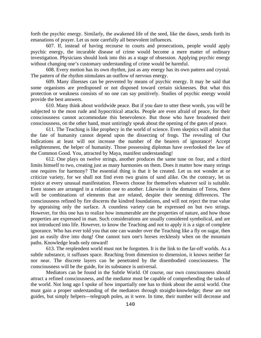forth the psychic energy. Similarly, the awakened life of the seed, like the dawn, sends forth its emanations of prayer. Let us note carefully all benevolent influences.

607. If, instead of having recourse to courts and prosecutions, people would apply psychic energy, the incurable disease of crime would become a mere matter of ordinary investigation. Physicians should look into this as a stage of obsession. Applying psychic energy without changing one's customary understanding of crime would be harmful.

608. Every motion has its own rhythm, just as any energy has its own pattern and crystal. The pattern of the rhythm stimulates an outflow of nervous energy.

609. Many illnesses can be prevented by means of psychic energy. It may be said that some organisms are predisposed or not disposed toward certain sicknesses. But what this protection or weakness consists of no one can say positively. Studies of psychic energy would provide the best answers.

610. Many think about worldwide peace. But if you dare to utter these words, you will be subjected to the most rude and hypocritical attacks. People are even afraid of peace, for their consciousness cannot accommodate this benevolence. But those who have broadened their consciousness, on the other hand, must untiringly speak about the opening of the gates of peace.

611. The Teaching is like prophecy in the world of science. Even skeptics will admit that the fate of humanity cannot depend upon the dissecting of frogs. The revealing of Our Indications at least will not increase the number of the bearers of ignorance! Accept enlightenment, the helper of humanity. Those possessing diplomas have overlooked the law of the Common Good. You, attracted by Maya, manifest understanding!

612. One plays on twelve strings, another produces the same tune on four, and a third limits himself to two, creating just as many harmonies on them. Does it matter how many strings one requires for harmony? The essential thing is that it be created. Let us not wonder at or criticize variety, for we shall not find even two grains of sand alike. On the contrary, let us rejoice at every unusual manifestation. Flowers choose for themselves whatever soil is suitable. Even stones are arranged in a relation one to another. Likewise in the domains of Teros, there will be combinations of elements that are related, despite their seeming differences. The consciousness refined by fire discerns the kindred foundations, and will not reject the true value by appraising only the surface. A countless variety can be expressed on but two strings. However, for this one has to realize how innumerable are the properties of nature, and how those properties are expressed in man. Such considerations are usually considered symbolical, and are not introduced into life. However, to know the Teaching and not to apply it is a sign of complete ignorance. Who has ever told you that one can wander over the Teaching like a fly on sugar, then just as easily dive into dung! One cannot turn one's horses recklessly when on the mountain paths. Knowledge leads only onward!

613. The resplendent world must not be forgotten. It is the link to the far-off worlds. As a subtle substance, it suffuses space. Reaching from dimension to dimension, it knows neither far nor near. The discrete layers can be penetrated by the disembodied consciousness. The consciousness will be the guide, for its substance is universal.

Mediators can be found in the Subtle World. Of course, our own consciousness should attract a refined consciousness, and the mediator must be capable of comprehending the tasks of the world. Not long ago I spoke of how impartially one has to think about the astral world. One must gain a proper understanding of the mediators through straight-knowledge; these are not guides, but simply helpers—telegraph poles, as it were. In time, their number will decrease and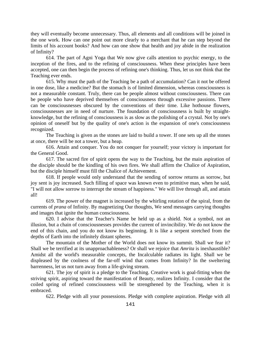they will eventually become unnecessary. Thus, all elements and all conditions will be joined in the one work. How can one point out more clearly to a merchant that he can step beyond the limits of his account books? And how can one show that health and joy abide in the realization of Infinity?

614. The part of Agni Yoga that We now give calls attention to psychic energy, to the inception of the fires, and to the refining of consciousness. When these principles have been accepted, one can then begin the process of refining one's thinking. Thus, let us not think that the Teaching ever ends.

615. Why must the path of the Teaching be a path of accumulation? Can it not be offered in one dose, like a medicine? But the stomach is of limited dimension, whereas consciousness is not a measurable constant. Truly, there can be people almost without consciousness. There can be people who have deprived themselves of consciousness through excessive passions. There can be consciousnesses obscured by the conventions of their time. Like hothouse flowers, consciousnesses are in need of nurture. The foundation of consciousness is built by straightknowledge, but the refining of consciousness is as slow as the polishing of a crystal. Not by one's opinion of oneself but by the quality of one's action is the expansion of one's consciousness recognized.

The Teaching is given as the stones are laid to build a tower. If one sets up all the stones at once, there will be not a tower, but a heap.

616. Attain and conquer. You do not conquer for yourself; your victory is important for the General Good.

617. The sacred fire of spirit opens the way to the Teaching, but the main aspiration of the disciple should be the kindling of his own fires. We shall affirm the Chalice of Aspiration, but the disciple himself must fill the Chalice of Achievement.

618. If people would only understand that the sending of sorrow returns as sorrow, but joy sent is joy increased. Such filling of space was known even to primitive man, when he said, "I will not allow sorrow to interrupt the stream of happiness." We will live through all, and attain all!

619. The power of the magnet is increased by the whirling rotation of the spiral, from the currents of *prana* of Infinity. By magnetizing Our thoughts, We send messages carrying thoughts and images that ignite the human consciousness.

620. I advise that the Teacher's Name be held up as a shield. Not a symbol, not an illusion, but a chain of consciousnesses provides the current of invincibility. We do not know the end of this chain, and you do not know its beginning. It is like a serpent stretched from the depths of Earth into the infinitely distant spheres.

The mountain of the Mother of the World does not know its summit. Shall we fear it? Shall we be terrified at its unapproachableness? Or shall we rejoice that *Amrita* is inexhaustible? Amidst all the world's measurable concepts, the Incalculable radiates its light. Shall we be displeased by the coolness of the far-off wind that comes from Infinity? In the sweltering barrenness, let us not turn away from a life-giving stream.

621. The joy of spirit is a pledge to the Teaching. Creative work is goal-fitting when the striving spirit, aspiring toward the manifestation of Beauty, realizes Infinity. I consider that the coiled spring of refined consciousness will be strengthened by the Teaching, when it is embraced.

622. Pledge with all your possessions. Pledge with complete aspiration. Pledge with all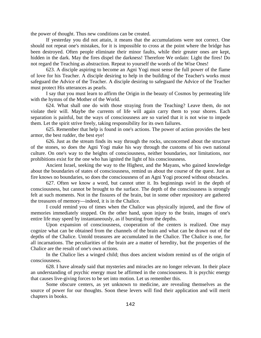the power of thought. Thus new conditions can be created.

If yesterday you did not attain, it means that the accumulations were not correct. One should not repeat one's mistakes, for it is impossible to cross at the point where the bridge has been destroyed. Often people eliminate their minor faults, while their greater ones are kept, hidden in the dark. May the fires dispel the darkness! Therefore We ordain: Light the fires! Do not regard the Teaching as abstraction. Repeat to yourself the words of the Wise Ones!

623. A disciple aspiring to become an Agni Yogi must sense the full power of the flame of love for his Teacher. A disciple desiring to help in the building of the Teacher's works must safeguard the Advice of the Teacher. A disciple desiring to safeguard the Advice of the Teacher must protect His utterances as pearls.

I say that you must learn to affirm the Origin in the beauty of Cosmos by permeating life with the hymns of the Mother of the World.

624. What shall one do with those straying from the Teaching? Leave them, do not violate their will. Maybe the currents of life will again carry them to your shores. Each separation is painful, but the ways of consciousness are so varied that it is not wise to impede them. Let the spirit strive freely, taking responsibility for its own failures.

625. Remember that help is found in one's actions. The power of action provides the best armor, the best rudder, the best eye!

626. Just as the stream finds its way through the rocks, unconcerned about the structure of the stones, so does the Agni Yogi make his way through the customs of his own national culture. On one's way to the heights of consciousness, neither boundaries, nor limitations, nor prohibitions exist for the one who has ignited the light of his consciousness.

Ancient Israel, seeking the way to the Highest, and the Mayans, who gained knowledge about the boundaries of states of consciousness, remind us about the course of the quest. Just as fire knows no boundaries, so does the consciousness of an Agni Yogi proceed without obstacles.

627. Often we know a word, but cannot utter it. Its beginnings swirl in the depth of consciousness, but cannot be brought to the surface. The depth of the consciousness is strongly felt at such moments. Not in the fissures of the brain, but in some other repository are gathered the treasures of memory—indeed, it is in the Chalice.

I could remind you of times when the Chalice was physically injured, and the flow of memories immediately stopped. On the other hand, upon injury to the brain, images of one's entire life may speed by instantaneously, as if bursting from the depths.

Upon expansion of consciousness, cooperation of the centers is realized. One may cognize what can be obtained from the channels of the brain and what can be drawn out of the depths of the Chalice. Untold treasures are accumulated in the Chalice. The Chalice is one, for all incarnations. The peculiarities of the brain are a matter of heredity, but the properties of the Chalice are the result of one's own actions.

In the Chalice lies a winged child; thus does ancient wisdom remind us of the origin of consciousness.

628. I have already said that mysteries and miracles are no longer relevant. In their place an understanding of psychic energy must be affirmed in the consciousness. It is psychic energy that causes live-giving forces to be set into motion. Let us remember this.

Some obscure centers, as yet unknown to medicine, are revealing themselves as the source of power for our thoughts. Soon these levers will find their application and will merit chapters in books.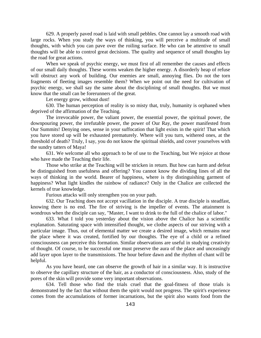629. A properly paved road is laid with small pebbles. One cannot lay a smooth road with large rocks. When you study the ways of thinking, you will perceive a multitude of small thoughts, with which you can pave over the roiling surface. He who can be attentive to small thoughts will be able to control great decisions. The quality and sequence of small thoughts lay the road for great actions.

When we speak of psychic energy, we must first of all remember the causes and effects of our small daily thoughts. These worms weaken the higher energy. A disorderly heap of refuse will obstruct any work of building. Our enemies are small, annoying flies. Do not the torn fragments of fleeting images resemble them? When we point out the need for cultivation of psychic energy, we shall say the same about the disciplining of small thoughts. But we must know that the small can be forerunners of the great.

Let energy grow, without dust!

630. The human perception of reality is so misty that, truly, humanity is orphaned when deprived of the affirmation of the Teaching.

The irrevocable power, the valiant power, the essential power, the spiritual power, the downpouring power, the irrefutable power, the power of Our Ray, the power manifested from Our Summits! Denying ones, sense in your suffocation that light exists in the spirit! That which you have stored up will be exhausted prematurely. Where will you turn, withered ones, at the threshold of death? Truly, I say, you do not know the spiritual shields, and cover yourselves with the sundry tatters of Maya!

631. We welcome all who approach to be of use to the Teaching, but We rejoice at those who have made the Teaching their life.

Those who strike at the Teaching will be stricken in return. But how can harm and defeat be distinguished from usefulness and offering? You cannot know the dividing lines of all the ways of thinking in the world. Bearer of happiness, where is thy distinguishing garment of happiness? What light kindles the rainbow of radiance? Only in the Chalice are collected the kernels of true knowledge.

Furious attacks will only strengthen you on your path.

632. Our Teaching does not accept vacillation in the disciple. A true disciple is steadfast, knowing there is no end. The fire of striving is the impeller of events. The attainment is wondrous when the disciple can say, "Master, I want to drink to the full of the chalice of labor."

633. What I told you yesterday about the vision above the Chalice has a scientific explanation. Saturating space with intensified thought, we clothe aspects of our striving with a particular image. Thus, out of elemental matter we create a desired image, which remains near the place where it was created, fortified by our thoughts. The eye of a child or a refined consciousness can perceive this formation. Similar observations are useful in studying creativity of thought. Of course, to be successful one must preserve the aura of the place and unceasingly add layer upon layer to the transmissions. The hour before dawn and the rhythm of chant will be helpful.

As you have heard, one can observe the growth of hair in a similar way. It is instructive to observe the capillary structure of the hair, as a conductor of consciousness. Also, study of the pores of the skin will provide some very important observations.

634. Tell those who find the trials cruel that the goal-fitness of those trials is demonstrated by the fact that without them the spirit would not progress. The spirit's experience comes from the accumulations of former incarnations, but the spirit also wants food from the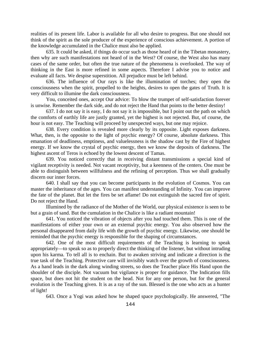realities of its present life. Labor is available for all who desire to progress. But one should not think of the spirit as the sole producer of the experience of conscious achievement. A portion of the knowledge accumulated in the Chalice must also be applied.

635. It could be asked, if things do occur such as those heard of in the Tibetan monastery, then why are such manifestations not heard of in the West? Of course, the West also has many cases of the same order, but often the true nature of the phenomena is overlooked. The way of thinking in the East is more refined in some aspects. Therefore I advise you to notice and evaluate all facts. We despise superstition. All prejudice must be left behind.

636. The influence of Our rays is like the illumination of torches; they open the consciousness when the spirit, propelled to the heights, desires to open the gates of Truth. It is very difficult to illumine the dark consciousness.

You, conceited ones, accept Our advice: To blow the trumpet of self-satisfaction forever is unwise. Remember the dark side, and do not reject the Hand that points to the better destiny!

637. I do not say it is easy, I do not say it is impossible, but I point out the path on which the comforts of earthly life are justly granted, yet the highest is not rejected. But, of course, the hour is not easy. The Teaching will proceed by unexpected ways, but one may rejoice.

638. Every condition is revealed more clearly by its opposite. Light exposes darkness. What, then, is the opposite to the light of psychic energy? Of course, absolute darkness. This emanation of deadliness, emptiness, and valuelessness is the shadow cast by the Fire of highest energy. If we know the crystal of psychic energy, then we know the deposits of darkness. The highest ascent of Teros is echoed by the lowest descent of Tamas.

639. You noticed correctly that in receiving distant transmissions a special kind of vigilant receptivity is needed. Not vacant receptivity, but a keenness of the centers. One must be able to distinguish between willfulness and the refining of perception. Thus we shall gradually discern our inner forces.

640. I shall say that you can become participants in the evolution of Cosmos. You can master the inheritance of the ages. You can manifest understanding of Infinity. You can improve the fate of the planet. But let the fires be set aflame! Do not extinguish the sacred fire of spirit. Do not reject the Hand.

Illumined by the radiance of the Mother of the World, our physical existence is seen to be but a grain of sand. But the cumulation in the Chalice is like a radiant mountain!

641. You noticed the vibration of objects after you had touched them. This is one of the manifestations of either your own or an external psychic energy. You also observed how the personal disappeared from daily life with the growth of psychic energy. Likewise, one should be reminded that the psychic energy is responsible for the shaping of circumstances.

642. One of the most difficult requirements of the Teaching is learning to speak appropriately—to speak so as to properly direct the thinking of the listener, but without intruding upon his karma. To tell all is to enchain. But to awaken striving and indicate a direction is the true task of the Teaching. Protective care will invisibly watch over the growth of consciousness. As a hand leads in the dark along winding streets, so does the Teacher place His Hand upon the shoulder of the disciple. Not vacuum but vigilance is proper for guidance. The Indication fills space, but does not hit the student on the head. Not for any one person, but for the general evolution is the Teaching given. It is as a ray of the sun. Blessed is the one who acts as a hunter of light!

643. Once a Yogi was asked how he shaped space psychologically. He answered, "The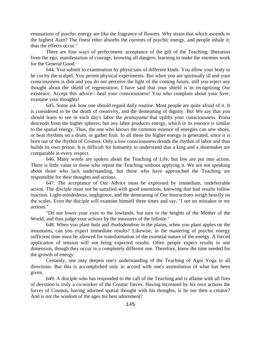emanations of psychic energy are like the fragrance of flowers. Why strain that which ascends to the highest Aum? The finest ether absorbs the currents of psychic energy, and people inhale it; thus the effects occur."

There are four ways of perfectment: acceptance of the gift of the Teaching; liberation from the ego; manifestation of courage, knowing all dangers; learning to make the enemies work for the General Good.

644. You submit to examination by physicians of different kinds. You allow your body to be cut by the scalpel. You permit physical experiments. But when you are spiritually ill and your consciousness is dim and you do not perceive the light of the coming future, still you reject any thought about the shield of regeneration. I have said that your shield is in recognizing Our existence. Accept this advice—heal your consciousness! You who complain about your liver, examine your thoughts!

645. Some ask how one should regard daily routine. Most people are quite afraid of it. It is considered to be the death of creativity, and the demeaning of dignity. But We say that you should learn to see in each day's labor the *pranayama* that uplifts your consciousness. Prana descends from the higher spheres; but any labor produces energy, which in its essence is similar to the spatial energy. Thus, the one who knows the common essence of energies can sew shoes, or beat rhythms on a drum, or gather fruit. In all these the higher energy is generated, since it is born out of the rhythm of Cosmos. Only a low consciousness dreads the rhythm of labor and thus builds its own prison. It is difficult for humanity to understand that a king and a shoemaker are comparable in every respect.

646. Many words are spoken about the Teaching of Life, but few are put into action. There is little value in those who repeat the Teaching without applying it. We are not speaking about those who lack understanding, but those who have approached the Teaching are responsible for their thoughts and actions.

647. The acceptance of Our Advice must be expressed by immediate, undeferrable action. The disciple must not be satisfied with good intentions, knowing that bad results follow inaction. Light-mindedness, negligence, and the demeaning of Our Instructions weigh heavily on the scales. Even the disciple will examine himself three times and say, "I see no mistakes in my actions."

"Do not lower your eyes to the lowlands, but turn to the heights of the Mother of the World, and thus judge your actions by the measures of the Infinite."

648. When you plant *balu* and rhododendron in the plains, when you plant apples on the mountains, can you expect immediate results? Likewise, in the mastering of psychic energy sufficient time must be allowed for transformation of the essential nature of the energy. A forced application of tension will not bring expected results. Often people expect results in one dimension, though they occur in a completely different one. Therefore, know the time needed for the growth of energy.

Certainly, one may deepen one's understanding of the Teaching of Agni Yoga in all directions. But this is accomplished only in accord with one's assimilation of what has been given.

649. A disciple who has responded to the call of the Teaching and is aflame with all fires of devotion is truly a co-worker of the Cosmic forces. Having increased by his own actions the forces of Cosmos, having adorned spatial thought with his thoughts, is he not then a creator? And is not the wisdom of the ages his best adornment?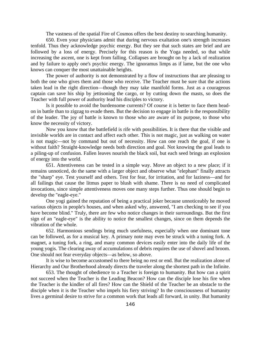The vastness of the spatial Fire of Cosmos offers the best destiny to searching humanity.

650. Even your physicians admit that during nervous exaltation one's strength increases tenfold. Thus they acknowledge psychic energy. But they see that such states are brief and are followed by a loss of energy. Precisely for this reason is the Yoga needed, so that while increasing the ascent, one is kept from falling. Collapses are brought on by a lack of realization and by failure to apply one's psychic energy. The ignoramus limps as if lame, but the one who knows can conquer the most unattainable heights.

The power of authority is not demonstrated by a flow of instructions that are pleasing to both the one who gives them and those who receive. The Teacher must be sure that the actions taken lead in the right direction—though they may take manifold forms. Just as a courageous captain can save his ship by jettisoning the cargo, or by cutting down the masts, so does the Teacher with full power of authority lead his disciples to victory.

Is it possible to avoid the burdensome currents? Of course it is better to face them headon in battle than to zigzag to evade them. But the decision to engage in battle is the responsibility of the leader. The joy of battle is known to those who are aware of its purpose, to those who know the necessity of victory.

Now you know that the battlefield is rife with possibilities. It is there that the visible and invisible worlds are in contact and affect each other. This is not magic, just as walking on water is not magic—not by command but out of necessity. How can one reach the goal, if one is without faith? Straight-knowledge needs both direction and goal. Not knowing the goal leads to a piling-up of confusion. Fallen leaves nourish the black soil, but each seed brings an explosion of energy into the world.

651. Attentiveness can be tested in a simple way. Move an object to a new place; if it remains unnoticed, do the same with a larger object and observe what "elephant" finally attracts the "sharp" eye. Test yourself and others. Test for fear, for irritation, and for laziness—and for all failings that cause the litmus paper to blush with shame. There is no need of complicated invocations, since simple attentiveness moves one many steps further. Thus one should begin to develop the "eagle-eye."

One yogi gained the reputation of being a practical joker because unnoticeably he moved various objects in people's houses, and when asked why, answered, "I am checking to see if you have become blind." Truly, there are few who notice changes in their surroundings. But the first sign of an "eagle-eye" is the ability to notice the smallest changes, since on them depends the vibration of the whole.

652. Harmonious sendings bring much usefulness, especially when one dominant tone can be followed, as for a musical key. A primary note may even be struck with a tuning fork. A magnet, a tuning fork, a ring, and many common devices easily enter into the daily life of the young yogis. The clearing away of accumulations of debris requires the use of shovel and broom. One should not fear everyday objects—as below, so above.

It is wise to become accustomed to there being no rest or end. But the realization alone of Hierarchy and Our Brotherhood already directs the traveler along the shortest path in the Infinite.

653. The thought of obedience to a Teacher is foreign to humanity. But how can a spirit not succeed when the Teacher is the Leading Beacon? How can the disciple lose his fire when the Teacher is the kindler of all fires? How can the Shield of the Teacher be an obstacle to the disciple when it is the Teacher who impels his fiery striving? In the consciousness of humanity lives a germinal desire to strive for a common work that leads all forward, in unity. But humanity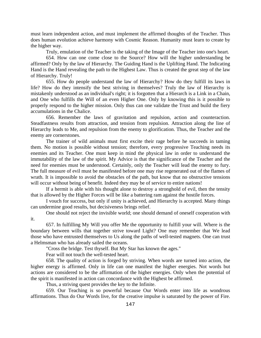must learn independent action, and must implement the affirmed thoughts of the Teacher. Thus does human evolution achieve harmony with Cosmic Reason. Humanity must learn to create by the higher way.

Truly, emulation of the Teacher is the taking of the Image of the Teacher into one's heart.

654. How can one come close to the Source? How will the higher understanding be affirmed? Only by the law of Hierarchy. The Guiding Hand is the Uplifting Hand. The Indicating Hand is the Hand revealing the path to the Highest Law. Thus is created the great step of the law of Hierarchy. Truly!

655. How do people understand the law of Hierarchy? How do they fulfill its laws in life? How do they intensify the best striving in themselves? Truly the law of Hierarchy is mistakenly understood as an individual's right; it is forgotten that a Hierarch is a Link in a Chain, and One who fulfills the Will of an even Higher One. Only by knowing this is it possible to properly respond to the higher mission. Only thus can one validate the Trust and build the fiery accumulations in the Chalice.

656. Remember the laws of gravitation and repulsion, action and counteraction. Steadfastness results from attraction, and tension from repulsion. Attraction along the line of Hierarchy leads to Me, and repulsion from the enemy to glorification. Thus, the Teacher and the enemy are cornerstones.

The trainer of wild animals must first excite their rage before he succeeds in taming them. No motion is possible without tension; therefore, every progressive Teaching needs its enemies and its Teacher. One must keep in mind the physical law in order to understand the immutability of the law of the spirit. My Advice is that the significance of the Teacher and the need for enemies must be understood. Certainly, only the Teacher will lead the enemy to fury. The full measure of evil must be manifested before one may rise regenerated out of the flames of wrath. It is impossible to avoid the obstacles of the path, but know that no obstructive tensions will occur without being of benefit. Indeed they may be of service to entire nations!

If a hermit is able with his thought alone to destroy a stronghold of evil, then the tensity that is allowed by the Higher Forces will be like a battering ram against the hostile forces.

I vouch for success, but only if unity is achieved, and Hierarchy is accepted. Many things can undermine good results, but decisiveness brings relief.

One should not reject the invisible world; one should demand of oneself cooperation with it.

657. In fulfilling My Will you offer Me the opportunity to fulfill your will. Where is the boundary between wills that together strive toward Light? One may remember that We lead those who have entrusted themselves to Us along the paths of well-tested magnets. One can trust a Helmsman who has already sailed the oceans.

"Cross the bridge. Test thyself. But My Star has known the ages."

Fear will not touch the well-tested heart.

658. The quality of action is forged by striving. When words are turned into action, the higher energy is affirmed. Only in life can one manifest the higher energies. Not words but actions are considered to be the affirmation of the higher energies. Only when the potential of the spirit is manifested in action can concordance with the Highest be affirmed.

Thus, a striving quest provides the key to the Infinite.

659. Our Teaching is so powerful because Our Words enter into life as wondrous affirmations. Thus do Our Words live, for the creative impulse is saturated by the power of Fire.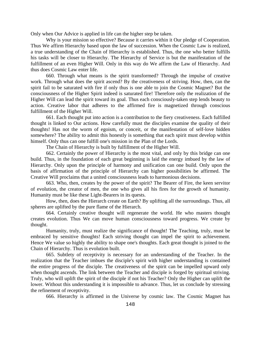Only when Our Advice is applied in life can the higher step be taken.

Why is your mission so effective? Because it carries within it Our pledge of Cooperation. Thus We affirm Hierarchy based upon the law of succession. When the Cosmic Law is realized, a true understanding of the Chain of Hierarchy is established. Thus, the one who better fulfills his tasks will be closer to Hierarchy. The Hierarchy of Service is but the manifestation of the fulfillment of an even Higher Will. Only in this way do We affirm the Law of Hierarchy. And thus does Cosmic Law enter life.

660. Through what means is the spirit transformed? Through the impulse of creative work. Through what does the spirit ascend? By the creativeness of striving. How, then, can the spirit fail to be saturated with fire if only thus is one able to join the Cosmic Magnet? But the consciousness of the Higher Spirit indeed is saturated fire! Therefore only the realization of the Higher Will can lead the spirit toward its goal. Thus each consciously-taken step lends beauty to action. Creative labor that adheres to the affirmed fire is magnetized through conscious fulfillment of the Higher Will.

661. Each thought put into action is a contribution to the fiery creativeness. Each fulfilled thought is linked to Our actions. How carefully must the disciples examine the quality of their thoughts! Has not the worm of egoism, or conceit, or the manifestation of self-love hidden somewhere? The ability to admit this honestly is something that each spirit must develop within himself. Only thus can one fulfill one's mission in the Plan of the Lords.

The Chain of Hierarchy is built by fulfillment of the Higher Will.

662. Certainly the power of Hierarchy is the most vital, and only by this bridge can one build. Thus, in the foundation of each great beginning is laid the energy imbued by the law of Hierarchy. Only upon the principle of harmony and unification can one build. Only upon the basis of affirmation of the principle of Hierarchy can higher possibilities be affirmed. The Creative Will proclaims that a united consciousness leads to harmonious decisions.

663. Who, then, creates by the power of the spirit? The Bearer of Fire, the keen servitor of evolution, the creator of men, the one who gives all his fires for the growth of humanity. Humanity must be like these Light-Bearers in its quests.

How, then, does the Hierarch create on Earth? By uplifting all the surroundings. Thus, all spheres are uplifted by the pure flame of the Hierarch.

664. Certainly creative thought will regenerate the world. He who masters thought creates evolution. Thus We can move human consciousness toward progress. We create by thought.

Humanity, truly, must realize the significance of thought! The Teaching, truly, must be embraced by sensitive thoughts! Each striving thought can impel the spirit to achievement. Hence We value so highly the ability to shape one's thoughts. Each great thought is joined to the Chain of Hierarchy. Thus is evolution built.

665. Subtlety of receptivity is necessary for an understanding of the Teacher. In the realization that the Teacher imbues the disciple's spirit with higher understanding is contained the entire progress of the disciple. The creativeness of the spirit can be impelled upward only when thought ascends. The link between the Teacher and disciple is forged by spiritual striving. Truly, who will uplift the spirit of the disciple if not his Teacher? Only the Higher can uplift the lower. Without this understanding it is impossible to advance. Thus, let us conclude by stressing the refinement of receptivity.

666. Hierarchy is affirmed in the Universe by cosmic law. The Cosmic Magnet has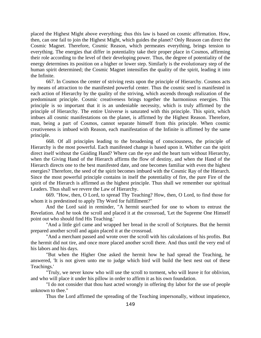placed the Highest Might above everything; thus this law is based on cosmic affirmation. How, then, can one fail to join the Highest Might, which guides the planet? Only Reason can direct the Cosmic Magnet. Therefore, Cosmic Reason, which permeates everything, brings tension to everything. The energies that differ in potentiality take their proper place in Cosmos, affirming their role according to the level of their developing power. Thus, the degree of potentiality of the energy determines its position on a higher or lower step. Similarly is the evolutionary step of the human spirit determined; the Cosmic Magnet intensifies the quality of the spirit, leading it into the Infinite.

667. In Cosmos the center of striving rests upon the principle of Hierarchy. Cosmos acts by means of attraction to the manifested powerful center. Thus the cosmic seed is manifested in each action of Hierarchy by the quality of the striving, which ascends through realization of the predominant principle. Cosmic creativeness brings together the harmonious energies. This principle is so important that it is an undeniable necessity, which is truly affirmed by the principle of Hierarchy. The entire Universe is saturated with this principle. This spirit, which imbues all cosmic manifestations on the planet, is affirmed by the Highest Reason. Therefore, man, being a part of Cosmos, cannot separate himself from this principle. When cosmic creativeness is imbued with Reason, each manifestation of the Infinite is affirmed by the same principle.

668. Of all principles leading to the broadening of consciousness, the principle of Hierarchy is the most powerful. Each manifested change is based upon it. Whither can the spirit direct itself without the Guiding Hand? Where can the eye and the heart turn without Hierarchy, when the Giving Hand of the Hierarch affirms the flow of destiny, and when the Hand of the Hierarch directs one to the best manifested date, and one becomes familiar with even the highest energies? Therefore, the seed of the spirit becomes imbued with the Cosmic Ray of the Hierarch. Since the most powerful principle contains in itself the potentiality of fire, the pure Fire of the spirit of the Hierarch is affirmed as the highest principle. Thus shall we remember our spiritual Leaders. Thus shall we revere the Law of Hierarchy.

669. "How, then, O Lord, to spread Thy Teaching? How, then, O Lord, to find those for whom it is predestined to apply Thy Word for fulfillment?"

And the Lord said in reminder, "A hermit searched for one to whom to entrust the Revelation. And he took the scroll and placed it at the crossroad, 'Let the Supreme One Himself point out who should find His Teaching.'

"And a little girl came and wrapped her bread in the scroll of Scriptures. But the hermit prepared another scroll and again placed it at the crossroad.

"And a merchant passed and wrote over the scroll with his calculations of his profits. But the hermit did not tire, and once more placed another scroll there. And thus until the very end of his labors and his days.

"But when the Higher One asked the hermit how he had spread the Teaching, he answered, 'It is not given unto me to judge which bird will build the best nest out of these Teachings.'

"Truly, we never know who will use the scroll to torment, who will leave it for oblivion, and who will place it under his pillow in order to affirm it as his own foundation.

"I do not consider that thou hast acted wrongly in offering thy labor for the use of people unknown to thee."

Thus the Lord affirmed the spreading of the Teaching impersonally, without impatience,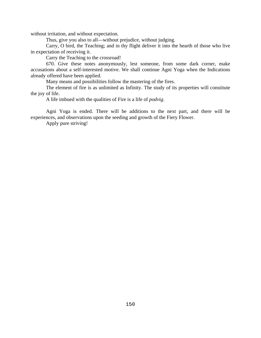without irritation, and without expectation.

Thus, give you also to all—without prejudice, without judging.

Carry, O bird, the Teaching; and in thy flight deliver it into the hearth of those who live in expectation of receiving it.

Carry the Teaching to the crossroad!

670. Give these notes anonymously, lest someone, from some dark corner, make accusations about a self-interested motive. We shall continue Agni Yoga when the Indications already offered have been applied.

Many means and possibilities follow the mastering of the fires.

The element of fire is as unlimited as Infinity. The study of its properties will constitute the joy of life.

A life imbued with the qualities of Fire is a life of *podvig*.

Agni Yoga is ended. There will be additions to the next part, and there will be experiences, and observations upon the seeding and growth of the Fiery Flower.

Apply pure striving!